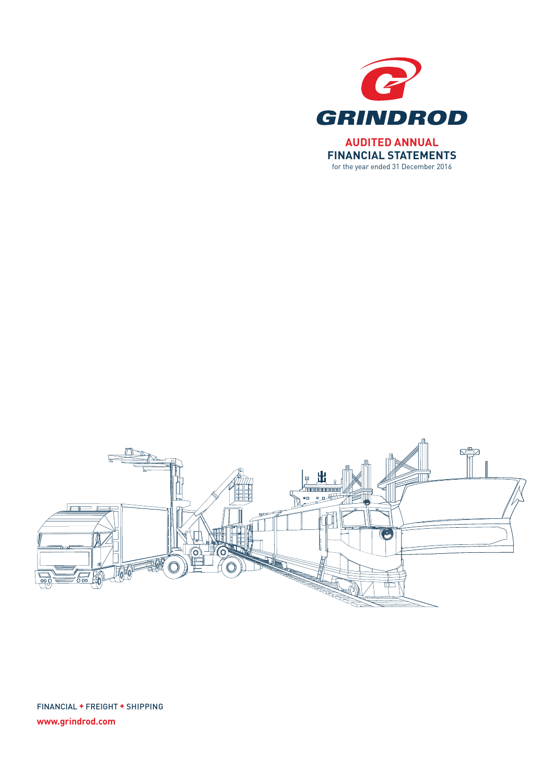



**www.grindrod.com** FINANCIAL + FREIGHT + SHIPPING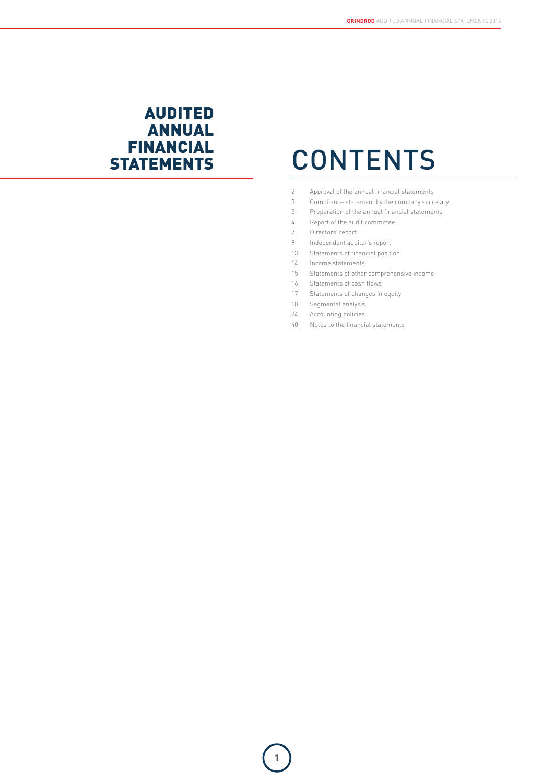### AUDITED ANNUAL FINANCIAL **STATEMENTS**

# **CONTENTS**

- 2 Approval of the annual financial statements
- 3 Compliance statement by the company secretary
- 3 Preparation of the annual financial statements
- 4 Report of the audit committee
- 7 Directors' report
- 9 Independent auditor's report
- 13 Statements of financial position
- 14 Income statements
- 15 Statements of other comprehensive income
- 16 Statements of cash flows
- 17 Statements of changes in equity
- 18 Segmental analysis
- 24 Accounting policies
- 40 Notes to the financial statements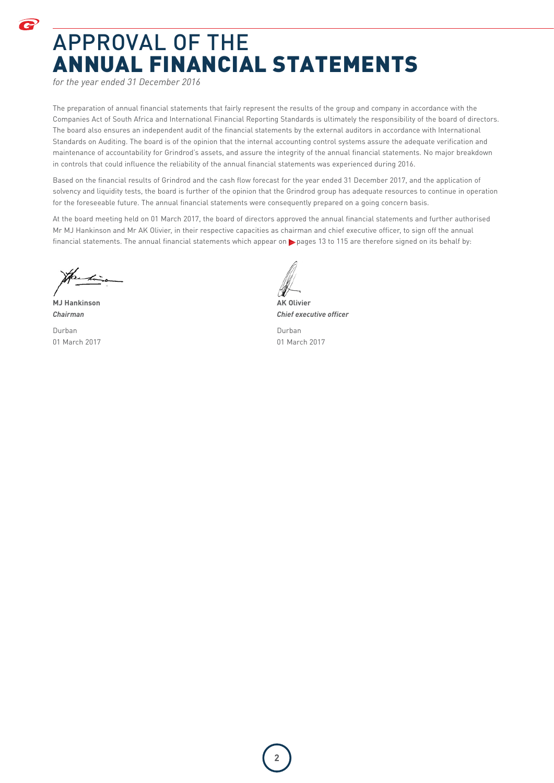## APPROVAL OF THE ANNUAL FINANCIAL STATEMENTS

*for the year ended 31 December 2016*

The preparation of annual financial statements that fairly represent the results of the group and company in accordance with the Companies Act of South Africa and International Financial Reporting Standards is ultimately the responsibility of the board of directors. The board also ensures an independent audit of the financial statements by the external auditors in accordance with International Standards on Auditing. The board is of the opinion that the internal accounting control systems assure the adequate verification and maintenance of accountability for Grindrod's assets, and assure the integrity of the annual financial statements. No major breakdown in controls that could influence the reliability of the annual financial statements was experienced during 2016.

Based on the financial results of Grindrod and the cash flow forecast for the year ended 31 December 2017, and the application of solvency and liquidity tests, the board is further of the opinion that the Grindrod group has adequate resources to continue in operation for the foreseeable future. The annual financial statements were consequently prepared on a going concern basis.

At the board meeting held on 01 March 2017, the board of directors approved the annual financial statements and further authorised Mr MJ Hankinson and Mr AK Olivier, in their respective capacities as chairman and chief executive officer, to sign off the annual financial statements. The annual financial statements which appear on pages 13 to 115 are therefore signed on its behalf by:

**MJ Hankinson** *Chairman*

P

Durban 01 March 2017

**AK Olivier** *Chief executive officer*

Durban 01 March 2017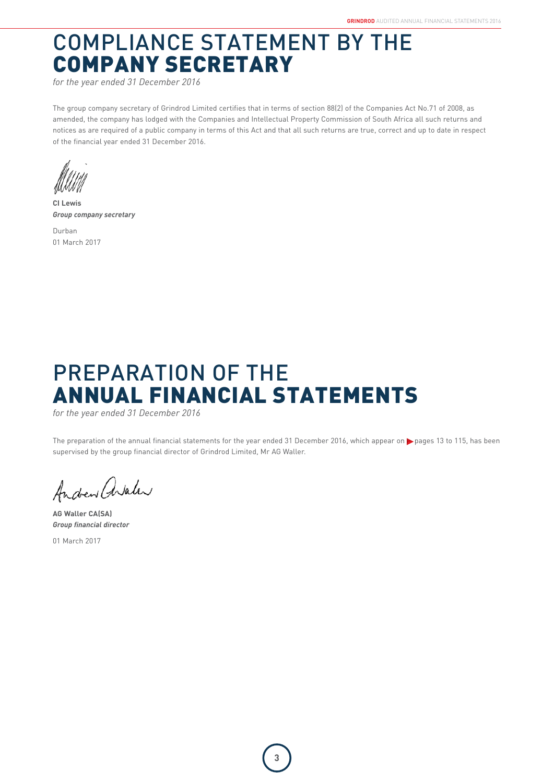### COMPLIANCE STATEMENT BY THE COMPANY SECRETARY

*for the year ended 31 December 2016*

The group company secretary of Grindrod Limited certifies that in terms of section 88(2) of the Companies Act No.71 of 2008, as amended, the company has lodged with the Companies and Intellectual Property Commission of South Africa all such returns and notices as are required of a public company in terms of this Act and that all such returns are true, correct and up to date in respect of the financial year ended 31 December 2016.

**CI Lewis** *Group company secretary*

Durban 01 March 2017

### PREPARATION OF THE ANNUAL FINANCIAL STATEMENTS

*for the year ended 31 December 2016*

The preparation of the annual financial statements for the year ended 31 December 2016, which appear on pages 13 to 115, has been supervised by the group financial director of Grindrod Limited, Mr AG Waller.

Andrew Arkeler

**AG Waller CA(SA)** *Group financial director*

01 March 2017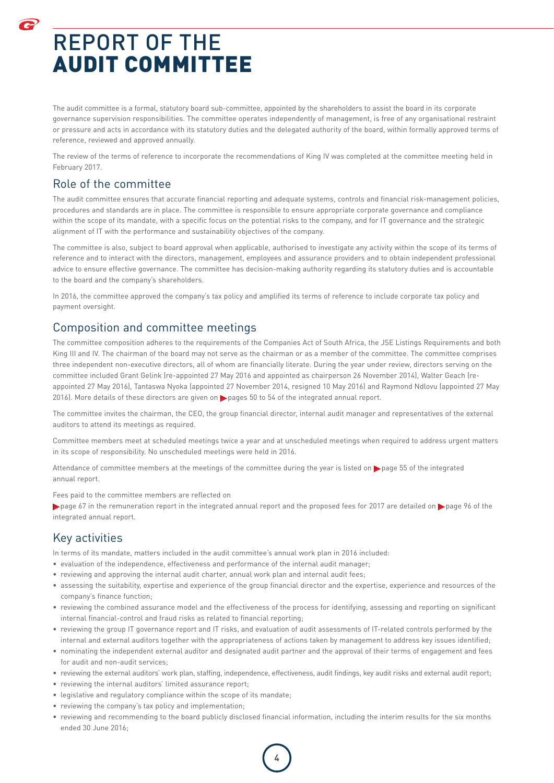### REPORT OF THE AUDIT COMMITTEE

The audit committee is a formal, statutory board sub-committee, appointed by the shareholders to assist the board in its corporate governance supervision responsibilities. The committee operates independently of management, is free of any organisational restraint or pressure and acts in accordance with its statutory duties and the delegated authority of the board, within formally approved terms of reference, reviewed and approved annually.

The review of the terms of reference to incorporate the recommendations of King IV was completed at the committee meeting held in February 2017.

### Role of the committee

The audit committee ensures that accurate financial reporting and adequate systems, controls and financial risk-management policies, procedures and standards are in place. The committee is responsible to ensure appropriate corporate governance and compliance within the scope of its mandate, with a specific focus on the potential risks to the company, and for IT governance and the strategic alignment of IT with the performance and sustainability objectives of the company.

The committee is also, subject to board approval when applicable, authorised to investigate any activity within the scope of its terms of reference and to interact with the directors, management, employees and assurance providers and to obtain independent professional advice to ensure effective governance. The committee has decision-making authority regarding its statutory duties and is accountable to the board and the company's shareholders.

In 2016, the committee approved the company's tax policy and amplified its terms of reference to include corporate tax policy and payment oversight.

### Composition and committee meetings

The committee composition adheres to the requirements of the Companies Act of South Africa, the JSE Listings Requirements and both King III and IV. The chairman of the board may not serve as the chairman or as a member of the committee. The committee comprises three independent non-executive directors, all of whom are financially literate. During the year under review, directors serving on the committee included Grant Gelink (re-appointed 27 May 2016 and appointed as chairperson 26 November 2014), Walter Geach (reappointed 27 May 2016), Tantaswa Nyoka (appointed 27 November 2014, resigned 10 May 2016) and Raymond Ndlovu (appointed 27 May 2016). More details of these directors are given on pages 50 to 54 of the integrated annual report.

The committee invites the chairman, the CEO, the group financial director, internal audit manager and representatives of the external auditors to attend its meetings as required.

Committee members meet at scheduled meetings twice a year and at unscheduled meetings when required to address urgent matters in its scope of responsibility. No unscheduled meetings were held in 2016.

Attendance of committee members at the meetings of the committee during the year is listed on page 55 of the integrated annual report.

Fees paid to the committee members are reflected on

**page 67** in the remuneration report in the integrated annual report and the proposed fees for 2017 are detailed on page 96 of the integrated annual report.

### Key activities

In terms of its mandate, matters included in the audit committee's annual work plan in 2016 included:

- evaluation of the independence, effectiveness and performance of the internal audit manager;
- reviewing and approving the internal audit charter, annual work plan and internal audit fees;
- assessing the suitability, expertise and experience of the group financial director and the expertise, experience and resources of the company's finance function;
- reviewing the combined assurance model and the effectiveness of the process for identifying, assessing and reporting on significant internal financial-control and fraud risks as related to financial reporting;
- reviewing the group IT governance report and IT risks, and evaluation of audit assessments of IT-related controls performed by the internal and external auditors together with the appropriateness of actions taken by management to address key issues identified;
- nominating the independent external auditor and designated audit partner and the approval of their terms of engagement and fees for audit and non-audit services;
- reviewing the external auditors' work plan, staffing, independence, effectiveness, audit findings, key audit risks and external audit report;
- reviewing the internal auditors' limited assurance report;
- legislative and regulatory compliance within the scope of its mandate;
- reviewing the company's tax policy and implementation;
- reviewing and recommending to the board publicly disclosed financial information, including the interim results for the six months ended 30 June 2016;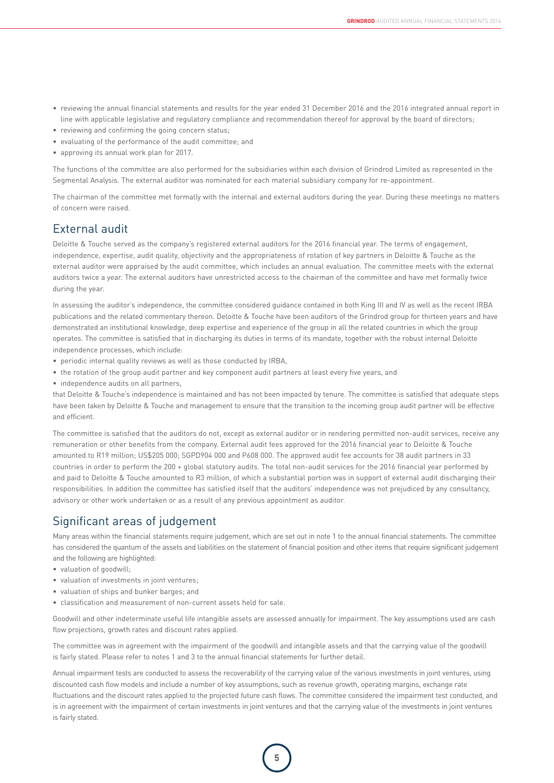- reviewing the annual financial statements and results for the year ended 31 December 2016 and the 2016 integrated annual report in line with applicable legislative and regulatory compliance and recommendation thereof for approval by the board of directors;
- reviewing and confirming the going concern status;
- evaluating of the performance of the audit committee; and
- approving its annual work plan for 2017.

The functions of the committee are also performed for the subsidiaries within each division of Grindrod Limited as represented in the Segmental Analysis. The external auditor was nominated for each material subsidiary company for re-appointment.

The chairman of the committee met formally with the internal and external auditors during the year. During these meetings no matters of concern were raised.

### External audit

Deloitte & Touche served as the company's registered external auditors for the 2016 financial year. The terms of engagement, independence, expertise, audit quality, objectivity and the appropriateness of rotation of key partners in Deloitte & Touche as the external auditor were appraised by the audit committee, which includes an annual evaluation. The committee meets with the external auditors twice a year. The external auditors have unrestricted access to the chairman of the committee and have met formally twice during the year.

In assessing the auditor's independence, the committee considered guidance contained in both King III and IV as well as the recent IRBA publications and the related commentary thereon. Deloitte & Touche have been auditors of the Grindrod group for thirteen years and have demonstrated an institutional knowledge, deep expertise and experience of the group in all the related countries in which the group operates. The committee is satisfied that in discharging its duties in terms of its mandate, together with the robust internal Deloitte independence processes, which include:

- periodic internal quality reviews as well as those conducted by IRBA,
- the rotation of the group audit partner and key component audit partners at least every five years, and
- independence audits on all partners,

that Deloitte & Touche's independence is maintained and has not been impacted by tenure. The committee is satisfied that adequate steps have been taken by Deloitte & Touche and management to ensure that the transition to the incoming group audit partner will be effective and efficient.

The committee is satisfied that the auditors do not, except as external auditor or in rendering permitted non-audit services, receive any remuneration or other benefits from the company. External audit fees approved for the 2016 financial year to Deloitte & Touche amounted to R19 million; US\$205 000; SGPD904 000 and P608 000. The approved audit fee accounts for 38 audit partners in 33 countries in order to perform the 200 + global statutory audits. The total non-audit services for the 2016 financial year performed by and paid to Deloitte & Touche amounted to R3 million, of which a substantial portion was in support of external audit discharging their responsibilities. In addition the committee has satisfied itself that the auditors' independence was not prejudiced by any consultancy, advisory or other work undertaken or as a result of any previous appointment as auditor.

### Significant areas of judgement

Many areas within the financial statements require judgement, which are set out in note 1 to the annual financial statements. The committee has considered the quantum of the assets and liabilities on the statement of financial position and other items that require significant judgement and the following are highlighted:

- valuation of goodwill;
- valuation of investments in joint ventures;
- valuation of ships and bunker barges; and
- classification and measurement of non-current assets held for sale.

Goodwill and other indeterminate useful life intangible assets are assessed annually for impairment. The key assumptions used are cash flow projections, growth rates and discount rates applied.

The committee was in agreement with the impairment of the goodwill and intangible assets and that the carrying value of the goodwill is fairly stated. Please refer to notes 1 and 3 to the annual financial statements for further detail.

Annual impairment tests are conducted to assess the recoverability of the carrying value of the various investments in joint ventures, using discounted cash flow models and include a number of key assumptions, such as revenue growth, operating margins, exchange rate fluctuations and the discount rates applied to the projected future cash flows. The committee considered the impairment test conducted, and is in agreement with the impairment of certain investments in joint ventures and that the carrying value of the investments in joint ventures is fairly stated.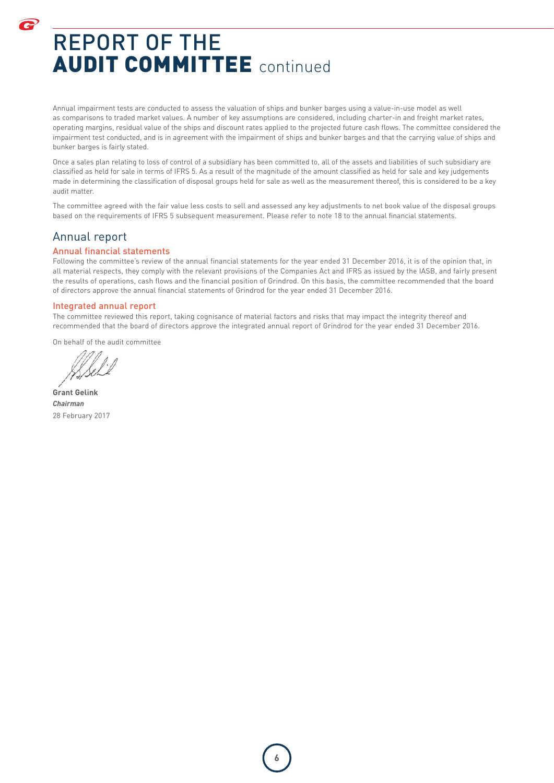### REPORT OF THE **AUDIT COMMITTEE** continued

Annual impairment tests are conducted to assess the valuation of ships and bunker barges using a value-in-use model as well as comparisons to traded market values. A number of key assumptions are considered, including charter-in and freight market rates, operating margins, residual value of the ships and discount rates applied to the projected future cash flows. The committee considered the impairment test conducted, and is in agreement with the impairment of ships and bunker barges and that the carrying value of ships and bunker barges is fairly stated.

Once a sales plan relating to loss of control of a subsidiary has been committed to, all of the assets and liabilities of such subsidiary are classified as held for sale in terms of IFRS 5. As a result of the magnitude of the amount classified as held for sale and key judgements made in determining the classification of disposal groups held for sale as well as the measurement thereof, this is considered to be a key audit matter.

The committee agreed with the fair value less costs to sell and assessed any key adjustments to net book value of the disposal groups based on the requirements of IFRS 5 subsequent measurement. Please refer to note 18 to the annual financial statements.

### Annual report

2

### Annual financial statements

Following the committee's review of the annual financial statements for the year ended 31 December 2016, it is of the opinion that, in all material respects, they comply with the relevant provisions of the Companies Act and IFRS as issued by the IASB, and fairly present the results of operations, cash flows and the financial position of Grindrod. On this basis, the committee recommended that the board of directors approve the annual financial statements of Grindrod for the year ended 31 December 2016.

#### Integrated annual report

The committee reviewed this report, taking cognisance of material factors and risks that may impact the integrity thereof and recommended that the board of directors approve the integrated annual report of Grindrod for the year ended 31 December 2016.

On behalf of the audit committee

**Grant Gelink** *Chairman* 28 February 2017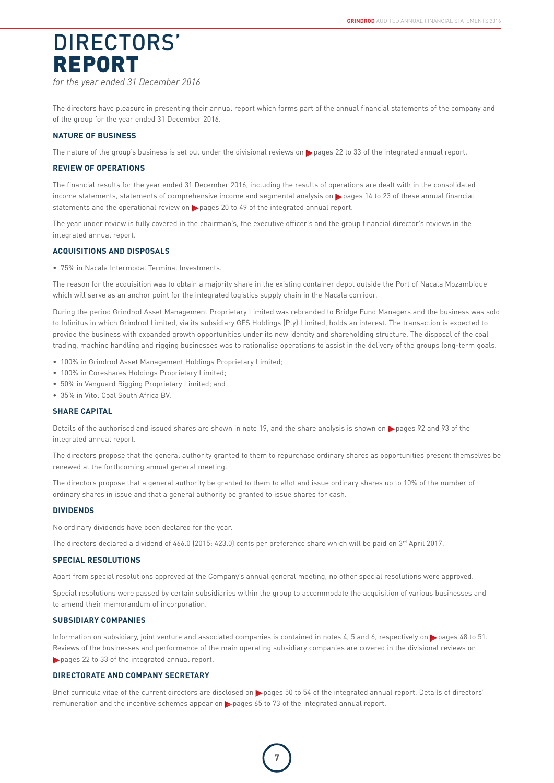### DIRECTORS' REPORT

*for the year ended 31 December 2016*

The directors have pleasure in presenting their annual report which forms part of the annual financial statements of the company and of the group for the year ended 31 December 2016.

#### **NATURE OF BUSINESS**

The nature of the group's business is set out under the divisional reviews on pages 22 to 33 of the integrated annual report.

#### **REVIEW OF OPERATIONS**

The financial results for the year ended 31 December 2016, including the results of operations are dealt with in the consolidated income statements, statements of comprehensive income and segmental analysis on pages 14 to 23 of these annual financial statements and the operational review on pages 20 to 49 of the integrated annual report.

The year under review is fully covered in the chairman's, the executive officer's and the group financial director's reviews in the integrated annual report.

#### **ACQUISITIONS AND DISPOSALS**

• 75% in Nacala Intermodal Terminal Investments.

The reason for the acquisition was to obtain a majority share in the existing container depot outside the Port of Nacala Mozambique which will serve as an anchor point for the integrated logistics supply chain in the Nacala corridor.

During the period Grindrod Asset Management Proprietary Limited was rebranded to Bridge Fund Managers and the business was sold to Infinitus in which Grindrod Limited, via its subsidiary GFS Holdings (Pty) Limited, holds an interest. The transaction is expected to provide the business with expanded growth opportunities under its new identity and shareholding structure. The disposal of the coal trading, machine handling and rigging businesses was to rationalise operations to assist in the delivery of the groups long-term goals.

- 100% in Grindrod Asset Management Holdings Proprietary Limited;
- 100% in Coreshares Holdings Proprietary Limited;
- 50% in Vanguard Rigging Proprietary Limited; and
- 35% in Vitol Coal South Africa BV.

#### **SHARE CAPITAL**

Details of the authorised and issued shares are shown in note 19, and the share analysis is shown on pages 92 and 93 of the integrated annual report.

The directors propose that the general authority granted to them to repurchase ordinary shares as opportunities present themselves be renewed at the forthcoming annual general meeting.

The directors propose that a general authority be granted to them to allot and issue ordinary shares up to 10% of the number of ordinary shares in issue and that a general authority be granted to issue shares for cash.

#### **DIVIDENDS**

No ordinary dividends have been declared for the year.

The directors declared a dividend of 466.0 (2015: 423.0) cents per preference share which will be paid on 3<sup>rd</sup> April 2017.

#### **SPECIAL RESOLUTIONS**

Apart from special resolutions approved at the Company's annual general meeting, no other special resolutions were approved.

Special resolutions were passed by certain subsidiaries within the group to accommodate the acquisition of various businesses and to amend their memorandum of incorporation.

#### **SUBSIDIARY COMPANIES**

Information on subsidiary, joint venture and associated companies is contained in notes 4, 5 and 6, respectively on  $\blacktriangleright$  pages 48 to 51. Reviews of the businesses and performance of the main operating subsidiary companies are covered in the divisional reviews on pages 22 to 33 of the integrated annual report.

#### **DIRECTORATE AND COMPANY SECRETARY**

Brief curricula vitae of the current directors are disclosed on pages 50 to 54 of the integrated annual report. Details of directors' remuneration and the incentive schemes appear on pages 65 to 73 of the integrated annual report.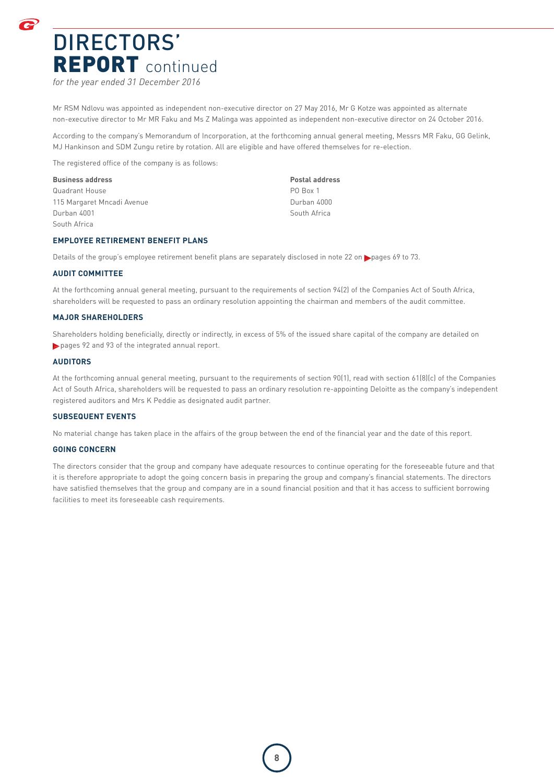# DIRECTORS' REPORT continued

*for the year ended 31 December 2016*

 $\mathbf{z}$ 

Mr RSM Ndlovu was appointed as independent non-executive director on 27 May 2016, Mr G Kotze was appointed as alternate non-executive director to Mr MR Faku and Ms Z Malinga was appointed as independent non-executive director on 24 October 2016.

According to the company's Memorandum of Incorporation, at the forthcoming annual general meeting, Messrs MR Faku, GG Gelink, MJ Hankinson and SDM Zungu retire by rotation. All are eligible and have offered themselves for re-election.

The registered office of the company is as follows:

| <b>Business address</b>    | <b>Postal address</b> |
|----------------------------|-----------------------|
| Quadrant House             | PO Box 1              |
| 115 Margaret Mncadi Avenue | Durban 4000           |
| Durban 4001                | South Africa          |
| South Africa               |                       |

### **EMPLOYEE RETIREMENT BENEFIT PLANS**

Details of the group's employee retirement benefit plans are separately disclosed in note 22 on pages 69 to 73.

#### **AUDIT COMMITTEE**

At the forthcoming annual general meeting, pursuant to the requirements of section 94(2) of the Companies Act of South Africa, shareholders will be requested to pass an ordinary resolution appointing the chairman and members of the audit committee.

#### **MAJOR SHAREHOLDERS**

Shareholders holding beneficially, directly or indirectly, in excess of 5% of the issued share capital of the company are detailed on pages 92 and 93 of the integrated annual report.

### **AUDITORS**

At the forthcoming annual general meeting, pursuant to the requirements of section 90(1), read with section 61(8)(c) of the Companies Act of South Africa, shareholders will be requested to pass an ordinary resolution re-appointing Deloitte as the company's independent registered auditors and Mrs K Peddie as designated audit partner.

### **SUBSEQUENT EVENTS**

No material change has taken place in the affairs of the group between the end of the financial year and the date of this report.

#### **GOING CONCERN**

The directors consider that the group and company have adequate resources to continue operating for the foreseeable future and that it is therefore appropriate to adopt the going concern basis in preparing the group and company's financial statements. The directors have satisfied themselves that the group and company are in a sound financial position and that it has access to sufficient borrowing facilities to meet its foreseeable cash requirements.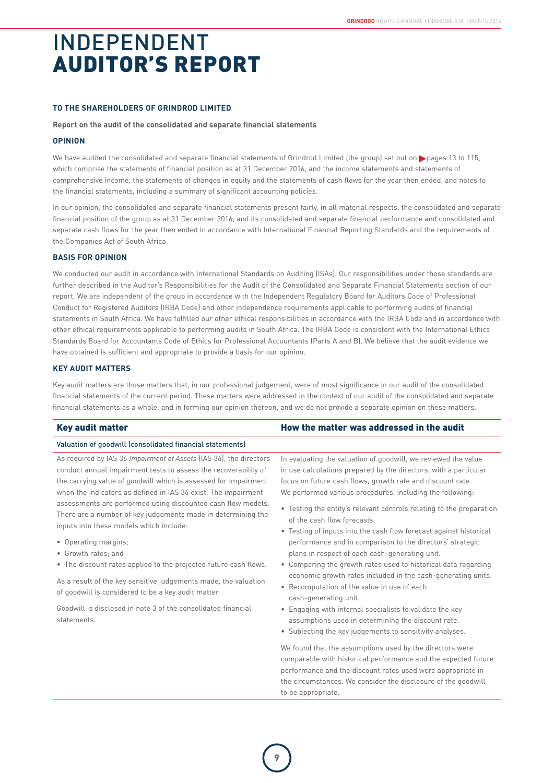### INDEPENDENT AUDITOR'S REPORT

#### **TO THE SHAREHOLDERS OF GRINDROD LIMITED**

#### **Report on the audit of the consolidated and separate financial statements**

#### **OPINION**

We have audited the consolidated and separate financial statements of Grindrod Limited (the group) set out on pages 13 to 115, which comprise the statements of financial position as at 31 December 2016, and the income statements and statements of comprehensive income, the statements of changes in equity and the statements of cash flows for the year then ended, and notes to the financial statements, including a summary of significant accounting policies.

In our opinion, the consolidated and separate financial statements present fairly, in all material respects, the consolidated and separate financial position of the group as at 31 December 2016, and its consolidated and separate financial performance and consolidated and separate cash flows for the year then ended in accordance with International Financial Reporting Standards and the requirements of the Companies Act of South Africa.

#### **BASIS FOR OPINION**

We conducted our audit in accordance with International Standards on Auditing (ISAs). Our responsibilities under those standards are further described in the Auditor's Responsibilities for the Audit of the Consolidated and Separate Financial Statements section of our report. We are independent of the group in accordance with the Independent Regulatory Board for Auditors Code of Professional Conduct for Registered Auditors (IRBA Code) and other independence requirements applicable to performing audits of financial statements in South Africa. We have fulfilled our other ethical responsibilities in accordance with the IRBA Code and in accordance with other ethical requirements applicable to performing audits in South Africa. The IRBA Code is consistent with the International Ethics Standards Board for Accountants Code of Ethics for Professional Accountants (Parts A and B). We believe that the audit evidence we have obtained is sufficient and appropriate to provide a basis for our opinion.

#### **KEY AUDIT MATTERS**

Key audit matters are those matters that, in our professional judgement, were of most significance in our audit of the consolidated financial statements of the current period. These matters were addressed in the context of our audit of the consolidated and separate financial statements as a whole, and in forming our opinion thereon, and we do not provide a separate opinion on these matters.

#### Key audit matter **How the matter was addressed in the audit** How the matter was addressed in the audit

#### Valuation of goodwill (consolidated financial statements)

As required by IAS 36 *Impairment of Assets* (IAS 36), the directors conduct annual impairment tests to assess the recoverability of the carrying value of goodwill which is assessed for impairment when the indicators as defined in IAS 36 exist. The impairment assessments are performed using discounted cash flow models. There are a number of key judgements made in determining the inputs into these models which include:

- Operating margins;
- Growth rates; and
- The discount rates applied to the projected future cash flows.

As a result of the key sensitive judgements made, the valuation of goodwill is considered to be a key audit matter.

Goodwill is disclosed in note 3 of the consolidated financial statements.

In evaluating the valuation of goodwill, we reviewed the value in use calculations prepared by the directors, with a particular focus on future cash flows, growth rate and discount rate. We performed various procedures, including the following:

- Testing the entity's relevant controls relating to the preparation of the cash flow forecasts.
- Testing of inputs into the cash flow forecast against historical performance and in comparison to the directors' strategic plans in respect of each cash-generating unit.
- Comparing the growth rates used to historical data regarding economic growth rates included in the cash-generating units.
- Recomputation of the value in use of each cash-generating unit.
- Engaging with internal specialists to validate the key assumptions used in determining the discount rate.
- Subjecting the key judgements to sensitivity analyses.

We found that the assumptions used by the directors were comparable with historical performance and the expected future performance and the discount rates used were appropriate in the circumstances. We consider the disclosure of the goodwill to be appropriate.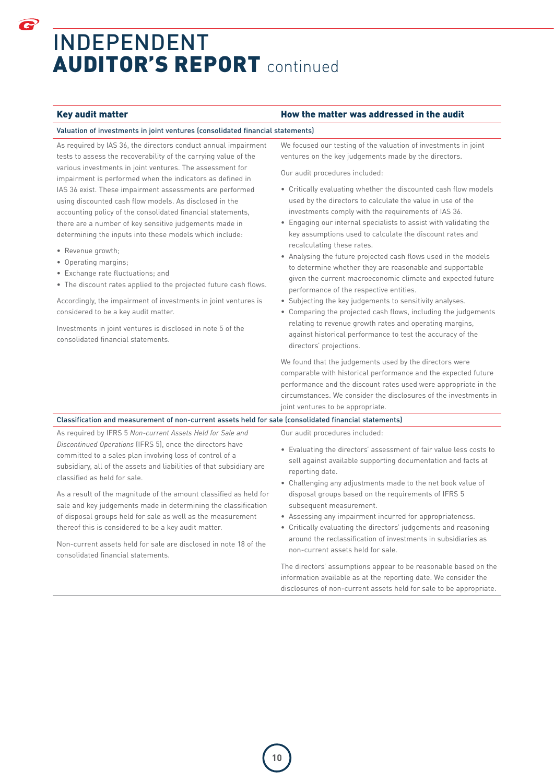### INDEPENDENT AUDITOR'S REPORT continued

2

### Key audit matter **How the matter was addressed in the audit** How the matter was addressed in the audit

#### Valuation of investments in joint ventures (consolidated financial statements)

As required by IAS 36, the directors conduct annual impairment tests to assess the recoverability of the carrying value of the various investments in joint ventures. The assessment for impairment is performed when the indicators as defined in IAS 36 exist. These impairment assessments are performed using discounted cash flow models. As disclosed in the accounting policy of the consolidated financial statements, there are a number of key sensitive judgements made in determining the inputs into these models which include:

- Revenue growth;
- Operating margins;
- Exchange rate fluctuations; and
- The discount rates applied to the projected future cash flows.

Accordingly, the impairment of investments in joint ventures is considered to be a key audit matter.

Investments in joint ventures is disclosed in note 5 of the consolidated financial statements.

We focused our testing of the valuation of investments in joint ventures on the key judgements made by the directors.

Our audit procedures included:

- Critically evaluating whether the discounted cash flow models used by the directors to calculate the value in use of the investments comply with the requirements of IAS 36.
- Engaging our internal specialists to assist with validating the key assumptions used to calculate the discount rates and recalculating these rates.
- Analysing the future projected cash flows used in the models to determine whether they are reasonable and supportable given the current macroeconomic climate and expected future performance of the respective entities.
- Subjecting the key judgements to sensitivity analyses.
- Comparing the projected cash flows, including the judgements relating to revenue growth rates and operating margins, against historical performance to test the accuracy of the directors' projections.

We found that the judgements used by the directors were comparable with historical performance and the expected future performance and the discount rates used were appropriate in the circumstances. We consider the disclosures of the investments in joint ventures to be appropriate.

| Classification and measurement of non-current assets held for sale (consolidated financial statements)                                                                                                                                                                                                                                                                                                                                                                                      |                                                                                                                                                                                                                      |  |  |  |
|---------------------------------------------------------------------------------------------------------------------------------------------------------------------------------------------------------------------------------------------------------------------------------------------------------------------------------------------------------------------------------------------------------------------------------------------------------------------------------------------|----------------------------------------------------------------------------------------------------------------------------------------------------------------------------------------------------------------------|--|--|--|
| As required by IFRS 5 Non-current Assets Held for Sale and                                                                                                                                                                                                                                                                                                                                                                                                                                  | Our audit procedures included:                                                                                                                                                                                       |  |  |  |
| Discontinued Operations (IFRS 5), once the directors have<br>committed to a sales plan involving loss of control of a<br>subsidiary, all of the assets and liabilities of that subsidiary are<br>classified as held for sale.<br>As a result of the magnitude of the amount classified as held for<br>sale and key judgements made in determining the classification<br>of disposal groups held for sale as well as the measurement<br>thereof this is considered to be a key audit matter. | • Evaluating the directors' assessment of fair value less costs to<br>sell against available supporting documentation and facts at<br>reporting date.<br>• Challenging any adjustments made to the net book value of |  |  |  |
|                                                                                                                                                                                                                                                                                                                                                                                                                                                                                             | disposal groups based on the requirements of IFRS 5<br>subsequent measurement.<br>• Assessing any impairment incurred for appropriateness.<br>• Critically evaluating the directors' judgements and reasoning        |  |  |  |
| Non-current assets held for sale are disclosed in note 18 of the<br>consolidated financial statements.                                                                                                                                                                                                                                                                                                                                                                                      | around the reclassification of investments in subsidiaries as<br>non-current assets held for sale.                                                                                                                   |  |  |  |
|                                                                                                                                                                                                                                                                                                                                                                                                                                                                                             | The directors' assumptions appear to be reasonable based on the<br>information available as at the reporting date. We consider the<br>disclosures of non-current assets held for sale to be appropriate.             |  |  |  |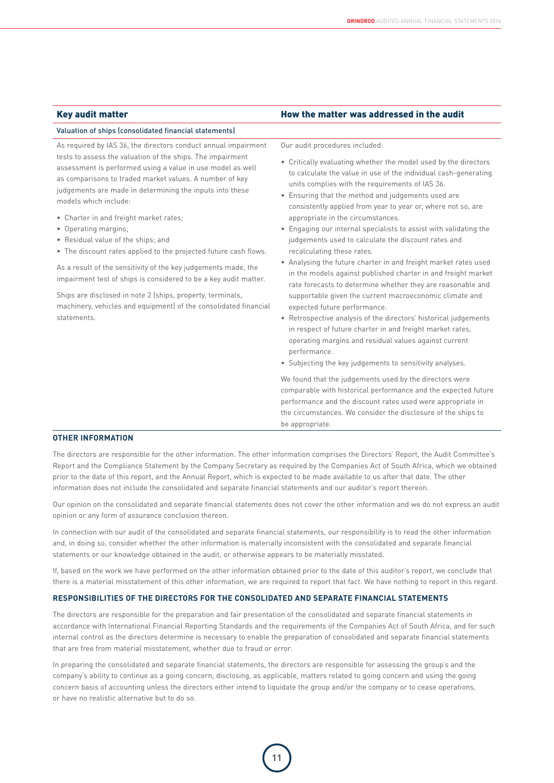| <b>Key audit matter</b>                                                                                                                                                                                                                                                                                                                    | How the matter was addressed in the audit                                                                                                                                                                                                                                    |
|--------------------------------------------------------------------------------------------------------------------------------------------------------------------------------------------------------------------------------------------------------------------------------------------------------------------------------------------|------------------------------------------------------------------------------------------------------------------------------------------------------------------------------------------------------------------------------------------------------------------------------|
| Valuation of ships (consolidated financial statements)                                                                                                                                                                                                                                                                                     |                                                                                                                                                                                                                                                                              |
| As required by IAS 36, the directors conduct annual impairment<br>tests to assess the valuation of the ships. The impairment<br>assessment is performed using a value in use model as well<br>as comparisons to traded market values. A number of key<br>judgements are made in determining the inputs into these<br>models which include: | Our audit procedures included:<br>• Critically evaluating whether the model used by the directors                                                                                                                                                                            |
|                                                                                                                                                                                                                                                                                                                                            | to calculate the value in use of the individual cash-generating<br>units complies with the requirements of IAS 36.<br>• Ensuring that the method and judgements used are<br>consistently applied from year to year or, where not so, are                                     |
| • Charter in and freight market rates;                                                                                                                                                                                                                                                                                                     | appropriate in the circumstances.                                                                                                                                                                                                                                            |
| • Operating margins;                                                                                                                                                                                                                                                                                                                       | • Engaging our internal specialists to assist with validating the                                                                                                                                                                                                            |
| • Residual value of the ships; and<br>• The discount rates applied to the projected future cash flows.                                                                                                                                                                                                                                     | judgements used to calculate the discount rates and<br>recalculating these rates.                                                                                                                                                                                            |
| As a result of the sensitivity of the key judgements made, the<br>impairment test of ships is considered to be a key audit matter.                                                                                                                                                                                                         | • Analysing the future charter in and freight market rates used<br>in the models against published charter in and freight market<br>rate forecasts to determine whether they are reasonable and                                                                              |
| Ships are disclosed in note 2 (ships, property, terminals,<br>machinery, vehicles and equipment) of the consolidated financial                                                                                                                                                                                                             | supportable given the current macroeconomic climate and<br>expected future performance.                                                                                                                                                                                      |
| statements.                                                                                                                                                                                                                                                                                                                                | • Retrospective analysis of the directors' historical judgements<br>in respect of future charter in and freight market rates,<br>operating margins and residual values against current<br>performance.<br>• Subjecting the key judgements to sensitivity analyses.           |
|                                                                                                                                                                                                                                                                                                                                            | We found that the judgements used by the directors were<br>comparable with historical performance and the expected future<br>performance and the discount rates used were appropriate in<br>the circumstances. We consider the disclosure of the ships to<br>be appropriate. |

The directors are responsible for the other information. The other information comprises the Directors' Report, the Audit Committee's Report and the Compliance Statement by the Company Secretary as required by the Companies Act of South Africa, which we obtained prior to the date of this report, and the Annual Report, which is expected to be made available to us after that date. The other information does not include the consolidated and separate financial statements and our auditor's report thereon.

Our opinion on the consolidated and separate financial statements does not cover the other information and we do not express an audit opinion or any form of assurance conclusion thereon.

In connection with our audit of the consolidated and separate financial statements, our responsibility is to read the other information and, in doing so, consider whether the other information is materially inconsistent with the consolidated and separate financial statements or our knowledge obtained in the audit, or otherwise appears to be materially misstated.

If, based on the work we have performed on the other information obtained prior to the date of this auditor's report, we conclude that there is a material misstatement of this other information, we are required to report that fact. We have nothing to report in this regard.

#### **RESPONSIBILITIES OF THE DIRECTORS FOR THE CONSOLIDATED AND SEPARATE FINANCIAL STATEMENTS**

The directors are responsible for the preparation and fair presentation of the consolidated and separate financial statements in accordance with International Financial Reporting Standards and the requirements of the Companies Act of South Africa, and for such internal control as the directors determine is necessary to enable the preparation of consolidated and separate financial statements that are free from material misstatement, whether due to fraud or error.

In preparing the consolidated and separate financial statements, the directors are responsible for assessing the group's and the company's ability to continue as a going concern, disclosing, as applicable, matters related to going concern and using the going concern basis of accounting unless the directors either intend to liquidate the group and/or the company or to cease operations, or have no realistic alternative but to do so.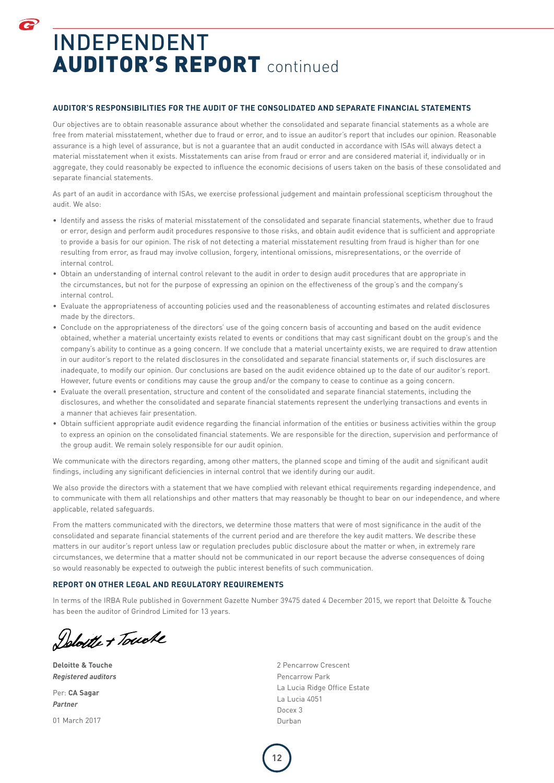### INDEPENDENT AUDITOR'S REPORT continued

 $\sum$ 

#### **AUDITOR'S RESPONSIBILITIES FOR THE AUDIT OF THE CONSOLIDATED AND SEPARATE FINANCIAL STATEMENTS**

Our objectives are to obtain reasonable assurance about whether the consolidated and separate financial statements as a whole are free from material misstatement, whether due to fraud or error, and to issue an auditor's report that includes our opinion. Reasonable assurance is a high level of assurance, but is not a guarantee that an audit conducted in accordance with ISAs will always detect a material misstatement when it exists. Misstatements can arise from fraud or error and are considered material if, individually or in aggregate, they could reasonably be expected to influence the economic decisions of users taken on the basis of these consolidated and separate financial statements.

As part of an audit in accordance with ISAs, we exercise professional judgement and maintain professional scepticism throughout the audit. We also:

- Identify and assess the risks of material misstatement of the consolidated and separate financial statements, whether due to fraud or error, design and perform audit procedures responsive to those risks, and obtain audit evidence that is sufficient and appropriate to provide a basis for our opinion. The risk of not detecting a material misstatement resulting from fraud is higher than for one resulting from error, as fraud may involve collusion, forgery, intentional omissions, misrepresentations, or the override of internal control.
- Obtain an understanding of internal control relevant to the audit in order to design audit procedures that are appropriate in the circumstances, but not for the purpose of expressing an opinion on the effectiveness of the group's and the company's internal control.
- Evaluate the appropriateness of accounting policies used and the reasonableness of accounting estimates and related disclosures made by the directors.
- Conclude on the appropriateness of the directors' use of the going concern basis of accounting and based on the audit evidence obtained, whether a material uncertainty exists related to events or conditions that may cast significant doubt on the group's and the company's ability to continue as a going concern. If we conclude that a material uncertainty exists, we are required to draw attention in our auditor's report to the related disclosures in the consolidated and separate financial statements or, if such disclosures are inadequate, to modify our opinion. Our conclusions are based on the audit evidence obtained up to the date of our auditor's report. However, future events or conditions may cause the group and/or the company to cease to continue as a going concern.
- Evaluate the overall presentation, structure and content of the consolidated and separate financial statements, including the disclosures, and whether the consolidated and separate financial statements represent the underlying transactions and events in a manner that achieves fair presentation.
- Obtain sufficient appropriate audit evidence regarding the financial information of the entities or business activities within the group to express an opinion on the consolidated financial statements. We are responsible for the direction, supervision and performance of the group audit. We remain solely responsible for our audit opinion.

We communicate with the directors regarding, among other matters, the planned scope and timing of the audit and significant audit findings, including any significant deficiencies in internal control that we identify during our audit.

We also provide the directors with a statement that we have complied with relevant ethical requirements regarding independence, and to communicate with them all relationships and other matters that may reasonably be thought to bear on our independence, and where applicable, related safeguards.

From the matters communicated with the directors, we determine those matters that were of most significance in the audit of the consolidated and separate financial statements of the current period and are therefore the key audit matters. We describe these matters in our auditor's report unless law or regulation precludes public disclosure about the matter or when, in extremely rare circumstances, we determine that a matter should not be communicated in our report because the adverse consequences of doing so would reasonably be expected to outweigh the public interest benefits of such communication.

#### **REPORT ON OTHER LEGAL AND REGULATORY REQUIREMENTS**

In terms of the IRBA Rule published in Government Gazette Number 39475 dated 4 December 2015, we report that Deloitte & Touche has been the auditor of Grindrod Limited for 13 years.

Delotte + Touche

**Deloitte & Touche** *Registered auditors*

Per: **CA Sagar** *Partner*

01 March 2017

2 Pencarrow Crescent Pencarrow Park La Lucia Ridge Office Estate La Lucia 4051 Docex 3 Durban

**12**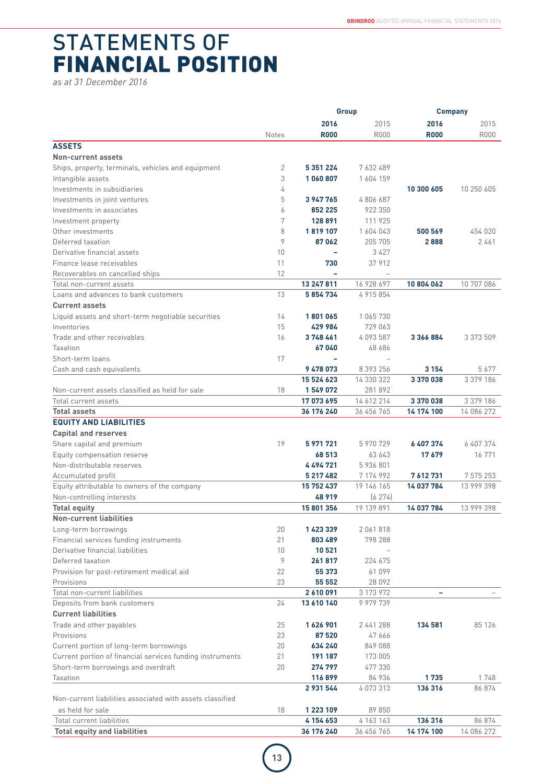### STATEMENTS OF FINANCIAL POSITION

*as at 31 December 2016*

|                                                           |              |                          | Group       |             | <b>Company</b> |  |
|-----------------------------------------------------------|--------------|--------------------------|-------------|-------------|----------------|--|
|                                                           |              | 2016                     | 2015        | 2016        | 2015           |  |
|                                                           | <b>Notes</b> | <b>R000</b>              | <b>R000</b> | <b>R000</b> | <b>R000</b>    |  |
| <b>ASSETS</b>                                             |              |                          |             |             |                |  |
| Non-current assets                                        |              |                          |             |             |                |  |
| Ships, property, terminals, vehicles and equipment        | 2            | 5 3 5 1 2 2 4            | 7 632 489   |             |                |  |
| Intangible assets                                         | 3            | 1060807                  | 1 604 159   |             |                |  |
| Investments in subsidiaries                               | 4            |                          |             | 10 300 605  | 10 250 605     |  |
| Investments in joint ventures                             | 5            | 3 947 765                | 4806687     |             |                |  |
| Investments in associates                                 | 6            | 852 225                  | 922 350     |             |                |  |
| Investment property                                       | 7            | 128 891                  | 111 925     |             |                |  |
| Other investments                                         | 8            | 1819107                  | 1 604 043   | 500 569     | 454 020        |  |
| Deferred taxation                                         | 9            | 87062                    | 205 705     | 2888        | 2461           |  |
| Derivative financial assets                               | 10           |                          | 3 4 2 7     |             |                |  |
| Finance lease receivables                                 | 11           | 730                      | 37912       |             |                |  |
| Recoverables on cancelled ships                           | 12           | $\overline{\phantom{0}}$ |             |             |                |  |
| Total non-current assets                                  |              | 13 247 811               | 16 928 697  | 10 804 062  | 10 707 086     |  |
| Loans and advances to bank customers                      | 13           | 5854734                  | 4915854     |             |                |  |
| <b>Current assets</b>                                     |              |                          |             |             |                |  |
|                                                           |              |                          |             |             |                |  |
| Liquid assets and short-term negotiable securities        | 14           | 1801065                  | 1 065 730   |             |                |  |
| Inventories                                               | 15           | 429 984                  | 729 063     |             |                |  |
| Trade and other receivables                               | 16           | 3748461                  | 4093587     | 3 366 884   | 3 373 509      |  |
| Taxation                                                  |              | 67040                    | 48 686      |             |                |  |
| Short-term loans                                          | 17           |                          |             |             |                |  |
| Cash and cash equivalents                                 |              | 9478073                  | 8 393 256   | 3 1 5 4     | 5677           |  |
|                                                           |              | 15 524 623               | 14 330 322  | 3 370 038   | 3 379 186      |  |
| Non-current assets classified as held for sale            | 18           | 1549072                  | 281 892     |             |                |  |
| Total current assets                                      |              | 17 073 695               | 14 612 214  | 3 370 038   | 3 379 186      |  |
| <b>Total assets</b>                                       |              | 36 176 240               | 36 456 765  | 14 174 100  | 14 086 272     |  |
| <b>EQUITY AND LIABILITIES</b>                             |              |                          |             |             |                |  |
| <b>Capital and reserves</b>                               |              |                          |             |             |                |  |
| Share capital and premium                                 | 19           | 5 971 721                | 5 970 729   | 6 407 374   | 6 407 374      |  |
| Equity compensation reserve                               |              | 68 513                   | 63 643      | 17679       | 16 771         |  |
| Non-distributable reserves                                |              | 4494721                  | 5 936 801   |             |                |  |
| Accumulated profit                                        |              | 5 217 482                | 7 174 992   | 7612731     | 7 575 253      |  |
| Equity attributable to owners of the company              |              | 15 752 437               | 19 146 165  | 14 037 784  | 13 999 398     |  |
| Non-controlling interests                                 |              | 48 919                   | (6274)      |             |                |  |
| <b>Total equity</b>                                       |              | 15 801 356               | 19 139 891  | 14 037 784  | 13 999 398     |  |
| <b>Non-current liabilities</b>                            |              |                          |             |             |                |  |
| Long-term borrowings                                      | $20\,$       | 1 423 339                | 2 061 818   |             |                |  |
| Financial services funding instruments                    | 21           | 803 489                  | 798 288     |             |                |  |
| Derivative financial liabilities                          | 10           | 10 521                   |             |             |                |  |
| Deferred taxation                                         | 9            | 261817                   | 224 675     |             |                |  |
| Provision for post-retirement medical aid                 | 22           | 55 373                   | 61 099      |             |                |  |
| Provisions                                                | 23           | 55 552                   | 28 092      |             |                |  |
| Total non-current liabilities                             |              | 2610091                  | 3 173 972   |             |                |  |
| Deposits from bank customers                              | 24           | 13 610 140               | 9 979 739   |             |                |  |
| <b>Current liabilities</b>                                |              |                          |             |             |                |  |
| Trade and other payables                                  | 25           | 1626901                  | 2 441 288   | 134 581     | 85 126         |  |
| Provisions                                                | 23           | 87 520                   | 47 666      |             |                |  |
|                                                           |              |                          |             |             |                |  |
| Current portion of long-term borrowings                   | 20<br>21     | 634 240                  | 849 088     |             |                |  |
| Current portion of financial services funding instruments |              | 191 187                  | 173 005     |             |                |  |
| Short-term borrowings and overdraft                       | 20           | 274 797                  | 477 330     |             |                |  |
| Taxation                                                  |              | 116899                   | 84 936      | 1735        | 1748           |  |
|                                                           |              | 2 931 544                | 4 073 313   | 136 316     | 86 874         |  |
| Non-current liabilities associated with assets classified |              |                          |             |             |                |  |
| as held for sale                                          | 18           | 1 223 109                | 89 850      |             |                |  |
| Total current liabilities                                 |              | 4 154 653                | 4 163 163   | 136 316     | 86 874         |  |
| <b>Total equity and liabilities</b>                       |              | 36 176 240               | 36 456 765  | 14 174 100  | 14 086 272     |  |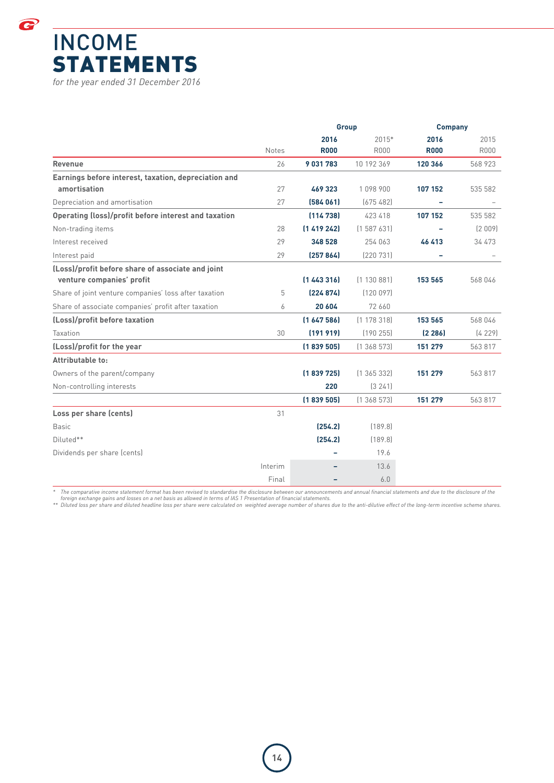

B

|                                                       |              | Group       |             | <b>Company</b> |             |
|-------------------------------------------------------|--------------|-------------|-------------|----------------|-------------|
|                                                       |              | 2016        | 2015*       | 2016           | 2015        |
|                                                       | <b>Notes</b> | <b>R000</b> | <b>R000</b> | <b>R000</b>    | <b>R000</b> |
| Revenue                                               | 26           | 9 031 783   | 10 192 369  | 120 366        | 568 923     |
| Earnings before interest, taxation, depreciation and  |              |             |             |                |             |
| amortisation                                          | 27           | 469 323     | 1 098 900   | 107 152        | 535 582     |
| Depreciation and amortisation                         | 27           | (584061)    | [675482]    | $\overline{a}$ |             |
| Operating (loss)/profit before interest and taxation  |              | (114738)    | 423 418     | 107 152        | 535 582     |
| Non-trading items                                     | 28           | [1 419 242] | [1 587 631] |                | (2009)      |
| Interest received                                     | 29           | 348 528     | 254 063     | 46 413         | 34 473      |
| Interest paid                                         | 29           | (257864)    | [220 731]   |                |             |
| (Loss)/profit before share of associate and joint     |              |             |             |                |             |
| venture companies' profit                             |              | [1443316]   | (1130881)   | 153 565        | 568 046     |
| Share of joint venture companies' loss after taxation | 5            | [224 874]   | (120097)    |                |             |
| Share of associate companies' profit after taxation   | 6            | 20 604      | 72 660      |                |             |
| (Loss)/profit before taxation                         |              | [1 647 586] | [1 178 318] | 153 565        | 568 046     |
| Taxation                                              | 30           | (191919)    | (190255)    | (2 286)        | (4229)      |
| (Loss)/profit for the year                            |              | (1839505)   | [1368573]   | 151 279        | 563 817     |
| Attributable to:                                      |              |             |             |                |             |
| Owners of the parent/company                          |              | (1839725)   | [1 365 332] | 151 279        | 563 817     |
| Non-controlling interests                             |              | 220         | (3241)      |                |             |
|                                                       |              | (1839505)   | [1368573]   | 151 279        | 563 817     |
| Loss per share (cents)                                | 31           |             |             |                |             |
| <b>Basic</b>                                          |              | (254.2)     | (189.8)     |                |             |
| Diluted**                                             |              | (254.2)     | (189.8)     |                |             |
| Dividends per share (cents)                           |              |             | 19.6        |                |             |
|                                                       | Interim      |             | 13.6        |                |             |
|                                                       | Final        |             | 6.0         |                |             |

\* The comparative income statement format has been revised to standardise the disclosure between our announcements and annual financial statements and due to the disclosure of the<br>foreign exchange gains and losses on a ne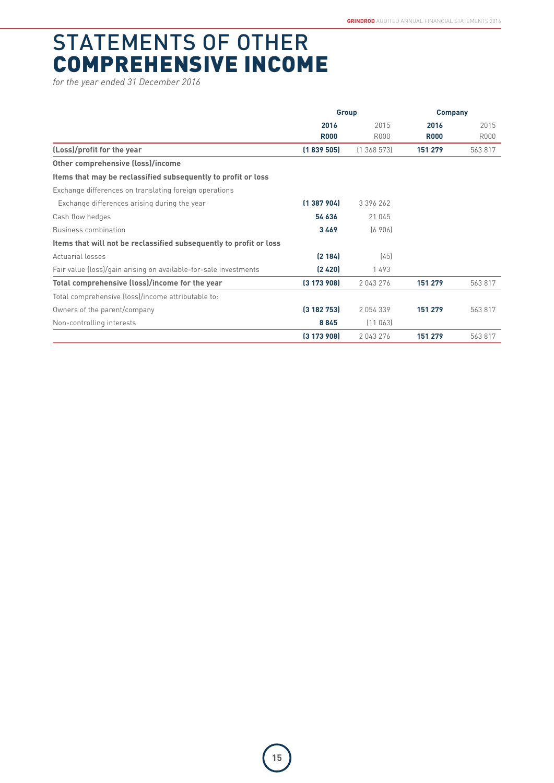## STATEMENTS OF OTHER COMPREHENSIVE INCOME

*for the year ended 31 December 2016*

|                                                                    | Group       |               | <b>Company</b> |         |
|--------------------------------------------------------------------|-------------|---------------|----------------|---------|
|                                                                    | 2016        | 2015          | 2016           | 2015    |
|                                                                    | <b>R000</b> | R000          | <b>R000</b>    | R000    |
| (Loss)/profit for the year                                         | (1839505)   | [1368573]     | 151 279        | 563 817 |
| Other comprehensive (loss)/income                                  |             |               |                |         |
| Items that may be reclassified subsequently to profit or loss      |             |               |                |         |
| Exchange differences on translating foreign operations             |             |               |                |         |
| Exchange differences arising during the year                       | (1387904)   | 3 396 262     |                |         |
| Cash flow hedges                                                   | 54 636      | 21 045        |                |         |
| Business combination                                               | 3469        | (6906)        |                |         |
| Items that will not be reclassified subsequently to profit or loss |             |               |                |         |
| Actuarial losses                                                   | (2184)      | (45)          |                |         |
| Fair value (loss)/gain arising on available-for-sale investments   | (2,420)     | 1493          |                |         |
| Total comprehensive (loss)/income for the year                     | (3173908)   | 2 043 276     | 151 279        | 563 817 |
| Total comprehensive (loss)/income attributable to:                 |             |               |                |         |
| Owners of the parent/company                                       | (3182753)   | 2 0 5 4 3 3 9 | 151 279        | 563 817 |
| Non-controlling interests                                          | 8845        | (11063)       |                |         |
|                                                                    | (3173908)   | 2 043 276     | 151 279        | 563 817 |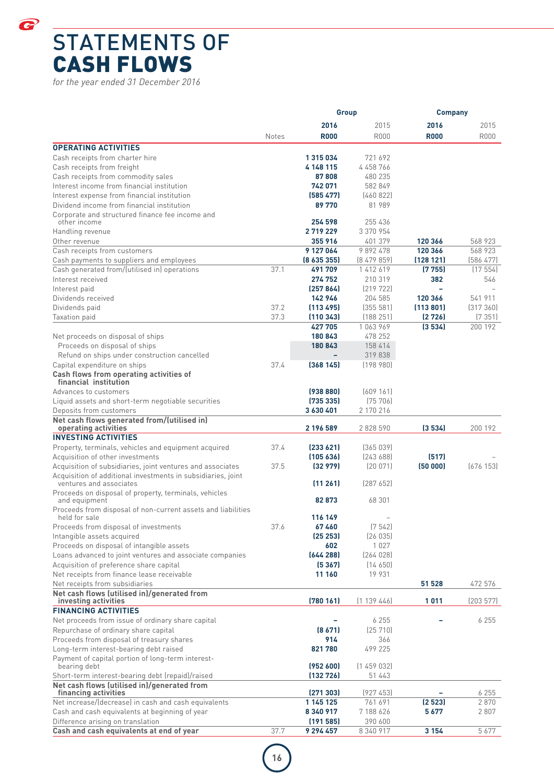## STATEMENTS OF CASH FLOWS

*for the year ended 31 December 2016*

 $\mathbf G$ 

|                                                                     |              | Group       |           | <b>Company</b> |             |
|---------------------------------------------------------------------|--------------|-------------|-----------|----------------|-------------|
|                                                                     |              | 2016        | 2015      | 2016           | 2015        |
|                                                                     | <b>Notes</b> | <b>R000</b> | R000      | <b>R000</b>    | <b>R000</b> |
| <b>OPERATING ACTIVITIES</b>                                         |              |             |           |                |             |
| Cash receipts from charter hire                                     |              | 1315034     | 721 692   |                |             |
| Cash receipts from freight                                          |              | 4 148 115   | 4458766   |                |             |
| Cash receipts from commodity sales                                  |              | 87808       | 480 235   |                |             |
| Interest income from financial institution                          |              | 742 071     | 582 849   |                |             |
| Interest expense from financial institution                         |              | (585477)    | (460822)  |                |             |
| Dividend income from financial institution                          |              | 89 770      | 81 989    |                |             |
| Corporate and structured finance fee income and                     |              |             |           |                |             |
| other income                                                        |              | 254 598     | 255 436   |                |             |
| Handling revenue                                                    |              | 2719229     | 3 370 954 |                |             |
| Other revenue                                                       |              | 355 916     | 401 379   | 120 366        | 568 923     |
| Cash receipts from customers                                        |              | 9 127 064   | 9892478   | 120 366        | 568 923     |
| Cash payments to suppliers and employees                            |              | (8635355)   | [8479859] | (128121)       | (586 477)   |
| Cash generated from/(utilised in) operations                        | 37.1         | 491709      | 1 412 619 | (7755)         | (17554)     |
| Interest received                                                   |              | 274 752     | 210 319   | 382            | 546         |
| Interest paid                                                       |              | (257864)    | [219 722] | ÷              |             |
| Dividends received                                                  |              | 142 946     | 204 585   | 120 366        | 541 911     |
| Dividends paid                                                      | 37.2         | (113 495)   | (355 581) | (113 801)      | (317360)    |
| Taxation paid                                                       | 37.3         | (110343)    | (188251)  | (2726)         | (7351)      |
|                                                                     |              | 427 705     | 1063969   | (3534)         | 200 192     |
|                                                                     |              | 180 843     | 478 252   |                |             |
| Net proceeds on disposal of ships                                   |              |             |           |                |             |
| Proceeds on disposal of ships                                       |              | 180 843     | 158 414   |                |             |
| Refund on ships under construction cancelled                        |              |             | 319 838   |                |             |
| Capital expenditure on ships                                        | 37.4         | (368145)    | (198980)  |                |             |
| Cash flows from operating activities of<br>financial institution    |              |             |           |                |             |
| Advances to customers                                               |              | (938880)    | (609161)  |                |             |
|                                                                     |              | (735335)    | (75706)   |                |             |
| Liquid assets and short-term negotiable securities                  |              |             |           |                |             |
| Deposits from customers                                             |              | 3 630 401   | 2 170 216 |                |             |
| Net cash flows generated from/(utilised in)<br>operating activities |              | 2 196 589   | 2 828 590 | (3534)         | 200 192     |
| <b>INVESTING ACTIVITIES</b>                                         |              |             |           |                |             |
| Property, terminals, vehicles and equipment acquired                | 37.4         | (233621)    | (365039)  |                |             |
| Acquisition of other investments                                    |              | (105636)    | [24368]   | (517)          |             |
| Acquisition of subsidiaries, joint ventures and associates          | 37.5         | (32979)     | (20071)   | (50000)        | (676153)    |
| Acquisition of additional investments in subsidiaries, joint        |              |             |           |                |             |
| ventures and associates                                             |              | (11261)     | [287 652] |                |             |
| Proceeds on disposal of property, terminals, vehicles               |              |             |           |                |             |
| and equipment                                                       |              | 82 873      | 68 301    |                |             |
| Proceeds from disposal of non-current assets and liabilities        |              |             |           |                |             |
| held for sale                                                       |              | 116 149     |           |                |             |
| Proceeds from disposal of investments                               | 37.6         | 67 460      | (7542)    |                |             |
| Intangible assets acquired                                          |              | (25253)     | (26035)   |                |             |
| Proceeds on disposal of intangible assets                           |              | 602         | 1 0 2 7   |                |             |
| Loans advanced to joint ventures and associate companies            |              | (644288)    | [264 028] |                |             |
| Acquisition of preference share capital                             |              | (5367)      | [14 650]  |                |             |
| Net receipts from finance lease receivable                          |              | 11 160      | 19 931    |                |             |
| Net receipts from subsidiaries                                      |              |             |           | 51 528         | 472 576     |
| Net cash flows (utilised in)/generated from                         |              |             |           |                |             |
| investing activities                                                |              | (780161)    | (1139446) | 1011           | (203 577)   |
| <b>FINANCING ACTIVITIES</b>                                         |              |             |           |                |             |
| Net proceeds from issue of ordinary share capital                   |              |             | 6 255     |                | 6 2 5 5     |
| Repurchase of ordinary share capital                                |              | (8671)      | (25710)   |                |             |
| Proceeds from disposal of treasury shares                           |              | 914         | 366       |                |             |
| Long-term interest-bearing debt raised                              |              | 821 780     | 499 225   |                |             |
| Payment of capital portion of long-term interest-                   |              |             |           |                |             |
| bearing debt                                                        |              | (952 600)   | (1459032) |                |             |
| Short-term interest-bearing debt (repaid)/raised                    |              | (132726)    | 51 443    |                |             |
| Net cash flows (utilised in)/generated from                         |              |             |           |                |             |
| financing activities                                                |              | (271303)    | (927 453) |                | 6 2 5 5     |
| Net increase/(decrease) in cash and cash equivalents                |              | 1 145 125   | 761 691   | (2523)         | 2870        |
| Cash and cash equivalents at beginning of year                      |              | 8 340 917   | 7 188 626 | 5677           | 2 8 0 7     |
| Difference arising on translation                                   |              | (191585)    | 390 600   |                |             |
| Cash and cash equivalents at end of year                            | 37.7         | 9 294 457   | 8 340 917 | 3 1 5 4        | 5677        |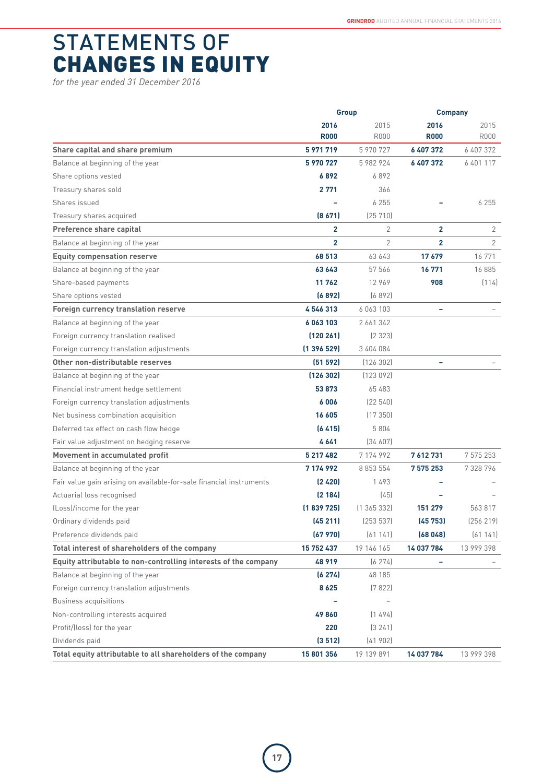### STATEMENTS OF CHANGES IN EQUITY

*for the year ended 31 December 2016*

|                                                                     |                | Group          | <b>Company</b>           |            |
|---------------------------------------------------------------------|----------------|----------------|--------------------------|------------|
|                                                                     | 2016           | 2015           | 2016                     | 2015       |
|                                                                     | <b>R000</b>    | <b>R000</b>    | <b>R000</b>              | R000       |
| Share capital and share premium                                     | 5 971 719      | 5 970 727      | 6 407 372                | 6 407 372  |
| Balance at beginning of the year                                    | 5 970 727      | 5 982 924      | 6 407 372                | 6 401 117  |
| Share options vested                                                | 6892           | 6892           |                          |            |
| Treasury shares sold                                                | 2 7 7 1        | 366            |                          |            |
| Shares issued                                                       |                | 6 255          |                          | 6 2 5 5    |
| Treasury shares acquired                                            | [8 671]        | (25710)        |                          |            |
| Preference share capital                                            | $\mathbf{2}$   | 2              | 2                        | 2          |
| Balance at beginning of the year                                    | $\overline{2}$ | $\overline{2}$ | $\overline{2}$           | 2          |
| <b>Equity compensation reserve</b>                                  | 68 513         | 63 643         | 17679                    | 16 771     |
| Balance at beginning of the year                                    | 63 643         | 57 566         | 16 771                   | 16 885     |
| Share-based payments                                                | 11762          | 12 969         | 908                      | (114)      |
| Share options vested                                                | (6892)         | (6892)         |                          |            |
| <b>Foreign currency translation reserve</b>                         | 4546313        | 6 0 6 3 1 0 3  | $\overline{\phantom{0}}$ |            |
| Balance at beginning of the year                                    | 6063103        | 2 661 342      |                          |            |
| Foreign currency translation realised                               | (120261)       | (2323)         |                          |            |
| Foreign currency translation adjustments                            | (1396529)      | 3 404 084      |                          |            |
| Other non-distributable reserves                                    | [51 592]       | (126 302)      | -                        |            |
| Balance at beginning of the year                                    | (126302)       | (123092)       |                          |            |
| Financial instrument hedge settlement                               | 53 873         | 65 483         |                          |            |
| Foreign currency translation adjustments                            | 6006           | [22540]        |                          |            |
| Net business combination acquisition                                | 16 605         | (17350)        |                          |            |
| Deferred tax effect on cash flow hedge                              | (6415)         | 5804           |                          |            |
| Fair value adjustment on hedging reserve                            | 4641           | (34607)        |                          |            |
| Movement in accumulated profit                                      | 5 217 482      | 7 174 992      | 7612731                  | 7 575 253  |
| Balance at beginning of the year                                    | 7 174 992      | 8 8 5 3 5 5 4  | 7 575 253                | 7 328 796  |
| Fair value gain arising on available-for-sale financial instruments | (2,420)        | 1493           |                          |            |
| Actuarial loss recognised                                           | (2184)         | (45)           |                          |            |
| (Loss)/income for the year                                          | (1839725)      | [1 365 332]    | 151 279                  | 563817     |
| Ordinary dividends paid                                             | (45211)        | (253 537)      | (45753)                  | (256 219)  |
| Preference dividends paid                                           | (67970)        | (61141)        | (68048)                  | (61141)    |
| Total interest of shareholders of the company                       | 15 752 437     | 19 146 165     | 14 037 784               | 13 999 398 |
| Equity attributable to non-controlling interests of the company     | 48 919         | (6274)         |                          |            |
| Balance at beginning of the year                                    | (6274)         | 48 185         |                          |            |
| Foreign currency translation adjustments                            | 8625           | (7822)         |                          |            |
| <b>Business acquisitions</b>                                        |                |                |                          |            |
| Non-controlling interests acquired                                  | 49860          | (1494)         |                          |            |
| Profit/(loss) for the year                                          | 220            | (3241)         |                          |            |
| Dividends paid                                                      | (3512)         | [41902]        |                          |            |
| Total equity attributable to all shareholders of the company        | 15 801 356     | 19 139 891     | 14 037 784               | 13 999 398 |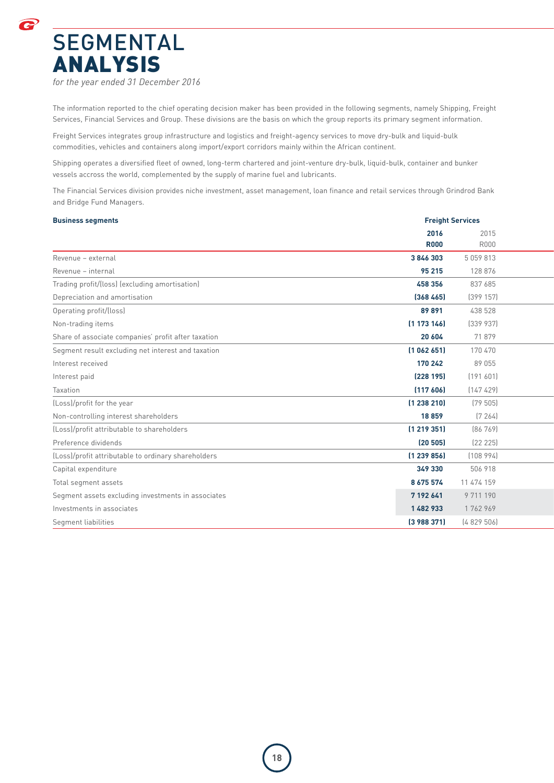

The information reported to the chief operating decision maker has been provided in the following segments, namely Shipping, Freight Services, Financial Services and Group. These divisions are the basis on which the group reports its primary segment information.

Freight Services integrates group infrastructure and logistics and freight-agency services to move dry-bulk and liquid-bulk commodities, vehicles and containers along import/export corridors mainly within the African continent.

Shipping operates a diversified fleet of owned, long-term chartered and joint-venture dry-bulk, liquid-bulk, container and bunker vessels accross the world, complemented by the supply of marine fuel and lubricants.

The Financial Services division provides niche investment, asset management, loan finance and retail services through Grindrod Bank and Bridge Fund Managers.

| <b>Business segments</b>                            |               | <b>Freight Services</b> |  |
|-----------------------------------------------------|---------------|-------------------------|--|
| 2015<br>2016                                        |               |                         |  |
|                                                     | <b>R000</b>   | <b>R000</b>             |  |
| Revenue - external                                  | 3846303       | 5 0 5 9 8 1 3           |  |
| Revenue - internal                                  | 95 215        | 128 876                 |  |
| Trading profit/(loss) (excluding amortisation)      | 458 356       | 837 685                 |  |
| Depreciation and amortisation                       | (368465)      | [399 157]               |  |
| Operating profit/(loss)                             | 89891         | 438 528                 |  |
| Non-trading items                                   | (1173146)     | [339937]                |  |
| Share of associate companies' profit after taxation | 20 604        | 71879                   |  |
| Segment result excluding net interest and taxation  | (1062651)     | 170 470                 |  |
| Interest received                                   | 170 242       | 89 055                  |  |
| Interest paid                                       | (228195)      | [191 601]               |  |
| Taxation                                            | (117606)      | [147 429]               |  |
| (Loss)/profit for the year                          | (1238210)     | (79505)                 |  |
| Non-controlling interest shareholders               | 18859         | [7264]                  |  |
| (Loss)/profit attributable to shareholders          | (1219351)     | [86 769]                |  |
| Preference dividends                                | (20505)       | [22 225]                |  |
| (Loss)/profit attributable to ordinary shareholders | (1239856)     | (108994)                |  |
| Capital expenditure                                 | 349 330       | 506 918                 |  |
| Total segment assets                                | 8 6 7 5 5 7 4 | 11 474 159              |  |
| Segment assets excluding investments in associates  | 7 192 641     | 9 711 190               |  |
| Investments in associates                           | 1482933       | 1762969                 |  |
| Segment liabilities                                 | (3988371)     | [4829506]               |  |
|                                                     |               |                         |  |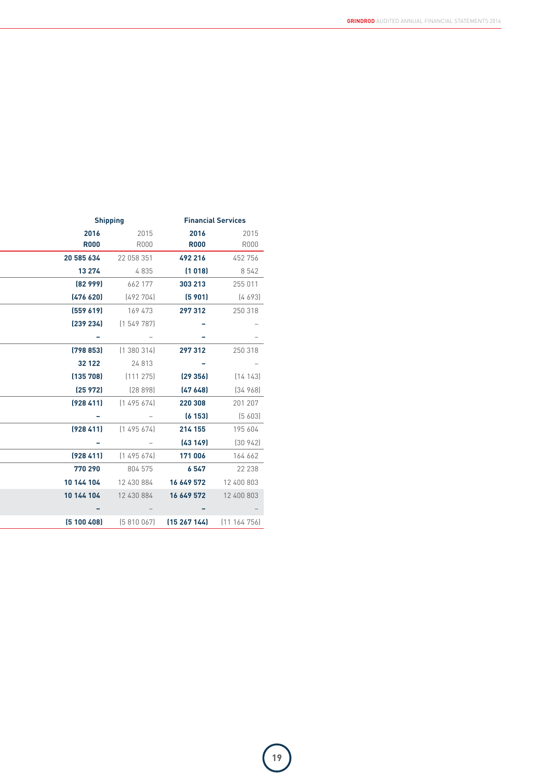| 2016<br>2015<br>2016<br>2015<br><b>R000</b><br><b>R000</b><br><b>R000</b><br><b>R000</b><br>452 756<br>20 585 634<br>22 058 351<br>492 216<br>8 5 4 2<br>13 274<br>4835<br>(1 018)<br>(82999)<br>255 011<br>662 177<br>303 213<br>[4693]<br>(492704)<br>(476 620)<br>(5901)<br>250 318<br>(559 619)<br>169 473<br>297 312<br>(1549787)<br>(239 234)<br>$\overline{\phantom{a}}$<br>$ \,$<br>$\overline{\phantom{a}}$<br>$\overline{\phantom{m}}$<br>$\sim$<br>$\overline{\phantom{a}}$<br>(798853)<br>250 318<br>(1380314)<br>297312<br>32 122<br>24 8 13<br>$\sim$ $-$<br>$\overline{\phantom{a}}$<br>(14143)<br>(111275)<br>(135708)<br>(29356)<br>(25972)<br>(28898)<br>(47648)<br>(34968)<br>(928 411)<br>(1495674)<br>201 207<br>220 308<br>(5603)<br>(6153)<br>$\sim$<br>$\overline{\phantom{a}}$<br>(928 411)<br>(1495674)<br>214 155<br>195 604<br>(43149)<br>(30942)<br>$\overline{\phantom{a}}$<br>$\overline{\phantom{a}}$<br>(928 411)<br>(1495674)<br>164 662<br>171 006<br>770 290<br>804 575<br>22 2 38<br>6 5 4 7<br>12 400 803<br>10 144 104<br>12 430 884<br>16 649 572<br>12 430 884<br>10 144 104<br>12 400 803<br>16 649 572<br>$\overline{\phantom{a}}$<br>(11164756)<br>(5100408)<br>(5 810 067)<br>(15267144) | <b>Financial Services</b> | <b>Shipping</b> |
|---------------------------------------------------------------------------------------------------------------------------------------------------------------------------------------------------------------------------------------------------------------------------------------------------------------------------------------------------------------------------------------------------------------------------------------------------------------------------------------------------------------------------------------------------------------------------------------------------------------------------------------------------------------------------------------------------------------------------------------------------------------------------------------------------------------------------------------------------------------------------------------------------------------------------------------------------------------------------------------------------------------------------------------------------------------------------------------------------------------------------------------------------------------------------------------------------------------------------------------|---------------------------|-----------------|
|                                                                                                                                                                                                                                                                                                                                                                                                                                                                                                                                                                                                                                                                                                                                                                                                                                                                                                                                                                                                                                                                                                                                                                                                                                       |                           |                 |
|                                                                                                                                                                                                                                                                                                                                                                                                                                                                                                                                                                                                                                                                                                                                                                                                                                                                                                                                                                                                                                                                                                                                                                                                                                       |                           |                 |
|                                                                                                                                                                                                                                                                                                                                                                                                                                                                                                                                                                                                                                                                                                                                                                                                                                                                                                                                                                                                                                                                                                                                                                                                                                       |                           |                 |
|                                                                                                                                                                                                                                                                                                                                                                                                                                                                                                                                                                                                                                                                                                                                                                                                                                                                                                                                                                                                                                                                                                                                                                                                                                       |                           |                 |
|                                                                                                                                                                                                                                                                                                                                                                                                                                                                                                                                                                                                                                                                                                                                                                                                                                                                                                                                                                                                                                                                                                                                                                                                                                       |                           |                 |
|                                                                                                                                                                                                                                                                                                                                                                                                                                                                                                                                                                                                                                                                                                                                                                                                                                                                                                                                                                                                                                                                                                                                                                                                                                       |                           |                 |
|                                                                                                                                                                                                                                                                                                                                                                                                                                                                                                                                                                                                                                                                                                                                                                                                                                                                                                                                                                                                                                                                                                                                                                                                                                       |                           |                 |
|                                                                                                                                                                                                                                                                                                                                                                                                                                                                                                                                                                                                                                                                                                                                                                                                                                                                                                                                                                                                                                                                                                                                                                                                                                       |                           |                 |
|                                                                                                                                                                                                                                                                                                                                                                                                                                                                                                                                                                                                                                                                                                                                                                                                                                                                                                                                                                                                                                                                                                                                                                                                                                       |                           |                 |
|                                                                                                                                                                                                                                                                                                                                                                                                                                                                                                                                                                                                                                                                                                                                                                                                                                                                                                                                                                                                                                                                                                                                                                                                                                       |                           |                 |
|                                                                                                                                                                                                                                                                                                                                                                                                                                                                                                                                                                                                                                                                                                                                                                                                                                                                                                                                                                                                                                                                                                                                                                                                                                       |                           |                 |
|                                                                                                                                                                                                                                                                                                                                                                                                                                                                                                                                                                                                                                                                                                                                                                                                                                                                                                                                                                                                                                                                                                                                                                                                                                       |                           |                 |
|                                                                                                                                                                                                                                                                                                                                                                                                                                                                                                                                                                                                                                                                                                                                                                                                                                                                                                                                                                                                                                                                                                                                                                                                                                       |                           |                 |
|                                                                                                                                                                                                                                                                                                                                                                                                                                                                                                                                                                                                                                                                                                                                                                                                                                                                                                                                                                                                                                                                                                                                                                                                                                       |                           |                 |
|                                                                                                                                                                                                                                                                                                                                                                                                                                                                                                                                                                                                                                                                                                                                                                                                                                                                                                                                                                                                                                                                                                                                                                                                                                       |                           |                 |
|                                                                                                                                                                                                                                                                                                                                                                                                                                                                                                                                                                                                                                                                                                                                                                                                                                                                                                                                                                                                                                                                                                                                                                                                                                       |                           |                 |
|                                                                                                                                                                                                                                                                                                                                                                                                                                                                                                                                                                                                                                                                                                                                                                                                                                                                                                                                                                                                                                                                                                                                                                                                                                       |                           |                 |
|                                                                                                                                                                                                                                                                                                                                                                                                                                                                                                                                                                                                                                                                                                                                                                                                                                                                                                                                                                                                                                                                                                                                                                                                                                       |                           |                 |
|                                                                                                                                                                                                                                                                                                                                                                                                                                                                                                                                                                                                                                                                                                                                                                                                                                                                                                                                                                                                                                                                                                                                                                                                                                       |                           |                 |
|                                                                                                                                                                                                                                                                                                                                                                                                                                                                                                                                                                                                                                                                                                                                                                                                                                                                                                                                                                                                                                                                                                                                                                                                                                       |                           |                 |
|                                                                                                                                                                                                                                                                                                                                                                                                                                                                                                                                                                                                                                                                                                                                                                                                                                                                                                                                                                                                                                                                                                                                                                                                                                       |                           |                 |
|                                                                                                                                                                                                                                                                                                                                                                                                                                                                                                                                                                                                                                                                                                                                                                                                                                                                                                                                                                                                                                                                                                                                                                                                                                       |                           |                 |
|                                                                                                                                                                                                                                                                                                                                                                                                                                                                                                                                                                                                                                                                                                                                                                                                                                                                                                                                                                                                                                                                                                                                                                                                                                       |                           |                 |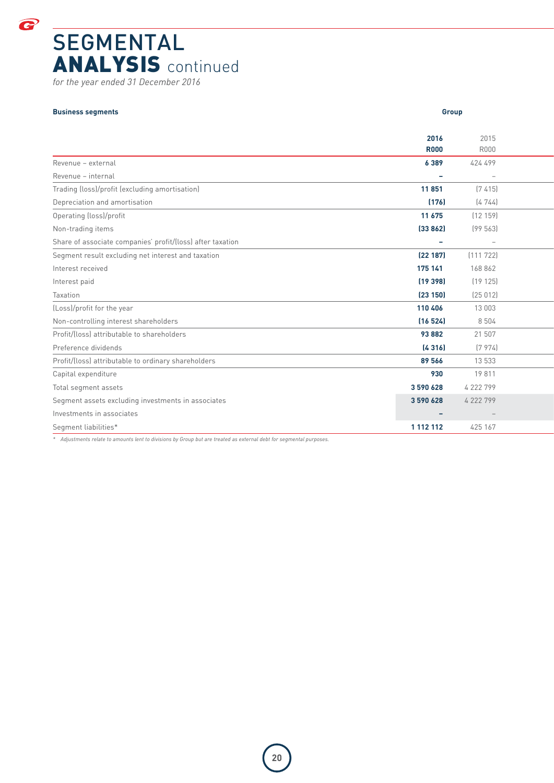### **SEGMENTAL** ANALYSIS continued *for the year ended 31 December 2016*

**Business segments Group Total group**

P

|                                                            | 2016                     | 2015                            |  |
|------------------------------------------------------------|--------------------------|---------------------------------|--|
|                                                            | <b>R000</b>              | <b>R000</b>                     |  |
| Revenue - external                                         | 6 3 8 9                  | 424 499                         |  |
| Revenue - internal                                         | $\overline{\phantom{a}}$ | $\hspace{0.1mm}-\hspace{0.1mm}$ |  |
| Trading (loss)/profit (excluding amortisation)             | 11851                    | (7415)                          |  |
| Depreciation and amortisation                              | (176)                    | (4744)                          |  |
| Operating (loss)/profit                                    | 11 675                   | (12159)                         |  |
| Non-trading items                                          | (33862)                  | (99563)                         |  |
| Share of associate companies' profit/(loss) after taxation |                          | $\overline{\phantom{a}}$        |  |
| Segment result excluding net interest and taxation         | (22187)                  | [111722]                        |  |
| Interest received                                          | 175 141                  | 168 862                         |  |
| Interest paid                                              | (19398)                  | (19125)                         |  |
| Taxation                                                   | (23150)                  | (25012)                         |  |
| (Loss)/profit for the year                                 | 110 406                  | 13 003                          |  |
| Non-controlling interest shareholders                      | (16524)                  | 8 5 0 4                         |  |
| Profit/(loss) attributable to shareholders                 | 93882                    | 21 507                          |  |
| Preference dividends                                       | (4316)                   | (7974)                          |  |
| Profit/(loss) attributable to ordinary shareholders        | 89 566                   | 13 533                          |  |
| Capital expenditure                                        | 930                      | 19811                           |  |
| Total segment assets                                       | 3590628                  | 4 222 799                       |  |
| Segment assets excluding investments in associates         | 3590628                  | 4 222 799                       |  |
| Investments in associates                                  |                          | $\overline{\phantom{a}}$        |  |
| Segment liabilities*                                       | 1 112 112                | 425 167                         |  |
|                                                            |                          |                                 |  |

*\* Adjustments relate to amounts lent to divisions by Group but are treated as external debt for segmental purposes.*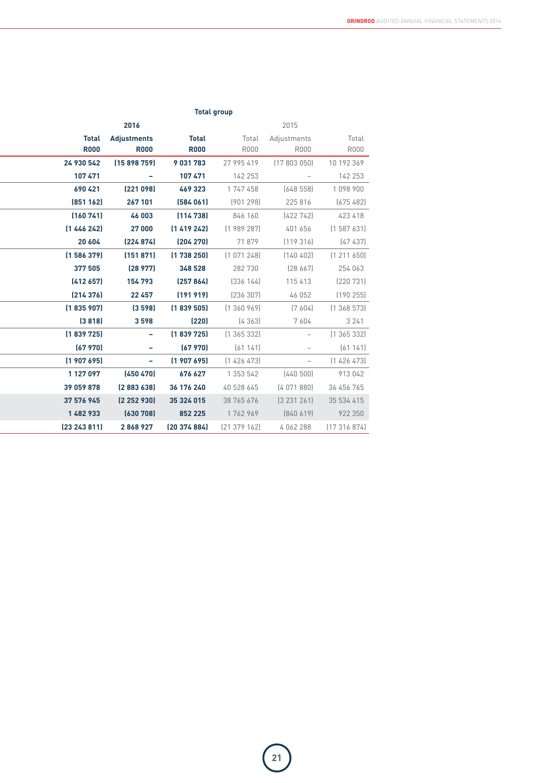| 2015<br>2016                                                |                                              |
|-------------------------------------------------------------|----------------------------------------------|
| <b>Adjustments</b><br>Total<br><b>Total</b><br><b>Total</b> | Adjustments<br>Total                         |
| <b>R000</b><br><b>R000</b><br><b>R000</b><br><b>R000</b>    | <b>R000</b><br><b>R000</b>                   |
| 27 995 419<br>24 930 542<br>(15898759)<br>9 031 783         | 10 192 369<br>(17803050)                     |
| 107 471<br>142 253<br>107 471<br>$\sim$                     | 142 253<br>$\overline{\phantom{a}}$          |
| 1 747 458<br>690 421<br>(221098)<br>469 323                 | 1 0 9 9 9 0 0<br>(648558)                    |
| (851162)<br>(901298)<br>(584061)<br>267 101                 | (675482)<br>225 816                          |
| (114738)<br>846 160<br>(160741)<br>46 003                   | 423 418<br>[422 742]                         |
| (1446242)<br>27 000<br>(1419242)<br>(1989287)               | (1587631)<br>401 656                         |
| 20 604<br>(224874)<br>(204 270)<br>71879                    | (47437)<br>[119316]                          |
| (1738250)<br>(1586379)<br>(151871)<br>(1071248)             | (1 211 650)<br>(140 402)                     |
| 377 505<br>(28977)<br>282 730<br>348 528                    | 254 063<br>[28667]                           |
| (412657)<br>154 793<br>(257864)<br>(336144)                 | (220731)<br>115 413                          |
| (214376)<br>(19191)<br>(236 307)<br>22 457                  | (190 255)<br>46 052                          |
| (1835907)<br>(1839505)<br>(3598)<br>(1360969)               | (1368573)<br>(7604)                          |
| (3818)<br>3598<br>(220)<br>[4363]                           | 3 2 4 1<br>7604                              |
| (1839725)<br>(1839725)<br>(1365332)<br>$\sim$               | (1365332)<br>$\hspace{0.1mm}-\hspace{0.1mm}$ |
| (67970)<br>(67970)<br>(61141)<br>$\sim$                     | (61141)<br>$\overline{\phantom{a}}$          |
| (1907695)<br>(1907695)<br>(1426473)<br>$\sim$ .             | (1426473)<br>$\overline{\phantom{a}}$        |
| 1 127 097<br>(450 470)<br>676 627<br>1 353 542              | [440 500]<br>913 042                         |
| 39 059 878<br>36 176 240<br>40 528 645<br>(288363)          | (4071880)<br>36 456 765                      |
| 37 576 945<br>38 765 676<br>(2252930)<br>35 324 015         | 35 534 415<br>(3231261)                      |
| 1 482 933<br>1762969<br>(630708)<br>852 225                 | 922 350<br>[840619]                          |
| (23243811)<br>2868927<br>(20374884)<br>[21 379 162]         | (17316874)<br>4062288                        |

**Business segments Group Total group**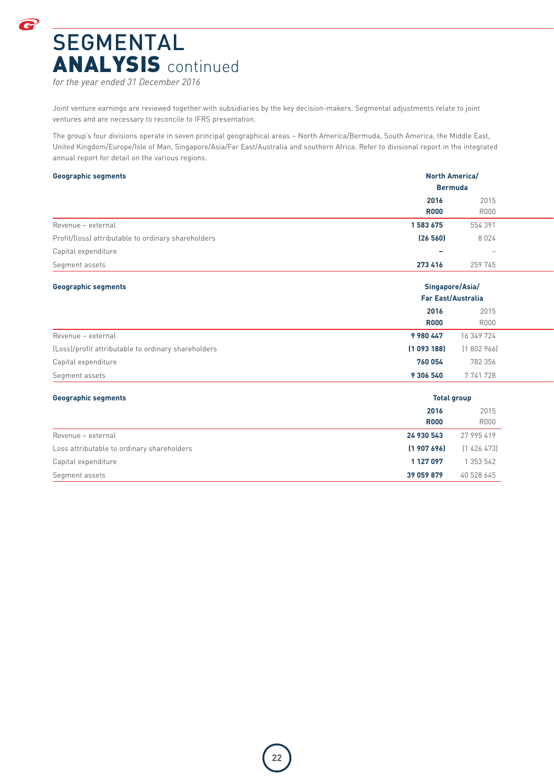# **SEGMENTAL** ANALYSIS continued

*for the year ended 31 December 2016*

Joint venture earnings are reviewed together with subsidiaries by the key decision-makers. Segmental adjustments relate to joint ventures and are necessary to reconcile to IFRS presentation.

The group's four divisions operate in seven principal geographical areas – North America/Bermuda, South America, the Middle East, United Kingdom/Europe/Isle of Man, Singapore/Asia/Far East/Australia and southern Africa. Refer to divisional report in the integrated annual report for detail on the various regions.

P

| <b>North America/</b><br><b>Geographic segments</b><br><b>Bermuda</b>       |
|-----------------------------------------------------------------------------|
| 2015<br>2016                                                                |
| <b>R000</b><br><b>R000</b>                                                  |
| 554 391<br>1 583 675<br>Revenue - external                                  |
| Profit/(loss) attributable to ordinary shareholders<br>(26 560)<br>8 0 2 4  |
| Capital expenditure<br>$\overline{\phantom{a}}$<br>$\overline{\phantom{0}}$ |
| 259 745<br>Segment assets<br>273 416                                        |

### **Geographic segments Singapore/Asia/**

|                                                     | <b>Far East/Australia</b> |             |  |
|-----------------------------------------------------|---------------------------|-------------|--|
|                                                     | 2016                      | 2015        |  |
|                                                     | <b>R000</b>               | <b>R000</b> |  |
| Revenue – external                                  | 9 980 447                 | 16 349 724  |  |
| (Loss)/profit attributable to ordinary shareholders | (1093188)                 | (1802966)   |  |
| Capital expenditure                                 | 760 054                   | 782 356     |  |
| Segment assets                                      | 9 306 540                 | 7 741 728   |  |

| <b>Geographic segments</b>                 | <b>Total group</b> |             |
|--------------------------------------------|--------------------|-------------|
|                                            | 2016               | 2015        |
|                                            | <b>R000</b>        | <b>R000</b> |
| Revenue - external                         | 24 930 543         | 27 995 419  |
| Loss attributable to ordinary shareholders | (1907696)          | [1426473]   |
| Capital expenditure                        | 1 127 097          | 1 353 542   |
| Segment assets                             | 39 059 879         | 40 528 645  |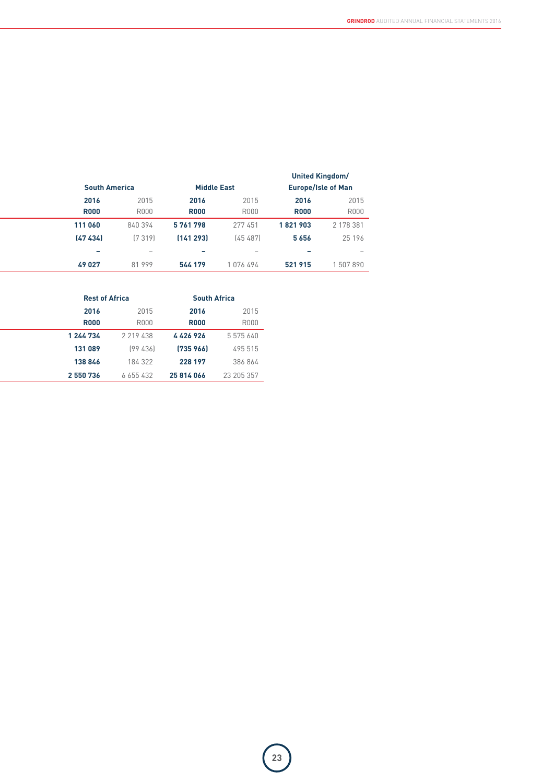| <b>United Kingdom/</b>                                                                                                                          |  |
|-------------------------------------------------------------------------------------------------------------------------------------------------|--|
| <b>Europe/Isle of Man</b><br><b>Middle East</b><br><b>South America</b>                                                                         |  |
| 2016<br>2015<br>2015<br>2016<br>2016                                                                                                            |  |
| <b>R000</b><br><b>R000</b><br><b>R000</b><br><b>R000</b><br><b>R000</b>                                                                         |  |
| 277 451<br>2 178 381<br>111 060<br>840 394<br>1821903<br>5761798                                                                                |  |
| (47434)<br>(7319)<br>(141 293)<br>(45, 487)<br>5 6 5 6                                                                                          |  |
| $\overline{\phantom{0}}$<br>$\overline{\phantom{a}}$<br>$\overline{\phantom{0}}$<br>$\hspace{0.1mm}-\hspace{0.1mm}$<br>$\overline{\phantom{a}}$ |  |
| 1 507 890<br>49 027<br>1076494<br>81 999<br>521 915<br>544 179                                                                                  |  |

| <b>Rest of Africa</b> |               | <b>South Africa</b> |             |
|-----------------------|---------------|---------------------|-------------|
| 2016                  | 2015          | 2016                | 2015        |
| <b>R000</b>           | <b>R000</b>   | <b>R000</b>         | <b>R000</b> |
| 1 244 734             | 2 2 1 9 4 3 8 | 4426926             | 5 575 640   |
| 131 089               | [99 436]      | (735966)            | 495 515     |
| 138 846               | 184 322       | 228 197             | 386 864     |
| 2 550 736             | 6 6 5 4 4 3 2 | 25 814 066          | 23 205 357  |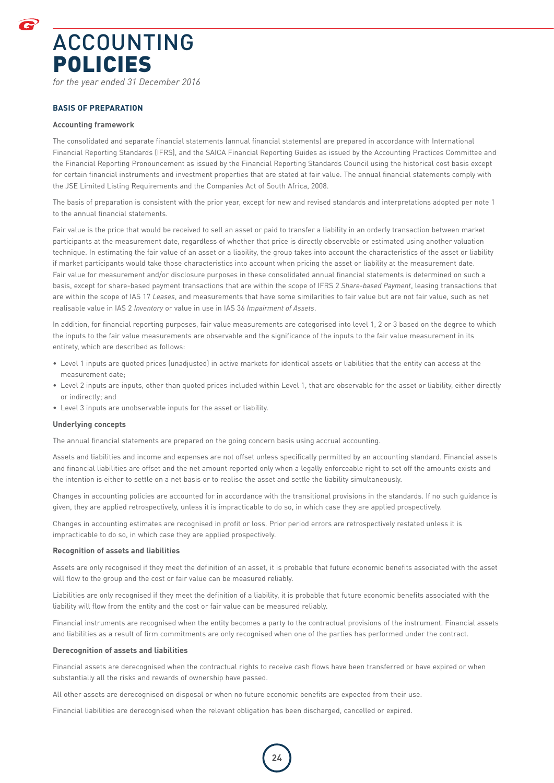

#### **BASIS OF PREPARATION**

#### **Accounting framework**

The consolidated and separate financial statements (annual financial statements) are prepared in accordance with International Financial Reporting Standards (IFRS), and the SAICA Financial Reporting Guides as issued by the Accounting Practices Committee and the Financial Reporting Pronouncement as issued by the Financial Reporting Standards Council using the historical cost basis except for certain financial instruments and investment properties that are stated at fair value. The annual financial statements comply with the JSE Limited Listing Requirements and the Companies Act of South Africa, 2008.

The basis of preparation is consistent with the prior year, except for new and revised standards and interpretations adopted per note 1 to the annual financial statements.

Fair value is the price that would be received to sell an asset or paid to transfer a liability in an orderly transaction between market participants at the measurement date, regardless of whether that price is directly observable or estimated using another valuation technique. In estimating the fair value of an asset or a liability, the group takes into account the characteristics of the asset or liability if market participants would take those characteristics into account when pricing the asset or liability at the measurement date. Fair value for measurement and/or disclosure purposes in these consolidated annual financial statements is determined on such a basis, except for share-based payment transactions that are within the scope of IFRS 2 *Share-based Payment*, leasing transactions that are within the scope of IAS 17 *Leases*, and measurements that have some similarities to fair value but are not fair value, such as net realisable value in IAS 2 *Inventory* or value in use in IAS 36 *Impairment of Assets*.

In addition, for financial reporting purposes, fair value measurements are categorised into level 1, 2 or 3 based on the degree to which the inputs to the fair value measurements are observable and the significance of the inputs to the fair value measurement in its entirety, which are described as follows:

- Level 1 inputs are quoted prices (unadjusted) in active markets for identical assets or liabilities that the entity can access at the measurement date;
- Level 2 inputs are inputs, other than quoted prices included within Level 1, that are observable for the asset or liability, either directly or indirectly; and
- Level 3 inputs are unobservable inputs for the asset or liability.

#### **Underlying concepts**

The annual financial statements are prepared on the going concern basis using accrual accounting.

Assets and liabilities and income and expenses are not offset unless specifically permitted by an accounting standard. Financial assets and financial liabilities are offset and the net amount reported only when a legally enforceable right to set off the amounts exists and the intention is either to settle on a net basis or to realise the asset and settle the liability simultaneously.

Changes in accounting policies are accounted for in accordance with the transitional provisions in the standards. If no such guidance is given, they are applied retrospectively, unless it is impracticable to do so, in which case they are applied prospectively.

Changes in accounting estimates are recognised in profit or loss. Prior period errors are retrospectively restated unless it is impracticable to do so, in which case they are applied prospectively.

#### **Recognition of assets and liabilities**

Assets are only recognised if they meet the definition of an asset, it is probable that future economic benefits associated with the asset will flow to the group and the cost or fair value can be measured reliably.

Liabilities are only recognised if they meet the definition of a liability, it is probable that future economic benefits associated with the liability will flow from the entity and the cost or fair value can be measured reliably.

Financial instruments are recognised when the entity becomes a party to the contractual provisions of the instrument. Financial assets and liabilities as a result of firm commitments are only recognised when one of the parties has performed under the contract.

#### **Derecognition of assets and liabilities**

Financial assets are derecognised when the contractual rights to receive cash flows have been transferred or have expired or when substantially all the risks and rewards of ownership have passed.

All other assets are derecognised on disposal or when no future economic benefits are expected from their use.

Financial liabilities are derecognised when the relevant obligation has been discharged, cancelled or expired.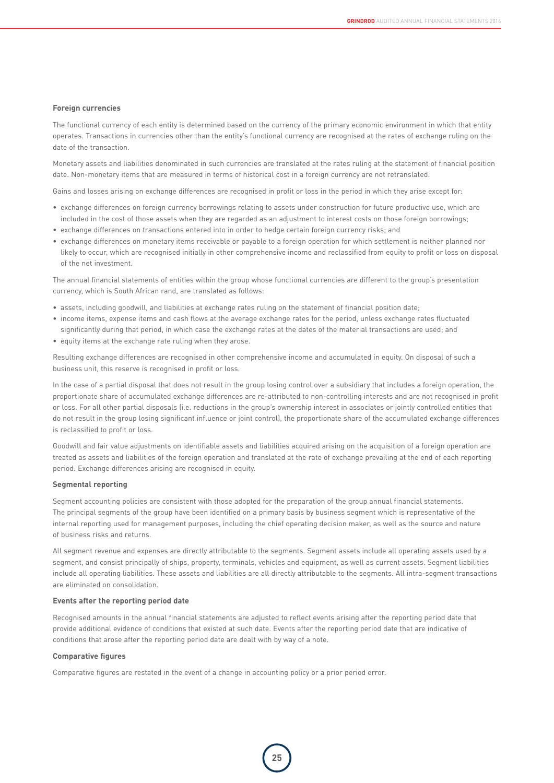#### **Foreign currencies**

The functional currency of each entity is determined based on the currency of the primary economic environment in which that entity operates. Transactions in currencies other than the entity's functional currency are recognised at the rates of exchange ruling on the date of the transaction.

Monetary assets and liabilities denominated in such currencies are translated at the rates ruling at the statement of financial position date. Non-monetary items that are measured in terms of historical cost in a foreign currency are not retranslated.

Gains and losses arising on exchange differences are recognised in profit or loss in the period in which they arise except for:

- exchange differences on foreign currency borrowings relating to assets under construction for future productive use, which are included in the cost of those assets when they are regarded as an adjustment to interest costs on those foreign borrowings;
- exchange differences on transactions entered into in order to hedge certain foreign currency risks; and
- exchange differences on monetary items receivable or payable to a foreign operation for which settlement is neither planned nor likely to occur, which are recognised initially in other comprehensive income and reclassified from equity to profit or loss on disposal of the net investment.

The annual financial statements of entities within the group whose functional currencies are different to the group's presentation currency, which is South African rand, are translated as follows:

- assets, including goodwill, and liabilities at exchange rates ruling on the statement of financial position date;
- income items, expense items and cash flows at the average exchange rates for the period, unless exchange rates fluctuated
- significantly during that period, in which case the exchange rates at the dates of the material transactions are used; and • equity items at the exchange rate ruling when they arose.

Resulting exchange differences are recognised in other comprehensive income and accumulated in equity. On disposal of such a business unit, this reserve is recognised in profit or loss.

In the case of a partial disposal that does not result in the group losing control over a subsidiary that includes a foreign operation, the proportionate share of accumulated exchange differences are re-attributed to non-controlling interests and are not recognised in profit or loss. For all other partial disposals (i.e. reductions in the group's ownership interest in associates or jointly controlled entities that do not result in the group losing significant influence or joint control), the proportionate share of the accumulated exchange differences is reclassified to profit or loss.

Goodwill and fair value adjustments on identifiable assets and liabilities acquired arising on the acquisition of a foreign operation are treated as assets and liabilities of the foreign operation and translated at the rate of exchange prevailing at the end of each reporting period. Exchange differences arising are recognised in equity.

#### **Segmental reporting**

Segment accounting policies are consistent with those adopted for the preparation of the group annual financial statements. The principal segments of the group have been identified on a primary basis by business segment which is representative of the internal reporting used for management purposes, including the chief operating decision maker, as well as the source and nature of business risks and returns.

All segment revenue and expenses are directly attributable to the segments. Segment assets include all operating assets used by a segment, and consist principally of ships, property, terminals, vehicles and equipment, as well as current assets. Segment liabilities include all operating liabilities. These assets and liabilities are all directly attributable to the segments. All intra-segment transactions are eliminated on consolidation.

#### **Events after the reporting period date**

Recognised amounts in the annual financial statements are adjusted to reflect events arising after the reporting period date that provide additional evidence of conditions that existed at such date. Events after the reporting period date that are indicative of conditions that arose after the reporting period date are dealt with by way of a note.

#### **Comparative figures**

Comparative figures are restated in the event of a change in accounting policy or a prior period error.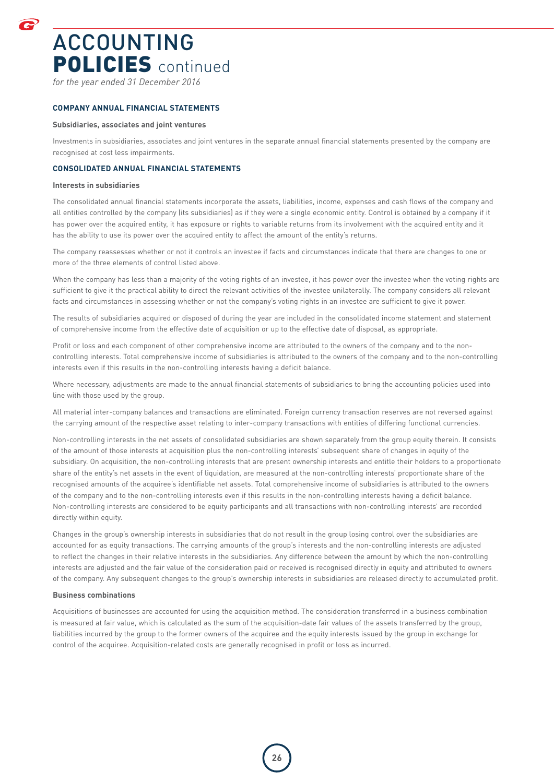# ACCOUNTING POLICIES continued

*for the year ended 31 December 2016*

#### **COMPANY ANNUAL FINANCIAL STATEMENTS**

#### **Subsidiaries, associates and joint ventures**

Investments in subsidiaries, associates and joint ventures in the separate annual financial statements presented by the company are recognised at cost less impairments.

#### **CONSOLIDATED ANNUAL FINANCIAL STATEMENTS**

#### **Interests in subsidiaries**

 $\mathbf{z}$ 

The consolidated annual financial statements incorporate the assets, liabilities, income, expenses and cash flows of the company and all entities controlled by the company (its subsidiaries) as if they were a single economic entity. Control is obtained by a company if it has power over the acquired entity, it has exposure or rights to variable returns from its involvement with the acquired entity and it has the ability to use its power over the acquired entity to affect the amount of the entity's returns.

The company reassesses whether or not it controls an investee if facts and circumstances indicate that there are changes to one or more of the three elements of control listed above.

When the company has less than a majority of the voting rights of an investee, it has power over the investee when the voting rights are sufficient to give it the practical ability to direct the relevant activities of the investee unilaterally. The company considers all relevant facts and circumstances in assessing whether or not the company's voting rights in an investee are sufficient to give it power.

The results of subsidiaries acquired or disposed of during the year are included in the consolidated income statement and statement of comprehensive income from the effective date of acquisition or up to the effective date of disposal, as appropriate.

Profit or loss and each component of other comprehensive income are attributed to the owners of the company and to the noncontrolling interests. Total comprehensive income of subsidiaries is attributed to the owners of the company and to the non-controlling interests even if this results in the non-controlling interests having a deficit balance.

Where necessary, adjustments are made to the annual financial statements of subsidiaries to bring the accounting policies used into line with those used by the group.

All material inter-company balances and transactions are eliminated. Foreign currency transaction reserves are not reversed against the carrying amount of the respective asset relating to inter-company transactions with entities of differing functional currencies.

Non-controlling interests in the net assets of consolidated subsidiaries are shown separately from the group equity therein. It consists of the amount of those interests at acquisition plus the non-controlling interests' subsequent share of changes in equity of the subsidiary. On acquisition, the non-controlling interests that are present ownership interests and entitle their holders to a proportionate share of the entity's net assets in the event of liquidation, are measured at the non-controlling interests' proportionate share of the recognised amounts of the acquiree's identifiable net assets. Total comprehensive income of subsidiaries is attributed to the owners of the company and to the non-controlling interests even if this results in the non-controlling interests having a deficit balance. Non-controlling interests are considered to be equity participants and all transactions with non-controlling interests' are recorded directly within equity.

Changes in the group's ownership interests in subsidiaries that do not result in the group losing control over the subsidiaries are accounted for as equity transactions. The carrying amounts of the group's interests and the non-controlling interests are adjusted to reflect the changes in their relative interests in the subsidiaries. Any difference between the amount by which the non-controlling interests are adjusted and the fair value of the consideration paid or received is recognised directly in equity and attributed to owners of the company. Any subsequent changes to the group's ownership interests in subsidiaries are released directly to accumulated profit.

#### **Business combinations**

Acquisitions of businesses are accounted for using the acquisition method. The consideration transferred in a business combination is measured at fair value, which is calculated as the sum of the acquisition-date fair values of the assets transferred by the group, liabilities incurred by the group to the former owners of the acquiree and the equity interests issued by the group in exchange for control of the acquiree. Acquisition-related costs are generally recognised in profit or loss as incurred.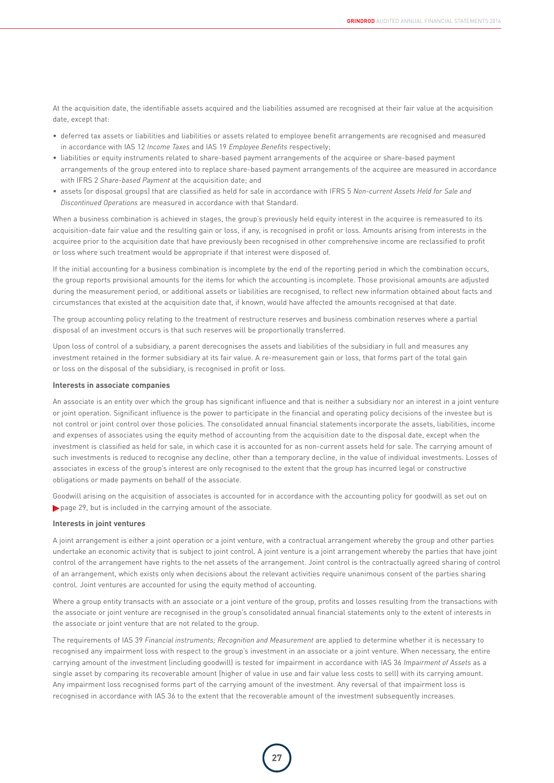At the acquisition date, the identifiable assets acquired and the liabilities assumed are recognised at their fair value at the acquisition date, except that:

- deferred tax assets or liabilities and liabilities or assets related to employee benefit arrangements are recognised and measured in accordance with IAS 12 *Income Taxes* and IAS 19 *Employee Benefits* respectively;
- liabilities or equity instruments related to share-based payment arrangements of the acquiree or share-based payment arrangements of the group entered into to replace share-based payment arrangements of the acquiree are measured in accordance with IFRS 2 *Share-based Payment* at the acquisition date; and
- assets (or disposal groups) that are classified as held for sale in accordance with IFRS 5 *Non-current Assets Held for Sale and Discontinued Operations* are measured in accordance with that Standard.

When a business combination is achieved in stages, the group's previously held equity interest in the acquiree is remeasured to its acquisition-date fair value and the resulting gain or loss, if any, is recognised in profit or loss. Amounts arising from interests in the acquiree prior to the acquisition date that have previously been recognised in other comprehensive income are reclassified to profit or loss where such treatment would be appropriate if that interest were disposed of.

If the initial accounting for a business combination is incomplete by the end of the reporting period in which the combination occurs, the group reports provisional amounts for the items for which the accounting is incomplete. Those provisional amounts are adjusted during the measurement period, or additional assets or liabilities are recognised, to reflect new information obtained about facts and circumstances that existed at the acquisition date that, if known, would have affected the amounts recognised at that date.

The group accounting policy relating to the treatment of restructure reserves and business combination reserves where a partial disposal of an investment occurs is that such reserves will be proportionally transferred.

Upon loss of control of a subsidiary, a parent derecognises the assets and liabilities of the subsidiary in full and measures any investment retained in the former subsidiary at its fair value. A re-measurement gain or loss, that forms part of the total gain or loss on the disposal of the subsidiary, is recognised in profit or loss.

#### **Interests in associate companies**

An associate is an entity over which the group has significant influence and that is neither a subsidiary nor an interest in a joint venture or joint operation. Significant influence is the power to participate in the financial and operating policy decisions of the investee but is not control or joint control over those policies. The consolidated annual financial statements incorporate the assets, liabilities, income and expenses of associates using the equity method of accounting from the acquisition date to the disposal date, except when the investment is classified as held for sale, in which case it is accounted for as non-current assets held for sale. The carrying amount of such investments is reduced to recognise any decline, other than a temporary decline, in the value of individual investments. Losses of associates in excess of the group's interest are only recognised to the extent that the group has incurred legal or constructive obligations or made payments on behalf of the associate.

Goodwill arising on the acquisition of associates is accounted for in accordance with the accounting policy for goodwill as set out on page 29, but is included in the carrying amount of the associate.

#### **Interests in joint ventures**

A joint arrangement is either a joint operation or a joint venture, with a contractual arrangement whereby the group and other parties undertake an economic activity that is subject to joint control. A joint venture is a joint arrangement whereby the parties that have joint control of the arrangement have rights to the net assets of the arrangement. Joint control is the contractually agreed sharing of control of an arrangement, which exists only when decisions about the relevant activities require unanimous consent of the parties sharing control. Joint ventures are accounted for using the equity method of accounting.

Where a group entity transacts with an associate or a joint venture of the group, profits and losses resulting from the transactions with the associate or joint venture are recognised in the group's consolidated annual financial statements only to the extent of interests in the associate or joint venture that are not related to the group.

The requirements of IAS 39 *Financial instruments; Recognition and Measurement* are applied to determine whether it is necessary to recognised any impairment loss with respect to the group's investment in an associate or a joint venture. When necessary, the entire carrying amount of the investment (including goodwill) is tested for impairment in accordance with IAS 36 *Impairment of Assets* as a single asset by comparing its recoverable amount (higher of value in use and fair value less costs to sell) with its carrying amount. Any impairment loss recognised forms part of the carrying amount of the investment. Any reversal of that impairment loss is recognised in accordance with IAS 36 to the extent that the recoverable amount of the investment subsequently increases.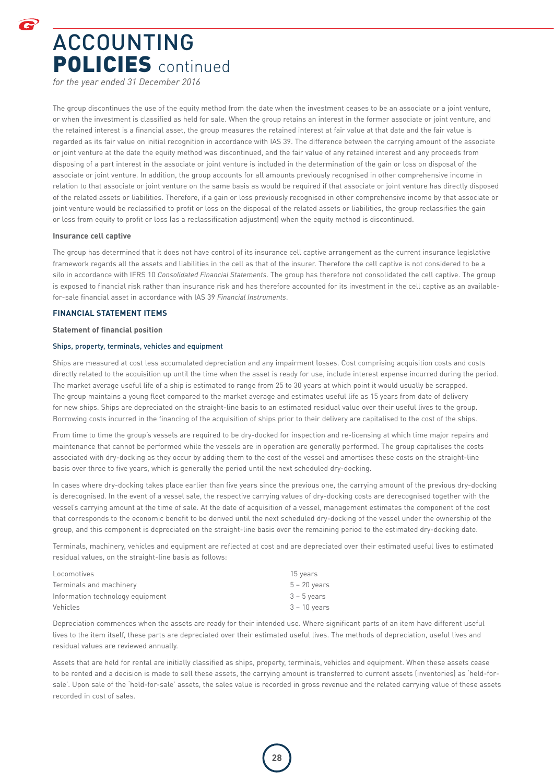## ACCOUNTING POLICIES continued

*for the year ended 31 December 2016*

The group discontinues the use of the equity method from the date when the investment ceases to be an associate or a joint venture, or when the investment is classified as held for sale. When the group retains an interest in the former associate or joint venture, and the retained interest is a financial asset, the group measures the retained interest at fair value at that date and the fair value is regarded as its fair value on initial recognition in accordance with IAS 39. The difference between the carrying amount of the associate or joint venture at the date the equity method was discontinued, and the fair value of any retained interest and any proceeds from disposing of a part interest in the associate or joint venture is included in the determination of the gain or loss on disposal of the associate or joint venture. In addition, the group accounts for all amounts previously recognised in other comprehensive income in relation to that associate or joint venture on the same basis as would be required if that associate or joint venture has directly disposed of the related assets or liabilities. Therefore, if a gain or loss previously recognised in other comprehensive income by that associate or joint venture would be reclassified to profit or loss on the disposal of the related assets or liabilities, the group reclassifies the gain or loss from equity to profit or loss (as a reclassification adjustment) when the equity method is discontinued.

#### **Insurance cell captive**

 $\mathbf{z}$ 

The group has determined that it does not have control of its insurance cell captive arrangement as the current insurance legislative framework regards all the assets and liabilities in the cell as that of the insurer. Therefore the cell captive is not considered to be a silo in accordance with IFRS 10 *Consolidated Financial Statements*. The group has therefore not consolidated the cell captive. The group is exposed to financial risk rather than insurance risk and has therefore accounted for its investment in the cell captive as an availablefor-sale financial asset in accordance with IAS 39 *Financial Instruments*.

#### **FINANCIAL STATEMENT ITEMS**

#### **Statement of financial position**

#### Ships, property, terminals, vehicles and equipment

Ships are measured at cost less accumulated depreciation and any impairment losses. Cost comprising acquisition costs and costs directly related to the acquisition up until the time when the asset is ready for use, include interest expense incurred during the period. The market average useful life of a ship is estimated to range from 25 to 30 years at which point it would usually be scrapped. The group maintains a young fleet compared to the market average and estimates useful life as 15 years from date of delivery for new ships. Ships are depreciated on the straight-line basis to an estimated residual value over their useful lives to the group. Borrowing costs incurred in the financing of the acquisition of ships prior to their delivery are capitalised to the cost of the ships.

From time to time the group's vessels are required to be dry-docked for inspection and re-licensing at which time major repairs and maintenance that cannot be performed while the vessels are in operation are generally performed. The group capitalises the costs associated with dry-docking as they occur by adding them to the cost of the vessel and amortises these costs on the straight-line basis over three to five years, which is generally the period until the next scheduled dry-docking.

In cases where dry-docking takes place earlier than five years since the previous one, the carrying amount of the previous dry-docking is derecognised. In the event of a vessel sale, the respective carrying values of dry-docking costs are derecognised together with the vessel's carrying amount at the time of sale. At the date of acquisition of a vessel, management estimates the component of the cost that corresponds to the economic benefit to be derived until the next scheduled dry-docking of the vessel under the ownership of the group, and this component is depreciated on the straight-line basis over the remaining period to the estimated dry-docking date.

Terminals, machinery, vehicles and equipment are reflected at cost and are depreciated over their estimated useful lives to estimated residual values, on the straight-line basis as follows:

| Locomotives                      | 15 years       |
|----------------------------------|----------------|
| Terminals and machinery          | $5 - 20$ years |
| Information technology equipment | $3 - 5$ vears  |
| Vehicles                         | 3 – 10 years   |

Depreciation commences when the assets are ready for their intended use. Where significant parts of an item have different useful lives to the item itself, these parts are depreciated over their estimated useful lives. The methods of depreciation, useful lives and residual values are reviewed annually.

Assets that are held for rental are initially classified as ships, property, terminals, vehicles and equipment. When these assets cease to be rented and a decision is made to sell these assets, the carrying amount is transferred to current assets (inventories) as 'held-forsale'. Upon sale of the 'held-for-sale' assets, the sales value is recorded in gross revenue and the related carrying value of these assets recorded in cost of sales.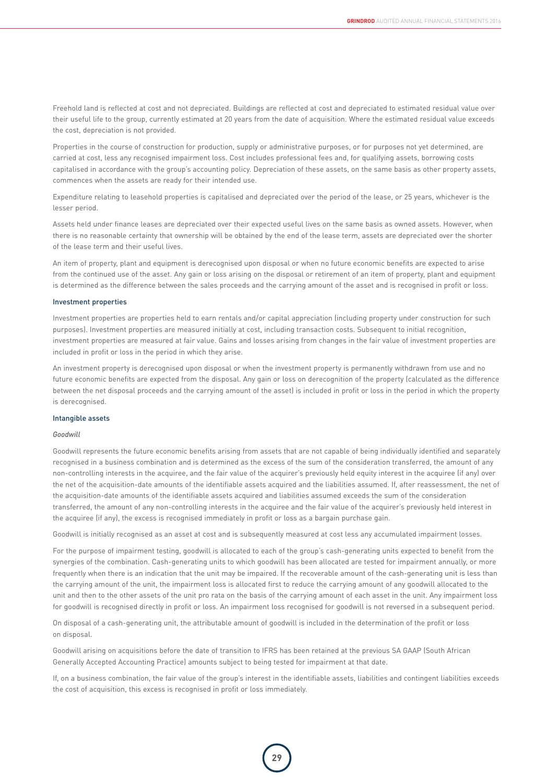Freehold land is reflected at cost and not depreciated. Buildings are reflected at cost and depreciated to estimated residual value over their useful life to the group, currently estimated at 20 years from the date of acquisition. Where the estimated residual value exceeds the cost, depreciation is not provided.

Properties in the course of construction for production, supply or administrative purposes, or for purposes not yet determined, are carried at cost, less any recognised impairment loss. Cost includes professional fees and, for qualifying assets, borrowing costs capitalised in accordance with the group's accounting policy. Depreciation of these assets, on the same basis as other property assets, commences when the assets are ready for their intended use.

Expenditure relating to leasehold properties is capitalised and depreciated over the period of the lease, or 25 years, whichever is the lesser period.

Assets held under finance leases are depreciated over their expected useful lives on the same basis as owned assets. However, when there is no reasonable certainty that ownership will be obtained by the end of the lease term, assets are depreciated over the shorter of the lease term and their useful lives.

An item of property, plant and equipment is derecognised upon disposal or when no future economic benefits are expected to arise from the continued use of the asset. Any gain or loss arising on the disposal or retirement of an item of property, plant and equipment is determined as the difference between the sales proceeds and the carrying amount of the asset and is recognised in profit or loss.

#### Investment properties

Investment properties are properties held to earn rentals and/or capital appreciation (including property under construction for such purposes). Investment properties are measured initially at cost, including transaction costs. Subsequent to initial recognition, investment properties are measured at fair value. Gains and losses arising from changes in the fair value of investment properties are included in profit or loss in the period in which they arise.

An investment property is derecognised upon disposal or when the investment property is permanently withdrawn from use and no future economic benefits are expected from the disposal. Any gain or loss on derecognition of the property (calculated as the difference between the net disposal proceeds and the carrying amount of the asset) is included in profit or loss in the period in which the property is derecognised.

#### Intangible assets

#### *Goodwill*

Goodwill represents the future economic benefits arising from assets that are not capable of being individually identified and separately recognised in a business combination and is determined as the excess of the sum of the consideration transferred, the amount of any non-controlling interests in the acquiree, and the fair value of the acquirer's previously held equity interest in the acquiree (if any) over the net of the acquisition-date amounts of the identifiable assets acquired and the liabilities assumed. If, after reassessment, the net of the acquisition-date amounts of the identifiable assets acquired and liabilities assumed exceeds the sum of the consideration transferred, the amount of any non-controlling interests in the acquiree and the fair value of the acquirer's previously held interest in the acquiree (if any), the excess is recognised immediately in profit or loss as a bargain purchase gain.

Goodwill is initially recognised as an asset at cost and is subsequently measured at cost less any accumulated impairment losses.

For the purpose of impairment testing, goodwill is allocated to each of the group's cash-generating units expected to benefit from the synergies of the combination. Cash-generating units to which goodwill has been allocated are tested for impairment annually, or more frequently when there is an indication that the unit may be impaired. If the recoverable amount of the cash-generating unit is less than the carrying amount of the unit, the impairment loss is allocated first to reduce the carrying amount of any goodwill allocated to the unit and then to the other assets of the unit pro rata on the basis of the carrying amount of each asset in the unit. Any impairment loss for goodwill is recognised directly in profit or loss. An impairment loss recognised for goodwill is not reversed in a subsequent period.

On disposal of a cash-generating unit, the attributable amount of goodwill is included in the determination of the profit or loss on disposal.

Goodwill arising on acquisitions before the date of transition to IFRS has been retained at the previous SA GAAP (South African Generally Accepted Accounting Practice) amounts subject to being tested for impairment at that date.

If, on a business combination, the fair value of the group's interest in the identifiable assets, liabilities and contingent liabilities exceeds the cost of acquisition, this excess is recognised in profit or loss immediately.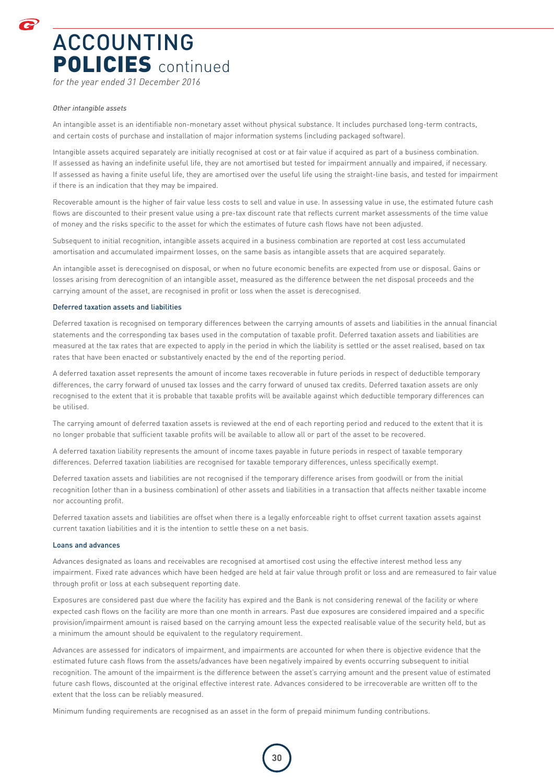# ACCOUNTING POLICIES continued

*for the year ended 31 December 2016*

#### *Other intangible assets*

 $\sum$ 

An intangible asset is an identifiable non-monetary asset without physical substance. It includes purchased long-term contracts, and certain costs of purchase and installation of major information systems (including packaged software).

Intangible assets acquired separately are initially recognised at cost or at fair value if acquired as part of a business combination. If assessed as having an indefinite useful life, they are not amortised but tested for impairment annually and impaired, if necessary. If assessed as having a finite useful life, they are amortised over the useful life using the straight-line basis, and tested for impairment if there is an indication that they may be impaired.

Recoverable amount is the higher of fair value less costs to sell and value in use. In assessing value in use, the estimated future cash flows are discounted to their present value using a pre-tax discount rate that reflects current market assessments of the time value of money and the risks specific to the asset for which the estimates of future cash flows have not been adjusted.

Subsequent to initial recognition, intangible assets acquired in a business combination are reported at cost less accumulated amortisation and accumulated impairment losses, on the same basis as intangible assets that are acquired separately.

An intangible asset is derecognised on disposal, or when no future economic benefits are expected from use or disposal. Gains or losses arising from derecognition of an intangible asset, measured as the difference between the net disposal proceeds and the carrying amount of the asset, are recognised in profit or loss when the asset is derecognised.

#### Deferred taxation assets and liabilities

Deferred taxation is recognised on temporary differences between the carrying amounts of assets and liabilities in the annual financial statements and the corresponding tax bases used in the computation of taxable profit. Deferred taxation assets and liabilities are measured at the tax rates that are expected to apply in the period in which the liability is settled or the asset realised, based on tax rates that have been enacted or substantively enacted by the end of the reporting period.

A deferred taxation asset represents the amount of income taxes recoverable in future periods in respect of deductible temporary differences, the carry forward of unused tax losses and the carry forward of unused tax credits. Deferred taxation assets are only recognised to the extent that it is probable that taxable profits will be available against which deductible temporary differences can be utilised.

The carrying amount of deferred taxation assets is reviewed at the end of each reporting period and reduced to the extent that it is no longer probable that sufficient taxable profits will be available to allow all or part of the asset to be recovered.

A deferred taxation liability represents the amount of income taxes payable in future periods in respect of taxable temporary differences. Deferred taxation liabilities are recognised for taxable temporary differences, unless specifically exempt.

Deferred taxation assets and liabilities are not recognised if the temporary difference arises from goodwill or from the initial recognition (other than in a business combination) of other assets and liabilities in a transaction that affects neither taxable income nor accounting profit.

Deferred taxation assets and liabilities are offset when there is a legally enforceable right to offset current taxation assets against current taxation liabilities and it is the intention to settle these on a net basis.

#### Loans and advances

Advances designated as loans and receivables are recognised at amortised cost using the effective interest method less any impairment. Fixed rate advances which have been hedged are held at fair value through profit or loss and are remeasured to fair value through profit or loss at each subsequent reporting date.

Exposures are considered past due where the facility has expired and the Bank is not considering renewal of the facility or where expected cash flows on the facility are more than one month in arrears. Past due exposures are considered impaired and a specific provision/impairment amount is raised based on the carrying amount less the expected realisable value of the security held, but as a minimum the amount should be equivalent to the regulatory requirement.

Advances are assessed for indicators of impairment, and impairments are accounted for when there is objective evidence that the estimated future cash flows from the assets/advances have been negatively impaired by events occurring subsequent to initial recognition. The amount of the impairment is the difference between the asset's carrying amount and the present value of estimated future cash flows, discounted at the original effective interest rate. Advances considered to be irrecoverable are written off to the extent that the loss can be reliably measured.

Minimum funding requirements are recognised as an asset in the form of prepaid minimum funding contributions.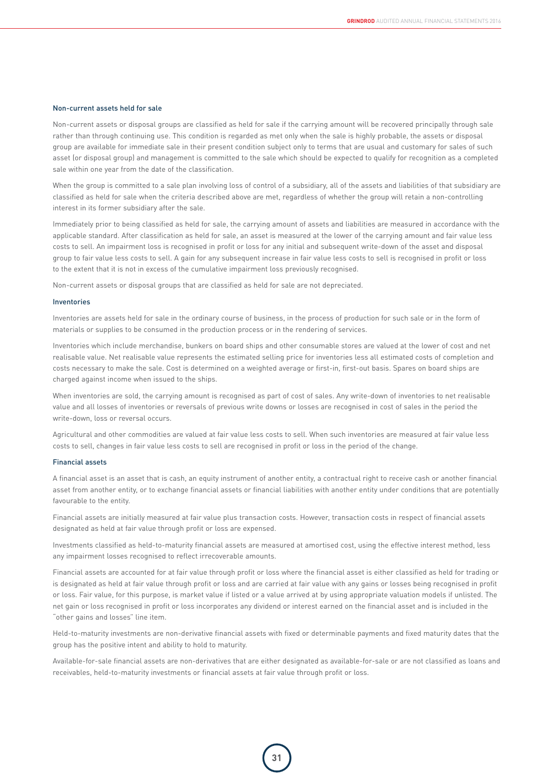#### Non-current assets held for sale

Non-current assets or disposal groups are classified as held for sale if the carrying amount will be recovered principally through sale rather than through continuing use. This condition is regarded as met only when the sale is highly probable, the assets or disposal group are available for immediate sale in their present condition subject only to terms that are usual and customary for sales of such asset (or disposal group) and management is committed to the sale which should be expected to qualify for recognition as a completed sale within one year from the date of the classification.

When the group is committed to a sale plan involving loss of control of a subsidiary, all of the assets and liabilities of that subsidiary are classified as held for sale when the criteria described above are met, regardless of whether the group will retain a non-controlling interest in its former subsidiary after the sale.

Immediately prior to being classified as held for sale, the carrying amount of assets and liabilities are measured in accordance with the applicable standard. After classification as held for sale, an asset is measured at the lower of the carrying amount and fair value less costs to sell. An impairment loss is recognised in profit or loss for any initial and subsequent write-down of the asset and disposal group to fair value less costs to sell. A gain for any subsequent increase in fair value less costs to sell is recognised in profit or loss to the extent that it is not in excess of the cumulative impairment loss previously recognised.

Non-current assets or disposal groups that are classified as held for sale are not depreciated.

#### Inventories

Inventories are assets held for sale in the ordinary course of business, in the process of production for such sale or in the form of materials or supplies to be consumed in the production process or in the rendering of services.

Inventories which include merchandise, bunkers on board ships and other consumable stores are valued at the lower of cost and net realisable value. Net realisable value represents the estimated selling price for inventories less all estimated costs of completion and costs necessary to make the sale. Cost is determined on a weighted average or first-in, first-out basis. Spares on board ships are charged against income when issued to the ships.

When inventories are sold, the carrying amount is recognised as part of cost of sales. Any write-down of inventories to net realisable value and all losses of inventories or reversals of previous write downs or losses are recognised in cost of sales in the period the write-down, loss or reversal occurs.

Agricultural and other commodities are valued at fair value less costs to sell. When such inventories are measured at fair value less costs to sell, changes in fair value less costs to sell are recognised in profit or loss in the period of the change.

#### Financial assets

A financial asset is an asset that is cash, an equity instrument of another entity, a contractual right to receive cash or another financial asset from another entity, or to exchange financial assets or financial liabilities with another entity under conditions that are potentially favourable to the entity.

Financial assets are initially measured at fair value plus transaction costs. However, transaction costs in respect of financial assets designated as held at fair value through profit or loss are expensed.

Investments classified as held-to-maturity financial assets are measured at amortised cost, using the effective interest method, less any impairment losses recognised to reflect irrecoverable amounts.

Financial assets are accounted for at fair value through profit or loss where the financial asset is either classified as held for trading or is designated as held at fair value through profit or loss and are carried at fair value with any gains or losses being recognised in profit or loss. Fair value, for this purpose, is market value if listed or a value arrived at by using appropriate valuation models if unlisted. The net gain or loss recognised in profit or loss incorporates any dividend or interest earned on the financial asset and is included in the "other gains and losses" line item.

Held-to-maturity investments are non-derivative financial assets with fixed or determinable payments and fixed maturity dates that the group has the positive intent and ability to hold to maturity.

Available-for-sale financial assets are non-derivatives that are either designated as available-for-sale or are not classified as loans and receivables, held-to-maturity investments or financial assets at fair value through profit or loss.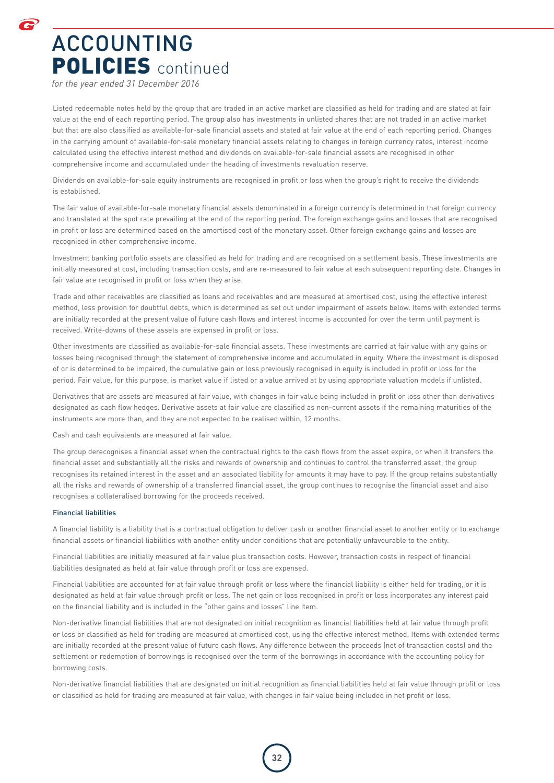# ACCOUNTING POLICIES continued

*for the year ended 31 December 2016*

Listed redeemable notes held by the group that are traded in an active market are classified as held for trading and are stated at fair value at the end of each reporting period. The group also has investments in unlisted shares that are not traded in an active market but that are also classified as available-for-sale financial assets and stated at fair value at the end of each reporting period. Changes in the carrying amount of available-for-sale monetary financial assets relating to changes in foreign currency rates, interest income calculated using the effective interest method and dividends on available-for-sale financial assets are recognised in other comprehensive income and accumulated under the heading of investments revaluation reserve.

Dividends on available-for-sale equity instruments are recognised in profit or loss when the group's right to receive the dividends is established.

The fair value of available-for-sale monetary financial assets denominated in a foreign currency is determined in that foreign currency and translated at the spot rate prevailing at the end of the reporting period. The foreign exchange gains and losses that are recognised in profit or loss are determined based on the amortised cost of the monetary asset. Other foreign exchange gains and losses are recognised in other comprehensive income.

Investment banking portfolio assets are classified as held for trading and are recognised on a settlement basis. These investments are initially measured at cost, including transaction costs, and are re-measured to fair value at each subsequent reporting date. Changes in fair value are recognised in profit or loss when they arise.

Trade and other receivables are classified as loans and receivables and are measured at amortised cost, using the effective interest method, less provision for doubtful debts, which is determined as set out under impairment of assets below. Items with extended terms are initially recorded at the present value of future cash flows and interest income is accounted for over the term until payment is received. Write-downs of these assets are expensed in profit or loss.

Other investments are classified as available-for-sale financial assets. These investments are carried at fair value with any gains or losses being recognised through the statement of comprehensive income and accumulated in equity. Where the investment is disposed of or is determined to be impaired, the cumulative gain or loss previously recognised in equity is included in profit or loss for the period. Fair value, for this purpose, is market value if listed or a value arrived at by using appropriate valuation models if unlisted.

Derivatives that are assets are measured at fair value, with changes in fair value being included in profit or loss other than derivatives designated as cash flow hedges. Derivative assets at fair value are classified as non-current assets if the remaining maturities of the instruments are more than, and they are not expected to be realised within, 12 months.

Cash and cash equivalents are measured at fair value.

The group derecognises a financial asset when the contractual rights to the cash flows from the asset expire, or when it transfers the financial asset and substantially all the risks and rewards of ownership and continues to control the transferred asset, the group recognises its retained interest in the asset and an associated liability for amounts it may have to pay. If the group retains substantially all the risks and rewards of ownership of a transferred financial asset, the group continues to recognise the financial asset and also recognises a collateralised borrowing for the proceeds received.

#### Financial liabilities

A financial liability is a liability that is a contractual obligation to deliver cash or another financial asset to another entity or to exchange financial assets or financial liabilities with another entity under conditions that are potentially unfavourable to the entity.

Financial liabilities are initially measured at fair value plus transaction costs. However, transaction costs in respect of financial liabilities designated as held at fair value through profit or loss are expensed.

Financial liabilities are accounted for at fair value through profit or loss where the financial liability is either held for trading, or it is designated as held at fair value through profit or loss. The net gain or loss recognised in profit or loss incorporates any interest paid on the financial liability and is included in the "other gains and losses" line item.

Non-derivative financial liabilities that are not designated on initial recognition as financial liabilities held at fair value through profit or loss or classified as held for trading are measured at amortised cost, using the effective interest method. Items with extended terms are initially recorded at the present value of future cash flows. Any difference between the proceeds (net of transaction costs) and the settlement or redemption of borrowings is recognised over the term of the borrowings in accordance with the accounting policy for borrowing costs.

Non-derivative financial liabilities that are designated on initial recognition as financial liabilities held at fair value through profit or loss or classified as held for trading are measured at fair value, with changes in fair value being included in net profit or loss.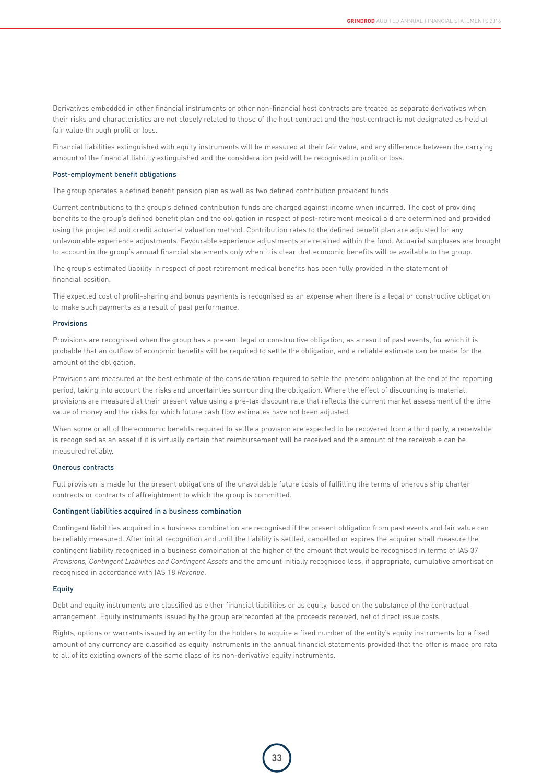Derivatives embedded in other financial instruments or other non-financial host contracts are treated as separate derivatives when their risks and characteristics are not closely related to those of the host contract and the host contract is not designated as held at fair value through profit or loss.

Financial liabilities extinguished with equity instruments will be measured at their fair value, and any difference between the carrying amount of the financial liability extinguished and the consideration paid will be recognised in profit or loss.

#### Post-employment benefit obligations

The group operates a defined benefit pension plan as well as two defined contribution provident funds.

Current contributions to the group's defined contribution funds are charged against income when incurred. The cost of providing benefits to the group's defined benefit plan and the obligation in respect of post-retirement medical aid are determined and provided using the projected unit credit actuarial valuation method. Contribution rates to the defined benefit plan are adjusted for any unfavourable experience adjustments. Favourable experience adjustments are retained within the fund. Actuarial surpluses are brought to account in the group's annual financial statements only when it is clear that economic benefits will be available to the group.

The group's estimated liability in respect of post retirement medical benefits has been fully provided in the statement of financial position.

The expected cost of profit-sharing and bonus payments is recognised as an expense when there is a legal or constructive obligation to make such payments as a result of past performance.

#### Provisions

Provisions are recognised when the group has a present legal or constructive obligation, as a result of past events, for which it is probable that an outflow of economic benefits will be required to settle the obligation, and a reliable estimate can be made for the amount of the obligation.

Provisions are measured at the best estimate of the consideration required to settle the present obligation at the end of the reporting period, taking into account the risks and uncertainties surrounding the obligation. Where the effect of discounting is material, provisions are measured at their present value using a pre-tax discount rate that reflects the current market assessment of the time value of money and the risks for which future cash flow estimates have not been adjusted.

When some or all of the economic benefits required to settle a provision are expected to be recovered from a third party, a receivable is recognised as an asset if it is virtually certain that reimbursement will be received and the amount of the receivable can be measured reliably.

#### Onerous contracts

Full provision is made for the present obligations of the unavoidable future costs of fulfilling the terms of onerous ship charter contracts or contracts of affreightment to which the group is committed.

#### Contingent liabilities acquired in a business combination

Contingent liabilities acquired in a business combination are recognised if the present obligation from past events and fair value can be reliably measured. After initial recognition and until the liability is settled, cancelled or expires the acquirer shall measure the contingent liability recognised in a business combination at the higher of the amount that would be recognised in terms of IAS 37 *Provisions, Contingent Liabilities and Contingent Assets* and the amount initially recognised less, if appropriate, cumulative amortisation recognised in accordance with IAS 18 *Revenue*.

#### Equity

Debt and equity instruments are classified as either financial liabilities or as equity, based on the substance of the contractual arrangement. Equity instruments issued by the group are recorded at the proceeds received, net of direct issue costs.

Rights, options or warrants issued by an entity for the holders to acquire a fixed number of the entity's equity instruments for a fixed amount of any currency are classified as equity instruments in the annual financial statements provided that the offer is made pro rata to all of its existing owners of the same class of its non-derivative equity instruments.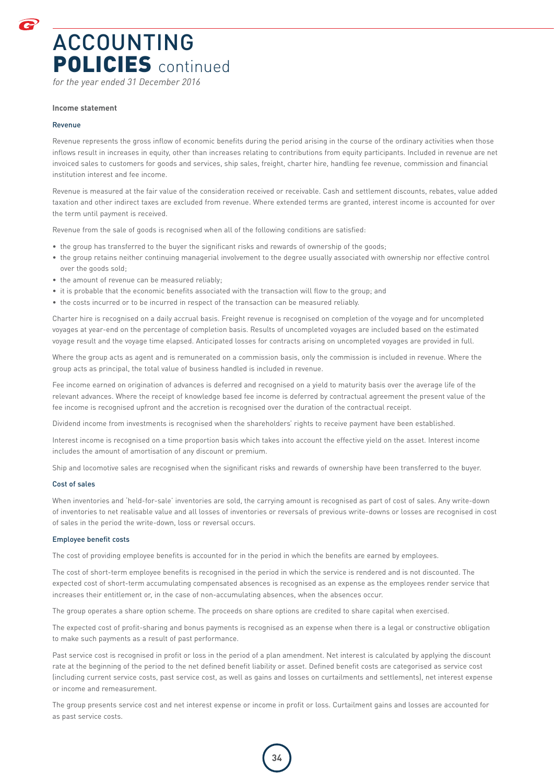# ACCOUNTING POLICIES continued

*for the year ended 31 December 2016*

#### **Income statement**

#### Revenue

 $\mathbf{z}$ 

Revenue represents the gross inflow of economic benefits during the period arising in the course of the ordinary activities when those inflows result in increases in equity, other than increases relating to contributions from equity participants. Included in revenue are net invoiced sales to customers for goods and services, ship sales, freight, charter hire, handling fee revenue, commission and financial institution interest and fee income.

Revenue is measured at the fair value of the consideration received or receivable. Cash and settlement discounts, rebates, value added taxation and other indirect taxes are excluded from revenue. Where extended terms are granted, interest income is accounted for over the term until payment is received.

Revenue from the sale of goods is recognised when all of the following conditions are satisfied:

- the group has transferred to the buyer the significant risks and rewards of ownership of the goods;
- the group retains neither continuing managerial involvement to the degree usually associated with ownership nor effective control over the goods sold;
- the amount of revenue can be measured reliably;
- it is probable that the economic benefits associated with the transaction will flow to the group; and
- the costs incurred or to be incurred in respect of the transaction can be measured reliably.

Charter hire is recognised on a daily accrual basis. Freight revenue is recognised on completion of the voyage and for uncompleted voyages at year-end on the percentage of completion basis. Results of uncompleted voyages are included based on the estimated voyage result and the voyage time elapsed. Anticipated losses for contracts arising on uncompleted voyages are provided in full.

Where the group acts as agent and is remunerated on a commission basis, only the commission is included in revenue. Where the group acts as principal, the total value of business handled is included in revenue.

Fee income earned on origination of advances is deferred and recognised on a yield to maturity basis over the average life of the relevant advances. Where the receipt of knowledge based fee income is deferred by contractual agreement the present value of the fee income is recognised upfront and the accretion is recognised over the duration of the contractual receipt.

Dividend income from investments is recognised when the shareholders' rights to receive payment have been established.

Interest income is recognised on a time proportion basis which takes into account the effective yield on the asset. Interest income includes the amount of amortisation of any discount or premium.

Ship and locomotive sales are recognised when the significant risks and rewards of ownership have been transferred to the buyer.

#### Cost of sales

When inventories and 'held-for-sale' inventories are sold, the carrying amount is recognised as part of cost of sales. Any write-down of inventories to net realisable value and all losses of inventories or reversals of previous write-downs or losses are recognised in cost of sales in the period the write-down, loss or reversal occurs.

#### Employee benefit costs

The cost of providing employee benefits is accounted for in the period in which the benefits are earned by employees.

The cost of short-term employee benefits is recognised in the period in which the service is rendered and is not discounted. The expected cost of short-term accumulating compensated absences is recognised as an expense as the employees render service that increases their entitlement or, in the case of non-accumulating absences, when the absences occur.

The group operates a share option scheme. The proceeds on share options are credited to share capital when exercised.

The expected cost of profit-sharing and bonus payments is recognised as an expense when there is a legal or constructive obligation to make such payments as a result of past performance.

Past service cost is recognised in profit or loss in the period of a plan amendment. Net interest is calculated by applying the discount rate at the beginning of the period to the net defined benefit liability or asset. Defined benefit costs are categorised as service cost (including current service costs, past service cost, as well as gains and losses on curtailments and settlements), net interest expense or income and remeasurement.

The group presents service cost and net interest expense or income in profit or loss. Curtailment gains and losses are accounted for as past service costs.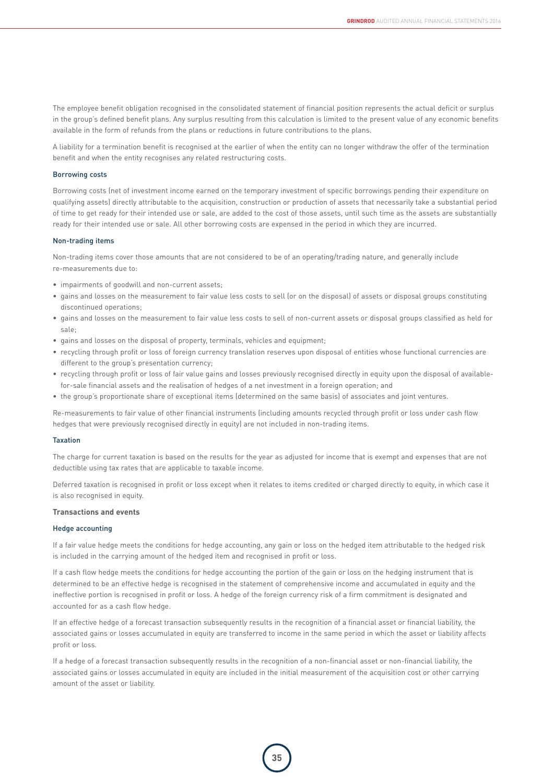The employee benefit obligation recognised in the consolidated statement of financial position represents the actual deficit or surplus in the group's defined benefit plans. Any surplus resulting from this calculation is limited to the present value of any economic benefits available in the form of refunds from the plans or reductions in future contributions to the plans.

A liability for a termination benefit is recognised at the earlier of when the entity can no longer withdraw the offer of the termination benefit and when the entity recognises any related restructuring costs.

#### Borrowing costs

Borrowing costs (net of investment income earned on the temporary investment of specific borrowings pending their expenditure on qualifying assets) directly attributable to the acquisition, construction or production of assets that necessarily take a substantial period of time to get ready for their intended use or sale, are added to the cost of those assets, until such time as the assets are substantially ready for their intended use or sale. All other borrowing costs are expensed in the period in which they are incurred.

#### Non-trading items

Non-trading items cover those amounts that are not considered to be of an operating/trading nature, and generally include re-measurements due to:

- impairments of goodwill and non-current assets;
- gains and losses on the measurement to fair value less costs to sell (or on the disposal) of assets or disposal groups constituting discontinued operations;
- gains and losses on the measurement to fair value less costs to sell of non-current assets or disposal groups classified as held for sale;
- gains and losses on the disposal of property, terminals, vehicles and equipment;
- recycling through profit or loss of foreign currency translation reserves upon disposal of entities whose functional currencies are different to the group's presentation currency;
- recycling through profit or loss of fair value gains and losses previously recognised directly in equity upon the disposal of availablefor-sale financial assets and the realisation of hedges of a net investment in a foreign operation; and
- the group's proportionate share of exceptional items (determined on the same basis) of associates and joint ventures.

Re-measurements to fair value of other financial instruments (including amounts recycled through profit or loss under cash flow hedges that were previously recognised directly in equity) are not included in non-trading items.

#### Taxation

The charge for current taxation is based on the results for the year as adjusted for income that is exempt and expenses that are not deductible using tax rates that are applicable to taxable income.

Deferred taxation is recognised in profit or loss except when it relates to items credited or charged directly to equity, in which case it is also recognised in equity.

#### **Transactions and events**

#### Hedge accounting

If a fair value hedge meets the conditions for hedge accounting, any gain or loss on the hedged item attributable to the hedged risk is included in the carrying amount of the hedged item and recognised in profit or loss.

If a cash flow hedge meets the conditions for hedge accounting the portion of the gain or loss on the hedging instrument that is determined to be an effective hedge is recognised in the statement of comprehensive income and accumulated in equity and the ineffective portion is recognised in profit or loss. A hedge of the foreign currency risk of a firm commitment is designated and accounted for as a cash flow hedge.

If an effective hedge of a forecast transaction subsequently results in the recognition of a financial asset or financial liability, the associated gains or losses accumulated in equity are transferred to income in the same period in which the asset or liability affects profit or loss.

If a hedge of a forecast transaction subsequently results in the recognition of a non-financial asset or non-financial liability, the associated gains or losses accumulated in equity are included in the initial measurement of the acquisition cost or other carrying amount of the asset or liability.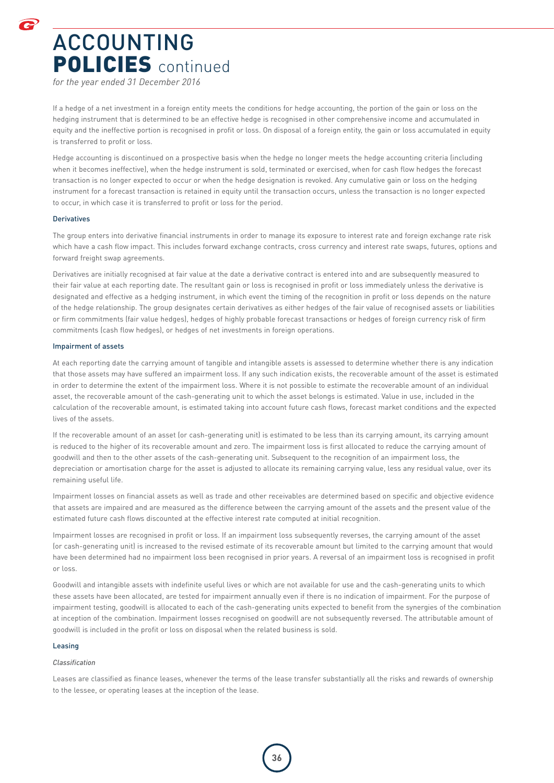## ACCOUNTING POLICIES continued

*for the year ended 31 December 2016*

If a hedge of a net investment in a foreign entity meets the conditions for hedge accounting, the portion of the gain or loss on the hedging instrument that is determined to be an effective hedge is recognised in other comprehensive income and accumulated in equity and the ineffective portion is recognised in profit or loss. On disposal of a foreign entity, the gain or loss accumulated in equity is transferred to profit or loss.

Hedge accounting is discontinued on a prospective basis when the hedge no longer meets the hedge accounting criteria (including when it becomes ineffective), when the hedge instrument is sold, terminated or exercised, when for cash flow hedges the forecast transaction is no longer expected to occur or when the hedge designation is revoked. Any cumulative gain or loss on the hedging instrument for a forecast transaction is retained in equity until the transaction occurs, unless the transaction is no longer expected to occur, in which case it is transferred to profit or loss for the period.

## Derivatives

 $\mathbf{z}$ 

The group enters into derivative financial instruments in order to manage its exposure to interest rate and foreign exchange rate risk which have a cash flow impact. This includes forward exchange contracts, cross currency and interest rate swaps, futures, options and forward freight swap agreements.

Derivatives are initially recognised at fair value at the date a derivative contract is entered into and are subsequently measured to their fair value at each reporting date. The resultant gain or loss is recognised in profit or loss immediately unless the derivative is designated and effective as a hedging instrument, in which event the timing of the recognition in profit or loss depends on the nature of the hedge relationship. The group designates certain derivatives as either hedges of the fair value of recognised assets or liabilities or firm commitments (fair value hedges), hedges of highly probable forecast transactions or hedges of foreign currency risk of firm commitments (cash flow hedges), or hedges of net investments in foreign operations.

## Impairment of assets

At each reporting date the carrying amount of tangible and intangible assets is assessed to determine whether there is any indication that those assets may have suffered an impairment loss. If any such indication exists, the recoverable amount of the asset is estimated in order to determine the extent of the impairment loss. Where it is not possible to estimate the recoverable amount of an individual asset, the recoverable amount of the cash-generating unit to which the asset belongs is estimated. Value in use, included in the calculation of the recoverable amount, is estimated taking into account future cash flows, forecast market conditions and the expected lives of the assets.

If the recoverable amount of an asset (or cash-generating unit) is estimated to be less than its carrying amount, its carrying amount is reduced to the higher of its recoverable amount and zero. The impairment loss is first allocated to reduce the carrying amount of goodwill and then to the other assets of the cash-generating unit. Subsequent to the recognition of an impairment loss, the depreciation or amortisation charge for the asset is adjusted to allocate its remaining carrying value, less any residual value, over its remaining useful life.

Impairment losses on financial assets as well as trade and other receivables are determined based on specific and objective evidence that assets are impaired and are measured as the difference between the carrying amount of the assets and the present value of the estimated future cash flows discounted at the effective interest rate computed at initial recognition.

Impairment losses are recognised in profit or loss. If an impairment loss subsequently reverses, the carrying amount of the asset (or cash-generating unit) is increased to the revised estimate of its recoverable amount but limited to the carrying amount that would have been determined had no impairment loss been recognised in prior years. A reversal of an impairment loss is recognised in profit or loss.

Goodwill and intangible assets with indefinite useful lives or which are not available for use and the cash-generating units to which these assets have been allocated, are tested for impairment annually even if there is no indication of impairment. For the purpose of impairment testing, goodwill is allocated to each of the cash-generating units expected to benefit from the synergies of the combination at inception of the combination. Impairment losses recognised on goodwill are not subsequently reversed. The attributable amount of goodwill is included in the profit or loss on disposal when the related business is sold.

### Leasing

### *Classification*

Leases are classified as finance leases, whenever the terms of the lease transfer substantially all the risks and rewards of ownership to the lessee, or operating leases at the inception of the lease.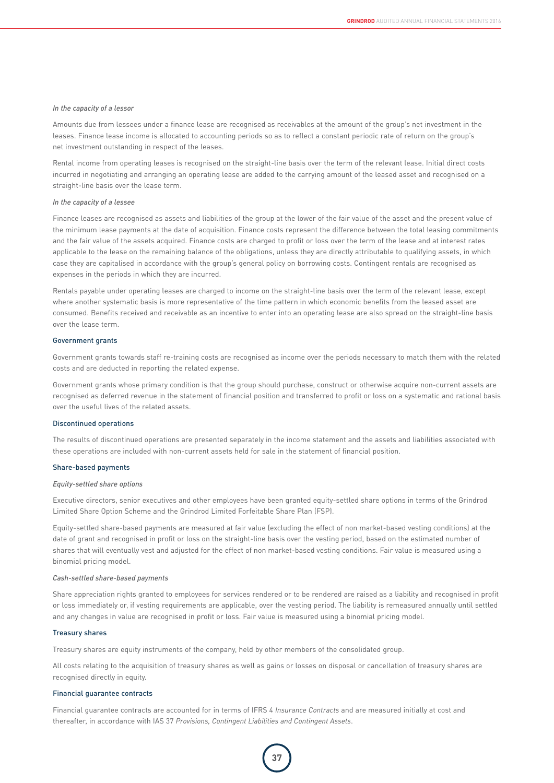### *In the capacity of a lessor*

Amounts due from lessees under a finance lease are recognised as receivables at the amount of the group's net investment in the leases. Finance lease income is allocated to accounting periods so as to reflect a constant periodic rate of return on the group's net investment outstanding in respect of the leases.

Rental income from operating leases is recognised on the straight-line basis over the term of the relevant lease. Initial direct costs incurred in negotiating and arranging an operating lease are added to the carrying amount of the leased asset and recognised on a straight-line basis over the lease term.

#### *In the capacity of a lessee*

Finance leases are recognised as assets and liabilities of the group at the lower of the fair value of the asset and the present value of the minimum lease payments at the date of acquisition. Finance costs represent the difference between the total leasing commitments and the fair value of the assets acquired. Finance costs are charged to profit or loss over the term of the lease and at interest rates applicable to the lease on the remaining balance of the obligations, unless they are directly attributable to qualifying assets, in which case they are capitalised in accordance with the group's general policy on borrowing costs. Contingent rentals are recognised as expenses in the periods in which they are incurred.

Rentals payable under operating leases are charged to income on the straight-line basis over the term of the relevant lease, except where another systematic basis is more representative of the time pattern in which economic benefits from the leased asset are consumed. Benefits received and receivable as an incentive to enter into an operating lease are also spread on the straight-line basis over the lease term.

### Government grants

Government grants towards staff re-training costs are recognised as income over the periods necessary to match them with the related costs and are deducted in reporting the related expense.

Government grants whose primary condition is that the group should purchase, construct or otherwise acquire non-current assets are recognised as deferred revenue in the statement of financial position and transferred to profit or loss on a systematic and rational basis over the useful lives of the related assets.

### Discontinued operations

The results of discontinued operations are presented separately in the income statement and the assets and liabilities associated with these operations are included with non-current assets held for sale in the statement of financial position.

#### Share-based payments

#### *Equity-settled share options*

Executive directors, senior executives and other employees have been granted equity-settled share options in terms of the Grindrod Limited Share Option Scheme and the Grindrod Limited Forfeitable Share Plan (FSP).

Equity-settled share-based payments are measured at fair value (excluding the effect of non market-based vesting conditions) at the date of grant and recognised in profit or loss on the straight-line basis over the vesting period, based on the estimated number of shares that will eventually vest and adjusted for the effect of non market-based vesting conditions. Fair value is measured using a binomial pricing model.

#### *Cash-settled share-based payments*

Share appreciation rights granted to employees for services rendered or to be rendered are raised as a liability and recognised in profit or loss immediately or, if vesting requirements are applicable, over the vesting period. The liability is remeasured annually until settled and any changes in value are recognised in profit or loss. Fair value is measured using a binomial pricing model.

#### Treasury shares

Treasury shares are equity instruments of the company, held by other members of the consolidated group.

All costs relating to the acquisition of treasury shares as well as gains or losses on disposal or cancellation of treasury shares are recognised directly in equity.

#### Financial guarantee contracts

Financial guarantee contracts are accounted for in terms of IFRS 4 *Insurance Contracts* and are measured initially at cost and thereafter, in accordance with IAS 37 *Provisions, Contingent Liabilities and Contingent Assets*.

**37**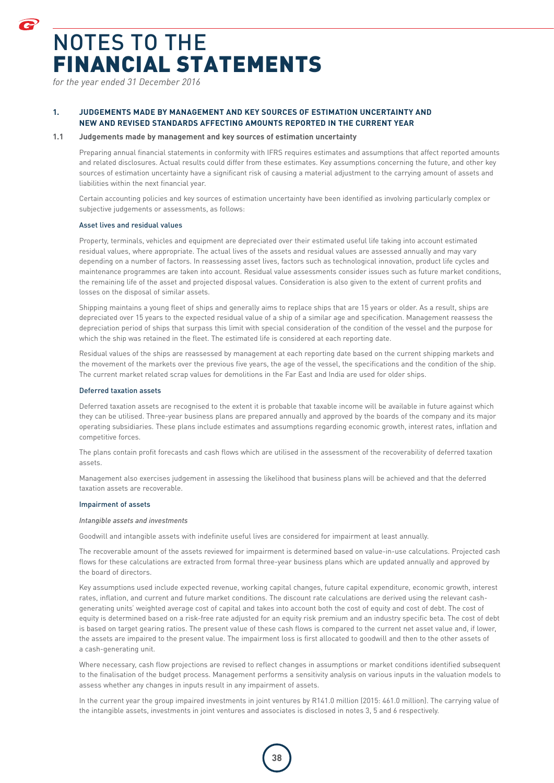# NOTES TO THE FINANCIAL STATEMENTS

*for the year ended 31 December 2016*

## **1. JUDGEMENTS MADE BY MANAGEMENT AND KEY SOURCES OF ESTIMATION UNCERTAINTY AND NEW AND REVISED STANDARDS AFFECTING AMOUNTS REPORTED IN THE CURRENT YEAR**

### **1.1 Judgements made by management and key sources of estimation uncertainty**

Preparing annual financial statements in conformity with IFRS requires estimates and assumptions that affect reported amounts and related disclosures. Actual results could differ from these estimates. Key assumptions concerning the future, and other key sources of estimation uncertainty have a significant risk of causing a material adjustment to the carrying amount of assets and liabilities within the next financial year.

Certain accounting policies and key sources of estimation uncertainty have been identified as involving particularly complex or subjective judgements or assessments, as follows:

### Asset lives and residual values

Property, terminals, vehicles and equipment are depreciated over their estimated useful life taking into account estimated residual values, where appropriate. The actual lives of the assets and residual values are assessed annually and may vary depending on a number of factors. In reassessing asset lives, factors such as technological innovation, product life cycles and maintenance programmes are taken into account. Residual value assessments consider issues such as future market conditions, the remaining life of the asset and projected disposal values. Consideration is also given to the extent of current profits and losses on the disposal of similar assets.

Shipping maintains a young fleet of ships and generally aims to replace ships that are 15 years or older. As a result, ships are depreciated over 15 years to the expected residual value of a ship of a similar age and specification. Management reassess the depreciation period of ships that surpass this limit with special consideration of the condition of the vessel and the purpose for which the ship was retained in the fleet. The estimated life is considered at each reporting date.

Residual values of the ships are reassessed by management at each reporting date based on the current shipping markets and the movement of the markets over the previous five years, the age of the vessel, the specifications and the condition of the ship. The current market related scrap values for demolitions in the Far East and India are used for older ships.

### Deferred taxation assets

Deferred taxation assets are recognised to the extent it is probable that taxable income will be available in future against which they can be utilised. Three-year business plans are prepared annually and approved by the boards of the company and its major operating subsidiaries. These plans include estimates and assumptions regarding economic growth, interest rates, inflation and competitive forces.

The plans contain profit forecasts and cash flows which are utilised in the assessment of the recoverability of deferred taxation assets.

Management also exercises judgement in assessing the likelihood that business plans will be achieved and that the deferred taxation assets are recoverable.

### Impairment of assets

### *Intangible assets and investments*

Goodwill and intangible assets with indefinite useful lives are considered for impairment at least annually.

The recoverable amount of the assets reviewed for impairment is determined based on value-in-use calculations. Projected cash flows for these calculations are extracted from formal three-year business plans which are updated annually and approved by the board of directors.

Key assumptions used include expected revenue, working capital changes, future capital expenditure, economic growth, interest rates, inflation, and current and future market conditions. The discount rate calculations are derived using the relevant cashgenerating units' weighted average cost of capital and takes into account both the cost of equity and cost of debt. The cost of equity is determined based on a risk-free rate adjusted for an equity risk premium and an industry specific beta. The cost of debt is based on target gearing ratios. The present value of these cash flows is compared to the current net asset value and, if lower, the assets are impaired to the present value. The impairment loss is first allocated to goodwill and then to the other assets of a cash-generating unit.

Where necessary, cash flow projections are revised to reflect changes in assumptions or market conditions identified subsequent to the finalisation of the budget process. Management performs a sensitivity analysis on various inputs in the valuation models to assess whether any changes in inputs result in any impairment of assets.

In the current year the group impaired investments in joint ventures by R141.0 million (2015: 461.0 million). The carrying value of the intangible assets, investments in joint ventures and associates is disclosed in notes 3, 5 and 6 respectively.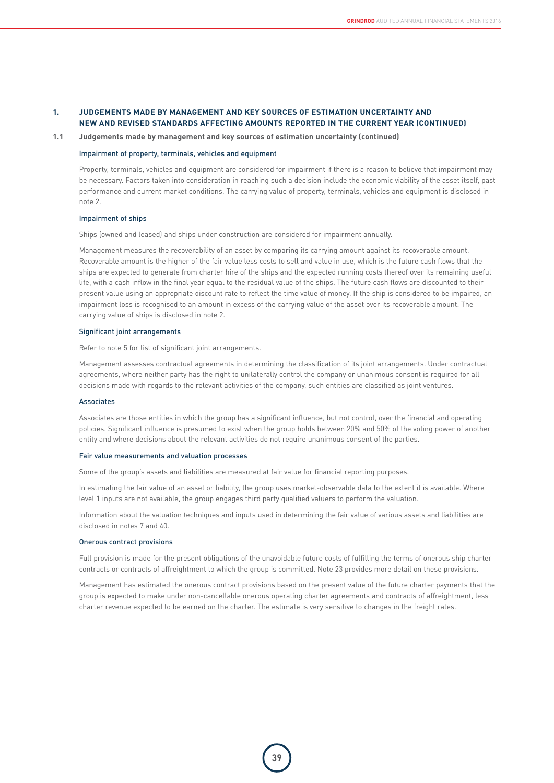## **1. JUDGEMENTS MADE BY MANAGEMENT AND KEY SOURCES OF ESTIMATION UNCERTAINTY AND NEW AND REVISED STANDARDS AFFECTING AMOUNTS REPORTED IN THE CURRENT YEAR (CONTINUED)**

### **1.1 Judgements made by management and key sources of estimation uncertainty (continued)**

#### Impairment of property, terminals, vehicles and equipment

Property, terminals, vehicles and equipment are considered for impairment if there is a reason to believe that impairment may be necessary. Factors taken into consideration in reaching such a decision include the economic viability of the asset itself, past performance and current market conditions. The carrying value of property, terminals, vehicles and equipment is disclosed in note 2.

### Impairment of ships

Ships (owned and leased) and ships under construction are considered for impairment annually.

Management measures the recoverability of an asset by comparing its carrying amount against its recoverable amount. Recoverable amount is the higher of the fair value less costs to sell and value in use, which is the future cash flows that the ships are expected to generate from charter hire of the ships and the expected running costs thereof over its remaining useful life, with a cash inflow in the final year equal to the residual value of the ships. The future cash flows are discounted to their present value using an appropriate discount rate to reflect the time value of money. If the ship is considered to be impaired, an impairment loss is recognised to an amount in excess of the carrying value of the asset over its recoverable amount. The carrying value of ships is disclosed in note 2.

### Significant joint arrangements

Refer to note 5 for list of significant joint arrangements.

Management assesses contractual agreements in determining the classification of its joint arrangements. Under contractual agreements, where neither party has the right to unilaterally control the company or unanimous consent is required for all decisions made with regards to the relevant activities of the company, such entities are classified as joint ventures.

### Associates

Associates are those entities in which the group has a significant influence, but not control, over the financial and operating policies. Significant influence is presumed to exist when the group holds between 20% and 50% of the voting power of another entity and where decisions about the relevant activities do not require unanimous consent of the parties.

#### Fair value measurements and valuation processes

Some of the group's assets and liabilities are measured at fair value for financial reporting purposes.

In estimating the fair value of an asset or liability, the group uses market-observable data to the extent it is available. Where level 1 inputs are not available, the group engages third party qualified valuers to perform the valuation.

Information about the valuation techniques and inputs used in determining the fair value of various assets and liabilities are disclosed in notes 7 and 40.

#### Onerous contract provisions

Full provision is made for the present obligations of the unavoidable future costs of fulfilling the terms of onerous ship charter contracts or contracts of affreightment to which the group is committed. Note 23 provides more detail on these provisions.

Management has estimated the onerous contract provisions based on the present value of the future charter payments that the group is expected to make under non-cancellable onerous operating charter agreements and contracts of affreightment, less charter revenue expected to be earned on the charter. The estimate is very sensitive to changes in the freight rates.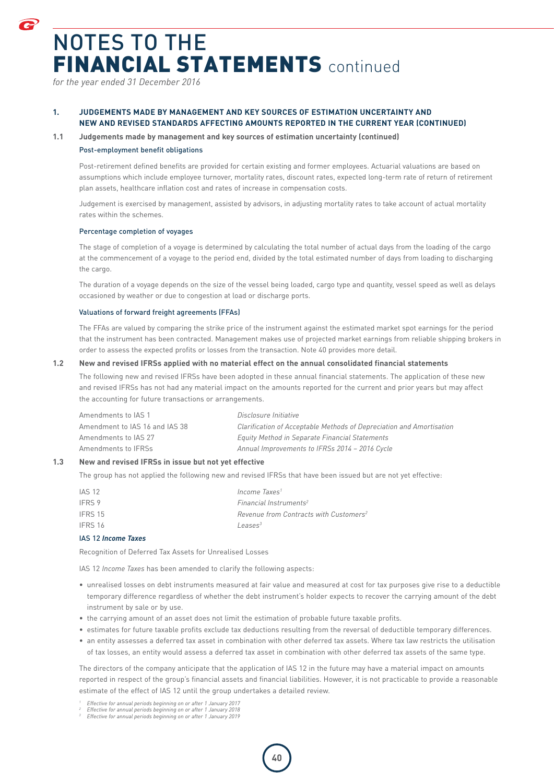*for the year ended 31 December 2016*

2

## **1. JUDGEMENTS MADE BY MANAGEMENT AND KEY SOURCES OF ESTIMATION UNCERTAINTY AND NEW AND REVISED STANDARDS AFFECTING AMOUNTS REPORTED IN THE CURRENT YEAR (CONTINUED)**

### **1.1 Judgements made by management and key sources of estimation uncertainty (continued)**

### Post-employment benefit obligations

Post-retirement defined benefits are provided for certain existing and former employees. Actuarial valuations are based on assumptions which include employee turnover, mortality rates, discount rates, expected long-term rate of return of retirement plan assets, healthcare inflation cost and rates of increase in compensation costs.

Judgement is exercised by management, assisted by advisors, in adjusting mortality rates to take account of actual mortality rates within the schemes.

### Percentage completion of voyages

The stage of completion of a voyage is determined by calculating the total number of actual days from the loading of the cargo at the commencement of a voyage to the period end, divided by the total estimated number of days from loading to discharging the cargo.

The duration of a voyage depends on the size of the vessel being loaded, cargo type and quantity, vessel speed as well as delays occasioned by weather or due to congestion at load or discharge ports.

### Valuations of forward freight agreements (FFAs)

The FFAs are valued by comparing the strike price of the instrument against the estimated market spot earnings for the period that the instrument has been contracted. Management makes use of projected market earnings from reliable shipping brokers in order to assess the expected profits or losses from the transaction. Note 40 provides more detail.

### **1.2 New and revised IFRSs applied with no material effect on the annual consolidated financial statements**

The following new and revised IFRSs have been adopted in these annual financial statements. The application of these new and revised IFRSs has not had any material impact on the amounts reported for the current and prior years but may affect the accounting for future transactions or arrangements.

| Amendments to IAS 1            | Disclosure Initiative                                                |
|--------------------------------|----------------------------------------------------------------------|
| Amendment to IAS 16 and IAS 38 | Clarification of Acceptable Methods of Depreciation and Amortisation |
| Amendments to IAS 27           | Equity Method in Separate Financial Statements                       |
| Amendments to IFRSs            | Annual Improvements to IFRSs 2014 - 2016 Cycle                       |

### **1.3 New and revised IFRSs in issue but not yet effective**

The group has not applied the following new and revised IFRSs that have been issued but are not yet effective:

| <b>IAS 12</b> | Income Taxes <sup>1</sup>                          |
|---------------|----------------------------------------------------|
| IFRS 9        | Financial Instruments <sup>2</sup>                 |
| IFRS 15       | Revenue from Contracts with Customers <sup>2</sup> |
| IFRS 16       | 1eases <sup>3</sup>                                |
|               |                                                    |

## IAS 12 *Income Taxes*

Recognition of Deferred Tax Assets for Unrealised Losses

IAS 12 *Income Taxes* has been amended to clarify the following aspects:

- unrealised losses on debt instruments measured at fair value and measured at cost for tax purposes give rise to a deductible temporary difference regardless of whether the debt instrument's holder expects to recover the carrying amount of the debt instrument by sale or by use.
- the carrying amount of an asset does not limit the estimation of probable future taxable profits.
- estimates for future taxable profits exclude tax deductions resulting from the reversal of deductible temporary differences.
- an entity assesses a deferred tax asset in combination with other deferred tax assets. Where tax law restricts the utilisation of tax losses, an entity would assess a deferred tax asset in combination with other deferred tax assets of the same type.

The directors of the company anticipate that the application of IAS 12 in the future may have a material impact on amounts reported in respect of the group's financial assets and financial liabilities. However, it is not practicable to provide a reasonable estimate of the effect of IAS 12 until the group undertakes a detailed review.

- *<sup>1</sup> Effective for annual periods beginning on or after 1 January 2017*
- *<sup>2</sup> Effective for annual periods beginning on or after 1 January 2018 <sup>3</sup> Effective for annual periods beginning on or after 1 January 2019*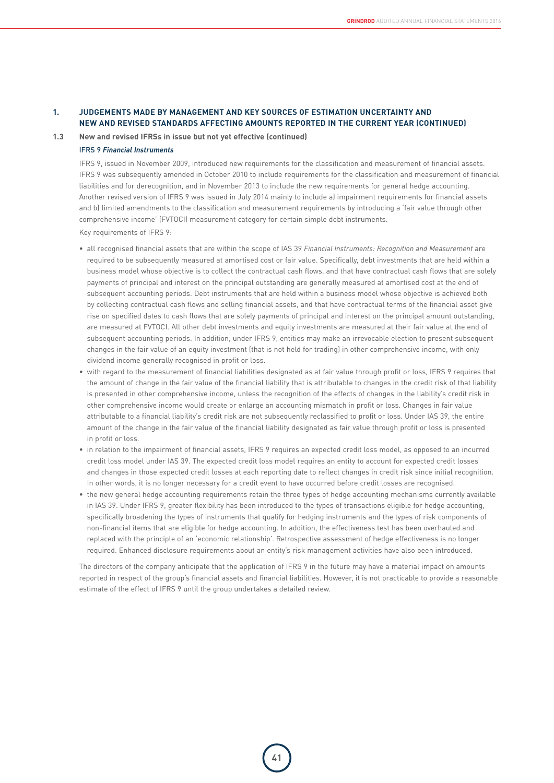## **1. JUDGEMENTS MADE BY MANAGEMENT AND KEY SOURCES OF ESTIMATION UNCERTAINTY AND NEW AND REVISED STANDARDS AFFECTING AMOUNTS REPORTED IN THE CURRENT YEAR (CONTINUED)**

## **1.3 New and revised IFRSs in issue but not yet effective (continued)**

### IFRS 9 *Financial Instruments*

IFRS 9, issued in November 2009, introduced new requirements for the classification and measurement of financial assets. IFRS 9 was subsequently amended in October 2010 to include requirements for the classification and measurement of financial liabilities and for derecognition, and in November 2013 to include the new requirements for general hedge accounting. Another revised version of IFRS 9 was issued in July 2014 mainly to include a) impairment requirements for financial assets and b) limited amendments to the classification and measurement requirements by introducing a 'fair value through other comprehensive income' (FVTOCI) measurement category for certain simple debt instruments.

Key requirements of IFRS 9:

- all recognised financial assets that are within the scope of IAS 39 *Financial Instruments: Recognition and Measurement* are required to be subsequently measured at amortised cost or fair value. Specifically, debt investments that are held within a business model whose objective is to collect the contractual cash flows, and that have contractual cash flows that are solely payments of principal and interest on the principal outstanding are generally measured at amortised cost at the end of subsequent accounting periods. Debt instruments that are held within a business model whose objective is achieved both by collecting contractual cash flows and selling financial assets, and that have contractual terms of the financial asset give rise on specified dates to cash flows that are solely payments of principal and interest on the principal amount outstanding, are measured at FVTOCI. All other debt investments and equity investments are measured at their fair value at the end of subsequent accounting periods. In addition, under IFRS 9, entities may make an irrevocable election to present subsequent changes in the fair value of an equity investment (that is not held for trading) in other comprehensive income, with only dividend income generally recognised in profit or loss.
- with regard to the measurement of financial liabilities designated as at fair value through profit or loss, IFRS 9 requires that the amount of change in the fair value of the financial liability that is attributable to changes in the credit risk of that liability is presented in other comprehensive income, unless the recognition of the effects of changes in the liability's credit risk in other comprehensive income would create or enlarge an accounting mismatch in profit or loss. Changes in fair value attributable to a financial liability's credit risk are not subsequently reclassified to profit or loss. Under IAS 39, the entire amount of the change in the fair value of the financial liability designated as fair value through profit or loss is presented in profit or loss.
- in relation to the impairment of financial assets, IFRS 9 requires an expected credit loss model, as opposed to an incurred credit loss model under IAS 39. The expected credit loss model requires an entity to account for expected credit losses and changes in those expected credit losses at each reporting date to reflect changes in credit risk since initial recognition. In other words, it is no longer necessary for a credit event to have occurred before credit losses are recognised.
- the new general hedge accounting requirements retain the three types of hedge accounting mechanisms currently available in IAS 39. Under IFRS 9, greater flexibility has been introduced to the types of transactions eligible for hedge accounting, specifically broadening the types of instruments that qualify for hedging instruments and the types of risk components of non-financial items that are eligible for hedge accounting. In addition, the effectiveness test has been overhauled and replaced with the principle of an 'economic relationship'. Retrospective assessment of hedge effectiveness is no longer required. Enhanced disclosure requirements about an entity's risk management activities have also been introduced.

The directors of the company anticipate that the application of IFRS 9 in the future may have a material impact on amounts reported in respect of the group's financial assets and financial liabilities. However, it is not practicable to provide a reasonable estimate of the effect of IFRS 9 until the group undertakes a detailed review.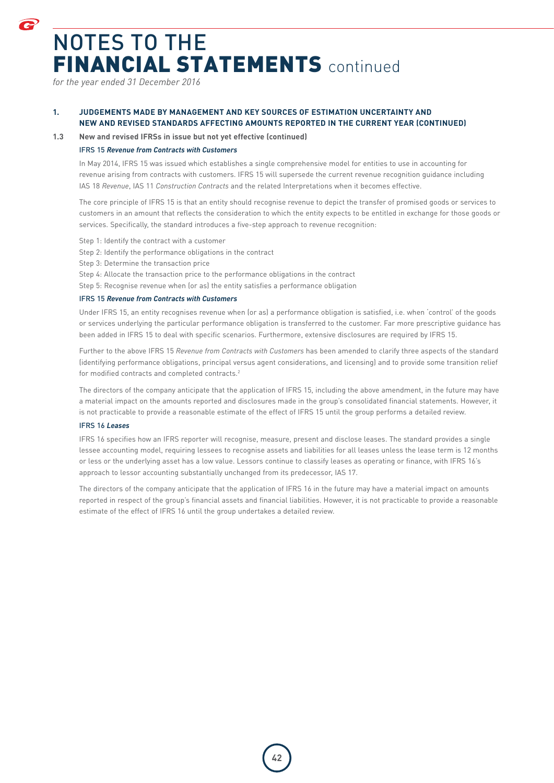*for the year ended 31 December 2016*

 $\sum$ 

## **1. JUDGEMENTS MADE BY MANAGEMENT AND KEY SOURCES OF ESTIMATION UNCERTAINTY AND NEW AND REVISED STANDARDS AFFECTING AMOUNTS REPORTED IN THE CURRENT YEAR (CONTINUED)**

## **1.3 New and revised IFRSs in issue but not yet effective (continued)**

## IFRS 15 *Revenue from Contracts with Customers*

In May 2014, IFRS 15 was issued which establishes a single comprehensive model for entities to use in accounting for revenue arising from contracts with customers. IFRS 15 will supersede the current revenue recognition guidance including IAS 18 *Revenue*, IAS 11 *Construction Contracts* and the related Interpretations when it becomes effective.

The core principle of IFRS 15 is that an entity should recognise revenue to depict the transfer of promised goods or services to customers in an amount that reflects the consideration to which the entity expects to be entitled in exchange for those goods or services. Specifically, the standard introduces a five-step approach to revenue recognition:

- Step 1: Identify the contract with a customer
- Step 2: Identify the performance obligations in the contract
- Step 3: Determine the transaction price
- Step 4: Allocate the transaction price to the performance obligations in the contract
- Step 5: Recognise revenue when (or as) the entity satisfies a performance obligation

### IFRS 15 *Revenue from Contracts with Customers*

Under IFRS 15, an entity recognises revenue when (or as) a performance obligation is satisfied, i.e. when 'control' of the goods or services underlying the particular performance obligation is transferred to the customer. Far more prescriptive guidance has been added in IFRS 15 to deal with specific scenarios. Furthermore, extensive disclosures are required by IFRS 15.

Further to the above IFRS 15 *Revenue from Contracts with Customers* has been amended to clarify three aspects of the standard (identifying performance obligations, principal versus agent considerations, and licensing) and to provide some transition relief for modified contracts and completed contracts.<sup>2</sup>

The directors of the company anticipate that the application of IFRS 15, including the above amendment, in the future may have a material impact on the amounts reported and disclosures made in the group's consolidated financial statements. However, it is not practicable to provide a reasonable estimate of the effect of IFRS 15 until the group performs a detailed review.

## IFRS 16 *Leases*

IFRS 16 specifies how an IFRS reporter will recognise, measure, present and disclose leases. The standard provides a single lessee accounting model, requiring lessees to recognise assets and liabilities for all leases unless the lease term is 12 months or less or the underlying asset has a low value. Lessors continue to classify leases as operating or finance, with IFRS 16's approach to lessor accounting substantially unchanged from its predecessor, IAS 17.

The directors of the company anticipate that the application of IFRS 16 in the future may have a material impact on amounts reported in respect of the group's financial assets and financial liabilities. However, it is not practicable to provide a reasonable estimate of the effect of IFRS 16 until the group undertakes a detailed review.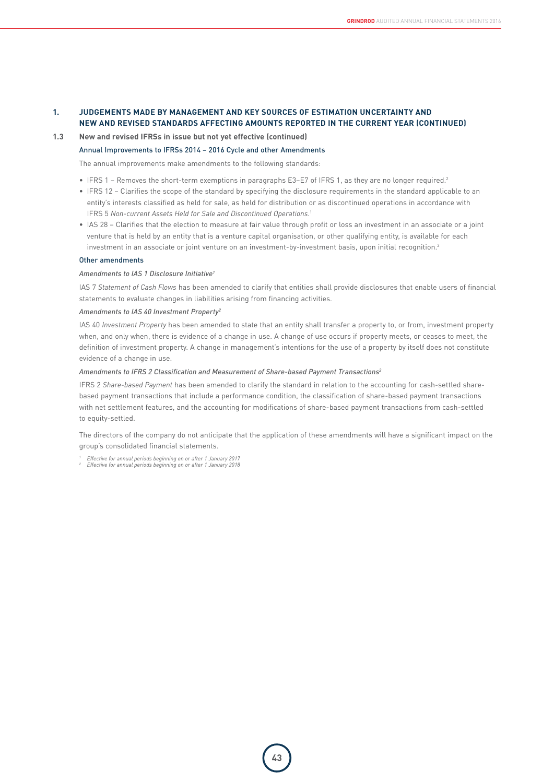## **1. JUDGEMENTS MADE BY MANAGEMENT AND KEY SOURCES OF ESTIMATION UNCERTAINTY AND NEW AND REVISED STANDARDS AFFECTING AMOUNTS REPORTED IN THE CURRENT YEAR (CONTINUED)**

## **1.3 New and revised IFRSs in issue but not yet effective (continued)**

### Annual Improvements to IFRSs 2014 – 2016 Cycle and other Amendments

The annual improvements make amendments to the following standards:

- IFRS 1 Removes the short-term exemptions in paragraphs E3–E7 of IFRS 1, as they are no longer required.<sup>2</sup>
- IFRS 12 Clarifies the scope of the standard by specifying the disclosure requirements in the standard applicable to an entity's interests classified as held for sale, as held for distribution or as discontinued operations in accordance with IFRS 5 *Non-current Assets Held for Sale and Discontinued Operations*. 1
- IAS 28 Clarifies that the election to measure at fair value through profit or loss an investment in an associate or a joint venture that is held by an entity that is a venture capital organisation, or other qualifying entity, is available for each investment in an associate or joint venture on an investment-by-investment basis, upon initial recognition.2

## Other amendments

#### *Amendments to IAS 1 Disclosure Initiative1*

IAS 7 *Statement of Cash Flows* has been amended to clarify that entities shall provide disclosures that enable users of financial statements to evaluate changes in liabilities arising from financing activities.

### *Amendments to IAS 40 Investment Property2*

IAS 40 *Investment Property* has been amended to state that an entity shall transfer a property to, or from, investment property when, and only when, there is evidence of a change in use. A change of use occurs if property meets, or ceases to meet, the definition of investment property. A change in management's intentions for the use of a property by itself does not constitute evidence of a change in use.

#### *Amendments to IFRS 2 Classification and Measurement of Share-based Payment Transactions2*

IFRS 2 *Share-based Payment* has been amended to clarify the standard in relation to the accounting for cash-settled sharebased payment transactions that include a performance condition, the classification of share-based payment transactions with net settlement features, and the accounting for modifications of share-based payment transactions from cash-settled to equity-settled.

The directors of the company do not anticipate that the application of these amendments will have a significant impact on the group's consolidated financial statements.

*<sup>1</sup> Effective for annual periods beginning on or after 1 January 2017 <sup>2</sup> Effective for annual periods beginning on or after 1 January 2018*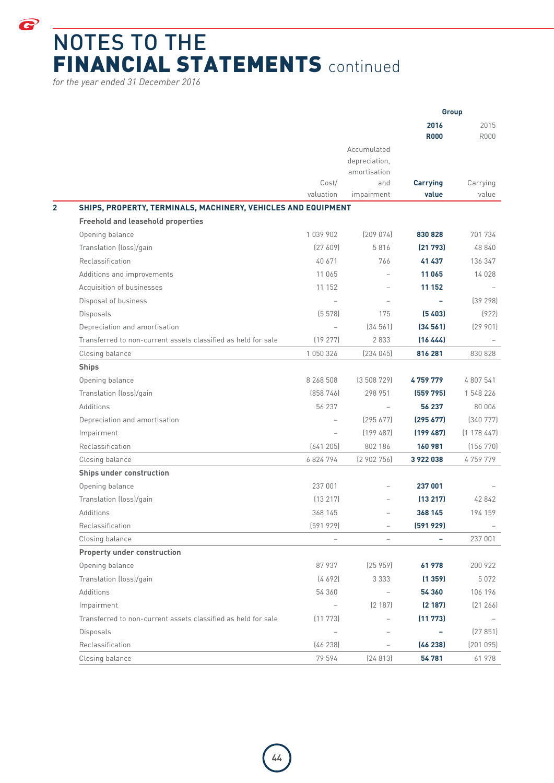*for the year ended 31 December 2016*

P

|                                                               |                          |                          | Group               |                     |
|---------------------------------------------------------------|--------------------------|--------------------------|---------------------|---------------------|
|                                                               |                          |                          | 2016<br><b>R000</b> | 2015<br><b>R000</b> |
|                                                               |                          | Accumulated              |                     |                     |
|                                                               |                          | depreciation,            |                     |                     |
|                                                               |                          | amortisation             |                     |                     |
|                                                               | Cost/                    | and                      | <b>Carrying</b>     | Carrying            |
|                                                               | valuation                | impairment               | value               | value               |
| SHIPS, PROPERTY, TERMINALS, MACHINERY, VEHICLES AND EQUIPMENT |                          |                          |                     |                     |
| <b>Freehold and leasehold properties</b>                      |                          |                          |                     |                     |
| Opening balance                                               | 1 039 902                | [209 074]                | 830 828             | 701 734             |
| Translation (loss)/gain                                       | [27609]                  | 5816                     | (21793)             | 48 840              |
| Reclassification                                              | 40 671                   | 766                      | 41 437              | 136 347             |
| Additions and improvements                                    | 11 065                   |                          | 11 065              | 14 0 28             |
| Acquisition of businesses                                     | 11 152                   |                          | 11 152              |                     |
| Disposal of business                                          |                          |                          |                     | [39 298]            |
| Disposals                                                     | (5578)                   | 175                      | (5403)              | (922)               |
| Depreciation and amortisation                                 | $\overline{\phantom{0}}$ | [34 561]                 | (34561)             | [29901]             |
| Transferred to non-current assets classified as held for sale | (19 277)                 | 2 8 3 3                  | (16, 444)           |                     |
| Closing balance                                               | 1 050 326                | [234 045]                | 816 281             | 830 828             |
| <b>Ships</b>                                                  |                          |                          |                     |                     |
| Opening balance                                               | 8 268 508                | (3508729)                | 4759779             | 4 807 541           |
| Translation (loss)/gain                                       | [858 746]                | 298 951                  | (559 795)           | 1 548 226           |
| Additions                                                     | 56 237                   |                          | 56 237              | 80 006              |
| Depreciation and amortisation                                 | $\overline{\phantom{a}}$ | [295 677]                | (295 677)           | (340777)            |
| Impairment                                                    | $\overline{\phantom{0}}$ | [199 487]                | (199 487)           | (1178447)           |
| Reclassification                                              | (641205)                 | 802 186                  | 160 981             | (156 770)           |
| Closing balance                                               | 6 824 794                | [2902756]                | 3 922 038           | 4 759 779           |
| <b>Ships under construction</b>                               |                          |                          |                     |                     |
| Opening balance                                               | 237 001                  |                          | 237 001             |                     |
| Translation (loss)/gain                                       | (13 217)                 | $\overline{\phantom{0}}$ | (13217)             | 42 842              |
| Additions                                                     | 368 145                  |                          | 368 145             | 194 159             |
| Reclassification                                              | [591 929]                |                          | (591929)            |                     |
| Closing balance                                               | $\overline{\phantom{a}}$ |                          |                     | 237 001             |
| <b>Property under construction</b>                            |                          |                          |                     |                     |
| Opening balance                                               | 87 937                   | (25959)                  | 61978               | 200 922             |
| Translation (loss)/gain                                       | [4692]                   | 3 3 3 3                  | (1359)              | 5 0 7 2             |
| Additions                                                     | 54 360                   |                          | 54 360              | 106 196             |
| Impairment                                                    | $\overline{\phantom{a}}$ | (2 187)                  | (2187)              | [21 266]            |
| Transferred to non-current assets classified as held for sale | (11773)                  |                          | (11773)             |                     |
| Disposals                                                     | $\overline{\phantom{0}}$ |                          | -                   | (27851)             |
| Reclassification                                              | (46 238)                 |                          |                     |                     |
| Closing balance                                               | 79 594                   | [24 813]                 | (46238)<br>54 781   | (201095)<br>61 978  |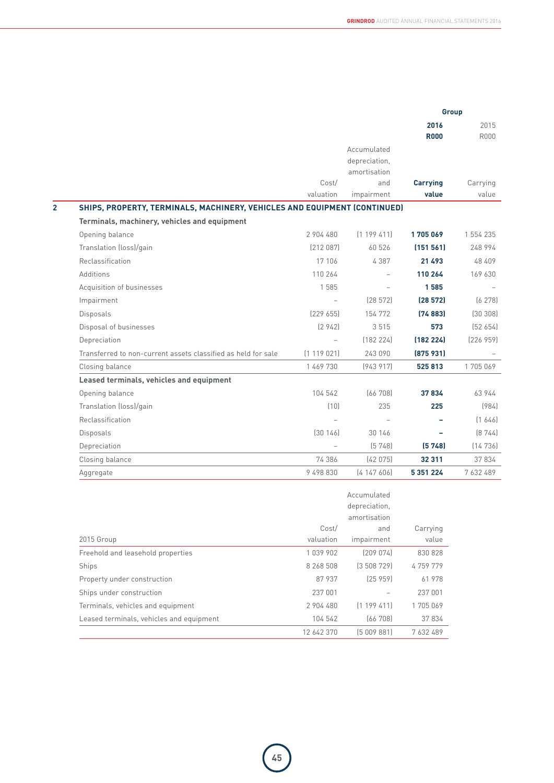**Group** 

|                                                                           |                          |                     | 2016                     | 2015              |
|---------------------------------------------------------------------------|--------------------------|---------------------|--------------------------|-------------------|
|                                                                           |                          |                     | <b>R000</b>              | <b>R000</b>       |
|                                                                           |                          | Accumulated         |                          |                   |
|                                                                           |                          | depreciation,       |                          |                   |
|                                                                           | Cost/                    | amortisation<br>and |                          |                   |
|                                                                           | valuation                | impairment          | <b>Carrying</b><br>value | Carrying<br>value |
| SHIPS, PROPERTY, TERMINALS, MACHINERY, VEHICLES AND EQUIPMENT (CONTINUED) |                          |                     |                          |                   |
| Terminals, machinery, vehicles and equipment                              |                          |                     |                          |                   |
| Opening balance                                                           | 2 904 480                | [1 199 411]         | 1705069                  | 1 554 235         |
| Translation (loss)/gain                                                   | [212087]                 | 60 526              | (151561)                 | 248 994           |
| Reclassification                                                          | 17 106                   | 4 3 8 7             | 21 493                   | 48 409            |
| Additions                                                                 | 110 264                  |                     | 110 264                  | 169 630           |
| Acquisition of businesses                                                 | 1 585                    |                     | 1585                     |                   |
| Impairment                                                                | $\overline{\phantom{a}}$ | [28 572]            | (28572)                  | (6278)            |
| Disposals                                                                 | [229 655]                | 154 772             | (74883)                  | [30 308]          |
| Disposal of businesses                                                    | [2942]                   | 3515                | 573                      | [52 654]          |
| Depreciation                                                              |                          | (182 224)           | (182 224)                | [226959]          |
| Transferred to non-current assets classified as held for sale             | (1119021)                | 243 090             | (875931)                 |                   |
| Closing balance                                                           | 1 469 730                | [943917]            | 525813                   | 1705 069          |
| Leased terminals, vehicles and equipment                                  |                          |                     |                          |                   |
| Opening balance                                                           | 104 542                  | [66 708]            | 37834                    | 63 944            |
| Translation (loss)/gain                                                   | (10)                     | 235                 | 225                      | (984)             |
| Reclassification                                                          | $\equiv$                 |                     |                          | [1646]            |
| <b>Disposals</b>                                                          | [30 146]                 | 30 146              |                          | [8744]            |
| Depreciation                                                              |                          | (5748)              | (5748)                   | [14 736]          |
| Closing balance                                                           | 74 386                   | [42 075]            | 32 311                   | 37834             |
| Aggregate                                                                 | 9 498 830                | [4 147 606]         | 5 3 5 1 2 2 4            | 7 632 489         |

|                                          | Accumulated   |              |           |  |  |  |
|------------------------------------------|---------------|--------------|-----------|--|--|--|
|                                          | depreciation, |              |           |  |  |  |
|                                          |               | amortisation |           |  |  |  |
|                                          | Cost/         | and          | Carrying  |  |  |  |
| 2015 Group                               | valuation     | impairment   | value     |  |  |  |
| Freehold and leasehold properties        | 1 039 902     | [209 074]    | 830 828   |  |  |  |
| Ships                                    | 8 2 6 8 5 0 8 | (3508729)    | 4759779   |  |  |  |
| Property under construction              | 87 937        | [25, 959]    | 61978     |  |  |  |
| Ships under construction                 | 237 001       |              | 237 001   |  |  |  |
| Terminals, vehicles and equipment        | 2 904 480     | [1 199 411]  | 1705069   |  |  |  |
| Leased terminals, vehicles and equipment | 104 542       | [66 708]     | 37834     |  |  |  |
|                                          | 12 642 370    | [5 009 881]  | 7 632 489 |  |  |  |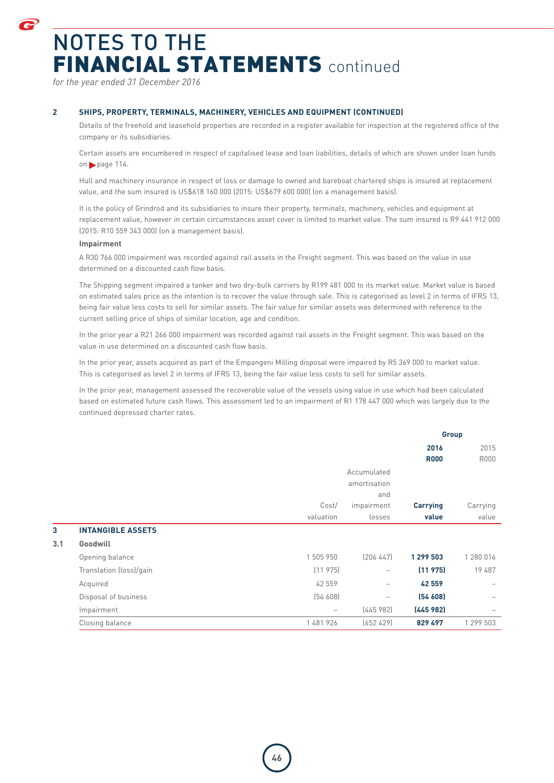*for the year ended 31 December 2016*

P

## **2 SHIPS, PROPERTY, TERMINALS, MACHINERY, VEHICLES AND EQUIPMENT (CONTINUED)**

Details of the freehold and leasehold properties are recorded in a register available for inspection at the registered office of the company or its subsidiaries.

Certain assets are encumbered in respect of capitalised lease and loan liabilities, details of which are shown under loan funds on  $\rho$  page 114.

Hull and machinery insurance in respect of loss or damage to owned and bareboat chartered ships is insured at replacement value, and the sum insured is US\$618 160 000 (2015: US\$679 600 000) (on a management basis).

It is the policy of Grindrod and its subsidiaries to insure their property, terminals, machinery, vehicles and equipment at replacement value, however in certain circumstances asset cover is limited to market value. The sum insured is R9 441 912 000 (2015: R10 559 343 000) (on a management basis).

### **Impairment**

A R30 766 000 impairment was recorded against rail assets in the Freight segment. This was based on the value in use determined on a discounted cash flow basis.

The Shipping segment impaired a tanker and two dry-bulk carriers by R199 481 000 to its market value. Market value is based on estimated sales price as the intention is to recover the value through sale. This is categorised as level 2 in terms of IFRS 13, being fair value less costs to sell for similar assets. The fair value for similar assets was determined with reference to the current selling price of ships of similar location, age and condition.

In the prior year a R21 266 000 impairment was recorded against rail assets in the Freight segment. This was based on the value in use determined on a discounted cash flow basis.

In the prior year, assets acquired as part of the Empangeni Milling disposal were impaired by R5 369 000 to market value. This is categorised as level 2 in terms of IFRS 13, being the fair value less costs to sell for similar assets.

In the prior year, management assessed the recoverable value of the vessels using value in use which had been calculated based on estimated future cash flows. This assessment led to an impairment of R1 178 447 000 which was largely due to the continued depressed charter rates.

|     |                          |                          |              | Group           |                          |
|-----|--------------------------|--------------------------|--------------|-----------------|--------------------------|
|     |                          |                          |              | 2016            | 2015                     |
|     |                          |                          |              | <b>R000</b>     | <b>R000</b>              |
|     |                          |                          | Accumulated  |                 |                          |
|     |                          |                          | amortisation |                 |                          |
|     |                          |                          | and          |                 |                          |
|     |                          | Cost/                    | impairment   | <b>Carrying</b> | Carrying                 |
|     |                          | valuation                | losses       | value           | value                    |
| 3   | <b>INTANGIBLE ASSETS</b> |                          |              |                 |                          |
| 3.1 | Goodwill                 |                          |              |                 |                          |
|     | Opening balance          | 1 505 950                | (206447)     | 1 299 503       | 1 280 016                |
|     | Translation (loss)/gain  | (11975)                  | -            | (11975)         | 19 487                   |
|     | Acquired                 | 42 559                   | -            | 42 559          | $\overline{\phantom{a}}$ |
|     | Disposal of business     | [54 608]                 | -            | (54608)         | $\qquad \qquad -$        |
|     | Impairment               | $\overline{\phantom{0}}$ | [445982]     | (445982)        |                          |
|     | Closing balance          | 1 481 926                | (652, 429)   | 829 497         | 1 299 503                |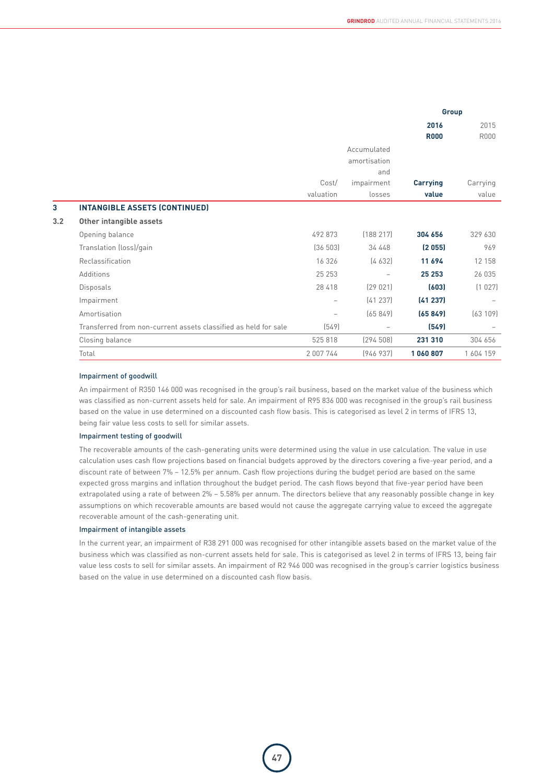**Group** 

|     |                                                                 |                          |                                    | 2016<br><b>R000</b>      | 2015<br><b>R000</b> |
|-----|-----------------------------------------------------------------|--------------------------|------------------------------------|--------------------------|---------------------|
|     |                                                                 |                          | Accumulated<br>amortisation<br>and |                          |                     |
|     |                                                                 | Cost/<br>valuation       | impairment<br>losses               | <b>Carrying</b><br>value | Carrying<br>value   |
| 3   | <b>INTANGIBLE ASSETS (CONTINUED)</b>                            |                          |                                    |                          |                     |
| 3.2 | Other intangible assets                                         |                          |                                    |                          |                     |
|     | Opening balance                                                 | 492 873                  | (188217)                           | 304 656                  | 329 630             |
|     | Translation (loss)/gain                                         | [36 503]                 | 34 4 4 8                           | (2055)                   | 969                 |
|     | Reclassification                                                | 16 326                   | [4632]                             | 11 694                   | 12 158              |
|     | Additions                                                       | 25 253                   | $\qquad \qquad -$                  | 25 25 3                  | 26 035              |
|     | Disposals                                                       | 28 418                   | (29021)                            | (603)                    | (1027)              |
|     | Impairment                                                      | -                        | [41 237]                           | (41237)                  |                     |
|     | Amortisation                                                    | $\overline{\phantom{0}}$ | (65849)                            | (65849)                  | (63109)             |
|     | Transferred from non-current assets classified as held for sale | [549]                    | $\overline{\phantom{0}}$           | (549)                    |                     |
|     | Closing balance                                                 | 525 818                  | [294 508]                          | 231 310                  | 304 656             |
|     | Total                                                           | 2 007 744                | [946937]                           | 1060807                  | 1 604 159           |

### Impairment of goodwill

An impairment of R350 146 000 was recognised in the group's rail business, based on the market value of the business which was classified as non-current assets held for sale. An impairment of R95 836 000 was recognised in the group's rail business based on the value in use determined on a discounted cash flow basis. This is categorised as level 2 in terms of IFRS 13, being fair value less costs to sell for similar assets.

### Impairment testing of goodwill

The recoverable amounts of the cash-generating units were determined using the value in use calculation. The value in use calculation uses cash flow projections based on financial budgets approved by the directors covering a five-year period, and a discount rate of between 7% – 12.5% per annum. Cash flow projections during the budget period are based on the same expected gross margins and inflation throughout the budget period. The cash flows beyond that five-year period have been extrapolated using a rate of between 2% – 5.58% per annum. The directors believe that any reasonably possible change in key assumptions on which recoverable amounts are based would not cause the aggregate carrying value to exceed the aggregate recoverable amount of the cash-generating unit.

### Impairment of intangible assets

In the current year, an impairment of R38 291 000 was recognised for other intangible assets based on the market value of the business which was classified as non-current assets held for sale. This is categorised as level 2 in terms of IFRS 13, being fair value less costs to sell for similar assets. An impairment of R2 946 000 was recognised in the group's carrier logistics business based on the value in use determined on a discounted cash flow basis.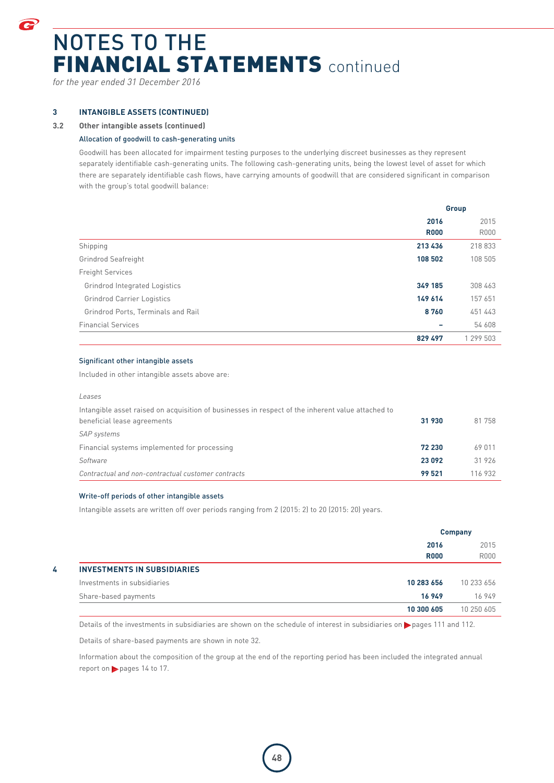*for the year ended 31 December 2016*

P

## **3 INTANGIBLE ASSETS (CONTINUED)**

**3.2 Other intangible assets (continued)**

### Allocation of goodwill to cash-generating units

Goodwill has been allocated for impairment testing purposes to the underlying discreet businesses as they represent separately identifiable cash-generating units. The following cash-generating units, being the lowest level of asset for which there are separately identifiable cash flows, have carrying amounts of goodwill that are considered significant in comparison with the group's total goodwill balance:

|                                    | Group       |             |
|------------------------------------|-------------|-------------|
|                                    | 2016        | 2015        |
|                                    | <b>R000</b> | <b>R000</b> |
| Shipping                           | 213 436     | 218 833     |
| Grindrod Seafreight                | 108 502     | 108 505     |
| <b>Freight Services</b>            |             |             |
| Grindrod Integrated Logistics      | 349 185     | 308 463     |
| <b>Grindrod Carrier Logistics</b>  | 149 614     | 157 651     |
| Grindrod Ports, Terminals and Rail | 8760        | 451 443     |
| <b>Financial Services</b>          |             | 54 608      |
|                                    | 829 497     | 1 299 503   |

### Significant other intangible assets

Included in other intangible assets above are:

| Leases                                                                                                                           |        |         |
|----------------------------------------------------------------------------------------------------------------------------------|--------|---------|
| Intangible asset raised on acquisition of businesses in respect of the inherent value attached to<br>beneficial lease agreements | 31 930 | 81 758  |
| <b>SAP</b> systems                                                                                                               |        |         |
| Financial systems implemented for processing                                                                                     | 72 230 | 69 011  |
| Software                                                                                                                         | 23 092 | 31 9 26 |
| Contractual and non-contractual customer contracts                                                                               | 99 521 | 116 932 |

### Write-off periods of other intangible assets

Intangible assets are written off over periods ranging from 2 (2015: 2) to 20 (2015: 20) years.

|                                    |             | <b>Company</b> |
|------------------------------------|-------------|----------------|
|                                    | 2016        | 2015           |
|                                    | <b>R000</b> | R000           |
| <b>INVESTMENTS IN SUBSIDIARIES</b> |             |                |
| Investments in subsidiaries        | 10 283 656  | 10 233 656     |
| Share-based payments               | 16949       | 16 949         |
|                                    | 10 300 605  | 10 250 605     |

Details of the investments in subsidiaries are shown on the schedule of interest in subsidiaries on pages 111 and 112.

Details of share-based payments are shown in note 32.

Information about the composition of the group at the end of the reporting period has been included the integrated annual report on pages 14 to 17.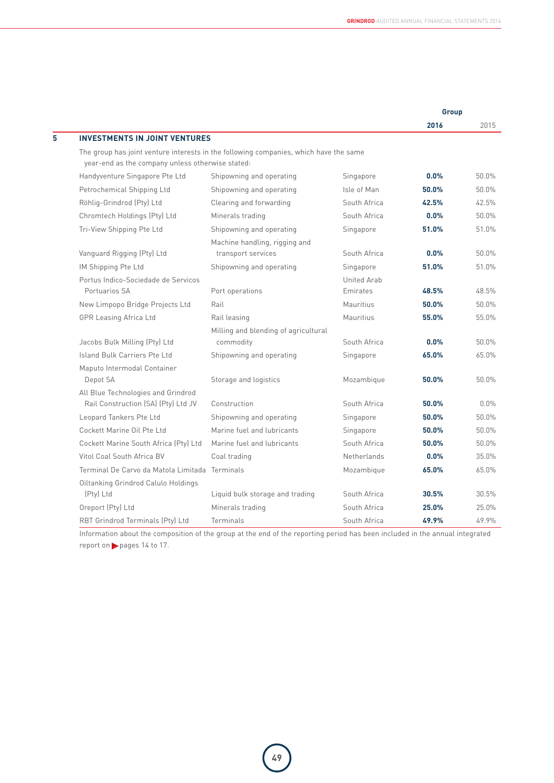|                                                                                                                                           |                                      |              | Group |         |
|-------------------------------------------------------------------------------------------------------------------------------------------|--------------------------------------|--------------|-------|---------|
|                                                                                                                                           |                                      |              | 2016  | 2015    |
| <b>INVESTMENTS IN JOINT VENTURES</b>                                                                                                      |                                      |              |       |         |
| The group has joint venture interests in the following companies, which have the same<br>year-end as the company unless otherwise stated: |                                      |              |       |         |
| Handyventure Singapore Pte Ltd                                                                                                            | Shipowning and operating             | Singapore    | 0.0%  | 50.0%   |
| Petrochemical Shipping Ltd                                                                                                                | Shipowning and operating             | Isle of Man  | 50.0% | 50.0%   |
| Röhlig-Grindrod (Pty) Ltd                                                                                                                 | Clearing and forwarding              | South Africa | 42.5% | 42.5%   |
| Chromtech Holdings (Pty) Ltd                                                                                                              | Minerals trading                     | South Africa | 0.0%  | 50.0%   |
| Tri-View Shipping Pte Ltd                                                                                                                 | Shipowning and operating             | Singapore    | 51.0% | 51.0%   |
|                                                                                                                                           | Machine handling, rigging and        |              |       |         |
| Vanguard Rigging (Pty) Ltd                                                                                                                | transport services                   | South Africa | 0.0%  | 50.0%   |
| IM Shipping Pte Ltd                                                                                                                       | Shipowning and operating             | Singapore    | 51.0% | 51.0%   |
| Portus Indico-Sociedade de Servicos                                                                                                       |                                      | United Arab  |       |         |
| Portuarios SA                                                                                                                             | Port operations                      | Emirates     | 48.5% | 48.5%   |
| New Limpopo Bridge Projects Ltd                                                                                                           | Rail                                 | Mauritius    | 50.0% | 50.0%   |
| <b>GPR Leasing Africa Ltd</b>                                                                                                             | Rail leasing                         | Mauritius    | 55.0% | 55.0%   |
|                                                                                                                                           | Milling and blending of agricultural |              |       |         |
| Jacobs Bulk Milling (Pty) Ltd                                                                                                             | commodity                            | South Africa | 0.0%  | 50.0%   |
| Island Bulk Carriers Pte Ltd                                                                                                              | Shipowning and operating             | Singapore    | 65.0% | 65.0%   |
| Maputo Intermodal Container<br>Depot SA                                                                                                   | Storage and logistics                | Mozambique   | 50.0% | 50.0%   |
| All Blue Technologies and Grindrod                                                                                                        |                                      |              |       |         |
| Rail Construction (SA) (Pty) Ltd JV                                                                                                       | Construction                         | South Africa | 50.0% | $0.0\%$ |
| Leopard Tankers Pte Ltd                                                                                                                   | Shipowning and operating             | Singapore    | 50.0% | 50.0%   |
| Cockett Marine Oil Pte Ltd                                                                                                                | Marine fuel and lubricants           | Singapore    | 50.0% | 50.0%   |
| Cockett Marine South Africa (Pty) Ltd                                                                                                     | Marine fuel and lubricants           | South Africa | 50.0% | 50.0%   |
| Vitol Coal South Africa BV                                                                                                                | Coal trading                         | Netherlands  | 0.0%  | 35.0%   |
| Terminal De Carvo da Matola Limitada                                                                                                      | Terminals                            | Mozambique   | 65.0% | 65.0%   |
| Oiltanking Grindrod Calulo Holdings<br>(Pty) Ltd                                                                                          | Liquid bulk storage and trading      | South Africa | 30.5% | 30.5%   |
| Oreport (Pty) Ltd                                                                                                                         | Minerals trading                     | South Africa | 25.0% | 25.0%   |
| RBT Grindrod Terminals (Pty) Ltd                                                                                                          | Terminals                            | South Africa | 49.9% | 49.9%   |

Information about the composition of the group at the end of the reporting period has been included in the annual integrated report on pages 14 to 17.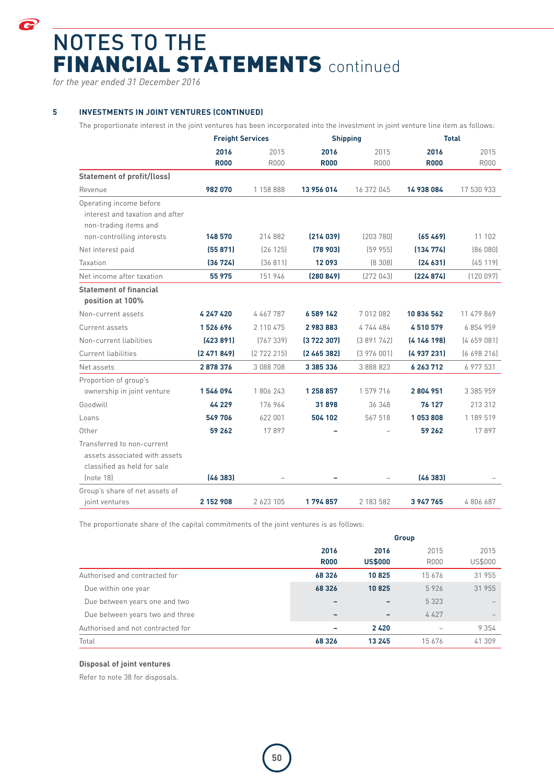*for the year ended 31 December 2016*

P

## **5 INVESTMENTS IN JOINT VENTURES (CONTINUED)**

The proportionate interest in the joint ventures has been incorporated into the investment in joint venture line item as follows:

|                                   |             | <b>Freight Services</b> | <b>Shipping</b> |             |             | <b>Total</b> |  |
|-----------------------------------|-------------|-------------------------|-----------------|-------------|-------------|--------------|--|
|                                   | 2016        | 2015                    | 2016            | 2015        | 2016        | 2015         |  |
|                                   | <b>R000</b> | <b>R000</b>             | <b>R000</b>     | <b>R000</b> | <b>R000</b> | <b>R000</b>  |  |
| <b>Statement of profit/(loss)</b> |             |                         |                 |             |             |              |  |
| Revenue                           | 982 070     | 1 1 58 8 88             | 13 956 014      | 16 372 045  | 14 938 084  | 17 530 933   |  |
| Operating income before           |             |                         |                 |             |             |              |  |
| interest and taxation and after   |             |                         |                 |             |             |              |  |
| non-trading items and             |             |                         |                 |             |             |              |  |
| non-controlling interests         | 148 570     | 214 882                 | (214039)        | (203780)    | (65469)     | 11 102       |  |
| Net interest paid                 | (55871)     | [26 125]                | (78903)         | [59 955]    | (134774)    | [86 080]     |  |
| Taxation                          | (36724)     | [36 811]                | 12093           | [8308]      | (24631)     | (45119)      |  |
| Net income after taxation         | 55 975      | 151 946                 | [280 849]       | [272043]    | [224 874]   | [120097]     |  |
| <b>Statement of financial</b>     |             |                         |                 |             |             |              |  |
| position at 100%                  |             |                         |                 |             |             |              |  |
| Non-current assets                | 4 247 420   | 4 467 787               | 6 589 142       | 7012082     | 10 836 562  | 11 479 869   |  |
| Current assets                    | 1526696     | 2 110 475               | 2 983 883       | 4744484     | 4510579     | 6 854 959    |  |
| Non-current liabilities           | (423891)    | [767339]                | (3722307)       | [3891742]   | (4 146 198) | [4659081]    |  |
| <b>Current liabilities</b>        | (2471849)   | [2722215]               | (2465382)       | [3976001]   | (4937231)   | [6 698 216]  |  |
| Net assets                        | 2878376     | 3 088 708               | 3 3 8 5 3 3 6   | 3 888 823   | 6 263 712   | 6 977 531    |  |
| Proportion of group's             |             |                         |                 |             |             |              |  |
| ownership in joint venture        | 1546094     | 1806243                 | 1 258 857       | 1 579 716   | 2804951     | 3 385 959    |  |
| Goodwill                          | 44 229      | 176 964                 | 31898           | 36 348      | 76 127      | 213 312      |  |
| Loans                             | 549 706     | 622 001                 | 504 102         | 567 518     | 1053808     | 1 189 519    |  |
| Other                             | 59 262      | 17897                   |                 |             | 59 262      | 17897        |  |
| Transferred to non-current        |             |                         |                 |             |             |              |  |
| assets associated with assets     |             |                         |                 |             |             |              |  |
| classified as held for sale       |             |                         |                 |             |             |              |  |
| (note 18)                         | [46383]     |                         |                 |             | [46 383]    |              |  |
| Group's share of net assets of    |             |                         |                 |             |             |              |  |
| ioint ventures                    | 2 152 908   | 2 623 105               | 1794857         | 2 183 582   | 3 947 765   | 4806687      |  |

The proportionate share of the capital commitments of the joint ventures is as follows:

|                                   |             | Group          |             |                   |  |  |
|-----------------------------------|-------------|----------------|-------------|-------------------|--|--|
|                                   | 2016        | 2016           | 2015        | 2015              |  |  |
|                                   | <b>R000</b> | <b>US\$000</b> | <b>R000</b> | US\$000           |  |  |
| Authorised and contracted for     | 68 3 26     | 10825          | 15 676      | 31 955            |  |  |
| Due within one year               | 68 3 26     | 10825          | 5926        | 31 955            |  |  |
| Due between years one and two     |             |                | 5 3 2 3     | $\qquad \qquad -$ |  |  |
| Due between years two and three   | -           |                | 4 4 2 7     |                   |  |  |
| Authorised and not contracted for | -           | 2420           |             | 9 3 5 4           |  |  |
| Total                             | 68 3 26     | 13 245         | 15 676      | 41 309            |  |  |

**Disposal of joint ventures**

Refer to note 38 for disposals.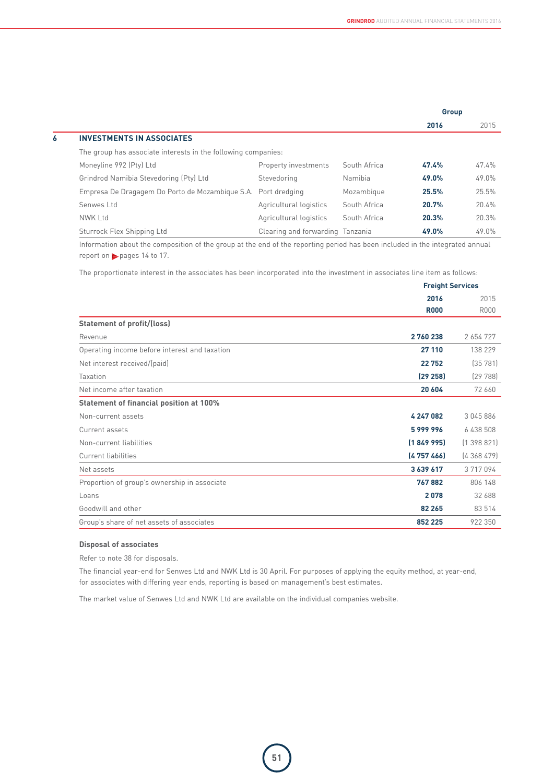|                                                               |              | Group                            |       |
|---------------------------------------------------------------|--------------|----------------------------------|-------|
|                                                               |              | 2016                             | 2015  |
|                                                               |              |                                  |       |
| The group has associate interests in the following companies: |              |                                  |       |
| Property investments                                          | South Africa | 47.4%                            | 47.4% |
| Stevedoring                                                   | Namibia      | 49.0%                            | 49.0% |
| Empresa De Dragagem Do Porto de Mozambique S.A. Port dredging | Mozambique   | 25.5%                            | 25.5% |
| Agricultural logistics                                        | South Africa | 20.7%                            | 20.4% |
| Agricultural logistics                                        | South Africa | 20.3%                            | 20.3% |
|                                                               |              | 49.0%                            | 49.0% |
|                                                               |              | Clearing and forwarding Tanzania |       |

Information about the composition of the group at the end of the reporting period has been included in the integrated annual report on pages 14 to 17.

The proportionate interest in the associates has been incorporated into the investment in associates line item as follows:

|                                                | <b>Freight Services</b> |             |  |
|------------------------------------------------|-------------------------|-------------|--|
|                                                | 2016                    | 2015        |  |
|                                                | <b>R000</b>             | <b>R000</b> |  |
| <b>Statement of profit/(loss)</b>              |                         |             |  |
| Revenue                                        | 2760238                 | 2 654 727   |  |
| Operating income before interest and taxation  | 27 110                  | 138 229     |  |
| Net interest received/(paid)                   | 22752                   | (35781)     |  |
| Taxation                                       | (29 258)                | (29788)     |  |
| Net income after taxation                      | 20 604                  | 72 660      |  |
| <b>Statement of financial position at 100%</b> |                         |             |  |
| Non-current assets                             | 4 247 082               | 3045886     |  |
| Current assets                                 | 5999996                 | 6 438 508   |  |
| Non-current liabilities                        | (1849995)               | (1398821)   |  |
| <b>Current liabilities</b>                     | (475746)                | [4368479]   |  |
| Net assets                                     | 3639617                 | 3717094     |  |
| Proportion of group's ownership in associate   | 767882                  | 806 148     |  |
| Loans                                          | 2078                    | 32 688      |  |
| Goodwill and other                             | 82 265                  | 83 514      |  |
| Group's share of net assets of associates      | 852 225                 | 922 350     |  |
|                                                |                         |             |  |

## **Disposal of associates**

Refer to note 38 for disposals.

The financial year-end for Senwes Ltd and NWK Ltd is 30 April. For purposes of applying the equity method, at year-end, for associates with differing year ends, reporting is based on management's best estimates.

The market value of Senwes Ltd and NWK Ltd are available on the individual companies website.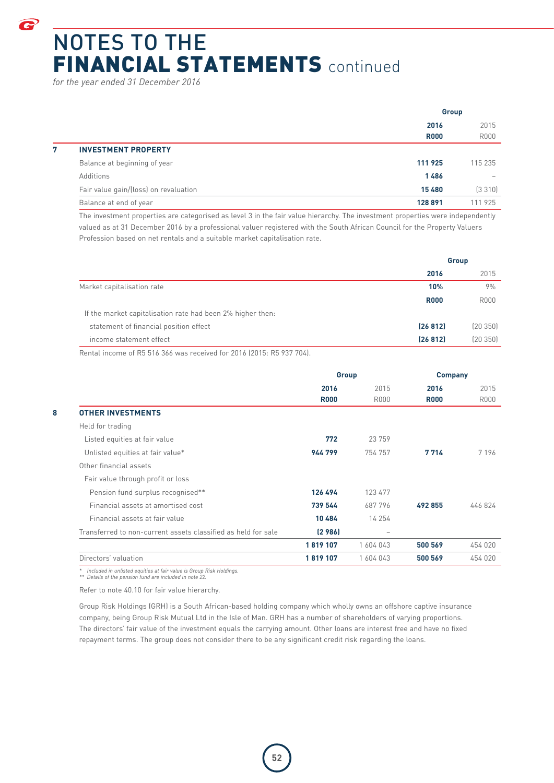*for the year ended 31 December 2016*

P

|                                       |             | Group       |
|---------------------------------------|-------------|-------------|
|                                       | 2016        | 2015        |
|                                       | <b>R000</b> | <b>R000</b> |
| <b>INVESTMENT PROPERTY</b>            |             |             |
| Balance at beginning of year          | 111 925     | 115 235     |
| Additions                             | 1486        | -           |
| Fair value gain/(loss) on revaluation | 15 480      | (3310)      |
| Balance at end of year                | 128 891     | 111 925     |
|                                       |             |             |

The investment properties are categorised as level 3 in the fair value hierarchy. The investment properties were independently valued as at 31 December 2016 by a professional valuer registered with the South African Council for the Property Valuers Profession based on net rentals and a suitable market capitalisation rate.

|                                                                                                           | Group       |          |
|-----------------------------------------------------------------------------------------------------------|-------------|----------|
|                                                                                                           | 2016        | 2015     |
| Market capitalisation rate                                                                                | 10%         | 9%       |
|                                                                                                           | <b>R000</b> | R000     |
| If the market capitalisation rate had been 2% higher then:                                                |             |          |
| statement of financial position effect                                                                    | [26812]     | (20350)  |
| income statement effect                                                                                   | [26 812]    | [20 350] |
| $0.041$ $(0.04F, DF, 0.0F, BA)$<br>$\cdot$ $\cdot$ $\cdot$ $\cdot$<br>$\sim$ $\sim$ $\sim$<br>1.055741011 |             |          |

Rental income of R5 516 366 was received for 2016 (2015: R5 937 704).

|                                                               | Group       |           | <b>Company</b> |             |
|---------------------------------------------------------------|-------------|-----------|----------------|-------------|
|                                                               | 2016        | 2015      | 2016           | 2015        |
|                                                               | <b>R000</b> | R000      | <b>R000</b>    | <b>R000</b> |
| <b>OTHER INVESTMENTS</b>                                      |             |           |                |             |
| Held for trading                                              |             |           |                |             |
| Listed equities at fair value                                 | 772         | 23 759    |                |             |
| Unlisted equities at fair value*                              | 944799      | 754 757   | 7714           | 7 1 9 6     |
| Other financial assets                                        |             |           |                |             |
| Fair value through profit or loss                             |             |           |                |             |
| Pension fund surplus recognised**                             | 126 494     | 123 477   |                |             |
| Financial assets at amortised cost                            | 739 544     | 687796    | 492855         | 446824      |
| Financial assets at fair value                                | 10 484      | 14 254    |                |             |
| Transferred to non-current assets classified as held for sale | (2986)      |           |                |             |
|                                                               | 1819107     | 1 604 043 | 500 569        | 454 020     |
| Directors' valuation                                          | 1819107     | 1 604 043 | 500 569        | 454 020     |

*\* Included in unlisted equities at fair value is Group Risk Holdings. \*\* Details of the pension fund are included in note 22.*

Refer to note 40.10 for fair value hierarchy.

Group Risk Holdings (GRH) is a South African-based holding company which wholly owns an offshore captive insurance company, being Group Risk Mutual Ltd in the Isle of Man. GRH has a number of shareholders of varying proportions. The directors' fair value of the investment equals the carrying amount. Other loans are interest free and have no fixed repayment terms. The group does not consider there to be any significant credit risk regarding the loans.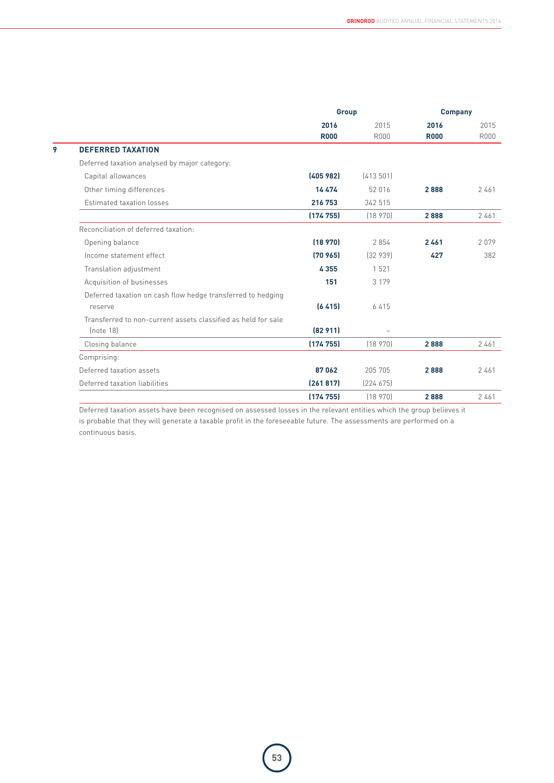|                                                               | Group       |             | <b>Company</b> |             |
|---------------------------------------------------------------|-------------|-------------|----------------|-------------|
|                                                               | 2016        | 2015        | 2016           | 2015        |
|                                                               | <b>R000</b> | <b>R000</b> | <b>R000</b>    | <b>R000</b> |
| <b>DEFERRED TAXATION</b>                                      |             |             |                |             |
| Deferred taxation analysed by major category:                 |             |             |                |             |
| Capital allowances                                            | (405 982)   | [413501]    |                |             |
| Other timing differences                                      | 14 4 7 4    | 52 016      | 2888           | 2461        |
| <b>Estimated taxation losses</b>                              | 216 753     | 342 515     |                |             |
|                                                               | (17475)     | [18970]     | 2888           | 2461        |
| Reconciliation of deferred taxation:                          |             |             |                |             |
| Opening balance                                               | (18970)     | 2854        | 2461           | 2079        |
| Income statement effect                                       | (70, 965)   | [32939]     | 427            | 382         |
| Translation adjustment                                        | 4 3 5 5     | 1 5 2 1     |                |             |
| Acquisition of businesses                                     | 151         | 3 1 7 9     |                |             |
| Deferred taxation on cash flow hedge transferred to hedging   |             |             |                |             |
| reserve                                                       | (6, 415)    | 6415        |                |             |
| Transferred to non-current assets classified as held for sale |             |             |                |             |
| [note 18]                                                     | [82911]     |             |                |             |
| Closing balance                                               | (17475)     | (18970)     | 2888           | 2461        |
| Comprising:                                                   |             |             |                |             |
| Deferred taxation assets                                      | 87062       | 205 705     | 2888           | 2461        |
| Deferred taxation liabilities                                 | (261817)    | [224 675]   |                |             |
|                                                               | (17475)     | [18970]     | 2888           | 2 4 6 1     |

Deferred taxation assets have been recognised on assessed losses in the relevant entities which the group believes it is probable that they will generate a taxable profit in the foreseeable future. The assessments are performed on a continuous basis.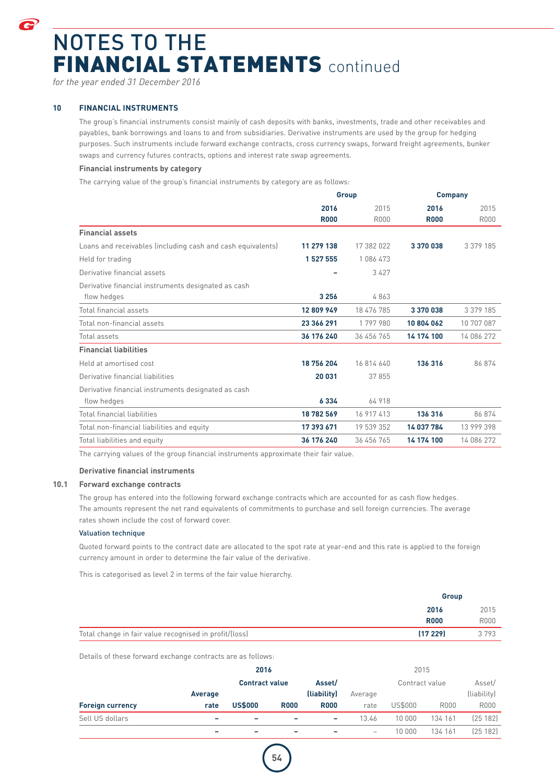*for the year ended 31 December 2016*

## **10 FINANCIAL INSTRUMENTS**

P

The group's financial instruments consist mainly of cash deposits with banks, investments, trade and other receivables and payables, bank borrowings and loans to and from subsidiaries. Derivative instruments are used by the group for hedging purposes. Such instruments include forward exchange contracts, cross currency swaps, forward freight agreements, bunker swaps and currency futures contracts, options and interest rate swap agreements.

## **Financial instruments by category**

The carrying value of the group's financial instruments by category are as follows:

| Group       |             |             | <b>Company</b> |
|-------------|-------------|-------------|----------------|
| 2016        | 2015        | 2016        | 2015           |
| <b>R000</b> | <b>R000</b> | <b>R000</b> | <b>R000</b>    |
|             |             |             |                |
| 11 279 138  | 17 382 022  | 3 370 038   | 3 379 185      |
| 1 527 555   | 1 086 473   |             |                |
|             | 3 4 2 7     |             |                |
|             |             |             |                |
| 3 2 5 6     | 4863        |             |                |
| 12809949    | 18 476 785  | 3 370 038   | 3 379 185      |
| 23 366 291  | 1797980     | 10 804 062  | 10 707 087     |
| 36 176 240  | 36 456 765  | 14 174 100  | 14 086 272     |
|             |             |             |                |
| 18 756 204  | 16 814 640  | 136 316     | 86 874         |
| 20 031      | 37 855      |             |                |
|             |             |             |                |
| 6 3 3 4     | 64 918      |             |                |
| 18782569    | 16 917 413  | 136 316     | 86 874         |
| 17 393 671  | 19 539 352  | 14 037 784  | 13 999 398     |
| 36 176 240  | 36 456 765  | 14 174 100  | 14 086 272     |
|             |             |             |                |

The carrying values of the group financial instruments approximate their fair value.

### **Derivative financial instruments**

## **10.1 Forward exchange contracts**

The group has entered into the following forward exchange contracts which are accounted for as cash flow hedges. The amounts represent the net rand equivalents of commitments to purchase and sell foreign currencies. The average rates shown include the cost of forward cover.

### Valuation technique

Quoted forward points to the contract date are allocated to the spot rate at year-end and this rate is applied to the foreign currency amount in order to determine the fair value of the derivative.

This is categorised as level 2 in terms of the fair value hierarchy.

|                                                        | Group       |             |
|--------------------------------------------------------|-------------|-------------|
|                                                        | 2016        | 2015        |
|                                                        | <b>R000</b> | <b>R000</b> |
| Total change in fair value recognised in profit/(loss) | (17229)     | 3793        |

Details of these forward exchange contracts are as follows:

|                         |         | 2016                  |                          |             |         |                |             |             |  |
|-------------------------|---------|-----------------------|--------------------------|-------------|---------|----------------|-------------|-------------|--|
|                         |         | <b>Contract value</b> |                          | Asset/      |         | Contract value |             | Asset/      |  |
|                         | Average |                       |                          | (liability) | Average |                |             | (liability) |  |
| <b>Foreign currency</b> | rate    | <b>US\$000</b>        | <b>R000</b>              | <b>R000</b> | rate    | US\$000        | <b>R000</b> | <b>R000</b> |  |
| Sell US dollars         | -       | -                     | ٠                        | ۰           | 13.46   | 10 000         | 134 161     | [25 182]    |  |
|                         | -       | -                     | $\overline{\phantom{0}}$ | -           | -       | 10 000         | 134 161     | [25 182]    |  |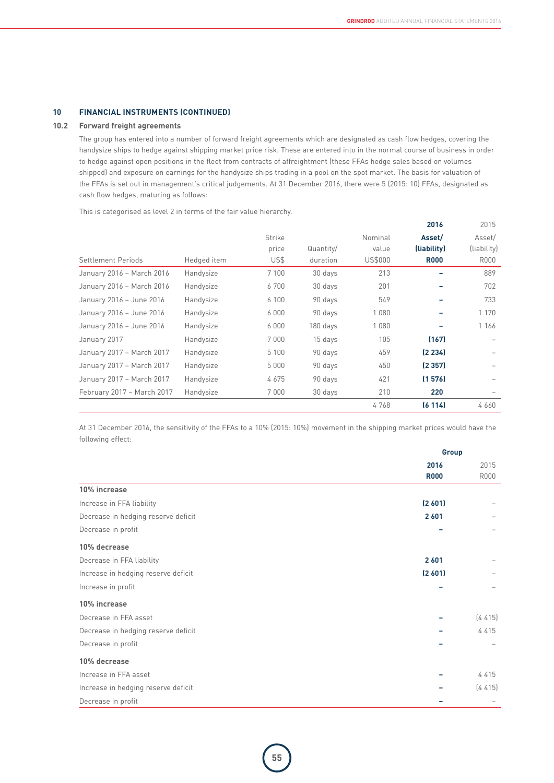### **10 FINANCIAL INSTRUMENTS (CONTINUED)**

### **10.2 Forward freight agreements**

The group has entered into a number of forward freight agreements which are designated as cash flow hedges, covering the handysize ships to hedge against shipping market price risk. These are entered into in the normal course of business in order to hedge against open positions in the fleet from contracts of affreightment (these FFAs hedge sales based on volumes shipped) and exposure on earnings for the handysize ships trading in a pool on the spot market. The basis for valuation of the FFAs is set out in management's critical judgements. At 31 December 2016, there were 5 (2015: 10) FFAs, designated as cash flow hedges, maturing as follows:

This is categorised as level 2 in terms of the fair value hierarchy.

|                            |             |               |           |         | 2016        | 2015        |
|----------------------------|-------------|---------------|-----------|---------|-------------|-------------|
|                            |             | <b>Strike</b> |           | Nominal | Asset/      | Asset/      |
|                            |             | price         | Quantity/ | value   | (liability) | (liability) |
| Settlement Periods         | Hedged item | US\$          | duration  | US\$000 | <b>R000</b> | R000        |
| January 2016 - March 2016  | Handysize   | 7 1 0 0       | 30 days   | 213     |             | 889         |
| January 2016 - March 2016  | Handysize   | 6700          | 30 days   | 201     |             | 702         |
| January 2016 - June 2016   | Handysize   | 6 100         | 90 days   | 549     |             | 733         |
| January 2016 - June 2016   | Handysize   | 6 0 0 0       | 90 days   | 1080    |             | 1 1 7 0     |
| January 2016 - June 2016   | Handysize   | 6 0 0 0       | 180 days  | 1080    |             | 1 166       |
| January 2017               | Handysize   | 7000          | 15 days   | 105     | (167)       |             |
| January 2017 - March 2017  | Handysize   | 5 1 0 0       | 90 days   | 459     | (2, 234)    |             |
| January 2017 - March 2017  | Handysize   | 5 0 0 0       | 90 days   | 450     | (2357)      |             |
| January 2017 - March 2017  | Handysize   | 4675          | 90 days   | 421     | (1576)      |             |
| February 2017 - March 2017 | Handysize   | 7000          | 30 days   | 210     | 220         |             |
|                            |             |               |           | 4768    | (6114)      | 4660        |

At 31 December 2016, the sensitivity of the FFAs to a 10% (2015: 10%) movement in the shipping market prices would have the following effect:

|                                     | Group       |             |
|-------------------------------------|-------------|-------------|
|                                     | 2016        | 2015        |
|                                     | <b>R000</b> | <b>R000</b> |
| 10% increase                        |             |             |
| Increase in FFA liability           | (2601)      |             |
| Decrease in hedging reserve deficit | 2601        |             |
| Decrease in profit                  |             |             |
| 10% decrease                        |             |             |
| Decrease in FFA liability           | 2 6 0 1     |             |
| Increase in hedging reserve deficit | (2601)      |             |
| Increase in profit                  |             |             |
| 10% increase                        |             |             |
| Decrease in FFA asset               |             | [4415]      |
| Decrease in hedging reserve deficit |             | 4415        |
| Decrease in profit                  |             |             |
| 10% decrease                        |             |             |
| Increase in FFA asset               |             | 4415        |
| Increase in hedging reserve deficit |             | (4415)      |
| Decrease in profit                  |             |             |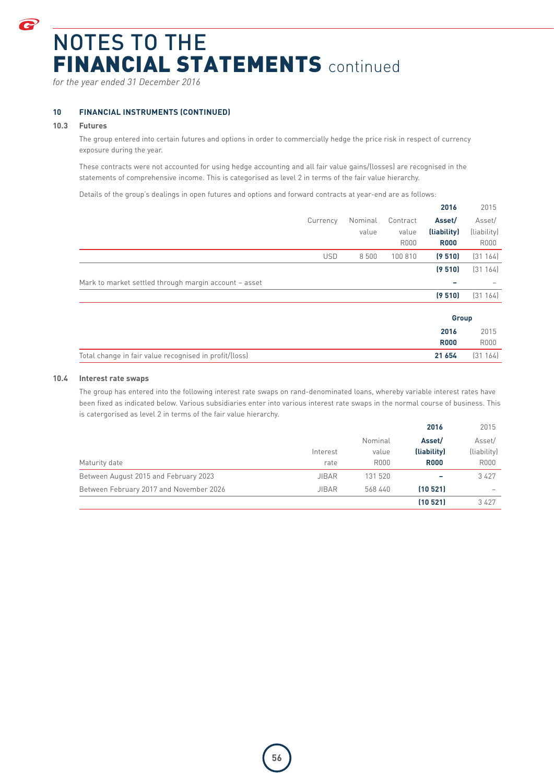*for the year ended 31 December 2016*

## **10 FINANCIAL INSTRUMENTS (CONTINUED)**

### **10.3 Futures**

P

The group entered into certain futures and options in order to commercially hedge the price risk in respect of currency exposure during the year.

These contracts were not accounted for using hedge accounting and all fair value gains/(losses) are recognised in the statements of comprehensive income. This is categorised as level 2 in terms of the fair value hierarchy.

Details of the group's dealings in open futures and options and forward contracts at year-end are as follows:

|                                                        |            |         |             | 2016        | 2015        |
|--------------------------------------------------------|------------|---------|-------------|-------------|-------------|
|                                                        | Currency   | Nominal | Contract    | Asset/      | Asset/      |
|                                                        |            | value   | value       | (liability) | (liability) |
|                                                        |            |         | <b>R000</b> | <b>R000</b> | <b>R000</b> |
|                                                        | <b>USD</b> | 8 5 0 0 | 100 810     | (9510)      | [31 164]    |
|                                                        |            |         |             | (9510)      | [31 164]    |
| Mark to market settled through margin account - asset  |            |         |             |             |             |
|                                                        |            |         |             | (9510)      | [31 164]    |
|                                                        |            |         |             |             |             |
|                                                        |            |         |             | Group       |             |
|                                                        |            |         |             | 2016        | 2015        |
|                                                        |            |         |             | <b>R000</b> | <b>R000</b> |
| Total change in fair value recognised in profit/(loss) |            |         |             | 21 654      | [31164]     |

## **10.4 Interest rate swaps**

The group has entered into the following interest rate swaps on rand-denominated loans, whereby variable interest rates have been fixed as indicated below. Various subsidiaries enter into various interest rate swaps in the normal course of business. This is catergorised as level 2 in terms of the fair value hierarchy.

|                                         |              |         | 2016        | 2015              |
|-----------------------------------------|--------------|---------|-------------|-------------------|
|                                         |              | Nominal | Asset/      | Asset/            |
|                                         | Interest     | value   | (liability) | (liability)       |
| Maturity date                           | rate         | R000    | <b>R000</b> | <b>R000</b>       |
| Between August 2015 and February 2023   | <b>JIBAR</b> | 131 520 |             | 3 4 2 7           |
| Between February 2017 and November 2026 | <b>JIBAR</b> | 568 440 | (10521)     | $\hspace{0.05cm}$ |
|                                         |              |         | (10521)     | 3 4 2 7           |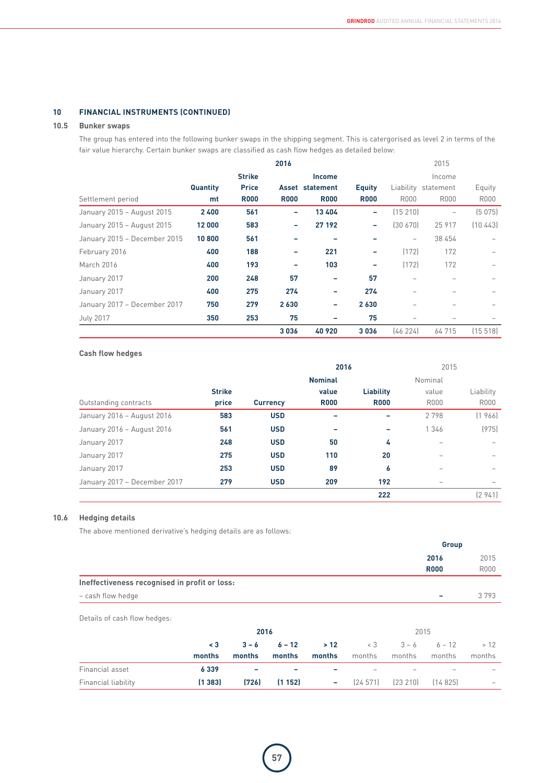## **10 FINANCIAL INSTRUMENTS (CONTINUED)**

### **10.5 Bunker swaps**

The group has entered into the following bunker swaps in the shipping segment. This is catergorised as level 2 in terms of the fair value hierarchy. Certain bunker swaps are classified as cash flow hedges as detailed below:

|                              | 2016     |               |             |                 | 2015                     |                          |                     |             |
|------------------------------|----------|---------------|-------------|-----------------|--------------------------|--------------------------|---------------------|-------------|
|                              |          | <b>Strike</b> |             | <b>Income</b>   |                          |                          | Income              |             |
|                              | Quantity | <b>Price</b>  |             | Asset statement | <b>Equity</b>            |                          | Liability statement | Equity      |
| Settlement period            | mt       | <b>R000</b>   | <b>R000</b> | <b>R000</b>     | <b>R000</b>              | <b>R000</b>              | <b>R000</b>         | <b>R000</b> |
| January 2015 - August 2015   | 2400     | 561           | -           | 13 4 0 4        | ۰                        | (15210)                  |                     | (5075)      |
| January 2015 - August 2015   | 12 000   | 583           | -           | 27 192          | $\overline{\phantom{0}}$ | (30 670)                 | 25 917              | (10443)     |
| January 2015 - December 2015 | 10800    | 561           | -           |                 |                          | $\qquad \qquad -$        | 38 454              |             |
| February 2016                | 400      | 188           | -           | 221             | -                        | (172)                    | 172                 |             |
| March 2016                   | 400      | 193           | -           | 103             | $\overline{a}$           | (172)                    | 172                 |             |
| January 2017                 | 200      | 248           | 57          | -               | 57                       |                          |                     |             |
| January 2017                 | 400      | 275           | 274         | ۰               | 274                      |                          |                     |             |
| January 2017 - December 2017 | 750      | 279           | 2 6 3 0     | ۰               | 2630                     | $\overline{\phantom{0}}$ |                     |             |
| <b>July 2017</b>             | 350      | 253           | 75          |                 | 75                       |                          |                     |             |
|                              |          |               | 3036        | 40 920          | 3036                     | (46 224)                 | 64 715              | (15 518)    |

## **Cash flow hedges**

|                              |               |                 | 2016           |                  | 2015                     |             |
|------------------------------|---------------|-----------------|----------------|------------------|--------------------------|-------------|
|                              |               |                 | <b>Nominal</b> |                  | Nominal                  |             |
|                              | <b>Strike</b> |                 | value          | <b>Liability</b> | value                    | Liability   |
| Outstanding contracts        | price         | <b>Currency</b> | <b>R000</b>    | <b>R000</b>      | R000                     | <b>R000</b> |
| January 2016 - August 2016   | 583           | <b>USD</b>      |                |                  | 2798                     | (1966)      |
| January 2016 - August 2016   | 561           | <b>USD</b>      |                |                  | 1 3 4 6                  | (975)       |
| January 2017                 | 248           | <b>USD</b>      | 50             | 4                | $\overline{\phantom{0}}$ |             |
| January 2017                 | 275           | <b>USD</b>      | 110            | 20               |                          |             |
| January 2017                 | 253           | <b>USD</b>      | 89             | $\boldsymbol{6}$ |                          |             |
| January 2017 - December 2017 | 279           | <b>USD</b>      | 209            | 192              | -                        |             |
|                              |               |                 |                | 222              |                          | [2941]      |

## **10.6 Hedging details**

The above mentioned derivative's hedging details are as follows:

|                                               | Group       |             |
|-----------------------------------------------|-------------|-------------|
|                                               | 2016        | 2015        |
|                                               | <b>R000</b> | <b>R000</b> |
| Ineffectiveness recognised in profit or loss: |             |             |
| - cash flow hedge                             | -           | 3793        |

Details of cash flow hedges:

|                            | 2016    |                              |                          |                          | 2015                           |                        |                   |                          |
|----------------------------|---------|------------------------------|--------------------------|--------------------------|--------------------------------|------------------------|-------------------|--------------------------|
|                            |         | $3 - 6$ $6 - 12$<br>$\leq$ 3 |                          |                          |                                | $>12$ < 3 3 - 6 6 - 12 |                   | >12                      |
|                            | months  | months                       | months                   | months                   | months                         | months                 | months            | months                   |
| Financial asset            | 6 3 3 9 | -                            | $\overline{\phantom{0}}$ | $\overline{\phantom{a}}$ | $\qquad \qquad -$              | $\qquad \qquad -$      | $\qquad \qquad -$ | $\overline{\phantom{0}}$ |
| <b>Financial liability</b> | (1383)  | (726)                        | (1152)                   |                          | $-$ (24.571) (23.210) (14.825) |                        |                   | $\overline{\phantom{0}}$ |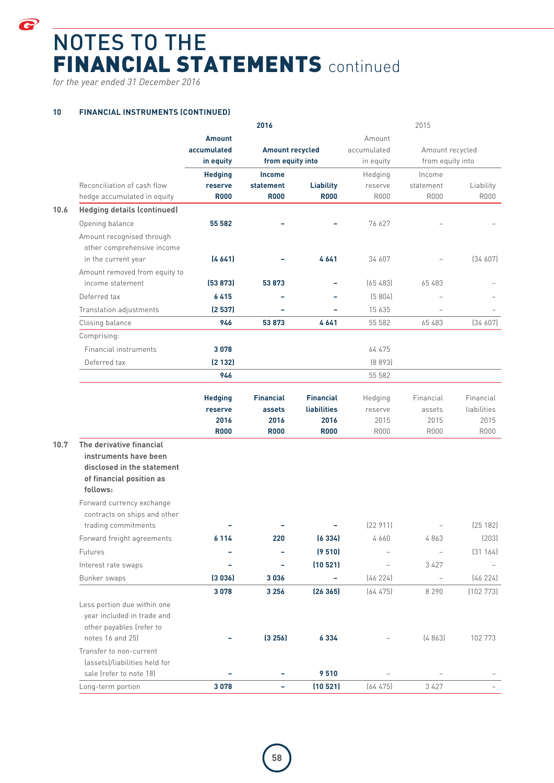*for the year ended 31 December 2016*

P

## **10 FINANCIAL INSTRUMENTS (CONTINUED)**

|                                                   | 2016                          |                        |                    | 2015             |                 |             |  |
|---------------------------------------------------|-------------------------------|------------------------|--------------------|------------------|-----------------|-------------|--|
|                                                   | <b>Amount</b>                 |                        |                    | Amount           |                 |             |  |
|                                                   | accumulated                   | <b>Amount recycled</b> |                    | accumulated      | Amount recycled |             |  |
|                                                   | from equity into<br>in equity |                        | in equity          | from equity into |                 |             |  |
|                                                   | <b>Hedging</b>                | <b>Income</b>          |                    | Hedging          | Income          |             |  |
| Reconciliation of cash flow                       | reserve                       | statement              | <b>Liability</b>   | reserve          | statement       | Liability   |  |
| hedge accumulated in equity                       | <b>R000</b>                   | <b>R000</b>            | <b>R000</b>        | <b>R000</b>      | <b>R000</b>     | <b>R000</b> |  |
| <b>Hedging details (continued)</b>                |                               |                        |                    |                  |                 |             |  |
| Opening balance                                   | 55 582                        |                        |                    | 76 627           |                 |             |  |
| Amount recognised through                         |                               |                        |                    |                  |                 |             |  |
| other comprehensive income                        |                               |                        |                    |                  |                 |             |  |
| in the current year                               | (4641)                        |                        | 4641               | 34 607           |                 | [34 607]    |  |
| Amount removed from equity to                     |                               |                        |                    |                  |                 |             |  |
| income statement                                  | (53 873)                      | 53873                  |                    | (65483)          | 65 483          |             |  |
| Deferred tax                                      | 6415                          |                        |                    | (5804)           |                 |             |  |
| Translation adjustments                           | (2537)                        |                        |                    | 15 635           |                 |             |  |
| Closing balance                                   | 946                           | 53873                  | 4641               | 55 582           | 65 483          | (34607)     |  |
| Comprising:                                       |                               |                        |                    |                  |                 |             |  |
| <b>Financial instruments</b>                      | 3078                          |                        |                    | 64 475           |                 |             |  |
| Deferred tax                                      | (2132)                        |                        |                    | [8 893]          |                 |             |  |
|                                                   | 946                           |                        |                    | 55 582           |                 |             |  |
|                                                   |                               |                        |                    |                  |                 |             |  |
|                                                   | <b>Hedging</b>                | <b>Financial</b>       | <b>Financial</b>   | Hedging          | Financial       | Financial   |  |
|                                                   | reserve                       | assets                 | <b>liabilities</b> | reserve          | assets          | liabilities |  |
|                                                   | 2016                          | 2016                   | 2016               | 2015             | 2015            | 2015        |  |
|                                                   | <b>R000</b>                   | <b>R000</b>            | <b>R000</b>        | R000             | <b>R000</b>     | <b>R000</b> |  |
| The derivative financial<br>instruments have been |                               |                        |                    |                  |                 |             |  |
| disclosed in the statement                        |                               |                        |                    |                  |                 |             |  |
| of financial position as                          |                               |                        |                    |                  |                 |             |  |
| follows:                                          |                               |                        |                    |                  |                 |             |  |
| Forward currency exchange                         |                               |                        |                    |                  |                 |             |  |
| contracts on ships and other                      |                               |                        |                    |                  |                 |             |  |
| trading commitments                               |                               |                        |                    | [22911]          |                 | [25 182]    |  |
| Forward freight agreements                        | 6 1 1 4                       | 220                    | (6334)             | 4660             | 4863            | (203)       |  |
| Futures                                           |                               |                        | (9510)             |                  |                 | [31 164]    |  |
| Interest rate swaps                               |                               |                        | (10521)            |                  | 3 4 2 7         |             |  |
| Bunker swaps                                      | (3036)                        | 3036                   |                    | [46 224]         | $\overline{a}$  | [46 224]    |  |
|                                                   | 3078                          | 3 2 5 6                | (26365)            | (64475)          | 8 2 9 0         | (102 773)   |  |
| Less portion due within one                       |                               |                        |                    |                  |                 |             |  |
| year included in trade and                        |                               |                        |                    |                  |                 |             |  |
| other payables (refer to                          |                               |                        |                    |                  |                 |             |  |
| notes 16 and 25)                                  |                               | (3256)                 | 6 3 3 4            |                  | [4863]          | 102 773     |  |
| Transfer to non-current                           |                               |                        |                    |                  |                 |             |  |
| (assets)/liabilities held for                     |                               |                        |                    |                  |                 |             |  |
| sale (refer to note 18)                           |                               |                        | 9510               |                  |                 |             |  |
| Long-term portion                                 | 3078                          | ÷                      | (10521)            | (64475)          | 3 4 2 7         |             |  |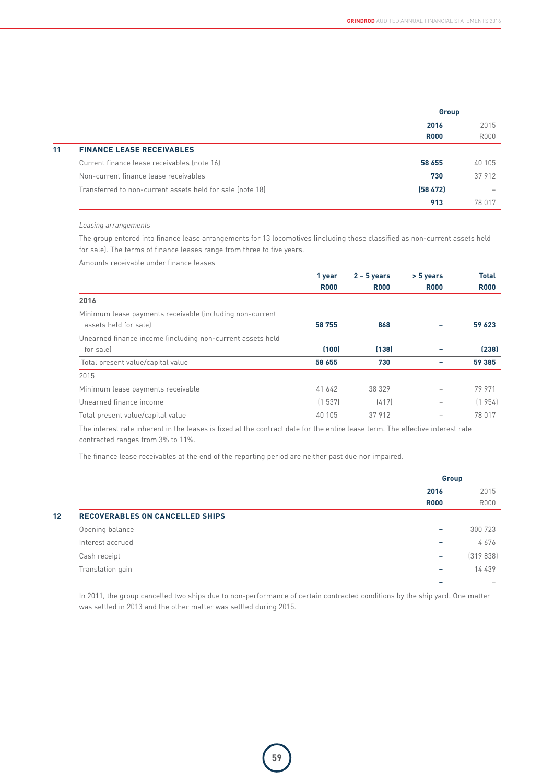|    |                                                           | Group       |                   |
|----|-----------------------------------------------------------|-------------|-------------------|
|    |                                                           | 2016        | 2015              |
|    |                                                           | <b>R000</b> | R000              |
| 11 | <b>FINANCE LEASE RECEIVABLES</b>                          |             |                   |
|    | Current finance lease receivables (note 16)               | 58 655      | 40 105            |
|    | Non-current finance lease receivables                     | 730         | 37 912            |
|    | Transferred to non-current assets held for sale (note 18) | (58, 472)   | $\hspace{0.05cm}$ |
|    |                                                           | 913         | 78 017            |
|    |                                                           |             |                   |

### *Leasing arrangements*

The group entered into finance lease arrangements for 13 locomotives (including those classified as non-current assets held for sale). The terms of finance leases range from three to five years.

Amounts receivable under finance leases

|                                                                                   | 1 year      | $2 - 5$ years | > 5 years   | <b>Total</b> |
|-----------------------------------------------------------------------------------|-------------|---------------|-------------|--------------|
|                                                                                   | <b>R000</b> | <b>R000</b>   | <b>R000</b> | <b>R000</b>  |
| 2016                                                                              |             |               |             |              |
| Minimum lease payments receivable (including non-current<br>assets held for sale) | 58 755      | 868           |             | 59 623       |
| Unearned finance income (including non-current assets held                        |             |               |             |              |
| for sale)                                                                         | (100)       | (138)         |             | (238)        |
| Total present value/capital value                                                 | 58 655      | 730           |             | 59 385       |
| 2015                                                                              |             |               |             |              |
| Minimum lease payments receivable                                                 | 41 642      | 38 329        |             | 79 971       |
| Unearned finance income                                                           | (1537)      | (417)         |             | (1954)       |
| Total present value/capital value                                                 | 40 105      | 37 912        |             | 78 017       |

The interest rate inherent in the leases is fixed at the contract date for the entire lease term. The effective interest rate contracted ranges from 3% to 11%.

The finance lease receivables at the end of the reporting period are neither past due nor impaired.

|                                        | Group                    |                          |
|----------------------------------------|--------------------------|--------------------------|
|                                        | 2016                     | 2015                     |
|                                        | <b>R000</b>              | <b>R000</b>              |
| <b>RECOVERABLES ON CANCELLED SHIPS</b> |                          |                          |
| Opening balance                        | -                        | 300 723                  |
| Interest accrued                       |                          | 4676                     |
| Cash receipt                           | $\overline{\phantom{0}}$ | (319838)                 |
| Translation gain                       | -                        | 14 439                   |
|                                        |                          | $\overline{\phantom{0}}$ |

In 2011, the group cancelled two ships due to non-performance of certain contracted conditions by the ship yard. One matter was settled in 2013 and the other matter was settled during 2015.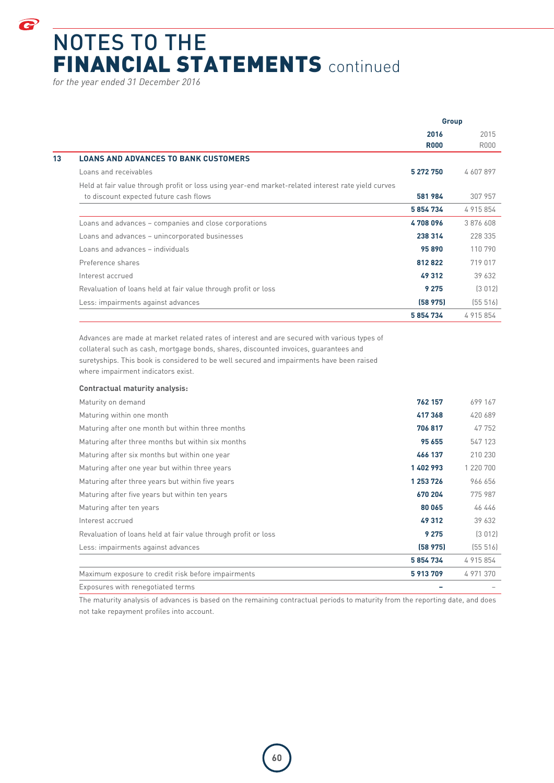*for the year ended 31 December 2016*

P

|                                                                                                    | Group       |           |
|----------------------------------------------------------------------------------------------------|-------------|-----------|
|                                                                                                    | 2016        | 2015      |
|                                                                                                    | <b>R000</b> | R000      |
| <b>LOANS AND ADVANCES TO BANK CUSTOMERS</b>                                                        |             |           |
| Loans and receivables                                                                              | 5 272 750   | 4607897   |
| Held at fair value through profit or loss using year-end market-related interest rate yield curves |             |           |
| to discount expected future cash flows                                                             | 581 984     | 307 957   |
|                                                                                                    | 5854734     | 4 915 854 |
| Loans and advances - companies and close corporations                                              | 4708096     | 3 876 608 |
| Loans and advances - unincorporated businesses                                                     | 238 314     | 228 335   |
| Loans and advances - individuals                                                                   | 95890       | 110 790   |
| Preference shares                                                                                  | 812822      | 719 017   |
| Interest accrued                                                                                   | 49 312      | 39 632    |
| Revaluation of loans held at fair value through profit or loss                                     | 9 2 7 5     | (3012)    |
| Less: impairments against advances                                                                 | (58975)     | [55 516]  |
|                                                                                                    | 5854734     | 4 915 854 |

Advances are made at market related rates of interest and are secured with various types of collateral such as cash, mortgage bonds, shares, discounted invoices, guarantees and suretyships. This book is considered to be well secured and impairments have been raised where impairment indicators exist.

### **Contractual maturity analysis:**

| Exposures with renegotiated terms                              |           |           |
|----------------------------------------------------------------|-----------|-----------|
| Maximum exposure to credit risk before impairments             | 5913709   | 4 971 370 |
|                                                                | 5854734   | 4 915 854 |
| Less: impairments against advances                             | (58975)   | (55516)   |
| Revaluation of loans held at fair value through profit or loss | 9 2 7 5   | (3012)    |
| Interest accrued                                               | 49 312    | 39 632    |
| Maturing after ten years                                       | 80 065    | 46 446    |
| Maturing after five years but within ten years                 | 670 204   | 775 987   |
| Maturing after three years but within five years               | 1 253 726 | 966 656   |
| Maturing after one year but within three years                 | 1402993   | 1 220 700 |
| Maturing after six months but within one year                  | 466 137   | 210 230   |
| Maturing after three months but within six months              | 95 655    | 547 123   |
| Maturing after one month but within three months               | 706 817   | 47 752    |
| Maturing within one month                                      | 417368    | 420 689   |
| Maturity on demand                                             | 762 157   | 699 167   |
|                                                                |           |           |

The maturity analysis of advances is based on the remaining contractual periods to maturity from the reporting date, and does not take repayment profiles into account.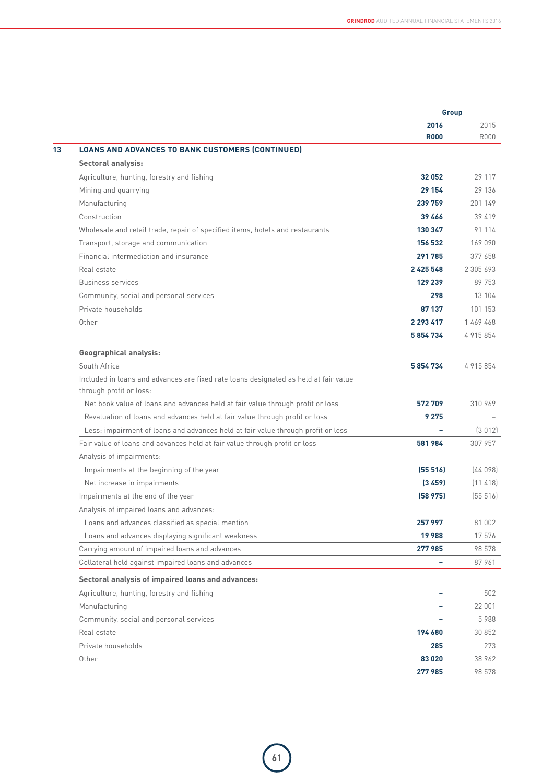|                                                                                      | Group               |               |
|--------------------------------------------------------------------------------------|---------------------|---------------|
|                                                                                      | 2016<br><b>R000</b> | 2015<br>R000  |
| <b>LOANS AND ADVANCES TO BANK CUSTOMERS (CONTINUED)</b>                              |                     |               |
| Sectoral analysis:                                                                   |                     |               |
| Agriculture, hunting, forestry and fishing                                           | 32 052              | 29 117        |
| Mining and quarrying                                                                 | 29 154              | 29 136        |
| Manufacturing                                                                        | 239 759             | 201 149       |
| Construction                                                                         | 39466               | 39 419        |
| Wholesale and retail trade, repair of specified items, hotels and restaurants        | 130 347             | 91 114        |
| Transport, storage and communication                                                 | 156 532             | 169 090       |
| Financial intermediation and insurance                                               | 291785              | 377 658       |
| Real estate                                                                          | 2 4 2 5 5 4 8       | 2 305 693     |
| Business services                                                                    | 129 239             | 89 753        |
| Community, social and personal services                                              | 298                 | 13 104        |
| Private households                                                                   | 87 137              | 101 153       |
| Other                                                                                | 2 2 9 3 4 1 7       | 1 469 468     |
|                                                                                      | 5854734             | 4 915 854     |
| <b>Geographical analysis:</b>                                                        |                     |               |
| South Africa                                                                         | 5854734             | 4 9 1 5 8 5 4 |
| Included in loans and advances are fixed rate loans designated as held at fair value |                     |               |
| through profit or loss:                                                              |                     |               |
| Net book value of loans and advances held at fair value through profit or loss       | 572709              | 310 969       |
| Revaluation of loans and advances held at fair value through profit or loss          | 9 2 7 5             |               |
| Less: impairment of loans and advances held at fair value through profit or loss     |                     | (3012)        |
| Fair value of loans and advances held at fair value through profit or loss           | 581984              | 307 957       |
| Analysis of impairments:                                                             |                     |               |
| Impairments at the beginning of the year                                             | (55516)             | [44 098]      |
| Net increase in impairments                                                          | (3459)              | (11418)       |
| Impairments at the end of the year                                                   | (58975)             | (55516)       |
| Analysis of impaired loans and advances:                                             |                     |               |
| Loans and advances classified as special mention                                     | 257 997             | 81 002        |
| Loans and advances displaying significant weakness                                   | 19 988              | 17576         |
| Carrying amount of impaired loans and advances                                       | 277 985             | 98 578        |
| Collateral held against impaired loans and advances                                  |                     | 87 961        |
| Sectoral analysis of impaired loans and advances:                                    |                     |               |
| Agriculture, hunting, forestry and fishing                                           |                     | 502           |
| Manufacturing                                                                        |                     | 22 001        |
| Community, social and personal services                                              |                     | 5 9 8 8       |
| Real estate                                                                          | 194 680             | 30 852        |
|                                                                                      |                     |               |
|                                                                                      |                     |               |
| Private households<br>Other                                                          | 285<br>83 0 20      | 273<br>38 962 |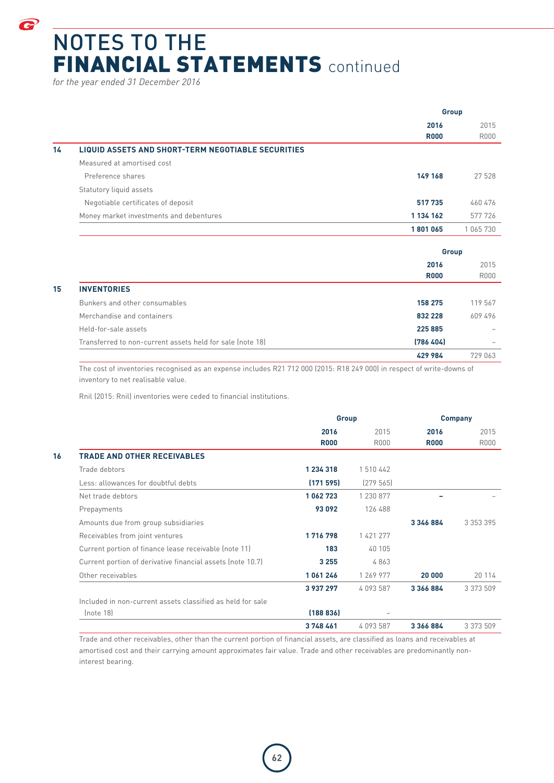*for the year ended 31 December 2016*

P

|                                                           | Group       |             |
|-----------------------------------------------------------|-------------|-------------|
|                                                           | 2016        | 2015        |
|                                                           | <b>R000</b> | <b>R000</b> |
| <b>LIQUID ASSETS AND SHORT-TERM NEGOTIABLE SECURITIES</b> |             |             |
| Measured at amortised cost                                |             |             |
| Preference shares                                         | 149 168     | 27 528      |
| Statutory liquid assets                                   |             |             |
| Negotiable certificates of deposit                        | 517735      | 460 476     |
| Money market investments and debentures                   | 1 134 162   | 577 726     |
|                                                           | 1801065     | 1 065 730   |
|                                                           | Group       |             |
|                                                           | 2016        | 2015        |
|                                                           | <b>R000</b> | <b>R000</b> |
| <b>INVENTORIES</b>                                        |             |             |
| Bunkers and other consumables                             | 158 275     | 119 567     |
| Merchandise and containers                                | 832 228     | 609 496     |
| Held-for-sale assets                                      | 225 885     |             |
| Transferred to non-current assets held for sale (note 18) | (786 404)   |             |
|                                                           | 429 984     | 729 063     |

The cost of inventories recognised as an expense includes R21 712 000 (2015: R18 249 000) in respect of write-downs of inventory to net realisable value.

Rnil (2015: Rnil) inventories were ceded to financial institutions.

|                                                            | Group       |           | <b>Company</b> |               |
|------------------------------------------------------------|-------------|-----------|----------------|---------------|
|                                                            | 2016        | 2015      | 2016           | 2015          |
|                                                            | <b>R000</b> | R000      | <b>R000</b>    | R000          |
| <b>TRADE AND OTHER RECEIVABLES</b>                         |             |           |                |               |
| Trade debtors                                              | 1 234 318   | 1 510 442 |                |               |
| Less: allowances for doubtful debts                        | (171595)    | [279 565] |                |               |
| Net trade debtors                                          | 1062723     | 1 230 877 |                |               |
| Prepayments                                                | 93092       | 126 488   |                |               |
| Amounts due from group subsidiaries                        |             |           | 3 3 4 6 8 8 4  | 3 3 5 3 3 9 5 |
| Receivables from joint ventures                            | 1716798     | 1 421 277 |                |               |
| Current portion of finance lease receivable (note 11)      | 183         | 40 105    |                |               |
| Current portion of derivative financial assets (note 10.7) | 3 2 5 5     | 4863      |                |               |
| Other receivables                                          | 1 061 246   | 1 269 977 | 20 000         | 20 114        |
|                                                            | 3 937 297   | 4093587   | 3 366 884      | 3 373 509     |
| Included in non-current assets classified as held for sale |             |           |                |               |
| [note 18]                                                  | (188836)    |           |                |               |
|                                                            | 3748461     | 4093587   | 3 366 884      | 3 373 509     |

Trade and other receivables, other than the current portion of financial assets, are classified as loans and receivables at amortised cost and their carrying amount approximates fair value. Trade and other receivables are predominantly noninterest bearing.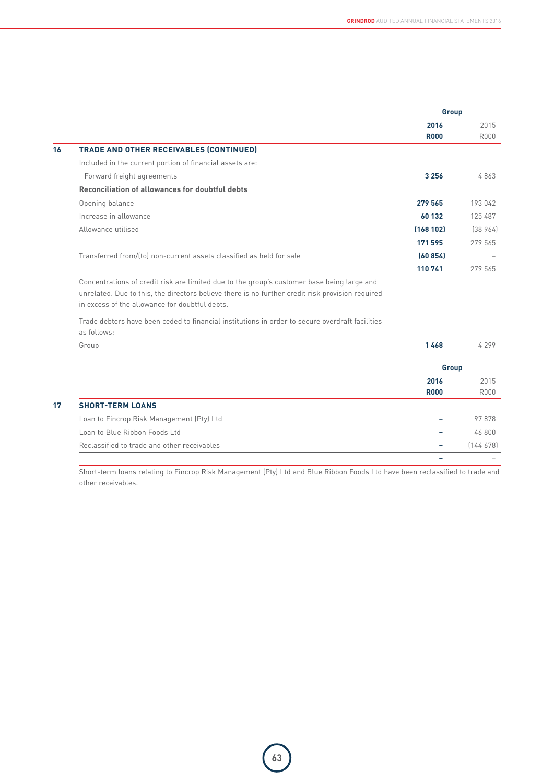|                                                                      | Group       |         |
|----------------------------------------------------------------------|-------------|---------|
|                                                                      | 2016        | 2015    |
|                                                                      | <b>R000</b> | R000    |
| <b>TRADE AND OTHER RECEIVABLES (CONTINUED)</b>                       |             |         |
| Included in the current portion of financial assets are:             |             |         |
| Forward freight agreements                                           | 3 2 5 6     | 4863    |
| Reconciliation of allowances for doubtful debts                      |             |         |
| Opening balance                                                      | 279 565     | 193 042 |
| Increase in allowance                                                | 60 132      | 125 487 |
| Allowance utilised                                                   | (168102)    | [38964] |
|                                                                      | 171 595     | 279 565 |
| Transferred from/(to) non-current assets classified as held for sale | (60854)     |         |
|                                                                      | 110741      | 279 565 |

unrelated. Due to this, the directors believe there is no further credit risk provision required in excess of the allowance for doubtful debts.

Trade debtors have been ceded to financial institutions in order to secure overdraft facilities as follows:

| Group                                       | 1468        | 4 2 9 9     |
|---------------------------------------------|-------------|-------------|
|                                             | Group       |             |
|                                             | 2016        | 2015        |
|                                             | <b>R000</b> | <b>R000</b> |
| <b>SHORT-TERM LOANS</b>                     |             |             |
| Loan to Fincrop Risk Management (Pty) Ltd   |             | 97878       |
| Loan to Blue Ribbon Foods Ltd               |             | 46 800      |
| Reclassified to trade and other receivables |             | [144 678]   |
|                                             |             |             |

Short-term loans relating to Fincrop Risk Management (Pty) Ltd and Blue Ribbon Foods Ltd have been reclassified to trade and other receivables.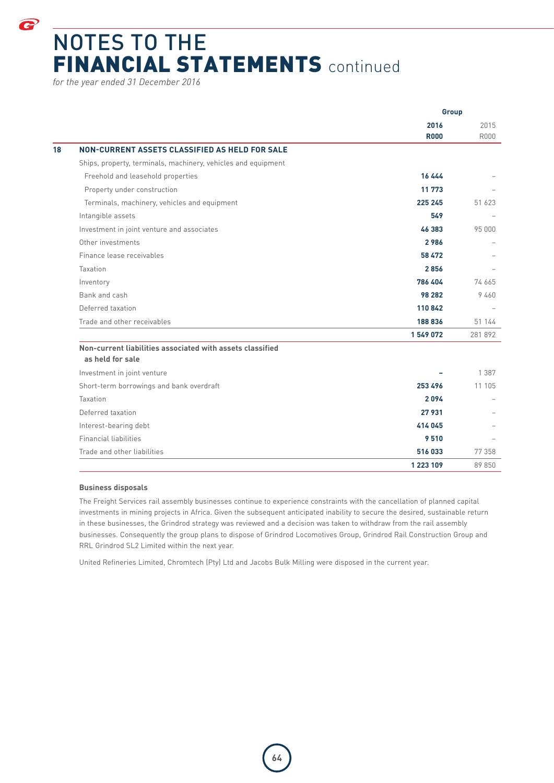*for the year ended 31 December 2016*

P

|                                                               | Group       |             |
|---------------------------------------------------------------|-------------|-------------|
|                                                               | 2016        | 2015        |
|                                                               | <b>R000</b> | <b>R000</b> |
| NON-CURRENT ASSETS CLASSIFIED AS HELD FOR SALE                |             |             |
| Ships, property, terminals, machinery, vehicles and equipment |             |             |
| Freehold and leasehold properties                             | 16 444      |             |
| Property under construction                                   | 11 773      |             |
| Terminals, machinery, vehicles and equipment                  | 225 245     | 51 623      |
| Intangible assets                                             | 549         |             |
| Investment in joint venture and associates                    | 46 383      | 95 000      |
| Other investments                                             | 2986        |             |
| Finance lease receivables                                     | 58 472      |             |
| Taxation                                                      | 2856        |             |
| Inventory                                                     | 786 404     | 74 665      |
| Bank and cash                                                 | 98 28 2     | 9460        |
| Deferred taxation                                             | 110842      |             |
| Trade and other receivables                                   | 188 836     | 51 144      |
|                                                               | 1549072     | 281892      |
| Non-current liabilities associated with assets classified     |             |             |
| as held for sale                                              |             |             |
| Investment in joint venture                                   |             | 1 3 8 7     |
| Short-term borrowings and bank overdraft                      | 253 496     | 11 105      |
| Taxation                                                      | 2094        |             |
| Deferred taxation                                             | 27931       |             |
| Interest-bearing debt                                         | 414 045     |             |
| <b>Financial liabilities</b>                                  | 9510        |             |
| Trade and other liabilities                                   | 516033      | 77 358      |
|                                                               | 1 223 109   | 89 850      |

### **Business disposals**

The Freight Services rail assembly businesses continue to experience constraints with the cancellation of planned capital investments in mining projects in Africa. Given the subsequent anticipated inability to secure the desired, sustainable return in these businesses, the Grindrod strategy was reviewed and a decision was taken to withdraw from the rail assembly businesses. Consequently the group plans to dispose of Grindrod Locomotives Group, Grindrod Rail Construction Group and RRL Grindrod SL2 Limited within the next year.

United Refineries Limited, Chromtech (Pty) Ltd and Jacobs Bulk Milling were disposed in the current year.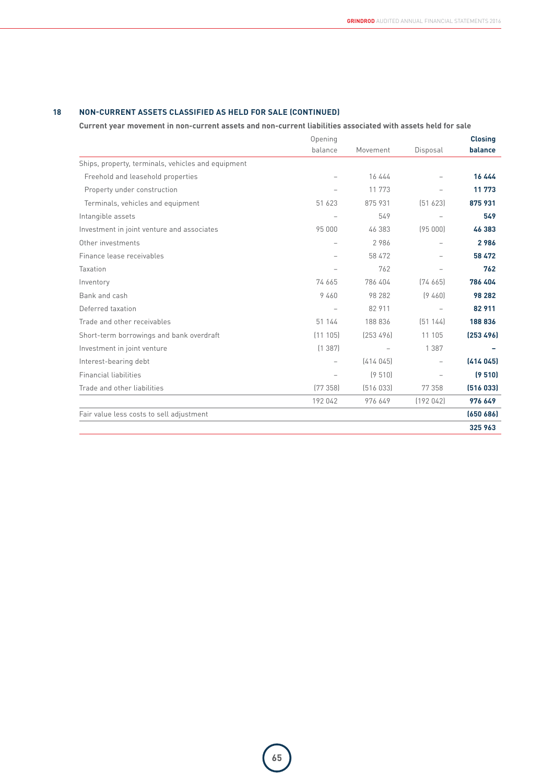## **18 NON-CURRENT ASSETS CLASSIFIED AS HELD FOR SALE (CONTINUED)**

**Current year movement in non-current assets and non-current liabilities associated with assets held for sale**

|                                                    | Opening<br>balance       | Movement       | Disposal                 | <b>Closing</b><br>balance |
|----------------------------------------------------|--------------------------|----------------|--------------------------|---------------------------|
| Ships, property, terminals, vehicles and equipment |                          |                |                          |                           |
| Freehold and leasehold properties                  |                          | 16 444         |                          | 16 444                    |
| Property under construction                        |                          | 11 773         |                          | 11773                     |
| Terminals, vehicles and equipment                  | 51 623                   | 875 931        | [51 623]                 | 875 931                   |
| Intangible assets                                  |                          | 549            | $\overline{\phantom{0}}$ | 549                       |
| Investment in joint venture and associates         | 95 000                   | 46 383         | (95000)                  | 46 383                    |
| Other investments                                  |                          | 2986           |                          | 2986                      |
| Finance lease receivables                          |                          | 58 472         |                          | 58 472                    |
| Taxation                                           |                          | 762            | $\overline{\phantom{m}}$ | 762                       |
| Inventory                                          | 74 665                   | 786 404        | [74665]                  | 786 404                   |
| Bank and cash                                      | 9460                     | 98 28 2        | [9, 460]                 | 98 28 2                   |
| Deferred taxation                                  |                          | 82 911         | $\overline{\phantom{a}}$ | 82 911                    |
| Trade and other receivables                        | 51 144                   | 188 836        | [51144]                  | 188 836                   |
| Short-term borrowings and bank overdraft           | [11 105]                 | [253 496]      | 11 105                   | (253496)                  |
| Investment in joint venture                        | (1387)                   | $\overline{a}$ | 1 3 8 7                  |                           |
| Interest-bearing debt                              | $\overline{\phantom{0}}$ | [414045]       | $\overline{\phantom{m}}$ | [414045]                  |
| <b>Financial liabilities</b>                       |                          | (9510)         | $\overline{\phantom{m}}$ | (9510)                    |
| Trade and other liabilities                        | [77358]                  | [516033]       | 77 358                   | [516 033]                 |
|                                                    | 192 042                  | 976 649        | (192042)                 | 976 649                   |
| Fair value less costs to sell adjustment           |                          |                |                          | (650686)                  |
|                                                    |                          |                |                          | 325 963                   |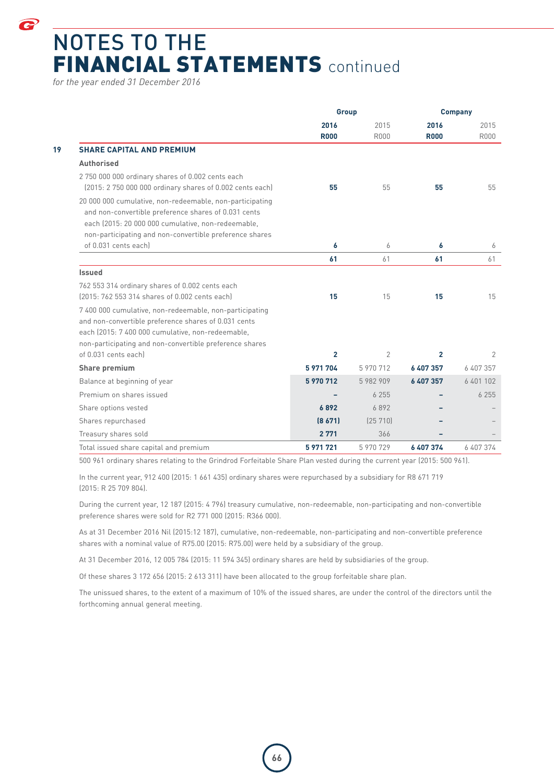*for the year ended 31 December 2016*

P

|                                                                                 | Group          |             | <b>Company</b> |             |
|---------------------------------------------------------------------------------|----------------|-------------|----------------|-------------|
|                                                                                 | 2016           | 2015        | 2016           | 2015        |
|                                                                                 | <b>R000</b>    | <b>R000</b> | <b>R000</b>    | <b>R000</b> |
| <b>SHARE CAPITAL AND PREMIUM</b>                                                |                |             |                |             |
| <b>Authorised</b>                                                               |                |             |                |             |
| 2 750 000 000 ordinary shares of 0.002 cents each                               |                |             |                |             |
| (2015: 2 750 000 000 ordinary shares of 0.002 cents each)                       | 55             | 55          | 55             | 55          |
| 20 000 000 cumulative, non-redeemable, non-participating                        |                |             |                |             |
| and non-convertible preference shares of 0.031 cents                            |                |             |                |             |
| each (2015: 20 000 000 cumulative, non-redeemable,                              |                |             |                |             |
| non-participating and non-convertible preference shares<br>of 0.031 cents each) | 6              | 6           | 6              | 6           |
|                                                                                 | 61             | 61          | 61             | 61          |
| <b>Issued</b>                                                                   |                |             |                |             |
| 762 553 314 ordinary shares of 0.002 cents each                                 |                |             |                |             |
| [2015: 762 553 314 shares of 0.002 cents each]                                  | 15             | 15          | 15             | 15          |
| 7 400 000 cumulative, non-redeemable, non-participating                         |                |             |                |             |
| and non-convertible preference shares of 0.031 cents                            |                |             |                |             |
| each (2015: 7 400 000 cumulative, non-redeemable,                               |                |             |                |             |
| non-participating and non-convertible preference shares<br>of 0.031 cents each) | $\overline{2}$ | 2           | $\overline{2}$ | 2           |
| Share premium                                                                   | 5 971 704      | 5 970 712   | 6 407 357      | 6 407 357   |
| Balance at beginning of year                                                    | 5 970 712      | 5982909     | 6 407 357      | 6 401 102   |
| Premium on shares issued                                                        |                |             |                |             |
|                                                                                 |                | 6 2 5 5     |                | 6 2 5 5     |
| Share options vested                                                            | 6892           | 6892        |                |             |
| Shares repurchased                                                              | (8671)         | [25 710]    |                |             |
| Treasury shares sold                                                            | 2 7 7 1        | 366         |                |             |
| Total issued share capital and premium                                          | 5 971 721      | 5 970 729   | 6 407 374      | 6 407 374   |

500 961 ordinary shares relating to the Grindrod Forfeitable Share Plan vested during the current year (2015: 500 961).

In the current year, 912 400 (2015: 1 661 435) ordinary shares were repurchased by a subsidiary for R8 671 719 (2015: R 25 709 804).

During the current year, 12 187 (2015: 4 796) treasury cumulative, non-redeemable, non-participating and non-convertible preference shares were sold for R2 771 000 (2015: R366 000).

As at 31 December 2016 Nil (2015:12 187), cumulative, non-redeemable, non-participating and non-convertible preference shares with a nominal value of R75.00 (2015: R75.00) were held by a subsidiary of the group.

At 31 December 2016, 12 005 784 (2015: 11 594 345) ordinary shares are held by subsidiaries of the group.

Of these shares 3 172 656 (2015: 2 613 311) have been allocated to the group forfeitable share plan.

The unissued shares, to the extent of a maximum of 10% of the issued shares, are under the control of the directors until the forthcoming annual general meeting.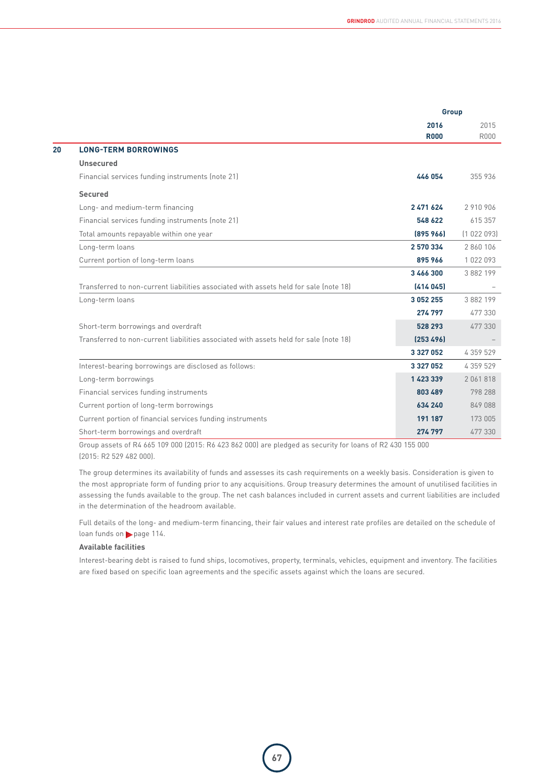|                                                                                       | Group         |               |
|---------------------------------------------------------------------------------------|---------------|---------------|
|                                                                                       | 2016          | 2015          |
|                                                                                       | <b>R000</b>   | <b>R000</b>   |
| <b>LONG-TERM BORROWINGS</b>                                                           |               |               |
| <b>Unsecured</b>                                                                      |               |               |
| Financial services funding instruments (note 21)                                      | 446 054       | 355 936       |
| Secured                                                                               |               |               |
| Long- and medium-term financing                                                       | 2 471 624     | 2 910 906     |
| Financial services funding instruments (note 21)                                      | 548 622       | 615 357       |
| Total amounts repayable within one year                                               | [895966]      | [1 022 093]   |
| Long-term loans                                                                       | 2570334       | 2860106       |
| Current portion of long-term loans                                                    | 895966        | 1022093       |
|                                                                                       | 3 466 300     | 3 882 199     |
| Transferred to non-current liabilities associated with assets held for sale (note 18) | [414045]      |               |
| Long-term loans                                                                       | 3 052 255     | 3 882 199     |
|                                                                                       | 274 797       | 477330        |
| Short-term borrowings and overdraft                                                   | 528 293       | 477 330       |
| Transferred to non-current liabilities associated with assets held for sale (note 18) | [253 496]     |               |
|                                                                                       | 3 3 2 7 0 5 2 | 4 3 5 9 5 2 9 |
| Interest-bearing borrowings are disclosed as follows:                                 | 3 3 2 7 0 5 2 | 4 3 5 9 5 2 9 |
| Long-term borrowings                                                                  | 1 423 339     | 2061818       |
| Financial services funding instruments                                                | 803 489       | 798 288       |
| Current portion of long-term borrowings                                               | 634 240       | 849 088       |
| Current portion of financial services funding instruments                             | 191 187       | 173 005       |
| Short-term borrowings and overdraft                                                   | 274 797       | 477330        |

Group assets of R4 665 109 000 (2015: R6 423 862 000) are pledged as security for loans of R2 430 155 000 (2015: R2 529 482 000).

The group determines its availability of funds and assesses its cash requirements on a weekly basis. Consideration is given to the most appropriate form of funding prior to any acquisitions. Group treasury determines the amount of unutilised facilities in assessing the funds available to the group. The net cash balances included in current assets and current liabilities are included in the determination of the headroom available.

Full details of the long- and medium-term financing, their fair values and interest rate profiles are detailed on the schedule of loan funds on page 114.

### **Available facilities**

Interest-bearing debt is raised to fund ships, locomotives, property, terminals, vehicles, equipment and inventory. The facilities are fixed based on specific loan agreements and the specific assets against which the loans are secured.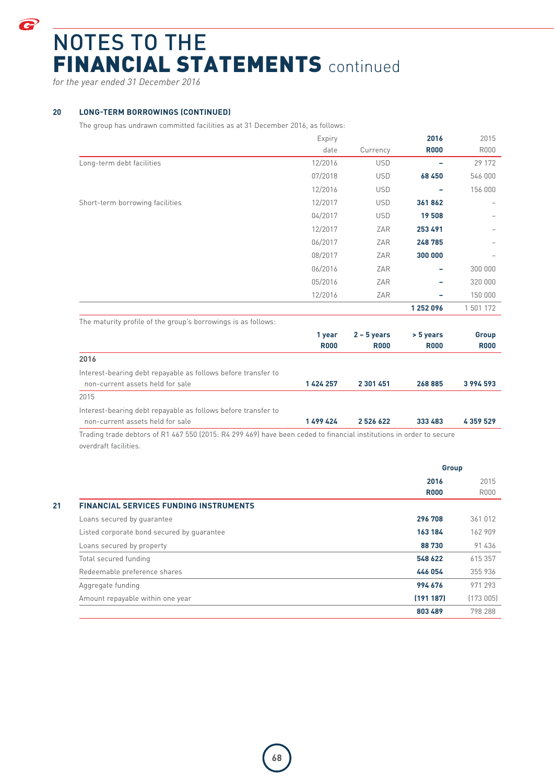*for the year ended 31 December 2016*

P

## **20 LONG-TERM BORROWINGS (CONTINUED)**

The group has undrawn committed facilities as at 31 December 2016, as follows:

|                                                               | Expiry      |               | 2016        | 2015        |
|---------------------------------------------------------------|-------------|---------------|-------------|-------------|
|                                                               | date        | Currency      | <b>R000</b> | <b>R000</b> |
| Long-term debt facilities                                     | 12/2016     | <b>USD</b>    | -           | 29 172      |
|                                                               | 07/2018     | <b>USD</b>    | 68 450      | 546 000     |
|                                                               | 12/2016     | <b>USD</b>    |             | 156 000     |
| Short-term borrowing facilities                               | 12/2017     | <b>USD</b>    | 361862      |             |
|                                                               | 04/2017     | <b>USD</b>    | 19 508      |             |
|                                                               | 12/2017     | ZAR           | 253 491     |             |
|                                                               | 06/2017     | ZAR           | 248 785     |             |
|                                                               | 08/2017     | ZAR           | 300 000     |             |
|                                                               | 06/2016     | ZAR           |             | 300 000     |
|                                                               | 05/2016     | ZAR           |             | 320 000     |
|                                                               | 12/2016     | ZAR           |             | 150 000     |
|                                                               |             |               | 1 252 096   | 1 501 172   |
| The maturity profile of the group's borrowings is as follows: |             |               |             |             |
|                                                               | 1 year      | $2 - 5$ years | > 5 years   | Group       |
|                                                               | <b>R000</b> | <b>R000</b>   | <b>R000</b> | <b>R000</b> |
| 2016                                                          |             |               |             |             |
| Interest-bearing debt repayable as follows before transfer to |             |               |             |             |
| non-current assets held for sale                              | 1 424 257   | 2 301 451     | 268 885     | 3994593     |
| 2015                                                          |             |               |             |             |
| Interest-bearing debt repayable as follows before transfer to |             |               |             |             |
| non-current assets held for sale                              | 1499424     | 2526622       | 333 483     | 4359529     |

Trading trade debtors of R1 467 550 (2015: R4 299 469) have been ceded to financial institutions in order to secure overdraft facilities.

|                                               | Group       |             |
|-----------------------------------------------|-------------|-------------|
|                                               | 2016        | 2015        |
|                                               | <b>R000</b> | <b>R000</b> |
| <b>FINANCIAL SERVICES FUNDING INSTRUMENTS</b> |             |             |
| Loans secured by quarantee                    | 296 708     | 361 012     |
| Listed corporate bond secured by quarantee    | 163 184     | 162 909     |
| Loans secured by property                     | 88730       | 91 436      |
| Total secured funding                         | 548 622     | 615 357     |
| Redeemable preference shares                  | 446 054     | 355 936     |
| Aggregate funding                             | 994676      | 971 293     |
| Amount repayable within one year              | (191187)    | [173005]    |
|                                               | 803 489     | 798 288     |
|                                               |             |             |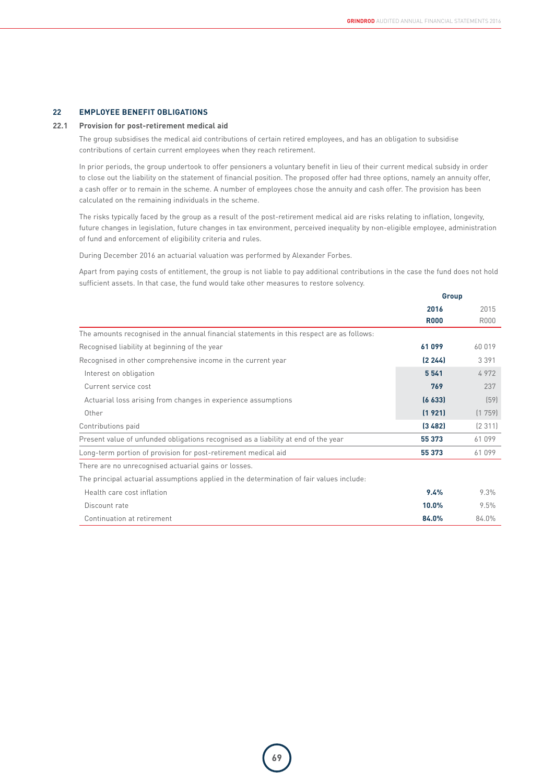### **22 EMPLOYEE BENEFIT OBLIGATIONS**

### **22.1 Provision for post-retirement medical aid**

The group subsidises the medical aid contributions of certain retired employees, and has an obligation to subsidise contributions of certain current employees when they reach retirement.

In prior periods, the group undertook to offer pensioners a voluntary benefit in lieu of their current medical subsidy in order to close out the liability on the statement of financial position. The proposed offer had three options, namely an annuity offer, a cash offer or to remain in the scheme. A number of employees chose the annuity and cash offer. The provision has been calculated on the remaining individuals in the scheme.

The risks typically faced by the group as a result of the post-retirement medical aid are risks relating to inflation, longevity, future changes in legislation, future changes in tax environment, perceived inequality by non-eligible employee, administration of fund and enforcement of eligibility criteria and rules.

During December 2016 an actuarial valuation was performed by Alexander Forbes.

Apart from paying costs of entitlement, the group is not liable to pay additional contributions in the case the fund does not hold sufficient assets. In that case, the fund would take other measures to restore solvency.

|                                                                                           | Group       |         |
|-------------------------------------------------------------------------------------------|-------------|---------|
|                                                                                           | 2016        | 2015    |
|                                                                                           | <b>R000</b> | R000    |
| The amounts recognised in the annual financial statements in this respect are as follows: |             |         |
| Recognised liability at beginning of the year                                             | 61099       | 60 019  |
| Recognised in other comprehensive income in the current year                              | [2 244]     | 3 3 9 1 |
| Interest on obligation                                                                    | 5541        | 4972    |
| Current service cost                                                                      | 769         | 237     |
| Actuarial loss arising from changes in experience assumptions                             | (6, 633)    | (59)    |
| Other                                                                                     | (1921)      | (1759)  |
| Contributions paid                                                                        | (3482)      | [2 311] |
| Present value of unfunded obligations recognised as a liability at end of the year        | 55 373      | 61 099  |
| Long-term portion of provision for post-retirement medical aid                            | 55 373      | 61 099  |
| There are no unrecognised actuarial gains or losses.                                      |             |         |
| The principal actuarial assumptions applied in the determination of fair values include:  |             |         |
| Health care cost inflation                                                                | 9.4%        | 9.3%    |
| Discount rate                                                                             | 10.0%       | 9.5%    |
| Continuation at retirement                                                                | 84.0%       | 84.0%   |
|                                                                                           |             |         |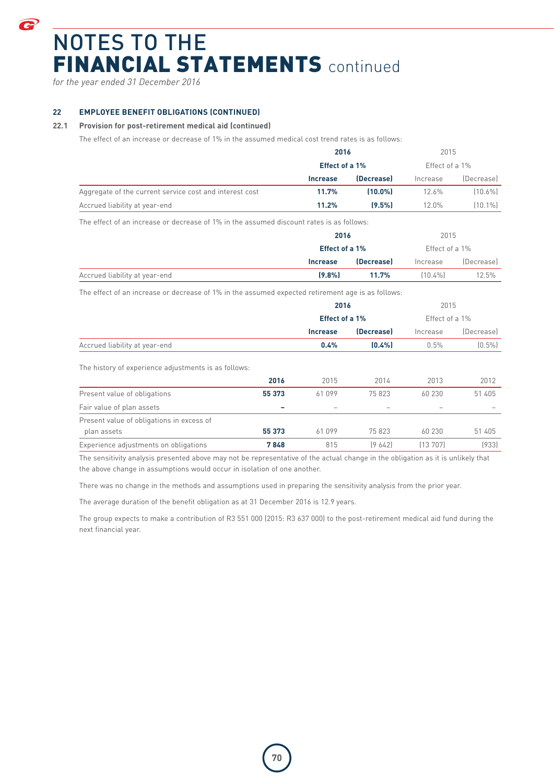*for the year ended 31 December 2016*

P

## **22 EMPLOYEE BENEFIT OBLIGATIONS (CONTINUED)**

## **22.1 Provision for post-retirement medical aid (continued)**

The effect of an increase or decrease of 1% in the assumed medical cost trend rates is as follows:

|                                                         | 2016<br><b>Effect of a 1%</b> |            | 2015<br>Effect of a 1% |            |
|---------------------------------------------------------|-------------------------------|------------|------------------------|------------|
|                                                         |                               |            |                        |            |
|                                                         | <b>Increase</b>               | (Decrease) | Increase               | (Decrease) |
| Aggregate of the current service cost and interest cost | 11.7%                         | $(10.0\%)$ | 12.6%                  | $[10.6\%]$ |
| Accrued liability at year-end                           | 11.2%                         | (9.5%      | $12.0\%$               | $[10.1\%]$ |

The effect of an increase or decrease of 1% in the assumed discount rates is as follows:

|                               |                 | 2016<br>Effect of a 1% |          | 2015<br>Effect of a 1% |  |
|-------------------------------|-----------------|------------------------|----------|------------------------|--|
|                               |                 |                        |          |                        |  |
|                               | <b>Increase</b> | (Decrease)             | Increase | (Decrease)             |  |
| Accrued liability at year-end | (9.8%           | 11.7%                  | [10 4%]  | 12.5%                  |  |

The effect of an increase or decrease of 1% in the assumed expected retirement age is as follows:

|                               | 2016<br>Effect of a 1% |            | 2015<br>Effect of a 1% |            |
|-------------------------------|------------------------|------------|------------------------|------------|
|                               |                        |            |                        |            |
|                               | <b>Increase</b>        | (Decrease) | Increase               | (Decrease) |
| Accrued liability at year-end | 0.4%                   | [0.4%]     | $0.5\%$                | $[0.5\%]$  |
|                               |                        |            |                        |            |

The history of experience adjustments is as follows:

|                                           | 2016   | 2015                     | 2014              | 2013     | 2012   |
|-------------------------------------------|--------|--------------------------|-------------------|----------|--------|
| Present value of obligations              | 55 373 | 61 099                   | 75823             | 60 230   | 51 405 |
| Fair value of plan assets                 | -      | $\overline{\phantom{m}}$ | $\hspace{0.05cm}$ | -        |        |
| Present value of obligations in excess of |        |                          |                   |          |        |
| plan assets                               | 55 373 | 61 099                   | 75823             | 60 230   | 51 405 |
| Experience adjustments on obligations     | 7848   | 815                      | [9,642]           | (13 707) | [933]  |

The sensitivity analysis presented above may not be representative of the actual change in the obligation as it is unlikely that the above change in assumptions would occur in isolation of one another.

There was no change in the methods and assumptions used in preparing the sensitivity analysis from the prior year.

The average duration of the benefit obligation as at 31 December 2016 is 12.9 years.

The group expects to make a contribution of R3 551 000 (2015: R3 637 000) to the post-retirement medical aid fund during the next financial year.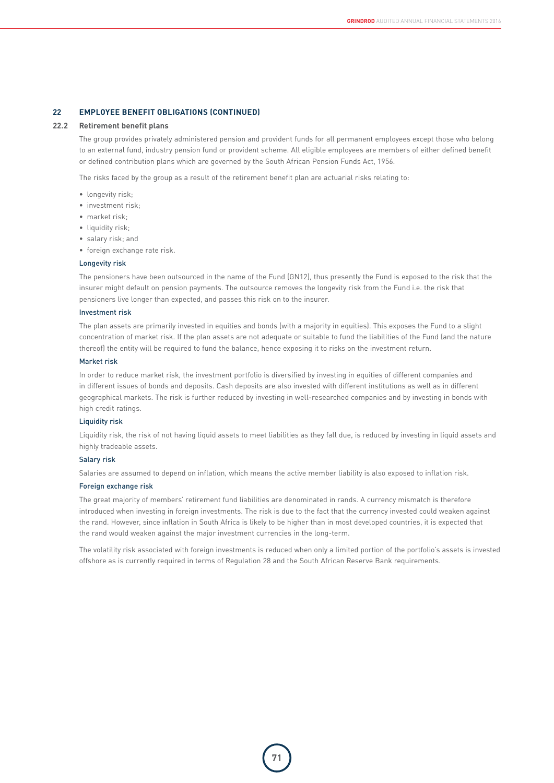### **22 EMPLOYEE BENEFIT OBLIGATIONS (CONTINUED)**

### **22.2 Retirement benefit plans**

The group provides privately administered pension and provident funds for all permanent employees except those who belong to an external fund, industry pension fund or provident scheme. All eligible employees are members of either defined benefit or defined contribution plans which are governed by the South African Pension Funds Act, 1956.

The risks faced by the group as a result of the retirement benefit plan are actuarial risks relating to:

- longevity risk;
- investment risk;
- market risk;
- liquidity risk;
- salary risk; and
- foreign exchange rate risk.

#### Longevity risk

The pensioners have been outsourced in the name of the Fund (GN12), thus presently the Fund is exposed to the risk that the insurer might default on pension payments. The outsource removes the longevity risk from the Fund i.e. the risk that pensioners live longer than expected, and passes this risk on to the insurer.

#### Investment risk

The plan assets are primarily invested in equities and bonds (with a majority in equities). This exposes the Fund to a slight concentration of market risk. If the plan assets are not adequate or suitable to fund the liabilities of the Fund (and the nature thereof) the entity will be required to fund the balance, hence exposing it to risks on the investment return.

### Market risk

In order to reduce market risk, the investment portfolio is diversified by investing in equities of different companies and in different issues of bonds and deposits. Cash deposits are also invested with different institutions as well as in different geographical markets. The risk is further reduced by investing in well-researched companies and by investing in bonds with high credit ratings.

### Liquidity risk

Liquidity risk, the risk of not having liquid assets to meet liabilities as they fall due, is reduced by investing in liquid assets and highly tradeable assets.

### Salary risk

Salaries are assumed to depend on inflation, which means the active member liability is also exposed to inflation risk.

### Foreign exchange risk

The great majority of members' retirement fund liabilities are denominated in rands. A currency mismatch is therefore introduced when investing in foreign investments. The risk is due to the fact that the currency invested could weaken against the rand. However, since inflation in South Africa is likely to be higher than in most developed countries, it is expected that the rand would weaken against the major investment currencies in the long-term.

The volatility risk associated with foreign investments is reduced when only a limited portion of the portfolio's assets is invested offshore as is currently required in terms of Regulation 28 and the South African Reserve Bank requirements.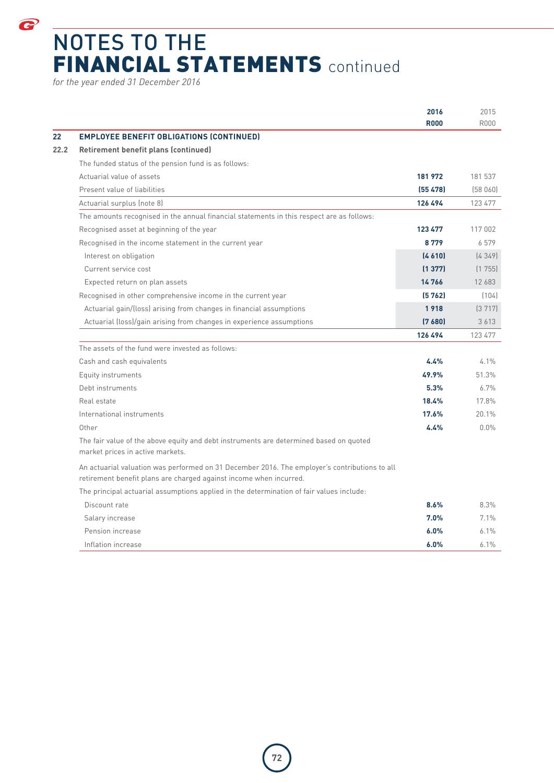*for the year ended 31 December 2016*

P

|      |                                                                                                                                                                     | 2016<br><b>R000</b> | 2015<br><b>R000</b> |
|------|---------------------------------------------------------------------------------------------------------------------------------------------------------------------|---------------------|---------------------|
| 22   | <b>EMPLOYEE BENEFIT OBLIGATIONS (CONTINUED)</b>                                                                                                                     |                     |                     |
| 22.2 | Retirement benefit plans (continued)                                                                                                                                |                     |                     |
|      | The funded status of the pension fund is as follows:                                                                                                                |                     |                     |
|      | Actuarial value of assets                                                                                                                                           | 181 972             | 181 537             |
|      | Present value of liabilities                                                                                                                                        | (55478)             | (58060)             |
|      | Actuarial surplus (note 8)                                                                                                                                          | 126 494             | 123 477             |
|      | The amounts recognised in the annual financial statements in this respect are as follows:                                                                           |                     |                     |
|      | Recognised asset at beginning of the year                                                                                                                           | 123 477             | 117 002             |
|      | Recognised in the income statement in the current year                                                                                                              | 8779                | 6579                |
|      | Interest on obligation                                                                                                                                              | (4610)              | [4349]              |
|      | Current service cost                                                                                                                                                | (1377)              | (1755)              |
|      | Expected return on plan assets                                                                                                                                      | 14766               | 12 683              |
|      | Recognised in other comprehensive income in the current year                                                                                                        | (5762)              | (104)               |
|      | Actuarial gain/(loss) arising from changes in financial assumptions                                                                                                 | 1918                | [3 717]             |
|      | Actuarial (loss)/gain arising from changes in experience assumptions                                                                                                | (7680)              | 3613                |
|      |                                                                                                                                                                     | 126 494             | 123 477             |
|      | The assets of the fund were invested as follows:                                                                                                                    |                     |                     |
|      | Cash and cash equivalents                                                                                                                                           | 4.4%                | 4.1%                |
|      | Equity instruments                                                                                                                                                  | 49.9%               | 51.3%               |
|      | Debt instruments                                                                                                                                                    | 5.3%                | 6.7%                |
|      | Real estate                                                                                                                                                         | 18.4%               | 17.8%               |
|      | International instruments                                                                                                                                           | 17.6%               | 20.1%               |
|      | Other                                                                                                                                                               | 4.4%                | $0.0\%$             |
|      | The fair value of the above equity and debt instruments are determined based on quoted<br>market prices in active markets.                                          |                     |                     |
|      | An actuarial valuation was performed on 31 December 2016. The employer's contributions to all<br>retirement benefit plans are charged against income when incurred. |                     |                     |
|      | The principal actuarial assumptions applied in the determination of fair values include:                                                                            |                     |                     |
|      | Discount rate                                                                                                                                                       | 8.6%                | 8.3%                |
|      | Salary increase                                                                                                                                                     | 7.0%                | 7.1%                |
|      | Pension increase                                                                                                                                                    | 6.0%                | 6.1%                |
|      | Inflation increase                                                                                                                                                  | 6.0%                | 6.1%                |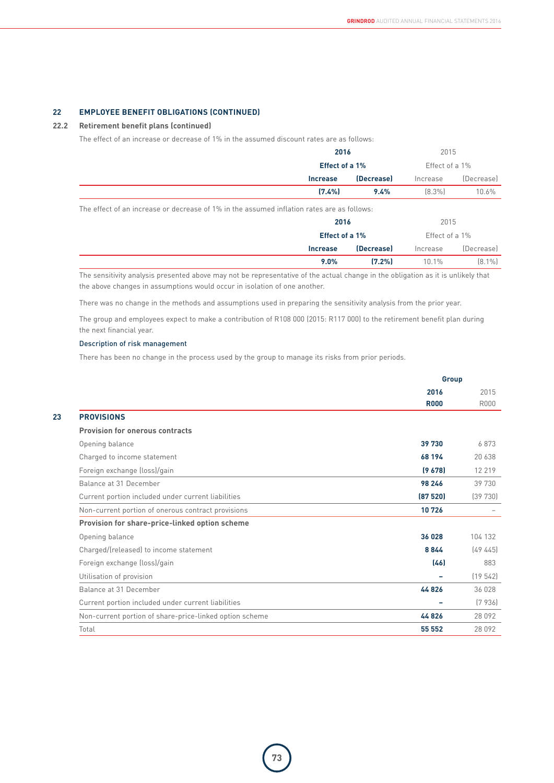### **22 EMPLOYEE BENEFIT OBLIGATIONS (CONTINUED)**

## **22.2 Retirement benefit plans (continued)**

The effect of an increase or decrease of 1% in the assumed discount rates are as follows:

|                                                                                            | 2016            |                       | 2015           |                |            |
|--------------------------------------------------------------------------------------------|-----------------|-----------------------|----------------|----------------|------------|
|                                                                                            |                 | <b>Effect of a 1%</b> |                | Effect of a 1% |            |
|                                                                                            | <b>Increase</b> | (Decrease)            |                | Increase       | (Decrease) |
|                                                                                            | (7.4%           | 9.4%                  | $[8.3\%]$      | 10.6%          |            |
| The effect of an increase or decrease of 1% in the assumed inflation rates are as follows: |                 |                       |                |                |            |
|                                                                                            | 2016            |                       | 2015           |                |            |
|                                                                                            | Effect of a 1%  |                       | Effect of a 1% |                |            |
|                                                                                            | <b>Increase</b> | (Decrease)            | Increase       | (Decrease)     |            |
|                                                                                            | $9.0\%$         | [7.2%]                | $10.1\%$       | $[8 1\%]$      |            |

The sensitivity analysis presented above may not be representative of the actual change in the obligation as it is unlikely that the above changes in assumptions would occur in isolation of one another.

There was no change in the methods and assumptions used in preparing the sensitivity analysis from the prior year.

The group and employees expect to make a contribution of R108 000 (2015: R117 000) to the retirement benefit plan during the next financial year.

### Description of risk management

There has been no change in the process used by the group to manage its risks from prior periods.

|                                                         | Group       |          |
|---------------------------------------------------------|-------------|----------|
|                                                         | 2016        | 2015     |
|                                                         | <b>R000</b> | R000     |
| <b>PROVISIONS</b>                                       |             |          |
| <b>Provision for onerous contracts</b>                  |             |          |
| Opening balance                                         | 39 730      | 6873     |
| Charged to income statement                             | 68 194      | 20 638   |
| Foreign exchange (loss)/gain                            | (9,678)     | 12 219   |
| Balance at 31 December                                  | 98 246      | 39 730   |
| Current portion included under current liabilities      | (87520)     | [39 730] |
| Non-current portion of onerous contract provisions      | 10726       |          |
| Provision for share-price-linked option scheme          |             |          |
| Opening balance                                         | 36 028      | 104 132  |
| Charged/(released) to income statement                  | 8844        | [49 445] |
| Foreign exchange (loss)/gain                            | (46)        | 883      |
| Utilisation of provision                                |             | (19542)  |
| Balance at 31 December                                  | 44826       | 36 028   |
| Current portion included under current liabilities      |             | (7936)   |
| Non-current portion of share-price-linked option scheme | 44826       | 28 092   |
| Total                                                   | 55 552      | 28 092   |
|                                                         |             |          |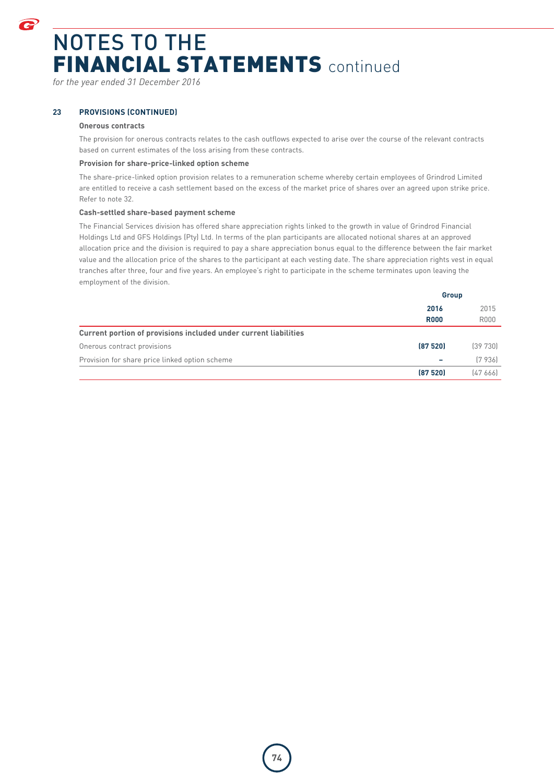*for the year ended 31 December 2016*

# **23 PROVISIONS (CONTINUED)**

#### **Onerous contracts**

P

The provision for onerous contracts relates to the cash outflows expected to arise over the course of the relevant contracts based on current estimates of the loss arising from these contracts.

#### **Provision for share-price-linked option scheme**

The share-price-linked option provision relates to a remuneration scheme whereby certain employees of Grindrod Limited are entitled to receive a cash settlement based on the excess of the market price of shares over an agreed upon strike price. Refer to note 32.

#### **Cash-settled share-based payment scheme**

The Financial Services division has offered share appreciation rights linked to the growth in value of Grindrod Financial Holdings Ltd and GFS Holdings (Pty) Ltd. In terms of the plan participants are allocated notional shares at an approved allocation price and the division is required to pay a share appreciation bonus equal to the difference between the fair market value and the allocation price of the shares to the participant at each vesting date. The share appreciation rights vest in equal tranches after three, four and five years. An employee's right to participate in the scheme terminates upon leaving the employment of the division.

|                                                                  | Group       |             |
|------------------------------------------------------------------|-------------|-------------|
|                                                                  | 2016        | 2015        |
|                                                                  | <b>R000</b> | <b>R000</b> |
| Current portion of provisions included under current liabilities |             |             |
| Onerous contract provisions                                      | (87520)     | (39730)     |
| Provision for share price linked option scheme                   |             | [7936]      |
|                                                                  | (87520)     | [47666]     |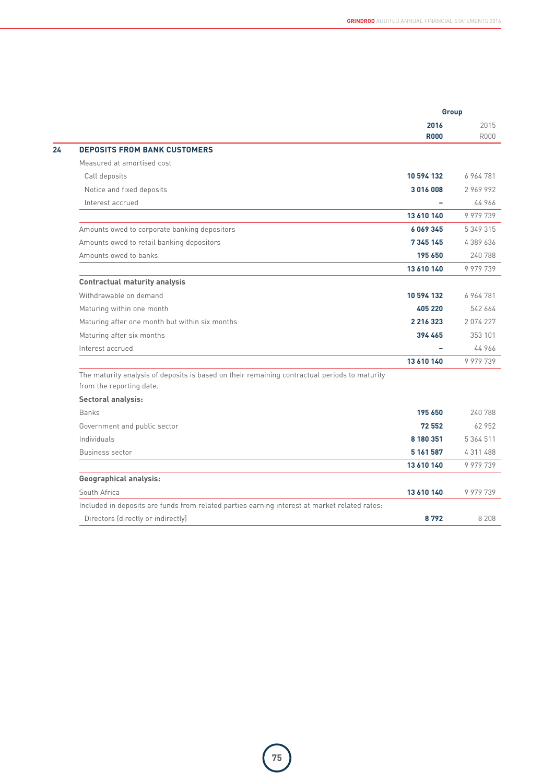|                                                                                                                           | Group               |               |
|---------------------------------------------------------------------------------------------------------------------------|---------------------|---------------|
|                                                                                                                           | 2016<br><b>R000</b> | 2015<br>R000  |
| <b>DEPOSITS FROM BANK CUSTOMERS</b>                                                                                       |                     |               |
| Measured at amortised cost                                                                                                |                     |               |
| Call deposits                                                                                                             | 10 594 132          | 6 964 781     |
| Notice and fixed deposits                                                                                                 | 3016008             | 2969992       |
| Interest accrued                                                                                                          |                     | 44 966        |
|                                                                                                                           | 13 610 140          | 9 979 739     |
| Amounts owed to corporate banking depositors                                                                              | 6 0 69 3 45         | 5 349 315     |
| Amounts owed to retail banking depositors                                                                                 | 7 345 145           | 4 389 636     |
| Amounts owed to banks                                                                                                     | 195 650             | 240 788       |
|                                                                                                                           | 13 610 140          | 9 979 739     |
| <b>Contractual maturity analysis</b>                                                                                      |                     |               |
| Withdrawable on demand                                                                                                    | 10 594 132          | 6 964 781     |
| Maturing within one month                                                                                                 | 405 220             | 542 664       |
| Maturing after one month but within six months                                                                            | 2 2 1 6 3 2 3       | 2074227       |
| Maturing after six months                                                                                                 | 394 465             | 353 101       |
| Interest accrued                                                                                                          |                     | 44 966        |
|                                                                                                                           | 13 610 140          | 9 979 739     |
| The maturity analysis of deposits is based on their remaining contractual periods to maturity<br>from the reporting date. |                     |               |
| Sectoral analysis:                                                                                                        |                     |               |
| <b>Banks</b>                                                                                                              | 195 650             | 240 788       |
| Government and public sector                                                                                              | 72 552              | 62952         |
| Individuals                                                                                                               | 8 180 351           | 5 364 511     |
| Business sector                                                                                                           | 5 161 587           | 4 3 1 1 4 8 8 |
|                                                                                                                           | 13 610 140          | 9 979 739     |
| Geographical analysis:                                                                                                    |                     |               |
| South Africa                                                                                                              | 13 610 140          | 9 979 739     |
| Included in deposits are funds from related parties earning interest at market related rates:                             |                     |               |
| Directors (directly or indirectly)                                                                                        | 8792                | 8 2 0 8       |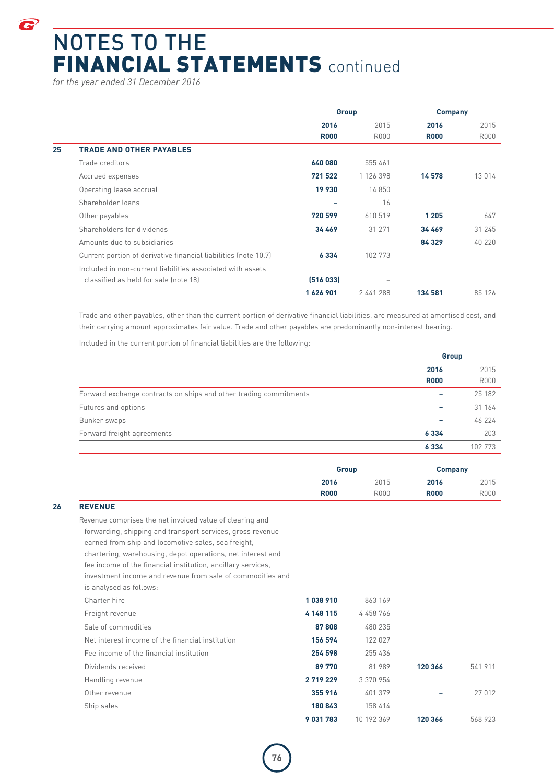*for the year ended 31 December 2016*

P

|                                                                 |             | Group     |             | <b>Company</b> |
|-----------------------------------------------------------------|-------------|-----------|-------------|----------------|
|                                                                 | 2016        | 2015      | 2016        | 2015           |
|                                                                 | <b>R000</b> | R000      | <b>R000</b> | R000           |
| <b>TRADE AND OTHER PAYABLES</b>                                 |             |           |             |                |
| Trade creditors                                                 | 640 080     | 555 461   |             |                |
| Accrued expenses                                                | 721 522     | 1 126 398 | 14 578      | 13 0 14        |
| Operating lease accrual                                         | 19 930      | 14850     |             |                |
| Shareholder loans                                               |             | 16        |             |                |
| Other payables                                                  | 720 599     | 610519    | 1 2 0 5     | 647            |
| Shareholders for dividends                                      | 34 469      | 31 271    | 34 469      | 31 245         |
| Amounts due to subsidiaries                                     |             |           | 84 3 29     | 40 220         |
| Current portion of derivative financial liabilities (note 10.7) | 6 3 3 4     | 102 773   |             |                |
| Included in non-current liabilities associated with assets      |             |           |             |                |
| classified as held for sale (note 18)                           | (516033)    |           |             |                |
|                                                                 | 1626901     | 2 441 288 | 134 581     | 85 1 26        |

Trade and other payables, other than the current portion of derivative financial liabilities, are measured at amortised cost, and their carrying amount approximates fair value. Trade and other payables are predominantly non-interest bearing.

Included in the current portion of financial liabilities are the following:

|                                                                   | Group       |             |
|-------------------------------------------------------------------|-------------|-------------|
|                                                                   | 2016        | 2015        |
|                                                                   | <b>R000</b> | <b>R000</b> |
| Forward exchange contracts on ships and other trading commitments |             | 25 182      |
| Futures and options                                               | I           | 31 164      |
| Bunker swaps                                                      | I           | 46 224      |
| Forward freight agreements                                        | 6 3 3 4     | 203         |
|                                                                   | 6 3 3 4     | 102 773     |
|                                                                   |             |             |

|    |                |             | Group       |             | <b>Company</b> |
|----|----------------|-------------|-------------|-------------|----------------|
|    |                | 2016        | 2015        | 2016        | 2015           |
|    |                | <b>R000</b> | <b>R000</b> | <b>R000</b> | <b>R000</b>    |
| 26 | <b>REVENUE</b> |             |             |             |                |

|                                                                                                                                                                                                                                                                             | 9 031 783 | 10 192 369 | 120 366 | 568 923 |
|-----------------------------------------------------------------------------------------------------------------------------------------------------------------------------------------------------------------------------------------------------------------------------|-----------|------------|---------|---------|
| Ship sales                                                                                                                                                                                                                                                                  | 180 843   | 158 414    |         |         |
| Other revenue                                                                                                                                                                                                                                                               | 355 916   | 401 379    |         | 27 012  |
| Handling revenue                                                                                                                                                                                                                                                            | 2719229   | 3 370 954  |         |         |
| Dividends received                                                                                                                                                                                                                                                          | 89 770    | 81989      | 120 366 | 541911  |
| Fee income of the financial institution                                                                                                                                                                                                                                     | 254 598   | 255 436    |         |         |
| Net interest income of the financial institution                                                                                                                                                                                                                            | 156 594   | 122 027    |         |         |
| Sale of commodities                                                                                                                                                                                                                                                         | 87808     | 480 235    |         |         |
| Freight revenue                                                                                                                                                                                                                                                             | 4 148 115 | 4458766    |         |         |
| Charter hire                                                                                                                                                                                                                                                                | 1038910   | 863 169    |         |         |
| earned from ship and locomotive sales, sea freight,<br>chartering, warehousing, depot operations, net interest and<br>fee income of the financial institution, ancillary services,<br>investment income and revenue from sale of commodities and<br>is analysed as follows: |           |            |         |         |
| Revenue comprises the net invoiced value of clearing and<br>forwarding, shipping and transport services, gross revenue                                                                                                                                                      |           |            |         |         |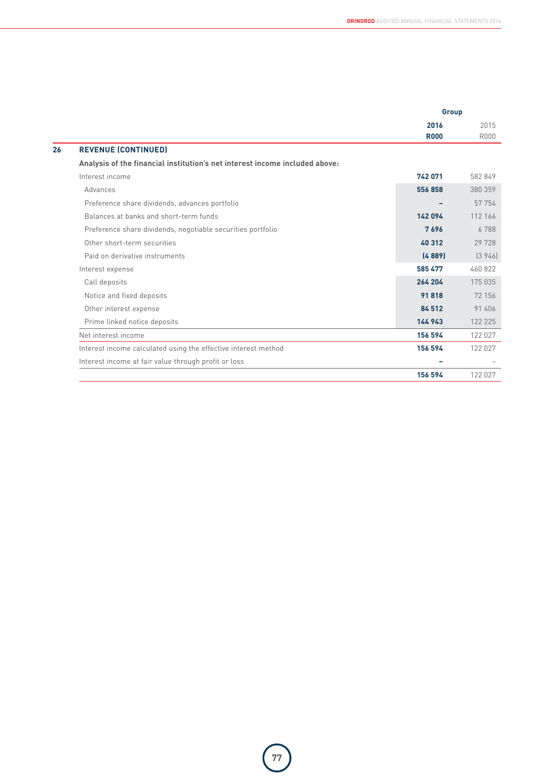|                                                                             | Group       |             |
|-----------------------------------------------------------------------------|-------------|-------------|
|                                                                             | 2016        | 2015        |
|                                                                             | <b>R000</b> | <b>R000</b> |
| <b>REVENUE (CONTINUED)</b>                                                  |             |             |
| Analysis of the financial institution's net interest income included above: |             |             |
| Interest income                                                             | 742 071     | 582 849     |
| Advances                                                                    | 556 858     | 380 359     |
| Preference share dividends, advances portfolio                              | -           | 57 754      |
| Balances at banks and short-term funds                                      | 142 094     | 112 166     |
| Preference share dividends, negotiable securities portfolio                 | 7696        | 6788        |
| Other short-term securities                                                 | 40 312      | 29 728      |
| Paid on derivative instruments                                              | (4889)      | [3946]      |
| Interest expense                                                            | 585 477     | 460822      |
| Call deposits                                                               | 264 204     | 175 035     |
| Notice and fixed deposits                                                   | 91818       | 72 156      |
| Other interest expense                                                      | 84 512      | 91 406      |
| Prime linked notice deposits                                                | 144 943     | 122 225     |
| Net interest income                                                         | 156 594     | 122 027     |
| Interest income calculated using the effective interest method              | 156 594     | 122 027     |
| Interest income at fair value through profit or loss                        | -           |             |
|                                                                             | 156 594     | 122 027     |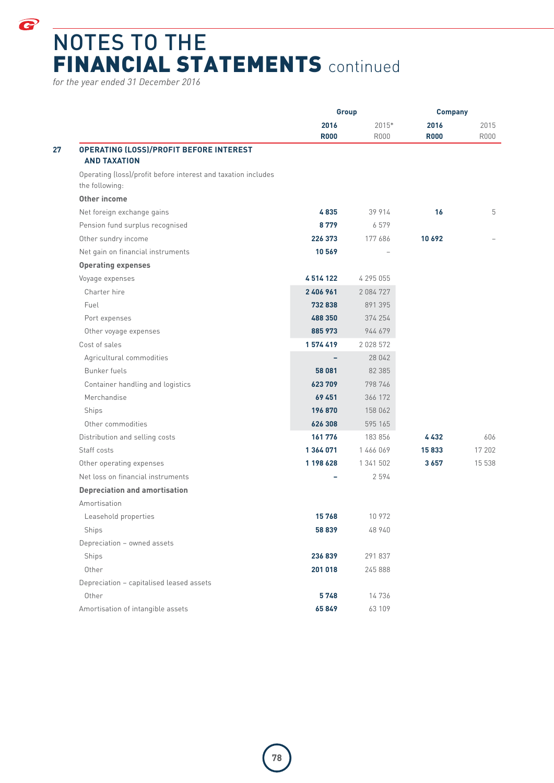*for the year ended 31 December 2016*

P

|                                                                                 |                          | Group         | <b>Company</b> |             |
|---------------------------------------------------------------------------------|--------------------------|---------------|----------------|-------------|
|                                                                                 | 2016                     | 2015*         | 2016           | 2015        |
|                                                                                 | <b>R000</b>              | <b>R000</b>   | <b>R000</b>    | <b>R000</b> |
| <b>OPERATING (LOSS)/PROFIT BEFORE INTEREST</b><br><b>AND TAXATION</b>           |                          |               |                |             |
| Operating (loss)/profit before interest and taxation includes<br>the following: |                          |               |                |             |
| Other income                                                                    |                          |               |                |             |
| Net foreign exchange gains                                                      | 4835                     | 39 914        | 16             | 5           |
| Pension fund surplus recognised                                                 | 8779                     | 6579          |                |             |
| Other sundry income                                                             | 226 373                  | 177 686       | 10 692         |             |
| Net gain on financial instruments                                               | 10569                    |               |                |             |
| <b>Operating expenses</b>                                                       |                          |               |                |             |
| Voyage expenses                                                                 | 4514122                  | 4 295 055     |                |             |
| Charter hire                                                                    | 2 406 961                | 2 084 727     |                |             |
| Fuel                                                                            | 732838                   | 891 395       |                |             |
| Port expenses                                                                   | 488 350                  | 374 254       |                |             |
| Other voyage expenses                                                           | 885 973                  | 944 679       |                |             |
| Cost of sales                                                                   | 1574419                  | 2 0 2 8 5 7 2 |                |             |
| Agricultural commodities                                                        | $\overline{\phantom{0}}$ | 28 042        |                |             |
| <b>Bunker fuels</b>                                                             | 58 081                   | 82 385        |                |             |
| Container handling and logistics                                                | 623709                   | 798 746       |                |             |
| Merchandise                                                                     | 69 451                   | 366 172       |                |             |
| Ships                                                                           | 196 870                  | 158 062       |                |             |
| Other commodities                                                               | 626 308                  | 595 165       |                |             |
| Distribution and selling costs                                                  | 161 776                  | 183 856       | 4432           | 606         |
| Staff costs                                                                     | 1 364 071                | 1 466 069     | 15833          | 17 202      |
| Other operating expenses                                                        | 1 198 628                | 1 341 502     | 3657           | 15 538      |
| Net loss on financial instruments                                               |                          | 2594          |                |             |
| <b>Depreciation and amortisation</b>                                            |                          |               |                |             |
| Amortisation                                                                    |                          |               |                |             |
| Leasehold properties                                                            | 15768                    | 10 972        |                |             |
| Ships                                                                           | 58 839                   | 48 940        |                |             |
| Depreciation - owned assets                                                     |                          |               |                |             |
| Ships                                                                           | 236 839                  | 291 837       |                |             |
| Other                                                                           | 201 018                  | 245 888       |                |             |
| Depreciation - capitalised leased assets                                        |                          |               |                |             |
| Other                                                                           | 5748                     | 14 736        |                |             |
| Amortisation of intangible assets                                               | 65849                    | 63 109        |                |             |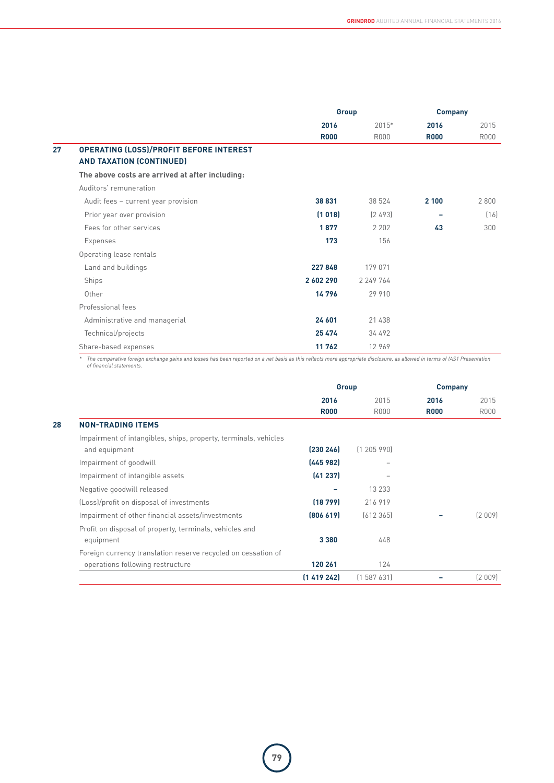|                                                                                   | Group       |             | <b>Company</b>           |             |
|-----------------------------------------------------------------------------------|-------------|-------------|--------------------------|-------------|
|                                                                                   | 2016        | 2015*       | 2016                     | 2015        |
|                                                                                   | <b>R000</b> | <b>R000</b> | <b>R000</b>              | <b>R000</b> |
| <b>OPERATING (LOSS)/PROFIT BEFORE INTEREST</b><br><b>AND TAXATION (CONTINUED)</b> |             |             |                          |             |
| The above costs are arrived at after including:                                   |             |             |                          |             |
| Auditors' remuneration                                                            |             |             |                          |             |
| Audit fees - current year provision                                               | 38 831      | 38 524      | 2 1 0 0                  | 2800        |
| Prior year over provision                                                         | (1018)      | [2493]      | $\overline{\phantom{0}}$ | (16)        |
| Fees for other services                                                           | 1877        | 2 2 0 2     | 43                       | 300         |
| Expenses                                                                          | 173         | 156         |                          |             |
| Operating lease rentals                                                           |             |             |                          |             |
| Land and buildings                                                                | 227848      | 179 071     |                          |             |
| Ships                                                                             | 2 602 290   | 2 249 764   |                          |             |
| Other                                                                             | 14796       | 29 910      |                          |             |
| Professional fees                                                                 |             |             |                          |             |
| Administrative and managerial                                                     | 24 601      | 21 438      |                          |             |
| Technical/projects                                                                | 25 4 7 4    | 34 492      |                          |             |
| Share-based expenses                                                              | 11762       | 12969       |                          |             |

*\* The comparative foreign exchange gains and losses has been reported on a net basis as this reflects more appropriate disclosure, as allowed in terms of IAS1 Presentation of financial statements.* 

|                                                                 | Group       |             | <b>Company</b> |        |
|-----------------------------------------------------------------|-------------|-------------|----------------|--------|
|                                                                 | 2016        | 2015        | 2016           | 2015   |
|                                                                 | <b>R000</b> | <b>R000</b> | <b>R000</b>    | R000   |
| <b>NON-TRADING ITEMS</b>                                        |             |             |                |        |
| Impairment of intangibles, ships, property, terminals, vehicles |             |             |                |        |
| and equipment                                                   | [230 246]   | (1205990)   |                |        |
| Impairment of goodwill                                          | (445982)    |             |                |        |
| Impairment of intangible assets                                 | (41237)     |             |                |        |
| Negative goodwill released                                      | ۰           | 13 233      |                |        |
| (Loss)/profit on disposal of investments                        | (18799)     | 216 919     |                |        |
| Impairment of other financial assets/investments                | [806 619]   | [612365]    |                | (2009) |
| Profit on disposal of property, terminals, vehicles and         |             |             |                |        |
| equipment                                                       | 3 3 8 0     | 448         |                |        |
| Foreign currency translation reserve recycled on cessation of   |             |             |                |        |
| operations following restructure                                | 120 261     | 124         |                |        |
|                                                                 | (1419242)   | [1587631]   |                | (2009) |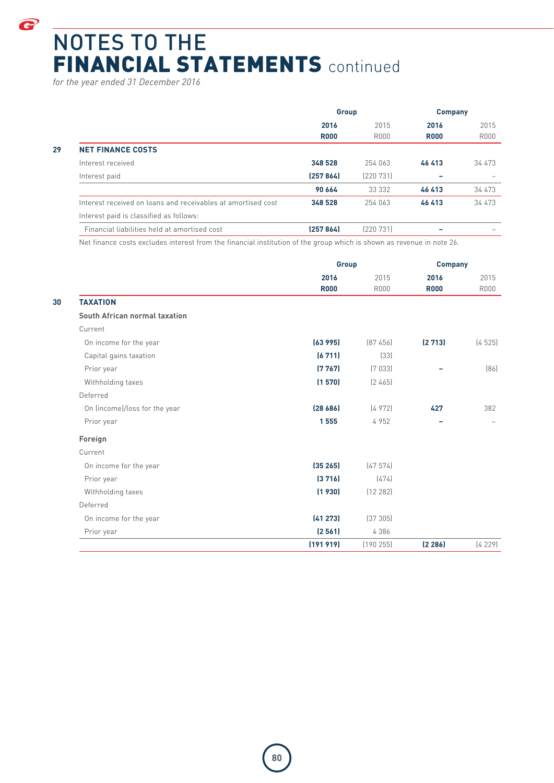*for the year ended 31 December 2016*

P

|                                                              | Group       |             | <b>Company</b> |             |
|--------------------------------------------------------------|-------------|-------------|----------------|-------------|
|                                                              | 2016        | 2015        | 2016           | 2015        |
|                                                              | <b>R000</b> | <b>R000</b> | <b>R000</b>    | <b>R000</b> |
| <b>NET FINANCE COSTS</b>                                     |             |             |                |             |
| Interest received                                            | 348 528     | 254 063     | 46 413         | 34 473      |
| Interest paid                                                | (257864)    | [220 731]   | ۰              |             |
|                                                              | 90 664      | 33 332      | 46 413         | 34 473      |
| Interest received on loans and receivables at amortised cost | 348 528     | 254 063     | 46 413         | 34 473      |
| Interest paid is classified as follows:                      |             |             |                |             |
| Financial liabilities held at amortised cost                 | (257864)    | [220 731]   | -              |             |
|                                                              |             |             |                |             |

Net finance costs excludes interest from the financial institution of the group which is shown as revenue in note 26.

|                               | Group       |             | <b>Company</b> |                          |
|-------------------------------|-------------|-------------|----------------|--------------------------|
|                               | 2016        | 2015        | 2016           | 2015                     |
|                               | <b>R000</b> | <b>R000</b> | <b>R000</b>    | <b>R000</b>              |
| <b>TAXATION</b>               |             |             |                |                          |
| South African normal taxation |             |             |                |                          |
| Current                       |             |             |                |                          |
| On income for the year        | (63995)     | [87, 456]   | (2713)         | (4525)                   |
| Capital gains taxation        | (6711)      | [33]        |                |                          |
| Prior year                    | (7767)      | (7033)      |                | [86]                     |
| Withholding taxes             | (1570)      | [2465]      |                |                          |
| Deferred                      |             |             |                |                          |
| On (income)/loss for the year | [28 686]    | [4972]      | 427            | 382                      |
| Prior year                    | 1555        | 4952        | -              | $\overline{\phantom{m}}$ |
| Foreign                       |             |             |                |                          |
| Current                       |             |             |                |                          |
| On income for the year        | (35265)     | [47574]     |                |                          |
| Prior year                    | (3716)      | [474]       |                |                          |
| Withholding taxes             | (1930)      | [12 282]    |                |                          |
| Deferred                      |             |             |                |                          |
| On income for the year        | [41 273]    | [37305]     |                |                          |
| Prior year                    | (2561)      | 4 3 8 6     |                |                          |
|                               | (19191)     | (190255)    | [2 286]        | [4 229]                  |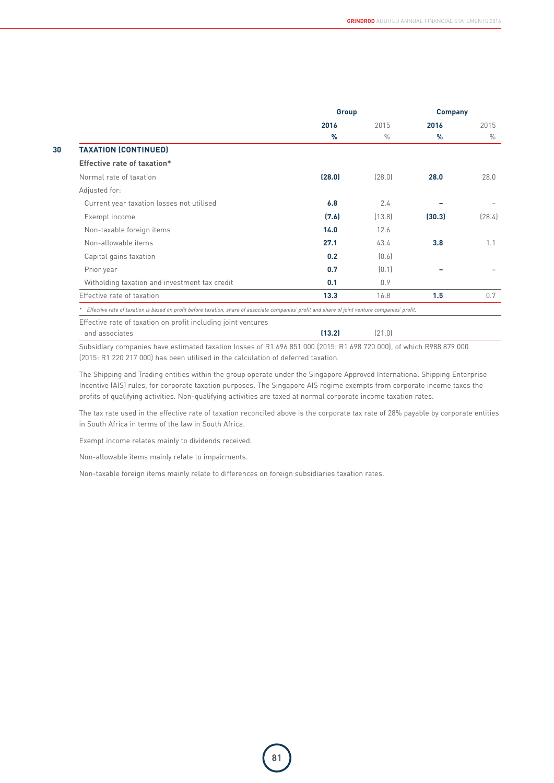|                                                                                                                                                   | Group  |               | <b>Company</b> |        |
|---------------------------------------------------------------------------------------------------------------------------------------------------|--------|---------------|----------------|--------|
|                                                                                                                                                   | 2016   | 2015          | 2016           | 2015   |
|                                                                                                                                                   | $\%$   | $\frac{0}{0}$ | $\frac{9}{6}$  | $\%$   |
| <b>TAXATION (CONTINUED)</b>                                                                                                                       |        |               |                |        |
| <b>Effective rate of taxation*</b>                                                                                                                |        |               |                |        |
| Normal rate of taxation                                                                                                                           | (28.0) | (28.0)        | 28.0           | 28.0   |
| Adjusted for:                                                                                                                                     |        |               |                |        |
| Current year taxation losses not utilised                                                                                                         | 6.8    | 2.4           |                |        |
| Exempt income                                                                                                                                     | (7.6)  | (13.8)        | (30.3)         | (28.4) |
| Non-taxable foreign items                                                                                                                         | 14.0   | 12.6          |                |        |
| Non-allowable items                                                                                                                               | 27.1   | 43.4          | 3.8            | 1.1    |
| Capital gains taxation                                                                                                                            | 0.2    | [0.6]         |                |        |
| Prior year                                                                                                                                        | 0.7    | [0.1]         |                |        |
| Witholding taxation and investment tax credit                                                                                                     | 0.1    | 0.9           |                |        |
| Effective rate of taxation                                                                                                                        | 13.3   | 16.8          | 1.5            | 0.7    |
| Effective rate of taxation is based on profit before taxation, share of associate companies' profit and share of joint venture companies' profit. |        |               |                |        |
| Effective rate of taxation on profit including joint ventures                                                                                     |        |               |                |        |
| and associates                                                                                                                                    | (13.2) | (21.0)        |                |        |

Subsidiary companies have estimated taxation losses of R1 696 851 000 (2015: R1 698 720 000), of which R988 879 000 (2015: R1 220 217 000) has been utilised in the calculation of deferred taxation.

The Shipping and Trading entities within the group operate under the Singapore Approved International Shipping Enterprise Incentive (AIS) rules, for corporate taxation purposes. The Singapore AIS regime exempts from corporate income taxes the profits of qualifying activities. Non-qualifying activities are taxed at normal corporate income taxation rates.

The tax rate used in the effective rate of taxation reconciled above is the corporate tax rate of 28% payable by corporate entities in South Africa in terms of the law in South Africa.

Exempt income relates mainly to dividends received.

Non-allowable items mainly relate to impairments.

Non-taxable foreign items mainly relate to differences on foreign subsidiaries taxation rates.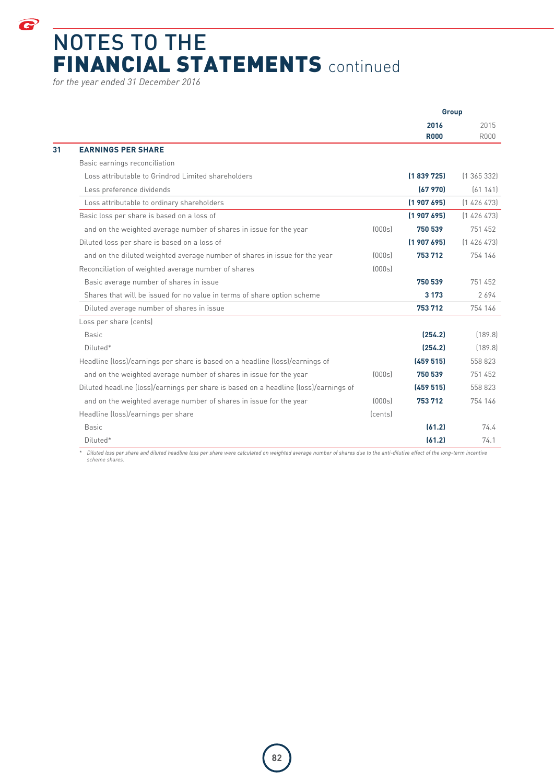*for the year ended 31 December 2016*

P

|                                                                                      |         | Group       |             |
|--------------------------------------------------------------------------------------|---------|-------------|-------------|
|                                                                                      |         | 2016        | 2015        |
|                                                                                      |         | <b>R000</b> | <b>R000</b> |
| <b>EARNINGS PER SHARE</b>                                                            |         |             |             |
| Basic earnings reconciliation                                                        |         |             |             |
| Loss attributable to Grindrod Limited shareholders                                   |         | [1839725]   | [1365332]   |
| Less preference dividends                                                            |         | (67970)     | [61141]     |
| Loss attributable to ordinary shareholders                                           |         | (1907695)   | [1426473]   |
| Basic loss per share is based on a loss of                                           |         | (1907695)   | [1426473]   |
| and on the weighted average number of shares in issue for the year                   | [000s]  | 750 539     | 751 452     |
| Diluted loss per share is based on a loss of                                         |         | (1907695)   | [1426473]   |
| and on the diluted weighted average number of shares in issue for the year           | [000s]  | 753 712     | 754 146     |
| Reconciliation of weighted average number of shares                                  | [000s]  |             |             |
| Basic average number of shares in issue                                              |         | 750 539     | 751 452     |
| Shares that will be issued for no value in terms of share option scheme              |         | 3 1 7 3     | 2694        |
| Diluted average number of shares in issue                                            |         | 753 712     | 754 146     |
| Loss per share (cents)                                                               |         |             |             |
| <b>Basic</b>                                                                         |         | [254.2]     | [189.8]     |
| Diluted*                                                                             |         | [254.2]     | [189.8]     |
| Headline (loss)/earnings per share is based on a headline (loss)/earnings of         |         | (459515)    | 558 823     |
| and on the weighted average number of shares in issue for the year                   | [000s]  | 750 539     | 751 452     |
| Diluted headline (loss)/earnings per share is based on a headline (loss)/earnings of |         | (459515)    | 558 823     |
| and on the weighted average number of shares in issue for the year                   | (000s)  | 753 712     | 754 146     |
| Headline (loss)/earnings per share                                                   | (cents) |             |             |
| <b>Basic</b>                                                                         |         | (61.2)      | 74.4        |
| Diluted*                                                                             |         | (61.2)      | 74.1        |

*\* Diluted loss per share and diluted headline loss per share were calculated on weighted average number of shares due to the anti-dilutive effect of the long-term incentive scheme shares.*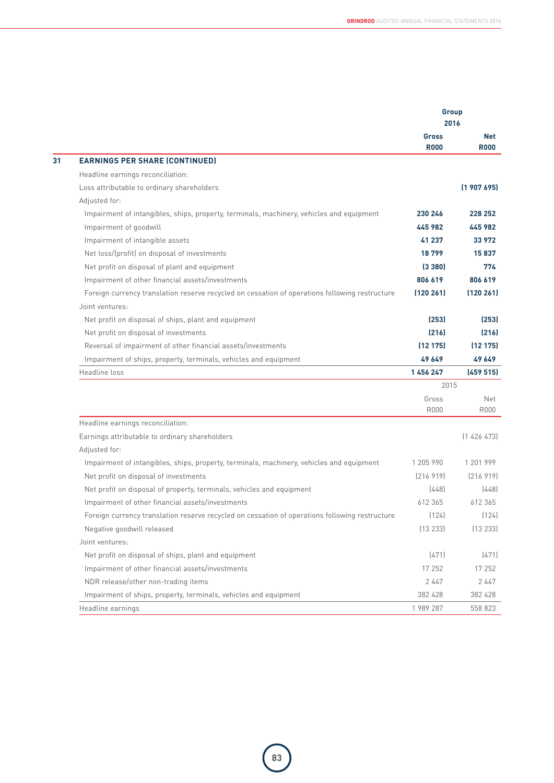**Group**

|                                                                                                | 2016                 |                           |
|------------------------------------------------------------------------------------------------|----------------------|---------------------------|
|                                                                                                | Gross<br><b>R000</b> | <b>Net</b><br><b>R000</b> |
| <b>EARNINGS PER SHARE (CONTINUED)</b>                                                          |                      |                           |
| Headline earnings reconciliation:                                                              |                      |                           |
| Loss attributable to ordinary shareholders                                                     |                      | (1907695)                 |
| Adjusted for:                                                                                  |                      |                           |
| Impairment of intangibles, ships, property, terminals, machinery, vehicles and equipment       | 230 246              | 228 252                   |
| Impairment of goodwill                                                                         | 445 982              | 445 982                   |
| Impairment of intangible assets                                                                | 41 237               | 33 972                    |
| Net loss/(profit) on disposal of investments                                                   | 18799                | 15837                     |
| Net profit on disposal of plant and equipment                                                  | (3380)               | 774                       |
| Impairment of other financial assets/investments                                               | 806 619              | 806 619                   |
| Foreign currency translation reserve recycled on cessation of operations following restructure | (120 261)            | (120 261)                 |
| Joint ventures:                                                                                |                      |                           |
| Net profit on disposal of ships, plant and equipment                                           | (253)                | [253]                     |
| Net profit on disposal of investments                                                          | (216)                | [216]                     |
| Reversal of impairment of other financial assets/investments                                   | (12175)              | [12 175]                  |
| Impairment of ships, property, terminals, vehicles and equipment                               | 49 649               | 49 649                    |
| Headline loss                                                                                  | 1456247              | (459515)                  |
|                                                                                                | 2015                 |                           |
|                                                                                                | Gross                | <b>Net</b>                |
|                                                                                                | <b>R000</b>          | R000                      |
| Headline earnings reconciliation:                                                              |                      |                           |
| Earnings attributable to ordinary shareholders                                                 |                      | [1426473]                 |
| Adjusted for:                                                                                  |                      |                           |
| Impairment of intangibles, ships, property, terminals, machinery, vehicles and equipment       | 1 205 990            | 1 201 999                 |
| Net profit on disposal of investments                                                          | [216919]             | [216919]                  |
| Net profit on disposal of property, terminals, vehicles and equipment                          | (448)                | (448)                     |
| Impairment of other financial assets/investments                                               | 612 365              | 612 365                   |
| Foreign currency translation reserve recycled on cessation of operations following restructure | (124)                | (124)                     |
| Negative goodwill released                                                                     | [13 233]             | [13 233]                  |
| Joint ventures:                                                                                |                      |                           |
| Net profit on disposal of ships, plant and equipment                                           | (471)                | (471)                     |
| Impairment of other financial assets/investments                                               | 17 252               | 17 25 2                   |
| NDR release/other non-trading items                                                            | 2447                 | 2447                      |
| Impairment of ships, property, terminals, vehicles and equipment                               | 382 428              | 382 428                   |
| Headline earnings                                                                              | 1 989 287            | 558 823                   |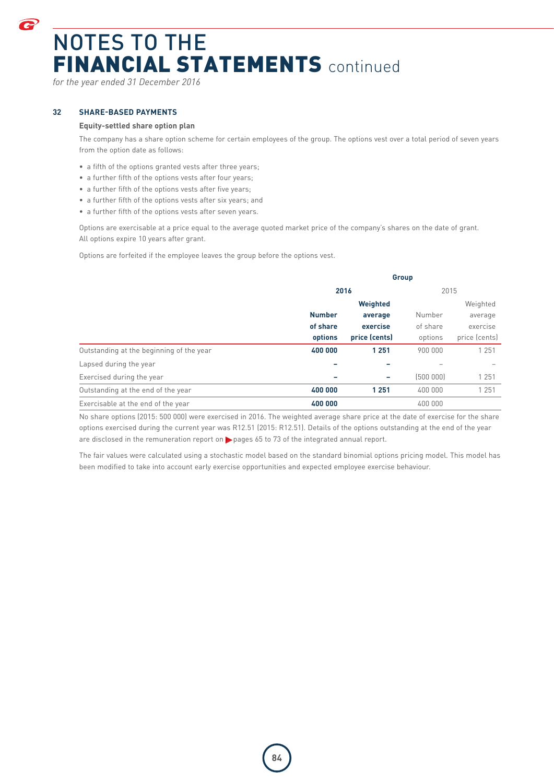*for the year ended 31 December 2016*

## **32 SHARE-BASED PAYMENTS**

P

#### **Equity-settled share option plan**

The company has a share option scheme for certain employees of the group. The options vest over a total period of seven years from the option date as follows:

- a fifth of the options granted vests after three years;
- a further fifth of the options vests after four years;
- a further fifth of the options vests after five years;
- a further fifth of the options vests after six years; and
- a further fifth of the options vests after seven years.

Options are exercisable at a price equal to the average quoted market price of the company's shares on the date of grant. All options expire 10 years after grant.

Options are forfeited if the employee leaves the group before the options vest.

|                                          | Group         |               |          |               |
|------------------------------------------|---------------|---------------|----------|---------------|
|                                          |               | 2016          | 2015     |               |
|                                          | Weighted      |               |          | Weighted      |
|                                          | <b>Number</b> | average       | Number   | average       |
|                                          | of share      | exercise      | of share | exercise      |
|                                          | options       | price (cents) | options  | price (cents) |
| Outstanding at the beginning of the year | 400 000       | 1 2 5 1       | 900 000  | 1 2 5 1       |
| Lapsed during the year                   |               |               |          |               |
| Exercised during the year                | -             |               | (500000) | 1 2 5 1       |
| Outstanding at the end of the year       | 400 000       | 1 2 5 1       | 400 000  | 1 2 5 1       |
| Exercisable at the end of the year       | 400 000       |               | 400 000  |               |

No share options (2015: 500 000) were exercised in 2016. The weighted average share price at the date of exercise for the share options exercised during the current year was R12.51 (2015: R12.51). Details of the options outstanding at the end of the year are disclosed in the remuneration report on pages 65 to 73 of the integrated annual report.

The fair values were calculated using a stochastic model based on the standard binomial options pricing model. This model has been modified to take into account early exercise opportunities and expected employee exercise behaviour.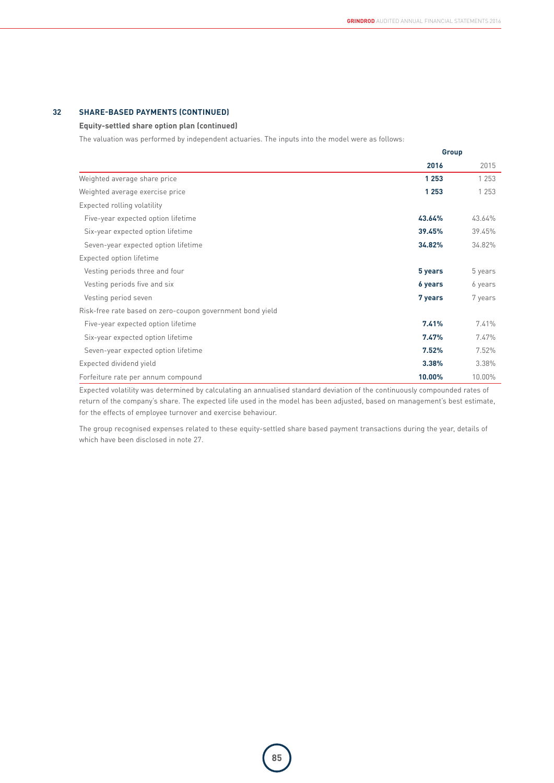### **32 SHARE-BASED PAYMENTS (CONTINUED)**

## **Equity-settled share option plan (continued)**

The valuation was performed by independent actuaries. The inputs into the model were as follows:

|                                                           | Group   |         |
|-----------------------------------------------------------|---------|---------|
|                                                           | 2016    | 2015    |
| Weighted average share price                              | 1 2 5 3 | 1 2 5 3 |
| Weighted average exercise price                           | 1 2 5 3 | 1 2 5 3 |
| Expected rolling volatility                               |         |         |
| Five-year expected option lifetime                        | 43.64%  | 43.64%  |
| Six-year expected option lifetime                         | 39.45%  | 39.45%  |
| Seven-year expected option lifetime                       | 34.82%  | 34.82%  |
| Expected option lifetime                                  |         |         |
| Vesting periods three and four                            | 5 years | 5 years |
| Vesting periods five and six                              | 6 years | 6 years |
| Vesting period seven                                      | 7 years | 7 years |
| Risk-free rate based on zero-coupon government bond yield |         |         |
| Five-year expected option lifetime                        | 7.41%   | 7.41%   |
| Six-year expected option lifetime                         | 7.47%   | 7.47%   |
| Seven-year expected option lifetime                       | 7.52%   | 7.52%   |
| Expected dividend yield                                   | 3.38%   | 3.38%   |
| Forfeiture rate per annum compound                        | 10.00%  | 10.00%  |

Expected volatility was determined by calculating an annualised standard deviation of the continuously compounded rates of return of the company's share. The expected life used in the model has been adjusted, based on management's best estimate, for the effects of employee turnover and exercise behaviour.

The group recognised expenses related to these equity-settled share based payment transactions during the year, details of which have been disclosed in note 27.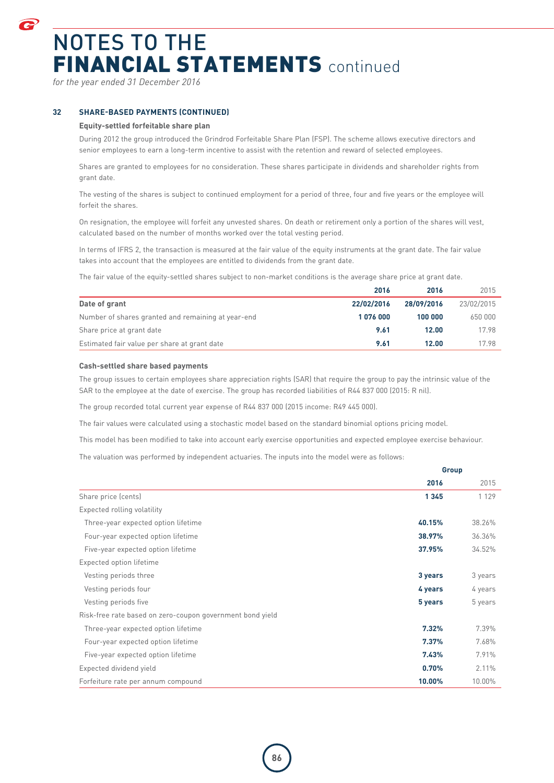*for the year ended 31 December 2016*

P

# **32 SHARE-BASED PAYMENTS (CONTINUED)**

#### **Equity-settled forfeitable share plan**

During 2012 the group introduced the Grindrod Forfeitable Share Plan (FSP). The scheme allows executive directors and senior employees to earn a long-term incentive to assist with the retention and reward of selected employees.

Shares are granted to employees for no consideration. These shares participate in dividends and shareholder rights from grant date.

The vesting of the shares is subject to continued employment for a period of three, four and five years or the employee will forfeit the shares.

On resignation, the employee will forfeit any unvested shares. On death or retirement only a portion of the shares will vest, calculated based on the number of months worked over the total vesting period.

In terms of IFRS 2, the transaction is measured at the fair value of the equity instruments at the grant date. The fair value takes into account that the employees are entitled to dividends from the grant date.

The fair value of the equity-settled shares subject to non-market conditions is the average share price at grant date.

|                                                    | 2016       | 2016       | 2015       |
|----------------------------------------------------|------------|------------|------------|
| Date of grant                                      | 22/02/2016 | 28/09/2016 | 23/02/2015 |
| Number of shares granted and remaining at year-end | 1076000    | 100 000    | 650 000    |
| Share price at grant date                          | 9.61       | 12.00      | 17.98      |
| Estimated fair value per share at grant date       | 9.61       | 12.00      | 1798       |

#### **Cash-settled share based payments**

The group issues to certain employees share appreciation rights (SAR) that require the group to pay the intrinsic value of the SAR to the employee at the date of exercise. The group has recorded liabilities of R44 837 000 (2015: R nil).

The group recorded total current year expense of R44 837 000 (2015 income: R49 445 000).

The fair values were calculated using a stochastic model based on the standard binomial options pricing model.

This model has been modified to take into account early exercise opportunities and expected employee exercise behaviour.

The valuation was performed by independent actuaries. The inputs into the model were as follows:

|                                                           | Group   |         |
|-----------------------------------------------------------|---------|---------|
|                                                           | 2016    | 2015    |
| Share price (cents)                                       | 1 3 4 5 | 1 1 2 9 |
| Expected rolling volatility                               |         |         |
| Three-year expected option lifetime                       | 40.15%  | 38.26%  |
| Four-year expected option lifetime                        | 38.97%  | 36.36%  |
| Five-year expected option lifetime                        | 37.95%  | 34.52%  |
| Expected option lifetime                                  |         |         |
| Vesting periods three                                     | 3 years | 3 years |
| Vesting periods four                                      | 4 years | 4 years |
| Vesting periods five                                      | 5 years | 5 years |
| Risk-free rate based on zero-coupon government bond yield |         |         |
| Three-year expected option lifetime                       | 7.32%   | 7.39%   |
| Four-year expected option lifetime                        | 7.37%   | 7.68%   |
| Five-year expected option lifetime                        | 7.43%   | 7.91%   |
| Expected dividend yield                                   | 0.70%   | 2.11%   |
| Forfeiture rate per annum compound                        | 10.00%  | 10.00%  |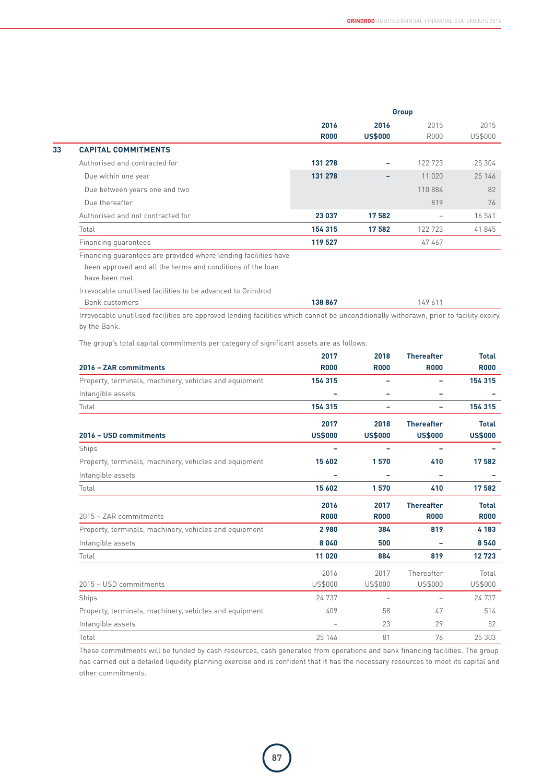|                                   |             | Group          |         |         |  |
|-----------------------------------|-------------|----------------|---------|---------|--|
|                                   | 2016        | 2016           | 2015    | 2015    |  |
|                                   | <b>R000</b> | <b>US\$000</b> | R000    | US\$000 |  |
| <b>CAPITAL COMMITMENTS</b>        |             |                |         |         |  |
| Authorised and contracted for     | 131 278     |                | 122 723 | 25 304  |  |
| Due within one year               | 131 278     |                | 11 0 20 | 25 146  |  |
| Due between years one and two     |             |                | 110 884 | 82      |  |
| Due thereafter                    |             |                | 819     | 76      |  |
| Authorised and not contracted for | 23 037      | 17582          |         | 16 541  |  |
| Total                             | 154 315     | 17582          | 122 723 | 41845   |  |
| Financing quarantees              | 119 527     |                | 47467   |         |  |

Financing guarantees are provided where lending facilities have

been approved and all the terms and conditions of the loan

have been met.

Irrevocable unutilised facilities to be advanced to Grindrod

| $\overline{\phantom{a}}$<br>$-$<br>. | $\prime$ |
|--------------------------------------|----------|
|                                      |          |

Irrevocable unutilised facilities are approved lending facilities which cannot be unconditionally withdrawn, prior to facility expiry, by the Bank.

The group's total capital commitments per category of significant assets are as follows:

|                                                        | 2017           | 2018                     | <b>Thereafter</b>        | <b>Total</b>   |
|--------------------------------------------------------|----------------|--------------------------|--------------------------|----------------|
| 2016 - ZAR commitments                                 | <b>R000</b>    | <b>R000</b>              | <b>R000</b>              | <b>R000</b>    |
| Property, terminals, machinery, vehicles and equipment | 154 315        | -                        | -                        | 154 315        |
| Intangible assets                                      |                | -                        | -                        |                |
| Total                                                  | 154 315        | -                        | -                        | 154 315        |
|                                                        | 2017           | 2018                     | <b>Thereafter</b>        | <b>Total</b>   |
| 2016 - USD commitments                                 | <b>US\$000</b> | <b>US\$000</b>           | <b>US\$000</b>           | <b>US\$000</b> |
| Ships                                                  | ۰              | -                        | -                        |                |
| Property, terminals, machinery, vehicles and equipment | 15 602         | 1570                     | 410                      | 17582          |
| Intangible assets                                      |                |                          | $\overline{\phantom{0}}$ |                |
| Total                                                  | 15 602         | 1570                     | 410                      | 17582          |
|                                                        | 2016           | 2017                     | <b>Thereafter</b>        | <b>Total</b>   |
| 2015 - ZAR commitments                                 | <b>R000</b>    | <b>R000</b>              | <b>R000</b>              | <b>R000</b>    |
| Property, terminals, machinery, vehicles and equipment | 2980           | 384                      | 819                      | 4 183          |
| Intangible assets                                      | 8040           | 500                      | -                        | 8540           |
| Total                                                  | 11 0 20        | 884                      | 819                      | 12723          |
|                                                        | 2016           | 2017                     | Thereafter               | Total          |
| 2015 - USD commitments                                 | US\$000        | US\$000                  | US\$000                  | US\$000        |
| Ships                                                  | 24 737         | $\overline{\phantom{0}}$ | $\overline{\phantom{0}}$ | 24 737         |
| Property, terminals, machinery, vehicles and equipment | 409            | 58                       | 47                       | 514            |
| Intangible assets                                      |                | 23                       | 29                       | 52             |
| Total                                                  | 25 146         | 81                       | 76                       | 25 303         |

These commitments will be funded by cash resources, cash generated from operations and bank financing facilities. The group has carried out a detailed liquidity planning exercise and is confident that it has the necessary resources to meet its capital and other commitments.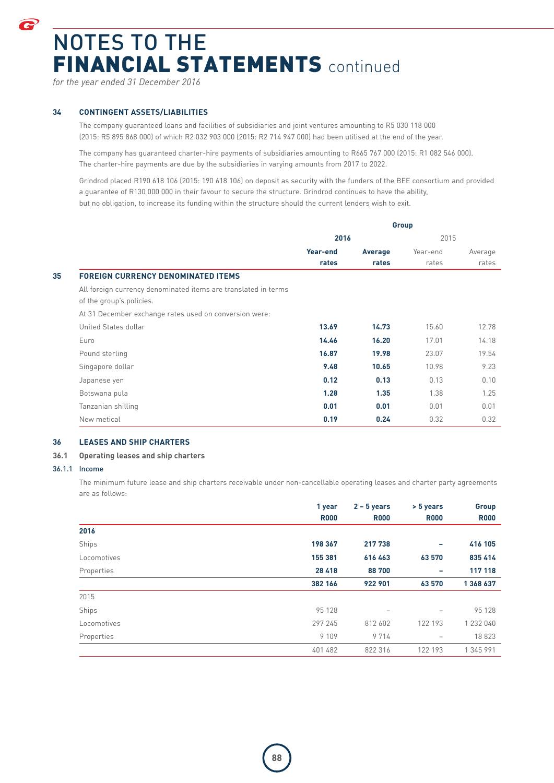*for the year ended 31 December 2016*

P

# **34 CONTINGENT ASSETS/LIABILITIES**

The company guaranteed loans and facilities of subsidiaries and joint ventures amounting to R5 030 118 000 (2015: R5 895 868 000) of which R2 032 903 000 (2015: R2 714 947 000) had been utilised at the end of the year.

The company has guaranteed charter-hire payments of subsidiaries amounting to R665 767 000 (2015: R1 082 546 000). The charter-hire payments are due by the subsidiaries in varying amounts from 2017 to 2022.

Grindrod placed R190 618 106 (2015: 190 618 106) on deposit as security with the funders of the BEE consortium and provided a guarantee of R130 000 000 in their favour to secure the structure. Grindrod continues to have the ability, but no obligation, to increase its funding within the structure should the current lenders wish to exit.

|                                                                | Group    |         |          |         |
|----------------------------------------------------------------|----------|---------|----------|---------|
|                                                                | 2016     |         | 2015     |         |
|                                                                | Year-end | Average | Year-end | Average |
|                                                                | rates    | rates   | rates    | rates   |
| <b>FOREIGN CURRENCY DENOMINATED ITEMS</b>                      |          |         |          |         |
| All foreign currency denominated items are translated in terms |          |         |          |         |
| of the group's policies.                                       |          |         |          |         |
| At 31 December exchange rates used on conversion were:         |          |         |          |         |
| United States dollar                                           | 13.69    | 14.73   | 15.60    | 12.78   |
| Euro                                                           | 14.46    | 16.20   | 17.01    | 14.18   |
| Pound sterling                                                 | 16.87    | 19.98   | 23.07    | 19.54   |
| Singapore dollar                                               | 9.48     | 10.65   | 10.98    | 9.23    |
| Japanese yen                                                   | 0.12     | 0.13    | 0.13     | 0.10    |
| Botswana pula                                                  | 1.28     | 1.35    | 1.38     | 1.25    |
| Tanzanian shilling                                             | 0.01     | 0.01    | 0.01     | 0.01    |
| New metical                                                    | 0.19     | 0.24    | 0.32     | 0.32    |

# **36 LEASES AND SHIP CHARTERS**

### **36.1 Operating leases and ship charters**

### 36.1.1 Income

The minimum future lease and ship charters receivable under non-cancellable operating leases and charter party agreements are as follows:

|             | 1 year      | $2 - 5$ years | > 5 years                | Group       |
|-------------|-------------|---------------|--------------------------|-------------|
|             | <b>R000</b> | <b>R000</b>   | <b>R000</b>              | <b>R000</b> |
| 2016        |             |               |                          |             |
| Ships       | 198 367     | 217738        | -                        | 416 105     |
| Locomotives | 155 381     | 616 463       | 63 570                   | 835 414     |
| Properties  | 28 4 18     | 88700         | ٠                        | 117 118     |
|             | 382 166     | 922 901       | 63 570                   | 1 368 637   |
| 2015        |             |               |                          |             |
| Ships       | 95 128      | -             | $\qquad \qquad -$        | 95 128      |
| Locomotives | 297 245     | 812 602       | 122 193                  | 1 232 040   |
| Properties  | 9 1 0 9     | 9 7 1 4       | $\overline{\phantom{m}}$ | 18 823      |
|             | 401 482     | 822 316       | 122 193                  | 1 345 991   |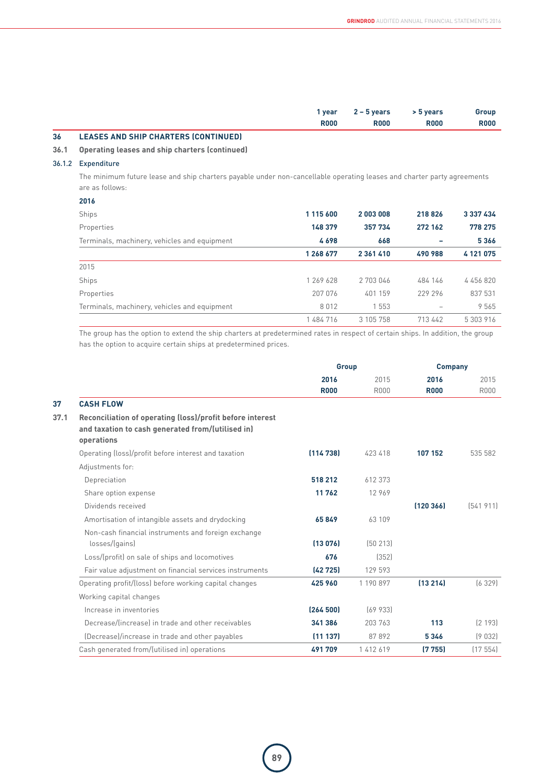|        |                                                                                                                                           | 1 year<br><b>R000</b> | $2 - 5$ years<br><b>R000</b> | > 5 years<br><b>R000</b> | Group<br><b>R000</b> |
|--------|-------------------------------------------------------------------------------------------------------------------------------------------|-----------------------|------------------------------|--------------------------|----------------------|
| 36     | <b>LEASES AND SHIP CHARTERS (CONTINUED)</b>                                                                                               |                       |                              |                          |                      |
| 36.1   | Operating leases and ship charters (continued)                                                                                            |                       |                              |                          |                      |
| 36.1.2 | <b>Expenditure</b>                                                                                                                        |                       |                              |                          |                      |
|        | The minimum future lease and ship charters payable under non-cancellable operating leases and charter party agreements<br>are as follows: |                       |                              |                          |                      |
|        | 2016                                                                                                                                      |                       |                              |                          |                      |
|        | Ships                                                                                                                                     | 1 115 600             | 2 003 008                    | 218826                   | 3 3 3 7 4 3 4        |
|        | Properties                                                                                                                                | 148 379               | 357 734                      | 272 162                  | 778 275              |
|        | Terminals, machinery, vehicles and equipment                                                                                              | 4698                  | 668                          |                          | 5366                 |
|        |                                                                                                                                           | 1 268 677             | 2 3 6 1 4 1 0                | 490 988                  | 4 121 075            |
|        | 2015                                                                                                                                      |                       |                              |                          |                      |
|        | Ships                                                                                                                                     | 1 269 628             | 2 703 046                    | 484 146                  | 4 4 5 6 8 2 0        |
|        | Properties                                                                                                                                | 207 076               | 401 159                      | 229 296                  | 837 531              |
|        | Terminals, machinery, vehicles and equipment                                                                                              | 8012                  | 1 5 5 3                      |                          | 9565                 |
|        |                                                                                                                                           | 1484716               | 3 105 758                    | 713 442                  | 5 303 916            |

The group has the option to extend the ship charters at predetermined rates in respect of certain ships. In addition, the group has the option to acquire certain ships at predetermined prices.

|      |                                                                                                                              | Group       |               | <b>Company</b> |          |
|------|------------------------------------------------------------------------------------------------------------------------------|-------------|---------------|----------------|----------|
|      |                                                                                                                              | 2016        | 2015          | 2016           | 2015     |
|      |                                                                                                                              | <b>R000</b> | <b>R000</b>   | <b>R000</b>    | R000     |
| 37   | <b>CASH FLOW</b>                                                                                                             |             |               |                |          |
| 37.1 | Reconciliation of operating (loss)/profit before interest<br>and taxation to cash generated from/(utilised in)<br>operations |             |               |                |          |
|      | Operating (loss)/profit before interest and taxation                                                                         | [114738]    | 423 418       | 107 152        | 535 582  |
|      | Adjustments for:                                                                                                             |             |               |                |          |
|      | Depreciation                                                                                                                 | 518 212     | 612 373       |                |          |
|      | Share option expense                                                                                                         | 11762       | 12969         |                |          |
|      | Dividends received                                                                                                           |             |               | [120366]       | [541911] |
|      | Amortisation of intangible assets and drydocking                                                                             | 65849       | 63 109        |                |          |
|      | Non-cash financial instruments and foreign exchange<br>losses/(gains)                                                        | (13076)     | [50 213]      |                |          |
|      | Loss/(profit) on sale of ships and locomotives                                                                               | 676         | (352)         |                |          |
|      | Fair value adjustment on financial services instruments                                                                      | (42725)     | 129 593       |                |          |
|      | Operating profit/(loss) before working capital changes                                                                       | 425 960     | 1 190 897     | [13 214]       | (6329)   |
|      | Working capital changes                                                                                                      |             |               |                |          |
|      | Increase in inventories                                                                                                      | (264500)    | [69933]       |                |          |
|      | Decrease/lincrease) in trade and other receivables                                                                           | 341 386     | 203 763       | 113            | [2 193]  |
|      | (Decrease)/increase in trade and other payables                                                                              | (11137)     | 87892         | 5346           | (9032)   |
|      | Cash generated from/(utilised in) operations                                                                                 | 491709      | 1 4 1 2 6 1 9 | (7755)         | [17554]  |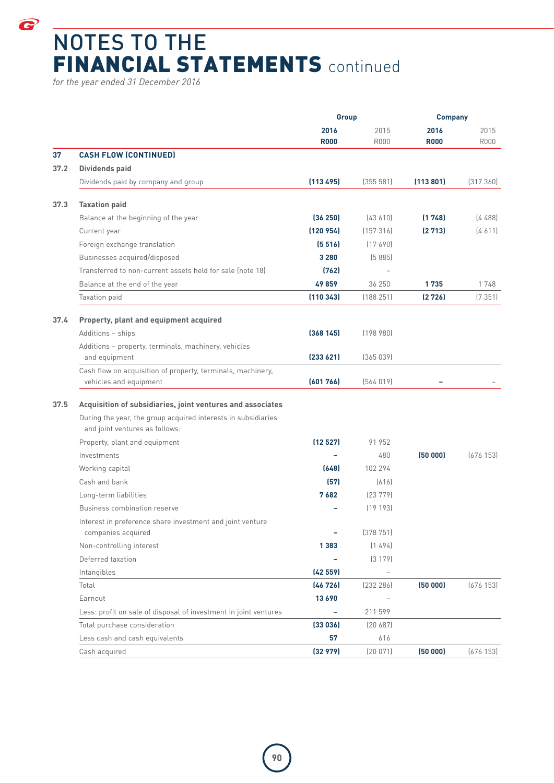*for the year ended 31 December 2016*

P

|      |                                                                                                 | Group               |                     | <b>Company</b>      |              |
|------|-------------------------------------------------------------------------------------------------|---------------------|---------------------|---------------------|--------------|
|      |                                                                                                 | 2016<br><b>R000</b> | 2015<br><b>R000</b> | 2016<br><b>R000</b> | 2015<br>R000 |
| 37   | <b>CASH FLOW (CONTINUED)</b>                                                                    |                     |                     |                     |              |
| 37.2 | Dividends paid                                                                                  |                     |                     |                     |              |
|      | Dividends paid by company and group                                                             | (113 495)           | (355 581)           | (113 801)           | (317360)     |
| 37.3 | <b>Taxation paid</b>                                                                            |                     |                     |                     |              |
|      | Balance at the beginning of the year                                                            | (36, 250)           | [43, 610]           | (1748)              | [4488]       |
|      | Current year                                                                                    | (120954)            | [157316]            | (2713)              | [4611]       |
|      | Foreign exchange translation                                                                    | (5516)              | (17690)             |                     |              |
|      | Businesses acquired/disposed                                                                    | 3 2 8 0             | (5885)              |                     |              |
|      | Transferred to non-current assets held for sale (note 18)                                       | (762)               |                     |                     |              |
|      | Balance at the end of the year                                                                  | 49859               | 36 250              | 1735                | 1748         |
|      | Taxation paid                                                                                   | (110343)            | (188251)            | (2726)              | (7351)       |
| 37.4 | Property, plant and equipment acquired                                                          |                     |                     |                     |              |
|      | Additions - ships                                                                               | (368145)            | (198980)            |                     |              |
|      | Additions - property, terminals, machinery, vehicles                                            |                     |                     |                     |              |
|      | and equipment                                                                                   | (233621)            | (365039)            |                     |              |
|      | Cash flow on acquisition of property, terminals, machinery,                                     |                     |                     |                     |              |
|      | vehicles and equipment                                                                          | [601766]            | (564019)            |                     |              |
| 37.5 | Acquisition of subsidiaries, joint ventures and associates                                      |                     |                     |                     |              |
|      | During the year, the group acquired interests in subsidiaries<br>and joint ventures as follows: |                     |                     |                     |              |
|      | Property, plant and equipment                                                                   | (12527)             | 91 952              |                     |              |
|      | Investments                                                                                     |                     | 480                 | (50000)             | (676153)     |
|      | Working capital                                                                                 | (648)               | 102 294             |                     |              |
|      | Cash and bank                                                                                   | (57)                | (616)               |                     |              |
|      | Long-term liabilities                                                                           | 7682                | [23 779]            |                     |              |
|      | Business combination reserve                                                                    |                     | [19 193]            |                     |              |
|      | Interest in preference share investment and joint venture                                       |                     |                     |                     |              |
|      | companies acquired                                                                              |                     | (378751)            |                     |              |
|      | Non-controlling interest                                                                        | 1 3 8 3             | (1494)              |                     |              |
|      | Deferred taxation                                                                               |                     | (3179)              |                     |              |
|      | Intangibles                                                                                     | (42559)             |                     |                     |              |
|      | Total                                                                                           | (46726)             | [232 286]           | (50000)             | (676 153)    |
|      | Earnout                                                                                         | 13 6 9 0            |                     |                     |              |
|      | Less: profit on sale of disposal of investment in joint ventures                                |                     | 211 599             |                     |              |
|      | Total purchase consideration                                                                    | (33036)             | [20 687]            |                     |              |
|      | Less cash and cash equivalents                                                                  | 57                  | 616                 |                     |              |
|      | Cash acquired                                                                                   | (32979)             | (20071)             | (50000)             | (676 153)    |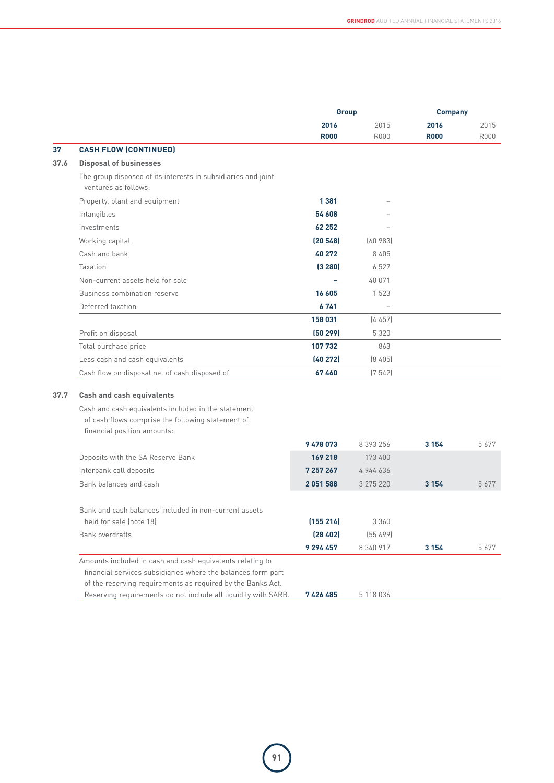|      |                                                                                                                                         | Group         |           | <b>Company</b> |      |
|------|-----------------------------------------------------------------------------------------------------------------------------------------|---------------|-----------|----------------|------|
|      |                                                                                                                                         | 2016          | 2015      | 2016           | 2015 |
|      |                                                                                                                                         | <b>R000</b>   | R000      | <b>R000</b>    | R000 |
| 37   | <b>CASH FLOW (CONTINUED)</b>                                                                                                            |               |           |                |      |
| 37.6 | <b>Disposal of businesses</b>                                                                                                           |               |           |                |      |
|      | The group disposed of its interests in subsidiaries and joint<br>ventures as follows:                                                   |               |           |                |      |
|      | Property, plant and equipment                                                                                                           | 1 3 8 1       |           |                |      |
|      | Intangibles                                                                                                                             | 54 608        |           |                |      |
|      | Investments                                                                                                                             | 62 252        |           |                |      |
|      | Working capital                                                                                                                         | (20548)       | (60983)   |                |      |
|      | Cash and bank                                                                                                                           | 40 272        | 8 4 0 5   |                |      |
|      | Taxation                                                                                                                                | (3 280)       | 6527      |                |      |
|      | Non-current assets held for sale                                                                                                        |               | 40 071    |                |      |
|      | Business combination reserve                                                                                                            | 16 605        | 1 5 2 3   |                |      |
|      | Deferred taxation                                                                                                                       | 6741          |           |                |      |
|      |                                                                                                                                         | 158 031       | (4457)    |                |      |
|      | Profit on disposal                                                                                                                      | (50299)       | 5 3 2 0   |                |      |
|      | Total purchase price                                                                                                                    | 107732        | 863       |                |      |
|      | Less cash and cash equivalents                                                                                                          | (40272)       | (8, 405)  |                |      |
|      | Cash flow on disposal net of cash disposed of                                                                                           | 67460         | (7542)    |                |      |
| 37.7 | <b>Cash and cash equivalents</b>                                                                                                        |               |           |                |      |
|      | Cash and cash equivalents included in the statement<br>of cash flows comprise the following statement of<br>financial position amounts: |               |           |                |      |
|      |                                                                                                                                         | 9478073       | 8 393 256 | 3 1 5 4        | 5677 |
|      | Deposits with the SA Reserve Bank                                                                                                       | 169 218       | 173 400   |                |      |
|      | Interbank call deposits                                                                                                                 | 7 257 267     | 4944636   |                |      |
|      | Bank balances and cash                                                                                                                  | 2 0 5 1 5 8 8 | 3 275 220 | 3 1 5 4        | 5677 |
|      | Bank and cash balances included in non-current assets                                                                                   |               |           |                |      |
|      | held for sale (note 18)                                                                                                                 | (155214)      | 3 3 6 0   |                |      |
|      | Bank overdrafts                                                                                                                         | (28 402)      | (55699)   |                |      |
|      |                                                                                                                                         | 9 294 457     | 8 340 917 | 3 1 5 4        | 5677 |
|      | Amounts included in cash and cash equivalents relating to<br>financial services subsidiaries where the balances form part               |               |           |                |      |
|      | of the reserving requirements as required by the Banks Act.<br>Reserving requirements do not include all liquidity with SARB.           | 7426485       | 5 118 036 |                |      |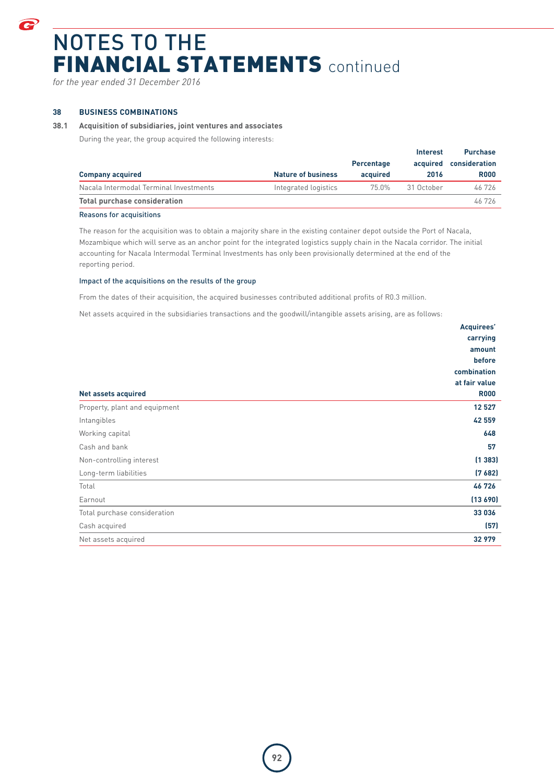*for the year ended 31 December 2016*

# **38 BUSINESS COMBINATIONS**

P

### **38.1 Acquisition of subsidiaries, joint ventures and associates**

During the year, the group acquired the following interests:

|                           |            | <b>Interest</b> | <b>Purchase</b> |
|---------------------------|------------|-----------------|-----------------|
|                           | Percentage | acquired        | consideration   |
| <b>Nature of business</b> | acquired   | 2016            | <b>R000</b>     |
| Integrated logistics      | 75.0%      | 31 October      | 46726           |
|                           |            |                 | 46726           |
|                           |            |                 |                 |

### Reasons for acquisitions

The reason for the acquisition was to obtain a majority share in the existing container depot outside the Port of Nacala, Mozambique which will serve as an anchor point for the integrated logistics supply chain in the Nacala corridor. The initial accounting for Nacala Intermodal Terminal Investments has only been provisionally determined at the end of the reporting period.

#### Impact of the acquisitions on the results of the group

From the dates of their acquisition, the acquired businesses contributed additional profits of R0.3 million.

Net assets acquired in the subsidiaries transactions and the goodwill/intangible assets arising, are as follows:

|                               | Acquirees'    |
|-------------------------------|---------------|
|                               | carrying      |
|                               | amount        |
|                               | before        |
|                               | combination   |
|                               | at fair value |
| <b>Net assets acquired</b>    | <b>R000</b>   |
| Property, plant and equipment | 12 5 27       |
| Intangibles                   | 42 559        |
| Working capital               | 648           |
| Cash and bank                 | 57            |
| Non-controlling interest      | (1383)        |
| Long-term liabilities         | (7682)        |
| Total                         | 46726         |
| Earnout                       | (13690)       |
| Total purchase consideration  | 33 036        |
| Cash acquired                 | (57)          |
| Net assets acquired           | 32 979        |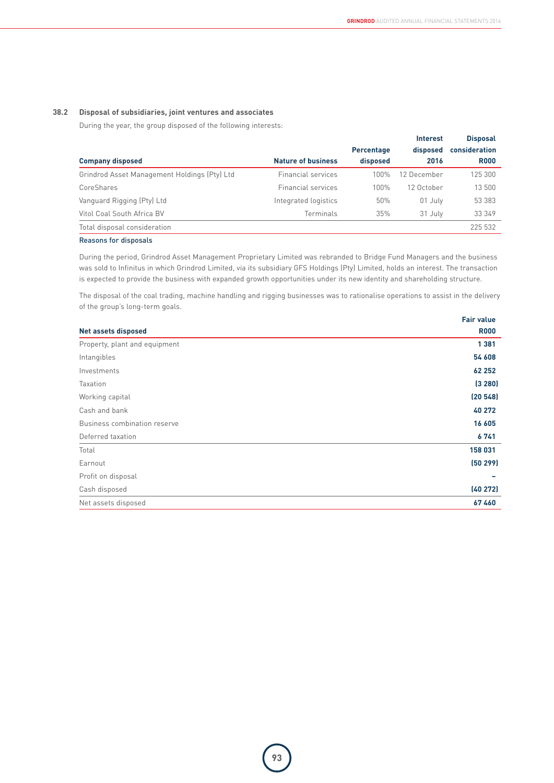### **38.2 Disposal of subsidiaries, joint ventures and associates**

During the year, the group disposed of the following interests:

|                                              |                           |            | <b>Interest</b> | <b>Disposal</b> |
|----------------------------------------------|---------------------------|------------|-----------------|-----------------|
|                                              |                           | Percentage | disposed        | consideration   |
| <b>Company disposed</b>                      | <b>Nature of business</b> | disposed   | 2016            | <b>R000</b>     |
| Grindrod Asset Management Holdings (Pty) Ltd | <b>Financial services</b> | 100%       | 12 December     | 125 300         |
| CoreShares                                   | <b>Financial services</b> | 100%       | 12 October      | 13 500          |
| Vanguard Rigging (Pty) Ltd                   | Integrated logistics      | 50%        | 01 July         | 53 383          |
| Vitol Coal South Africa BV                   | Terminals                 | 35%        | 31 July         | 33 349          |
| Total disposal consideration                 |                           |            |                 | 225 532         |
| Deservas franklinger ette                    |                           |            |                 |                 |

#### Reasons for disposals

During the period, Grindrod Asset Management Proprietary Limited was rebranded to Bridge Fund Managers and the business was sold to Infinitus in which Grindrod Limited, via its subsidiary GFS Holdings (Pty) Limited, holds an interest. The transaction is expected to provide the business with expanded growth opportunities under its new identity and shareholding structure.

The disposal of the coal trading, machine handling and rigging businesses was to rationalise operations to assist in the delivery of the group's long-term goals.

|                               | <b>Fair value</b> |
|-------------------------------|-------------------|
| <b>Net assets disposed</b>    | <b>R000</b>       |
| Property, plant and equipment | 1 3 8 1           |
| Intangibles                   | 54 608            |
| Investments                   | 62 252            |
| Taxation                      | (3 280)           |
| Working capital               | (20548)           |
| Cash and bank                 | 40 272            |
| Business combination reserve  | 16 605            |
| Deferred taxation             | 6741              |
| Total                         | 158 031           |
| Earnout                       | (50299)           |
| Profit on disposal            | -                 |
| Cash disposed                 | (40272)           |
| Net assets disposed           | 67460             |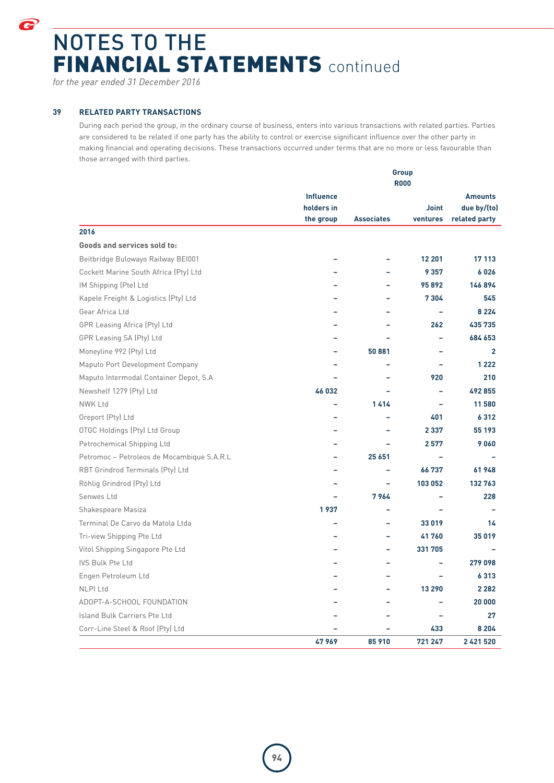*for the year ended 31 December 2016*

P

## **39 RELATED PARTY TRANSACTIONS**

During each period the group, in the ordinary course of business, enters into various transactions with related parties. Parties are considered to be related if one party has the ability to control or exercise significant influence over the other party in making financial and operating decisions. These transactions occurred under terms that are no more or less favourable than those arranged with third parties.

|                                            | Group            |                          |                          |                |
|--------------------------------------------|------------------|--------------------------|--------------------------|----------------|
|                                            |                  |                          | <b>R000</b>              |                |
|                                            | <b>Influence</b> |                          |                          | <b>Amounts</b> |
|                                            | holders in       |                          | <b>Joint</b>             | due by/(to)    |
|                                            | the group        | <b>Associates</b>        | ventures                 | related party  |
| 2016                                       |                  |                          |                          |                |
| Goods and services sold to:                |                  |                          |                          |                |
| Beitbridge Bulowayo Railway BEI001         |                  |                          | 12 201                   | 17 113         |
| Cockett Marine South Africa (Pty) Ltd      |                  |                          | 9 3 5 7                  | 6026           |
| IM Shipping (Pte) Ltd                      |                  |                          | 95892                    | 146894         |
| Kapele Freight & Logistics (Pty) Ltd       |                  |                          | 7304                     | 545            |
| Gear Africa Ltd                            |                  |                          | $\overline{\phantom{0}}$ | 8 2 2 4        |
| GPR Leasing Africa (Pty) Ltd               |                  |                          | 262                      | 435 735        |
| GPR Leasing SA (Pty) Ltd                   |                  | $\overline{\phantom{0}}$ | $\overline{\phantom{0}}$ | 684 653        |
| Moneyline 992 (Pty) Ltd                    |                  | 50 881                   | $\overline{\phantom{0}}$ | $\mathbf{2}$   |
| Maputo Port Development Company            |                  | ÷,                       | $\overline{\phantom{0}}$ | 1 2 2 2        |
| Maputo Intermodal Container Depot, S.A     |                  |                          | 920                      | 210            |
| Newshelf 1279 (Pty) Ltd                    | 46 032           |                          |                          | 492 855        |
| <b>NWK Ltd</b>                             |                  | 1414                     |                          | 11580          |
| Oreport (Pty) Ltd                          |                  |                          | 401                      | 6312           |
| OTGC Holdings (Pty) Ltd Group              |                  |                          | 2 3 3 7                  | 55 193         |
| Petrochemical Shipping Ltd                 |                  |                          | 2577                     | 9060           |
| Petromoc - Petroleos de Mocambique S.A.R.L |                  | 25 651                   |                          |                |
| RBT Grindrod Terminals (Pty) Ltd           |                  |                          | 66737                    | 61948          |
| Röhlig Grindrod (Pty) Ltd                  |                  |                          | 103 052                  | 132763         |
| Senwes Ltd                                 |                  | 7964                     |                          | 228            |
| Shakespeare Masiza                         | 1937             |                          |                          |                |
| Terminal De Carvo da Matola Ltda           |                  | ÷,                       | 33019                    | 14             |
| Tri-view Shipping Pte Ltd                  |                  | ÷                        | 41760                    | 35019          |
| Vitol Shipping Singapore Pte Ltd           |                  | ۰                        | 331 705                  |                |
| <b>IVS Bulk Pte Ltd</b>                    |                  | ÷                        |                          | 279 098        |
| Engen Petroleum Ltd                        |                  | $\equiv$                 | L.                       | 6313           |
| <b>NLPI Ltd</b>                            |                  |                          | 13 290                   | 2 2 8 2        |
| ADOPT-A-SCHOOL FOUNDATION                  |                  |                          |                          | 20 000         |
| Island Bulk Carriers Pte Ltd               |                  |                          | $\overline{\phantom{0}}$ | 27             |
| Corr-Line Steel & Roof (Pty) Ltd           |                  |                          | 433                      | 8 2 0 4        |
|                                            | 47969            | 85 910                   | 721 247                  | 2 421 520      |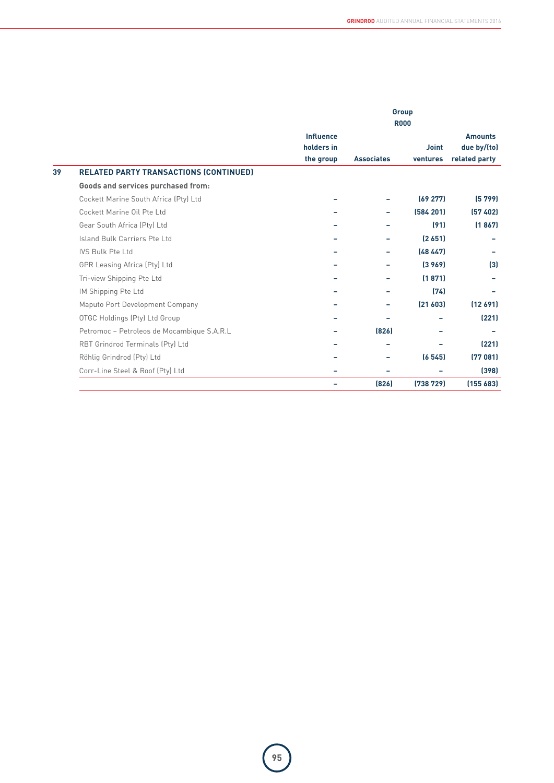|                                               |                                |                   | Group        |                               |
|-----------------------------------------------|--------------------------------|-------------------|--------------|-------------------------------|
|                                               |                                |                   | <b>R000</b>  |                               |
|                                               | <b>Influence</b><br>holders in |                   | <b>Joint</b> | <b>Amounts</b><br>due by/(to) |
|                                               | the group                      | <b>Associates</b> | ventures     | related party                 |
| <b>RELATED PARTY TRANSACTIONS (CONTINUED)</b> |                                |                   |              |                               |
| Goods and services purchased from:            |                                |                   |              |                               |
| Cockett Marine South Africa (Pty) Ltd         |                                |                   | (69277)      | (5799)                        |
| Cockett Marine Oil Pte Ltd                    |                                |                   | [584 201]    | (57, 402)                     |
| Gear South Africa (Pty) Ltd                   |                                |                   | (91)         | (1867)                        |
| Island Bulk Carriers Pte Ltd                  |                                |                   | (2,651)      |                               |
| <b>IVS Bulk Pte Ltd</b>                       |                                |                   | (48, 447)    |                               |
| GPR Leasing Africa (Pty) Ltd                  |                                |                   | (3969)       | $[3]$                         |
| Tri-view Shipping Pte Ltd                     |                                |                   | (1871)       |                               |
| IM Shipping Pte Ltd                           |                                |                   | (74)         |                               |
| Maputo Port Development Company               |                                |                   | [21 603]     | (12691)                       |
| OTGC Holdings (Pty) Ltd Group                 |                                |                   |              | (221)                         |
| Petromoc - Petroleos de Mocambique S.A.R.L    |                                | [826]             |              |                               |
| RBT Grindrod Terminals (Pty) Ltd              |                                |                   |              | (221)                         |
| Röhlig Grindrod (Pty) Ltd                     |                                |                   | (6545)       | (77081)                       |
| Corr-Line Steel & Roof (Pty) Ltd              |                                | -                 |              | (398)                         |
|                                               |                                | [826]             | [738 729]    | [155683]                      |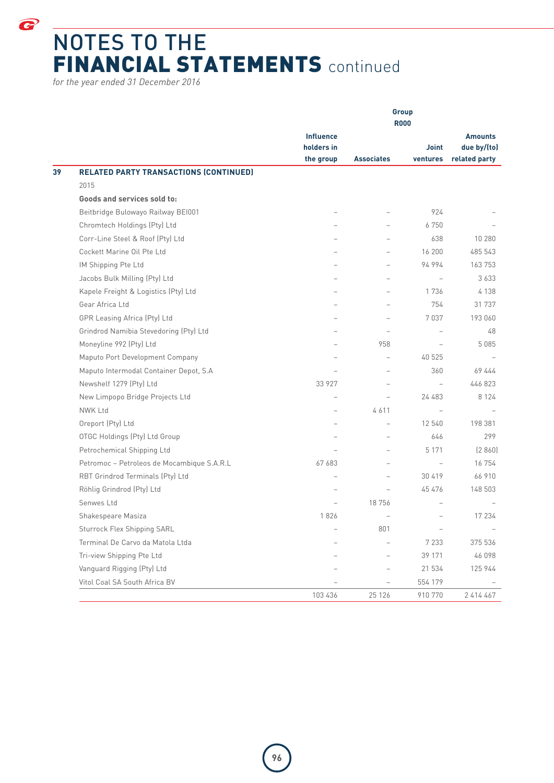*for the year ended 31 December 2016*

P

|    |                                               | Group                    |                          |                          |                |  |
|----|-----------------------------------------------|--------------------------|--------------------------|--------------------------|----------------|--|
|    |                                               |                          |                          | <b>R000</b>              |                |  |
|    |                                               | <b>Influence</b>         |                          |                          | <b>Amounts</b> |  |
|    |                                               | holders in               | <b>Associates</b>        | <b>Joint</b>             | due by/(to)    |  |
|    |                                               | the group                |                          | ventures                 | related party  |  |
| 39 | <b>RELATED PARTY TRANSACTIONS (CONTINUED)</b> |                          |                          |                          |                |  |
|    | 2015                                          |                          |                          |                          |                |  |
|    | Goods and services sold to:                   |                          |                          |                          |                |  |
|    | Beitbridge Bulowayo Railway BEI001            | $\qquad \qquad -$        | $\overline{a}$           | 924                      |                |  |
|    | Chromtech Holdings (Pty) Ltd                  |                          |                          | 6750                     |                |  |
|    | Corr-Line Steel & Roof (Pty) Ltd              |                          |                          | 638                      | 10 280         |  |
|    | Cockett Marine Oil Pte Ltd                    |                          |                          | 16 200                   | 485 543        |  |
|    | IM Shipping Pte Ltd                           |                          | $\overline{\phantom{0}}$ | 94 994                   | 163 753        |  |
|    | Jacobs Bulk Milling (Pty) Ltd                 |                          | $\overline{\phantom{0}}$ | $\overline{\phantom{a}}$ | 3 6 3 3        |  |
|    | Kapele Freight & Logistics (Pty) Ltd          |                          |                          | 1736                     | 4 1 3 8        |  |
|    | Gear Africa Ltd                               |                          |                          | 754                      | 31 737         |  |
|    | GPR Leasing Africa (Pty) Ltd                  |                          | $\overline{\phantom{0}}$ | 7037                     | 193 060        |  |
|    | Grindrod Namibia Stevedoring (Pty) Ltd        |                          |                          |                          | 48             |  |
|    | Moneyline 992 (Pty) Ltd                       |                          | 958                      | $\overline{\phantom{0}}$ | 5085           |  |
|    | Maputo Port Development Company               |                          |                          | 40 525                   |                |  |
|    | Maputo Intermodal Container Depot, S.A        |                          | $\overline{\phantom{0}}$ | 360                      | 69 444         |  |
|    | Newshelf 1279 (Pty) Ltd                       | 33 9 27                  |                          | $\overline{\phantom{a}}$ | 446 823        |  |
|    | New Limpopo Bridge Projects Ltd               |                          | $\overline{a}$           | 24 483                   | 8 1 2 4        |  |
|    | <b>NWK Ltd</b>                                | $\overline{\phantom{0}}$ | 4611                     | $\overline{\phantom{a}}$ |                |  |
|    | Oreport (Pty) Ltd                             | $\overline{a}$           | $\overline{\phantom{a}}$ | 12 540                   | 198 381        |  |
|    | OTGC Holdings (Pty) Ltd Group                 |                          |                          | 646                      | 299            |  |
|    | Petrochemical Shipping Ltd                    |                          |                          | 5 1 7 1                  | [2 860]        |  |
|    | Petromoc - Petroleos de Mocambique S.A.R.L    | 67 683                   |                          | $\overline{\phantom{a}}$ | 16 754         |  |
|    | RBT Grindrod Terminals (Pty) Ltd              | $\overline{\phantom{0}}$ | $\overline{\phantom{0}}$ | 30 419                   | 66 910         |  |
|    | Röhlig Grindrod (Pty) Ltd                     | $\overline{\phantom{0}}$ |                          | 45 476                   | 148 503        |  |
|    | Senwes Ltd                                    | $\overline{\phantom{a}}$ | 18 756                   |                          |                |  |
|    | Shakespeare Masiza                            | 1826                     |                          | $\overline{\phantom{0}}$ | 17 234         |  |
|    | Sturrock Flex Shipping SARL                   |                          | 801                      | $\overline{\phantom{a}}$ |                |  |
|    | Terminal De Carvo da Matola Ltda              |                          |                          | 7 2 3 3                  | 375 536        |  |
|    | Tri-view Shipping Pte Ltd                     |                          |                          | 39 171                   | 46 098         |  |
|    | Vanguard Rigging (Pty) Ltd                    |                          |                          | 21 534                   | 125 944        |  |
|    | Vitol Coal SA South Africa BV                 |                          | $\overline{\phantom{0}}$ | 554 179                  |                |  |
|    |                                               | 103 436                  | 25 1 26                  | 910 770                  | 2 4 1 4 4 6 7  |  |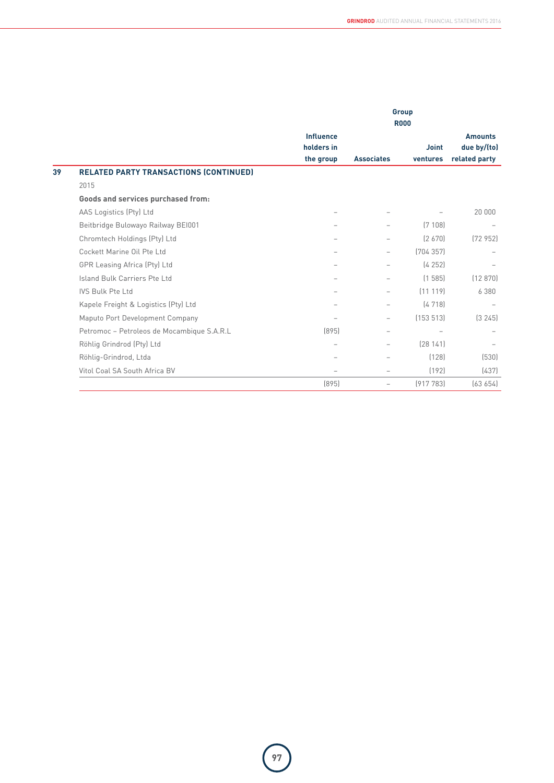|                                               |                                |                          | Group<br><b>R000</b> |                               |
|-----------------------------------------------|--------------------------------|--------------------------|----------------------|-------------------------------|
|                                               | <b>Influence</b><br>holders in |                          | <b>Joint</b>         | <b>Amounts</b><br>due by/(to) |
|                                               | the group                      | <b>Associates</b>        | ventures             | related party                 |
| <b>RELATED PARTY TRANSACTIONS (CONTINUED)</b> |                                |                          |                      |                               |
| 2015                                          |                                |                          |                      |                               |
| Goods and services purchased from:            |                                |                          |                      |                               |
| AAS Logistics (Pty) Ltd                       |                                |                          |                      | 20 000                        |
| Beitbridge Bulowayo Railway BEI001            |                                |                          | (7108)               |                               |
| Chromtech Holdings (Pty) Ltd                  | $\overline{\phantom{0}}$       | $\overline{\phantom{0}}$ | [2 670]              | [72952]                       |
| Cockett Marine Oil Pte Ltd                    | $\overline{\phantom{0}}$       | $\overline{\phantom{0}}$ | [704 357]            |                               |
| GPR Leasing Africa (Pty) Ltd                  | $\overline{\phantom{0}}$       | $\overline{\phantom{0}}$ | [4 252]              |                               |
| Island Bulk Carriers Pte Ltd                  |                                | $\overline{\phantom{0}}$ | (1585)               | (12870)                       |
| <b>IVS Bulk Pte Ltd</b>                       |                                | -                        | [11 119]             | 6 3 8 0                       |
| Kapele Freight & Logistics (Pty) Ltd          |                                |                          | [4718]               |                               |
| Maputo Port Development Company               | $\overline{\phantom{0}}$       | $\overline{\phantom{0}}$ | [153 513]            | [3 245]                       |
| Petromoc - Petroleos de Mocambique S.A.R.L    | [895]                          | $\overline{\phantom{0}}$ |                      |                               |
| Röhlig Grindrod (Pty) Ltd                     | $\overline{\phantom{a}}$       | -                        | [28 141]             |                               |
| Röhlig-Grindrod, Ltda                         | $\overline{a}$                 | $\overline{\phantom{0}}$ | (128)                | (530)                         |
| Vitol Coal SA South Africa BV                 | $\overline{\phantom{0}}$       | $\overline{\phantom{0}}$ | (192)                | [437]                         |
|                                               | [895]                          | $\overline{\phantom{0}}$ | [917783]             | [63654]                       |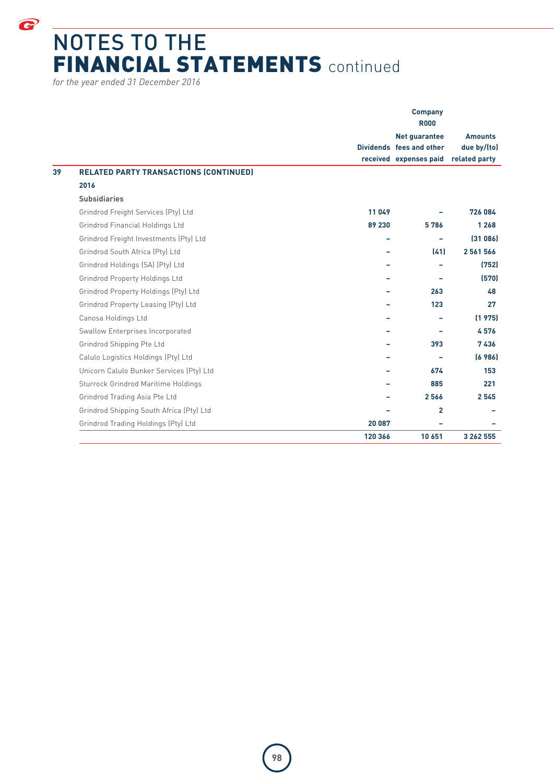*for the year ended 31 December 2016*

P

| Net guarantee<br>Dividends fees and other<br>due by/(to)<br>received expenses paid related party<br><b>RELATED PARTY TRANSACTIONS (CONTINUED)</b><br>2016<br><b>Subsidiaries</b><br>11 049<br>Grindrod Freight Services (Pty) Ltd<br>89 230<br>Grindrod Financial Holdings Ltd<br>5786<br>Grindrod Freight Investments (Pty) Ltd<br>-<br>-<br>Grindrod South Africa (Pty) Ltd<br>(41)<br>Grindrod Holdings (SA) (Pty) Ltd<br><b>Grindrod Property Holdings Ltd</b><br>Grindrod Property Holdings (Pty) Ltd<br>263<br>Grindrod Property Leasing (Pty) Ltd<br>123<br>Canosa Holdings Ltd<br>Swallow Enterprises Incorporated<br>Grindrod Shipping Pte Ltd<br>393<br>Calulo Logistics Holdings (Pty) Ltd<br>Unicorn Calulo Bunker Services (Pty) Ltd<br>674<br>885<br>Sturrock Grindrod Maritime Holdings<br>Grindrod Trading Asia Pte Ltd<br>2566<br>Grindrod Shipping South Africa (Pty) Ltd<br>$\overline{2}$<br>20 087<br>Grindrod Trading Holdings (Pty) Ltd<br>120 366<br>10 651 |  | <b>Company</b><br><b>R000</b> |                |
|-------------------------------------------------------------------------------------------------------------------------------------------------------------------------------------------------------------------------------------------------------------------------------------------------------------------------------------------------------------------------------------------------------------------------------------------------------------------------------------------------------------------------------------------------------------------------------------------------------------------------------------------------------------------------------------------------------------------------------------------------------------------------------------------------------------------------------------------------------------------------------------------------------------------------------------------------------------------------------------|--|-------------------------------|----------------|
|                                                                                                                                                                                                                                                                                                                                                                                                                                                                                                                                                                                                                                                                                                                                                                                                                                                                                                                                                                                     |  |                               | <b>Amounts</b> |
|                                                                                                                                                                                                                                                                                                                                                                                                                                                                                                                                                                                                                                                                                                                                                                                                                                                                                                                                                                                     |  |                               |                |
|                                                                                                                                                                                                                                                                                                                                                                                                                                                                                                                                                                                                                                                                                                                                                                                                                                                                                                                                                                                     |  |                               |                |
|                                                                                                                                                                                                                                                                                                                                                                                                                                                                                                                                                                                                                                                                                                                                                                                                                                                                                                                                                                                     |  |                               |                |
|                                                                                                                                                                                                                                                                                                                                                                                                                                                                                                                                                                                                                                                                                                                                                                                                                                                                                                                                                                                     |  |                               |                |
|                                                                                                                                                                                                                                                                                                                                                                                                                                                                                                                                                                                                                                                                                                                                                                                                                                                                                                                                                                                     |  |                               | 726 084        |
|                                                                                                                                                                                                                                                                                                                                                                                                                                                                                                                                                                                                                                                                                                                                                                                                                                                                                                                                                                                     |  |                               | 1 2 6 8        |
|                                                                                                                                                                                                                                                                                                                                                                                                                                                                                                                                                                                                                                                                                                                                                                                                                                                                                                                                                                                     |  |                               | [31 086]       |
|                                                                                                                                                                                                                                                                                                                                                                                                                                                                                                                                                                                                                                                                                                                                                                                                                                                                                                                                                                                     |  |                               | 2561566        |
|                                                                                                                                                                                                                                                                                                                                                                                                                                                                                                                                                                                                                                                                                                                                                                                                                                                                                                                                                                                     |  |                               | (752)          |
|                                                                                                                                                                                                                                                                                                                                                                                                                                                                                                                                                                                                                                                                                                                                                                                                                                                                                                                                                                                     |  |                               | (570)          |
|                                                                                                                                                                                                                                                                                                                                                                                                                                                                                                                                                                                                                                                                                                                                                                                                                                                                                                                                                                                     |  |                               | 48             |
|                                                                                                                                                                                                                                                                                                                                                                                                                                                                                                                                                                                                                                                                                                                                                                                                                                                                                                                                                                                     |  |                               | 27             |
|                                                                                                                                                                                                                                                                                                                                                                                                                                                                                                                                                                                                                                                                                                                                                                                                                                                                                                                                                                                     |  |                               | (1975)         |
|                                                                                                                                                                                                                                                                                                                                                                                                                                                                                                                                                                                                                                                                                                                                                                                                                                                                                                                                                                                     |  |                               | 4576           |
|                                                                                                                                                                                                                                                                                                                                                                                                                                                                                                                                                                                                                                                                                                                                                                                                                                                                                                                                                                                     |  |                               | 7436           |
|                                                                                                                                                                                                                                                                                                                                                                                                                                                                                                                                                                                                                                                                                                                                                                                                                                                                                                                                                                                     |  |                               | [6 986]        |
|                                                                                                                                                                                                                                                                                                                                                                                                                                                                                                                                                                                                                                                                                                                                                                                                                                                                                                                                                                                     |  |                               | 153            |
|                                                                                                                                                                                                                                                                                                                                                                                                                                                                                                                                                                                                                                                                                                                                                                                                                                                                                                                                                                                     |  |                               | 221            |
|                                                                                                                                                                                                                                                                                                                                                                                                                                                                                                                                                                                                                                                                                                                                                                                                                                                                                                                                                                                     |  |                               | 2545           |
|                                                                                                                                                                                                                                                                                                                                                                                                                                                                                                                                                                                                                                                                                                                                                                                                                                                                                                                                                                                     |  |                               |                |
|                                                                                                                                                                                                                                                                                                                                                                                                                                                                                                                                                                                                                                                                                                                                                                                                                                                                                                                                                                                     |  |                               |                |
|                                                                                                                                                                                                                                                                                                                                                                                                                                                                                                                                                                                                                                                                                                                                                                                                                                                                                                                                                                                     |  |                               | 3 262 555      |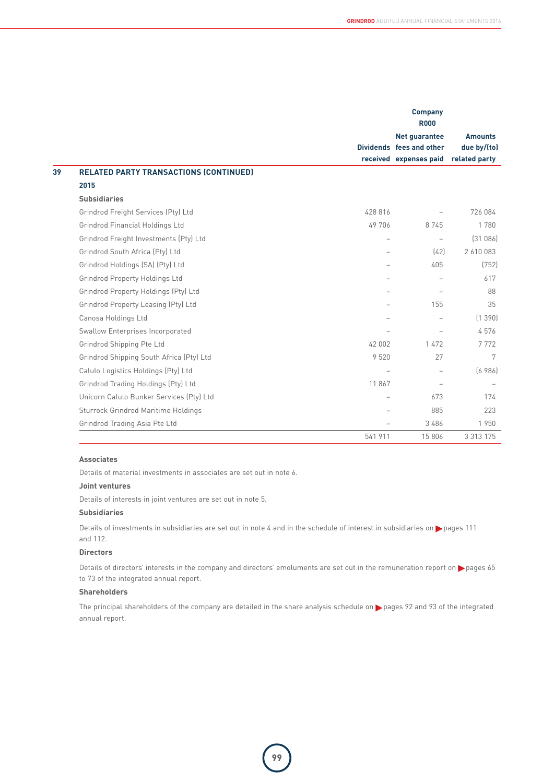|                                               |                          | <b>Company</b><br><b>R000</b> |                |
|-----------------------------------------------|--------------------------|-------------------------------|----------------|
|                                               |                          | Net guarantee                 | <b>Amounts</b> |
|                                               |                          | Dividends fees and other      | due by/(to)    |
|                                               |                          | received expenses paid        | related party  |
| <b>RELATED PARTY TRANSACTIONS (CONTINUED)</b> |                          |                               |                |
| 2015                                          |                          |                               |                |
| <b>Subsidiaries</b>                           |                          |                               |                |
| Grindrod Freight Services (Pty) Ltd           | 428 816                  |                               | 726 084        |
| Grindrod Financial Holdings Ltd               | 49 706                   | 8745                          | 1780           |
| Grindrod Freight Investments (Pty) Ltd        |                          | $\overline{\phantom{0}}$      | [31 086]       |
| Grindrod South Africa (Pty) Ltd               |                          | (42)                          | 2 610 083      |
| Grindrod Holdings (SA) (Pty) Ltd              |                          | 405                           | (752)          |
| Grindrod Property Holdings Ltd                |                          |                               | 617            |
| Grindrod Property Holdings (Pty) Ltd          |                          | $\overline{\phantom{0}}$      | 88             |
| Grindrod Property Leasing (Pty) Ltd           |                          | 155                           | 35             |
| Canosa Holdings Ltd                           | $\overline{a}$           | $\overline{\phantom{0}}$      | (1390)         |
| Swallow Enterprises Incorporated              | $\overline{\phantom{0}}$ | $\overline{\phantom{0}}$      | 4576           |
| Grindrod Shipping Pte Ltd                     | 42 002                   | 1472                          | 7772           |
| Grindrod Shipping South Africa (Pty) Ltd      | 9 5 2 0                  | 27                            | 7              |
| Calulo Logistics Holdings (Pty) Ltd           | ۰                        |                               | [6986]         |
| Grindrod Trading Holdings (Pty) Ltd           | 11867                    |                               |                |
| Unicorn Calulo Bunker Services (Pty) Ltd      |                          | 673                           | 174            |
| <b>Sturrock Grindrod Maritime Holdings</b>    |                          | 885                           | 223            |
| Grindrod Trading Asia Pte Ltd                 |                          | 3 486                         | 1950           |
|                                               | 541 911                  | 15 806                        | 3 3 1 3 1 7 5  |
|                                               |                          |                               |                |

### **Associates**

Details of material investments in associates are set out in note 6.

# **Joint ventures**

Details of interests in joint ventures are set out in note 5.

# **Subsidiaries**

Details of investments in subsidiaries are set out in note 4 and in the schedule of interest in subsidiaries on pages 111 and 112.

# **Directors**

Details of directors' interests in the company and directors' emoluments are set out in the remuneration report on pages 65 to 73 of the integrated annual report.

## **Shareholders**

The principal shareholders of the company are detailed in the share analysis schedule on pages 92 and 93 of the integrated annual report.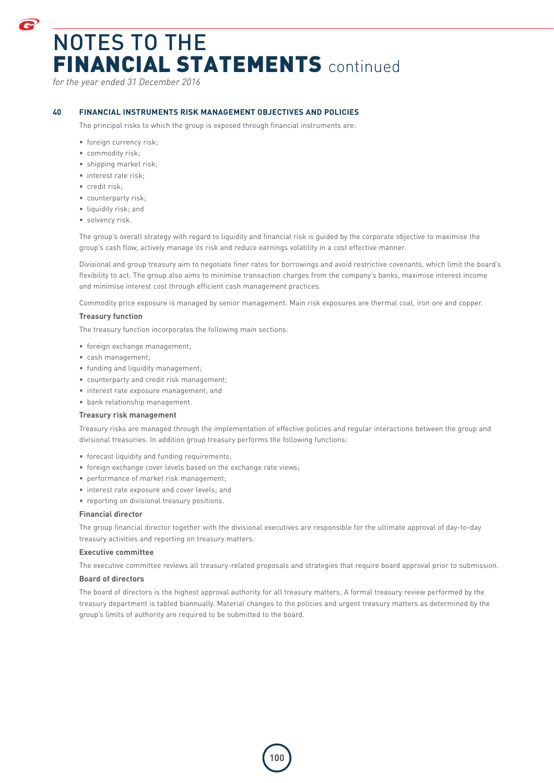*for the year ended 31 December 2016*

# **40 FINANCIAL INSTRUMENTS RISK MANAGEMENT OBJECTIVES AND POLICIES**

The principal risks to which the group is exposed through financial instruments are:

- foreign currency risk;
- commodity risk;
- shipping market risk;
- interest rate risk;
- credit risk;

P

- counterparty risk;
- liquidity risk; and
- solvency risk.

The group's overall strategy with regard to liquidity and financial risk is guided by the corporate objective to maximise the group's cash flow, actively manage its risk and reduce earnings volatility in a cost effective manner.

Divisional and group treasury aim to negotiate finer rates for borrowings and avoid restrictive covenants, which limit the board's flexibility to act. The group also aims to minimise transaction charges from the company's banks, maximise interest income and minimise interest cost through efficient cash management practices.

Commodity price exposure is managed by senior management. Main risk exposures are thermal coal, iron ore and copper.

#### **Treasury function**

The treasury function incorporates the following main sections:

- foreign exchange management;
- cash management;
- funding and liquidity management;
- counterparty and credit risk management;
- interest rate exposure management; and
- bank relationship management.

#### **Treasury risk management**

Treasury risks are managed through the implementation of effective policies and regular interactions between the group and divisional treasuries. In addition group treasury performs the following functions:

- forecast liquidity and funding requirements;
- foreign exchange cover levels based on the exchange rate views;
- performance of market risk management;
- interest rate exposure and cover levels; and
- reporting on divisional treasury positions.

#### **Financial director**

The group financial director together with the divisional executives are responsible for the ultimate approval of day-to-day treasury activities and reporting on treasury matters.

#### **Executive committee**

The executive committee reviews all treasury-related proposals and strategies that require board approval prior to submission.

## **Board of directors**

The board of directors is the highest approval authority for all treasury matters. A formal treasury review performed by the treasury department is tabled biannually. Material changes to the policies and urgent treasury matters as determined by the group's limits of authority are required to be submitted to the board.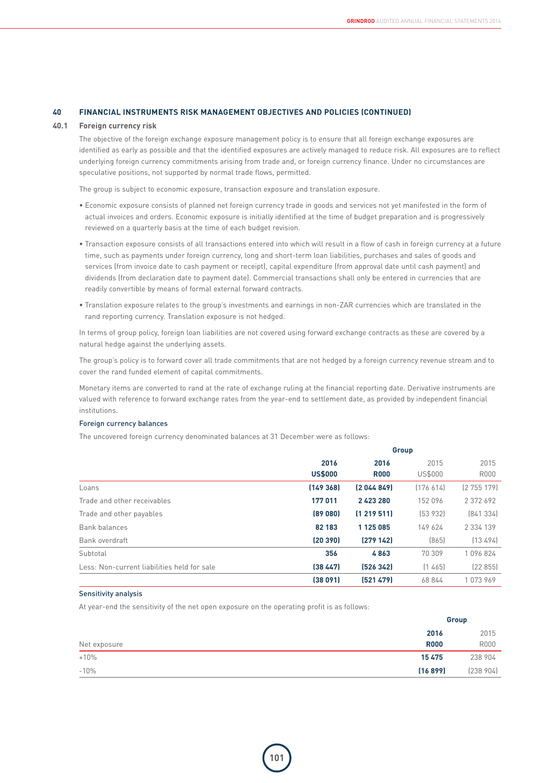### **40 FINANCIAL INSTRUMENTS RISK MANAGEMENT OBJECTIVES AND POLICIES (CONTINUED)**

#### **40.1 Foreign currency risk**

The objective of the foreign exchange exposure management policy is to ensure that all foreign exchange exposures are identified as early as possible and that the identified exposures are actively managed to reduce risk. All exposures are to reflect underlying foreign currency commitments arising from trade and, or foreign currency finance. Under no circumstances are speculative positions, not supported by normal trade flows, permitted.

The group is subject to economic exposure, transaction exposure and translation exposure.

- ∙ Economic exposure consists of planned net foreign currency trade in goods and services not yet manifested in the form of actual invoices and orders. Economic exposure is initially identified at the time of budget preparation and is progressively reviewed on a quarterly basis at the time of each budget revision.
- ∙ Transaction exposure consists of all transactions entered into which will result in a flow of cash in foreign currency at a future time, such as payments under foreign currency, long and short-term loan liabilities, purchases and sales of goods and services (from invoice date to cash payment or receipt), capital expenditure (from approval date until cash payment) and dividends (from declaration date to payment date). Commercial transactions shall only be entered in currencies that are readily convertible by means of formal external forward contracts.
- ∙ Translation exposure relates to the group's investments and earnings in non-ZAR currencies which are translated in the rand reporting currency. Translation exposure is not hedged.

In terms of group policy, foreign loan liabilities are not covered using forward exchange contracts as these are covered by a natural hedge against the underlying assets.

The group's policy is to forward cover all trade commitments that are not hedged by a foreign currency revenue stream and to cover the rand funded element of capital commitments.

Monetary items are converted to rand at the rate of exchange ruling at the financial reporting date. Derivative instruments are valued with reference to forward exchange rates from the year-end to settlement date, as provided by independent financial institutions.

### Foreign currency balances

The uncovered foreign currency denominated balances at 31 December were as follows:

|                                             | Group          |             |                |               |
|---------------------------------------------|----------------|-------------|----------------|---------------|
|                                             | 2016           | 2016        | 2015           | 2015          |
|                                             | <b>US\$000</b> | <b>R000</b> | <b>US\$000</b> | <b>R000</b>   |
| Loans                                       | [149368]       | [2044849]   | [176614]       | [2755179]     |
| Trade and other receivables                 | 177011         | 2 423 280   | 152 096        | 2 372 692     |
| Trade and other payables                    | (89080)        | (1219511)   | [53, 932]      | [841334]      |
| Bank balances                               | 82 183         | 1 125 085   | 149 624        | 2 3 3 4 1 3 9 |
| Bank overdraft                              | (20390)        | [279 142]   | [865]          | (13494)       |
| Subtotal                                    | 356            | 4863        | 70 309         | 1096824       |
| Less: Non-current liabilities held for sale | (38447)        | [526 342]   | (1465)         | (22855)       |
|                                             | (38091)        | [521 479]   | 68 844         | 1073969       |

## Sensitivity analysis

At year-end the sensitivity of the net open exposure on the operating profit is as follows:

|                    |             | Group       |
|--------------------|-------------|-------------|
|                    | 2016        | 2015        |
| Net exposure       | <b>R000</b> | <b>R000</b> |
| $+10%$             | 15 4 7 5    | 238 904     |
| $-10%$<br>________ | (16899)     | (238904)    |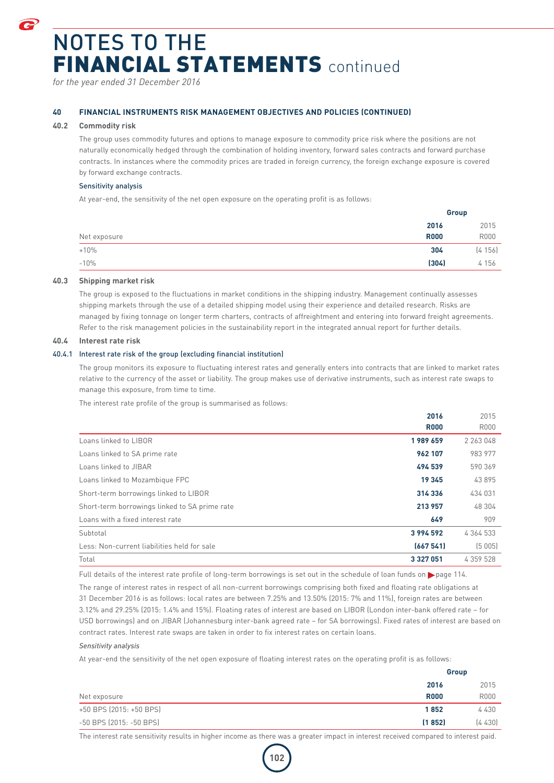*for the year ended 31 December 2016*

# **40 FINANCIAL INSTRUMENTS RISK MANAGEMENT OBJECTIVES AND POLICIES (CONTINUED)**

### **40.2 Commodity risk**

 $\overline{\phantom{a}}$ 

The group uses commodity futures and options to manage exposure to commodity price risk where the positions are not naturally economically hedged through the combination of holding inventory, forward sales contracts and forward purchase contracts. In instances where the commodity prices are traded in foreign currency, the foreign exchange exposure is covered by forward exchange contracts.

#### Sensitivity analysis

At year-end, the sensitivity of the net open exposure on the operating profit is as follows:

|              |             | Group       |
|--------------|-------------|-------------|
|              | 2016        | 2015        |
| Net exposure | <b>R000</b> | <b>R000</b> |
| $+10%$       | 304         | (4156)      |
| $-10%$       | (304)       | 4 1 5 6     |

#### **40.3 Shipping market risk**

The group is exposed to the fluctuations in market conditions in the shipping industry. Management continually assesses shipping markets through the use of a detailed shipping model using their experience and detailed research. Risks are managed by fixing tonnage on longer term charters, contracts of affreightment and entering into forward freight agreements. Refer to the risk management policies in the sustainability report in the integrated annual report for further details.

#### **40.4 Interest rate risk**

## 40.4.1 Interest rate risk of the group (excluding financial institution)

The group monitors its exposure to fluctuating interest rates and generally enters into contracts that are linked to market rates relative to the currency of the asset or liability. The group makes use of derivative instruments, such as interest rate swaps to manage this exposure, from time to time.

The interest rate profile of the group is summarised as follows:

|                                               | 2016          | 2015          |
|-----------------------------------------------|---------------|---------------|
|                                               | <b>R000</b>   | <b>R000</b>   |
| Loans linked to LIBOR                         | 1989 659      | 2 2 6 3 0 4 8 |
| Loans linked to SA prime rate                 | 962 107       | 983 977       |
| Loans linked to JIBAR                         | 494 539       | 590 369       |
| Loans linked to Mozambique FPC                | 19 345        | 43 895        |
| Short-term borrowings linked to LIBOR         | 314 336       | 434 031       |
| Short-term borrowings linked to SA prime rate | 213 957       | 48 304        |
| Loans with a fixed interest rate              | 649           | 909           |
| Subtotal                                      | 3994592       | 4 364 533     |
| Less: Non-current liabilities held for sale   | (667541)      | (5005)        |
| Total                                         | 3 3 2 7 0 5 1 | 4 359 528     |

Full details of the interest rate profile of long-term borrowings is set out in the schedule of loan funds on  $\rho$  page 114.

The range of interest rates in respect of all non-current borrowings comprising both fixed and floating rate obligations at 31 December 2016 is as follows: local rates are between 7.25% and 13.50% (2015: 7% and 11%), foreign rates are between 3.12% and 29.25% (2015: 1.4% and 15%). Floating rates of interest are based on LIBOR (London inter-bank offered rate – for USD borrowings) and on JIBAR (Johannesburg inter-bank agreed rate – for SA borrowings). Fixed rates of interest are based on contract rates. Interest rate swaps are taken in order to fix interest rates on certain loans.

## *Sensitivity analysis*

At year-end the sensitivity of the net open exposure of floating interest rates on the operating profit is as follows:

|                         |             | Group       |
|-------------------------|-------------|-------------|
|                         | 2016        | 2015        |
| Net exposure            | <b>R000</b> | <b>R000</b> |
| +50 BPS (2015: +50 BPS) | 1852        | 4 4 3 0     |
| -50 BPS (2015: -50 BPS) | (1852)      | (4430)      |

The interest rate sensitivity results in higher income as there was a greater impact in interest received compared to interest paid.

**102**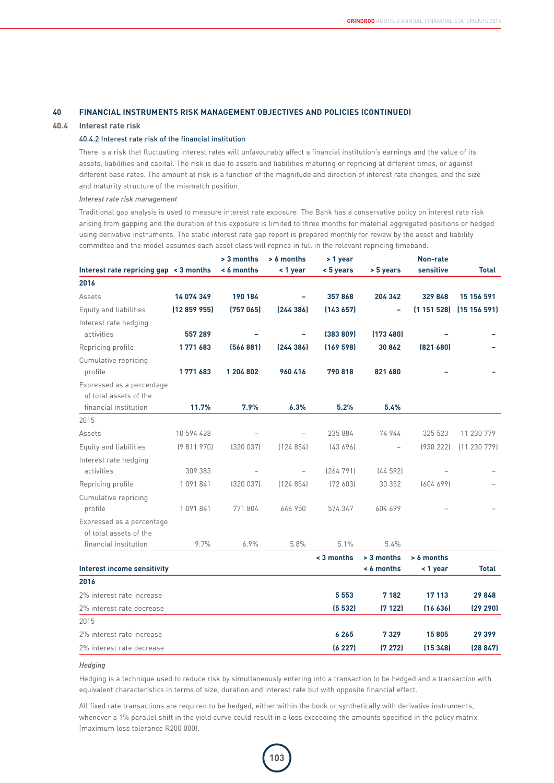#### **40 FINANCIAL INSTRUMENTS RISK MANAGEMENT OBJECTIVES AND POLICIES (CONTINUED)**

## **40.4 Interest rate risk**

# 40.4.2 Interest rate risk of the financial institution

There is a risk that fluctuating interest rates will unfavourably affect a financial institution's earnings and the value of its assets, liabilities and capital. The risk is due to assets and liabilities maturing or repricing at different times, or against different base rates. The amount at risk is a function of the magnitude and direction of interest rate changes, and the size and maturity structure of the mismatch position.

### *Interest rate risk management*

Traditional gap analysis is used to measure interest rate exposure. The Bank has a conservative policy on interest rate risk arising from gapping and the duration of this exposure is limited to three months for material aggregated positions or hedged using derivative instruments. The static interest rate gap report is prepared monthly for review by the asset and liability committee and the model assumes each asset class will reprice in full in the relevant repricing timeband.

|                                                                              |               | > 3 months | > 6 months | > 1 year   |              | Non-rate   |              |
|------------------------------------------------------------------------------|---------------|------------|------------|------------|--------------|------------|--------------|
| Interest rate repricing gap $\leq$ 3 months                                  |               | < 6 months | < 1 year   | < 5 years  | > 5 years    | sensitive  | <b>Total</b> |
| 2016                                                                         |               |            |            |            |              |            |              |
| Assets                                                                       | 14 074 349    | 190 184    |            | 357868     | 204 342      | 329 848    | 15 156 591   |
| Equity and liabilities                                                       | (12859955)    | (757065)   | [244 386]  | (143657)   |              | (1151528)  | (15156591)   |
| Interest rate hedging<br>activities                                          | 557 289       |            |            | (383 809)  | (173, 480)   |            |              |
| Repricing profile                                                            | 1771683       | (566881)   | [244 386]  | (169598)   | 30862        | [821 680]  |              |
| Cumulative repricing<br>profile                                              | 1771683       | 1 204 802  | 960 416    | 790818     | 821 680      |            |              |
| Expressed as a percentage<br>of total assets of the<br>financial institution | 11.7%         | 7.9%       | 6.3%       | 5.2%       | 5.4%         |            |              |
| 2015                                                                         |               |            |            |            |              |            |              |
| Assets                                                                       | 10 594 428    |            |            | 235 884    | 74 944       | 325 523    | 11 230 779   |
| Equity and liabilities                                                       | (9811970)     | (320037)   | [124 854]  | [43696]    |              | [930 222]  | (11230779)   |
| Interest rate hedging                                                        |               |            |            |            |              |            |              |
| activities                                                                   | 309 383       |            |            | [264 791]  | [44 592]     |            |              |
| Repricing profile                                                            | 1 091 841     | (320037)   | [124 854]  | [72, 603]  | 30 352       | [604 699]  |              |
| Cumulative repricing<br>profile                                              | 1 0 9 1 8 4 1 | 771 804    | 646 950    | 574 347    | 604 699      |            |              |
| Expressed as a percentage<br>of total assets of the                          |               |            |            |            |              |            |              |
| financial institution                                                        | 9.7%          | 6.9%       | 5.8%       | 5.1%       | 5.4%         |            |              |
|                                                                              |               |            |            | < 3 months | $> 3$ months | > 6 months |              |
| <b>Interest income sensitivity</b>                                           |               |            |            |            | < 6 months   | < 1 year   | <b>Total</b> |
| 2016                                                                         |               |            |            |            |              |            |              |
| 2% interest rate increase                                                    |               |            |            | 5 5 5 3    | 7 182        | 17 113     | 29 848       |
| 2% interest rate decrease                                                    |               |            |            | (5532)     | (7122)       | (16636)    | (29 290)     |
| 2015                                                                         |               |            |            |            |              |            |              |
| 2% interest rate increase                                                    |               |            |            | 6 2 6 5    | 7329         | 15805      | 29 399       |
| 2% interest rate decrease                                                    |               |            |            | (6227)     | (7272)       | (15348)    | (28847)      |

### *Hedging*

Hedging is a technique used to reduce risk by simultaneously entering into a transaction to be hedged and a transaction with equivalent characteristics in terms of size, duration and interest rate but with opposite financial effect.

All fixed rate transactions are required to be hedged, either within the book or synthetically with derivative instruments, whenever a 1% parallel shift in the yield curve could result in a loss exceeding the amounts specified in the policy matrix (maximum loss tolerance R200 000).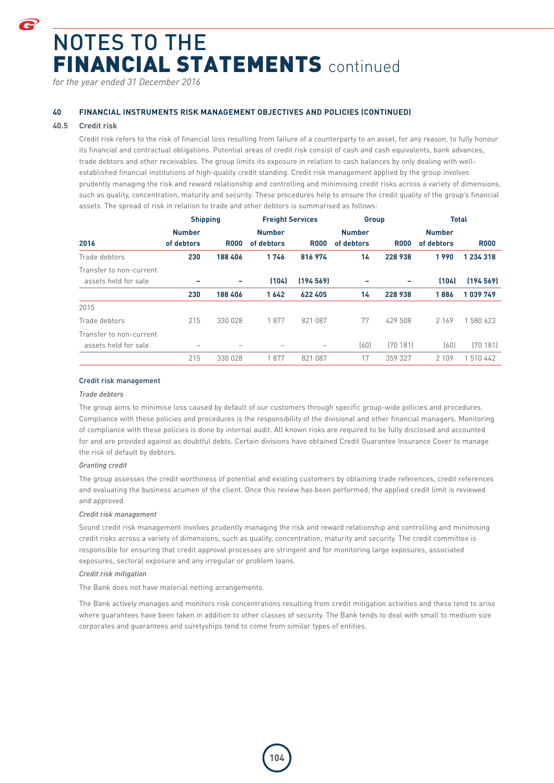*for the year ended 31 December 2016*

# **40 FINANCIAL INSTRUMENTS RISK MANAGEMENT OBJECTIVES AND POLICIES (CONTINUED)**

### **40.5 Credit risk**

P

Credit risk refers to the risk of financial loss resulting from failure of a counterparty to an asset, for any reason, to fully honour its financial and contractual obligations. Potential areas of credit risk consist of cash and cash equivalents, bank advances, trade debtors and other receivables. The group limits its exposure in relation to cash balances by only dealing with wellestablished financial institutions of high-quality credit standing. Credit risk management applied by the group involves prudently managing the risk and reward relationship and controlling and minimising credit risks across a variety of dimensions, such as quality, concentration, maturity and security. These procedures help to ensure the credit quality of the group's financial assets. The spread of risk in relation to trade and other debtors is summarised as follows:

|                                                 |                             | <b>Shipping</b><br><b>Freight Services</b><br>Group |                             |             | <b>Total</b>                |             |                             |             |
|-------------------------------------------------|-----------------------------|-----------------------------------------------------|-----------------------------|-------------|-----------------------------|-------------|-----------------------------|-------------|
| 2016                                            | <b>Number</b><br>of debtors | <b>R000</b>                                         | <b>Number</b><br>of debtors | <b>R000</b> | <b>Number</b><br>of debtors | <b>R000</b> | <b>Number</b><br>of debtors | <b>R000</b> |
| Trade debtors                                   | 230                         | 188 406                                             | 1746                        | 816 974     | 14                          | 228 938     | 1990                        | 1 234 318   |
| Transfer to non-current<br>assets held for sale |                             | -                                                   | (104)                       | (194569)    |                             | -           | (104)                       | (194569)    |
|                                                 | 230                         | 188 406                                             | 1642                        | 622 405     | 14                          | 228 938     | 1886                        | 1039749     |
| 2015                                            |                             |                                                     |                             |             |                             |             |                             |             |
| Trade debtors                                   | 215                         | 330 028                                             | 1877                        | 821 087     | 77                          | 429 508     | 2 1 6 9                     | 580 623     |
| Transfer to non-current<br>assets held for sale |                             |                                                     |                             |             | (60)                        | (70181)     | (60)                        | (70181)     |
|                                                 | 215                         | 330 028                                             | 1877                        | 087<br>821  | 17                          | 359 327     | 2 1 0 9                     | 1 510 442   |

### Credit risk management

#### *Trade debtors*

The group aims to minimise loss caused by default of our customers through specific group-wide policies and procedures. Compliance with these policies and procedures is the responsibility of the divisional and other financial managers. Monitoring of compliance with these policies is done by internal audit. All known risks are required to be fully disclosed and accounted for and are provided against as doubtful debts. Certain divisions have obtained Credit Guarantee Insurance Cover to manage the risk of default by debtors.

## *Granting credit*

The group assesses the credit worthiness of potential and existing customers by obtaining trade references, credit references and evaluating the business acumen of the client. Once this review has been performed, the applied credit limit is reviewed and approved.

#### *Credit risk management*

Sound credit risk management involves prudently managing the risk and reward relationship and controlling and minimising credit risks across a variety of dimensions, such as quality, concentration, maturity and security. The credit committee is responsible for ensuring that credit approval processes are stringent and for monitoring large exposures, associated exposures, sectoral exposure and any irregular or problem loans.

### *Credit risk mitigation*

The Bank does not have material netting arrangements.

The Bank actively manages and monitors risk concentrations resulting from credit mitigation activities and these tend to arise where guarantees have been taken in addition to other classes of security. The Bank tends to deal with small to medium size corporates and guarantees and suretyships tend to come from similar types of entities.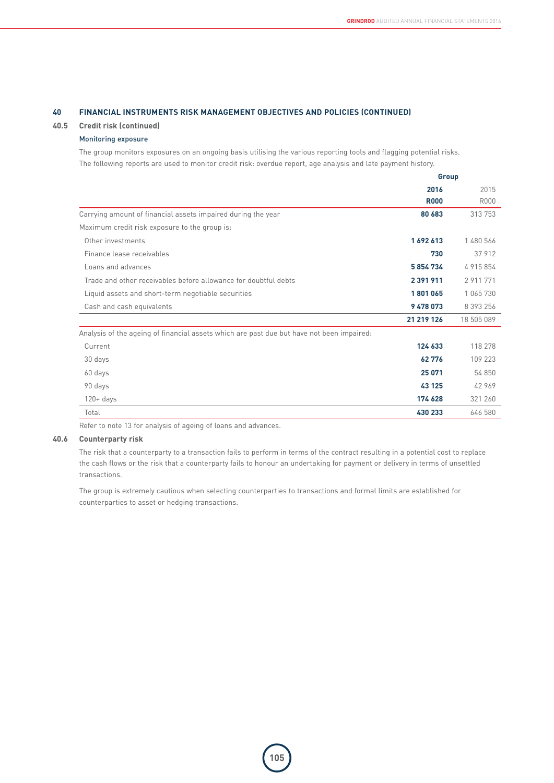### **40 FINANCIAL INSTRUMENTS RISK MANAGEMENT OBJECTIVES AND POLICIES (CONTINUED)**

### **40.5 Credit risk (continued)**

# Monitoring exposure

The group monitors exposures on an ongoing basis utilising the various reporting tools and flagging potential risks. The following reports are used to monitor credit risk: overdue report, age analysis and late payment history.

|                                                                                           | Group       |            |
|-------------------------------------------------------------------------------------------|-------------|------------|
|                                                                                           | 2016        | 2015       |
|                                                                                           | <b>R000</b> | R000       |
| Carrying amount of financial assets impaired during the year                              | 80 683      | 313 753    |
| Maximum credit risk exposure to the group is:                                             |             |            |
| Other investments                                                                         | 1692613     | 1480 566   |
| Finance lease receivables                                                                 | 730         | 37 912     |
| Loans and advances                                                                        | 5854734     | 4915854    |
| Trade and other receivables before allowance for doubtful debts                           | 2 391 911   | 2 911 771  |
| Liquid assets and short-term negotiable securities                                        | 1801065     | 1 065 730  |
| Cash and cash equivalents                                                                 | 9478073     | 8 393 256  |
|                                                                                           | 21 219 126  | 18 505 089 |
| Analysis of the ageing of financial assets which are past due but have not been impaired: |             |            |
| Current                                                                                   | 124 633     | 118 278    |
| 30 days                                                                                   | 62776       | 109 223    |
| 60 days                                                                                   | 25 071      | 54 850     |
| 90 days                                                                                   | 43 125      | 42969      |
| $120 + days$                                                                              | 174 628     | 321 260    |
| Total                                                                                     | 430 233     | 646 580    |

Refer to note 13 for analysis of ageing of loans and advances.

# **40.6 Counterparty risk**

The risk that a counterparty to a transaction fails to perform in terms of the contract resulting in a potential cost to replace the cash flows or the risk that a counterparty fails to honour an undertaking for payment or delivery in terms of unsettled transactions.

The group is extremely cautious when selecting counterparties to transactions and formal limits are established for counterparties to asset or hedging transactions.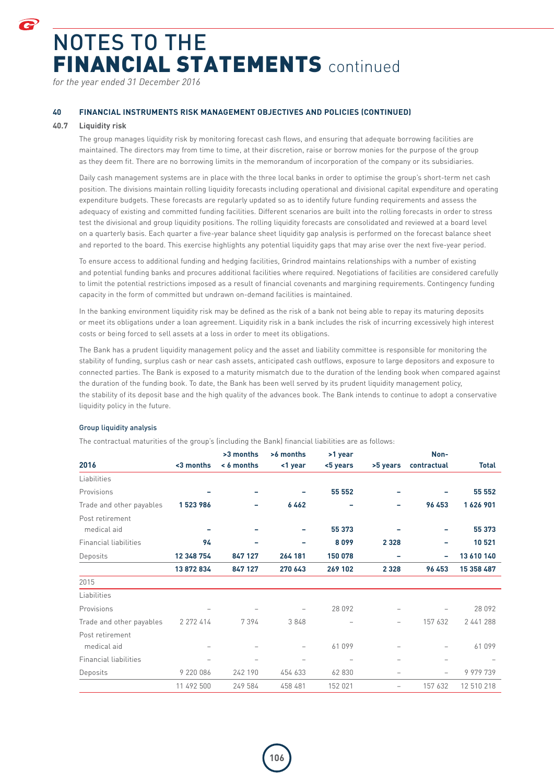*for the year ended 31 December 2016*

## **40 FINANCIAL INSTRUMENTS RISK MANAGEMENT OBJECTIVES AND POLICIES (CONTINUED)**

## **40.7 Liquidity risk**

 $\sum$ 

The group manages liquidity risk by monitoring forecast cash flows, and ensuring that adequate borrowing facilities are maintained. The directors may from time to time, at their discretion, raise or borrow monies for the purpose of the group as they deem fit. There are no borrowing limits in the memorandum of incorporation of the company or its subsidiaries.

Daily cash management systems are in place with the three local banks in order to optimise the group's short-term net cash position. The divisions maintain rolling liquidity forecasts including operational and divisional capital expenditure and operating expenditure budgets. These forecasts are regularly updated so as to identify future funding requirements and assess the adequacy of existing and committed funding facilities. Different scenarios are built into the rolling forecasts in order to stress test the divisional and group liquidity positions. The rolling liquidity forecasts are consolidated and reviewed at a board level on a quarterly basis. Each quarter a five-year balance sheet liquidity gap analysis is performed on the forecast balance sheet and reported to the board. This exercise highlights any potential liquidity gaps that may arise over the next five-year period.

To ensure access to additional funding and hedging facilities, Grindrod maintains relationships with a number of existing and potential funding banks and procures additional facilities where required. Negotiations of facilities are considered carefully to limit the potential restrictions imposed as a result of financial covenants and margining requirements. Contingency funding capacity in the form of committed but undrawn on-demand facilities is maintained.

In the banking environment liquidity risk may be defined as the risk of a bank not being able to repay its maturing deposits or meet its obligations under a loan agreement. Liquidity risk in a bank includes the risk of incurring excessively high interest costs or being forced to sell assets at a loss in order to meet its obligations.

The Bank has a prudent liquidity management policy and the asset and liability committee is responsible for monitoring the stability of funding, surplus cash or near cash assets, anticipated cash outflows, exposure to large depositors and exposure to connected parties. The Bank is exposed to a maturity mismatch due to the duration of the lending book when compared against the duration of the funding book. To date, the Bank has been well served by its prudent liquidity management policy, the stability of its deposit base and the high quality of the advances book. The Bank intends to continue to adopt a conservative liquidity policy in the future.

### Group liquidity analysis

The contractual maturities of the group's (including the Bank) financial liabilities are as follows:

|                                |            | >3 months  | >6 months | >1 year  |          | Non-        |              |
|--------------------------------|------------|------------|-----------|----------|----------|-------------|--------------|
| 2016                           | <3 months  | < 6 months | <1 year   | <5 years | >5 years | contractual | <b>Total</b> |
| Liabilities                    |            |            |           |          |          |             |              |
| Provisions                     |            |            |           | 55 552   |          |             | 55 552       |
| Trade and other payables       | 1523986    |            | 6462      |          |          | 96 453      | 1626901      |
| Post retirement<br>medical aid |            |            |           | 55 373   |          |             | 55 373       |
| <b>Financial liabilities</b>   | 94         | -          |           | 8099     | 2 3 2 8  | -           | 10521        |
| Deposits                       | 12 348 754 | 847 127    | 264 181   | 150 078  | -        | -           | 13 610 140   |
|                                | 13 872 834 | 847 127    | 270 643   | 269 102  | 2 3 2 8  | 96 453      | 15 358 487   |
| 2015                           |            |            |           |          |          |             |              |
| Liabilities                    |            |            |           |          |          |             |              |
| Provisions                     |            |            |           | 28 0 9 2 |          |             | 28 0 9 2     |
| Trade and other payables       | 2 272 414  | 7394       | 3848      |          |          | 157 632     | 2 441 288    |
| Post retirement<br>medical aid |            |            |           | 61 099   |          |             | 61 099       |
| <b>Financial liabilities</b>   |            |            |           |          |          |             |              |
| Deposits                       | 9 220 086  | 242 190    | 454 633   | 62 830   |          |             | 9 979 739    |
|                                | 11 492 500 | 249 584    | 458 481   | 152 021  |          | 157 632     | 12 510 218   |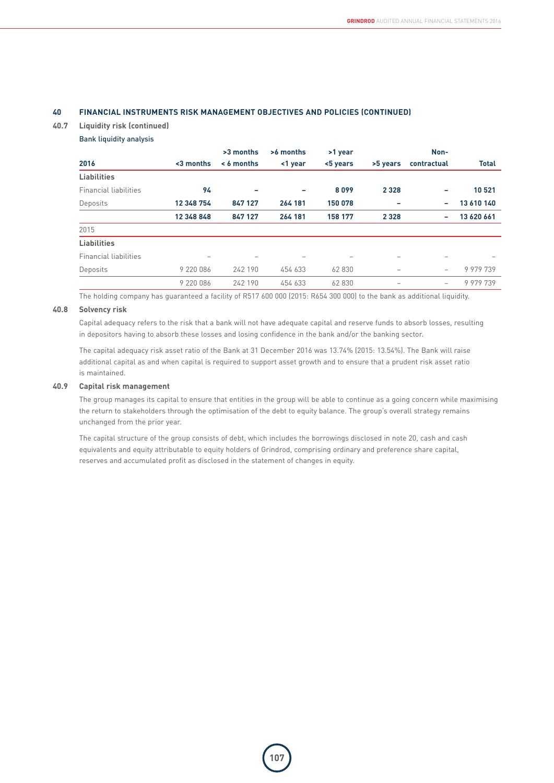### **40 FINANCIAL INSTRUMENTS RISK MANAGEMENT OBJECTIVES AND POLICIES (CONTINUED)**

**40.7 Liquidity risk (continued)**

Bank liquidity analysis

|                              |            | >3 months                | >6 months | >1 year  |          | Non-        |              |
|------------------------------|------------|--------------------------|-----------|----------|----------|-------------|--------------|
| 2016                         | <3 months  | $< 6$ months             | <1 year   | <5 years | >5 years | contractual | <b>Total</b> |
| <b>Liabilities</b>           |            |                          |           |          |          |             |              |
| <b>Financial liabilities</b> | 94         | -                        |           | 8099     | 2 3 2 8  | -           | 10521        |
| Deposits                     | 12 348 754 | 847 127                  | 264 181   | 150 078  | -        | 1           | 13 610 140   |
|                              | 12 348 848 | 847 127                  | 264 181   | 158 177  | 2 3 2 8  | 1           | 13 620 661   |
| 2015                         |            |                          |           |          |          |             |              |
| <b>Liabilities</b>           |            |                          |           |          |          |             |              |
| <b>Financial liabilities</b> | -          | $\overline{\phantom{0}}$ |           |          | -        |             |              |
| Deposits                     | 9 220 086  | 242 190                  | 454 633   | 62 830   | -        | -           | 9 979 739    |
|                              | 9 220 086  | 242 190                  | 454 633   | 62 830   |          | -           | 9 979 739    |

The holding company has guaranteed a facility of R517 600 000 (2015: R654 300 000) to the bank as additional liquidity.

# **40.8 Solvency risk**

Capital adequacy refers to the risk that a bank will not have adequate capital and reserve funds to absorb losses, resulting in depositors having to absorb these losses and losing confidence in the bank and/or the banking sector.

The capital adequacy risk asset ratio of the Bank at 31 December 2016 was 13.74% (2015: 13.54%). The Bank will raise additional capital as and when capital is required to support asset growth and to ensure that a prudent risk asset ratio is maintained.

### **40.9 Capital risk management**

The group manages its capital to ensure that entities in the group will be able to continue as a going concern while maximising the return to stakeholders through the optimisation of the debt to equity balance. The group's overall strategy remains unchanged from the prior year.

The capital structure of the group consists of debt, which includes the borrowings disclosed in note 20, cash and cash equivalents and equity attributable to equity holders of Grindrod, comprising ordinary and preference share capital, reserves and accumulated profit as disclosed in the statement of changes in equity.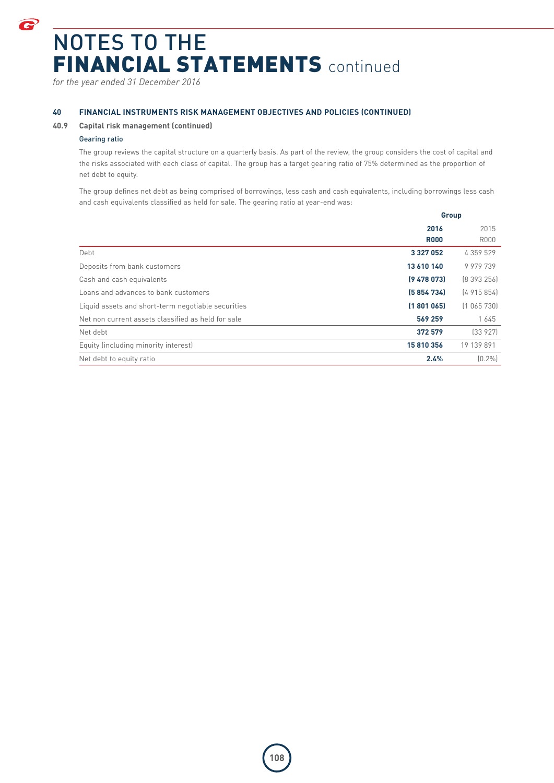# NOTES TO THE FINANCIAL STATEMENTS continued

*for the year ended 31 December 2016*

### **40 FINANCIAL INSTRUMENTS RISK MANAGEMENT OBJECTIVES AND POLICIES (CONTINUED)**

### **40.9 Capital risk management (continued)**

### Gearing ratio

P

The group reviews the capital structure on a quarterly basis. As part of the review, the group considers the cost of capital and the risks associated with each class of capital. The group has a target gearing ratio of 75% determined as the proportion of net debt to equity.

The group defines net debt as being comprised of borrowings, less cash and cash equivalents, including borrowings less cash and cash equivalents classified as held for sale. The gearing ratio at year-end was:

|                                                    | Group         |               |  |
|----------------------------------------------------|---------------|---------------|--|
|                                                    | 2016          | 2015          |  |
|                                                    | <b>R000</b>   | <b>R000</b>   |  |
| Debt                                               | 3 3 2 7 0 5 2 | 4 3 5 9 5 2 9 |  |
| Deposits from bank customers                       | 13 610 140    | 9 979 739     |  |
| Cash and cash equivalents                          | (9478073)     | [8393256]     |  |
| Loans and advances to bank customers               | (5854734)     | [4915854]     |  |
| Liquid assets and short-term negotiable securities | (1801065)     | (1065730)     |  |
| Net non current assets classified as held for sale | 569 259       | 1645          |  |
| Net debt                                           | 372 579       | [33927]       |  |
| Equity (including minority interest)               | 15 810 356    | 19 139 891    |  |
| Net debt to equity ratio                           | 2.4%          | $[0.2\%]$     |  |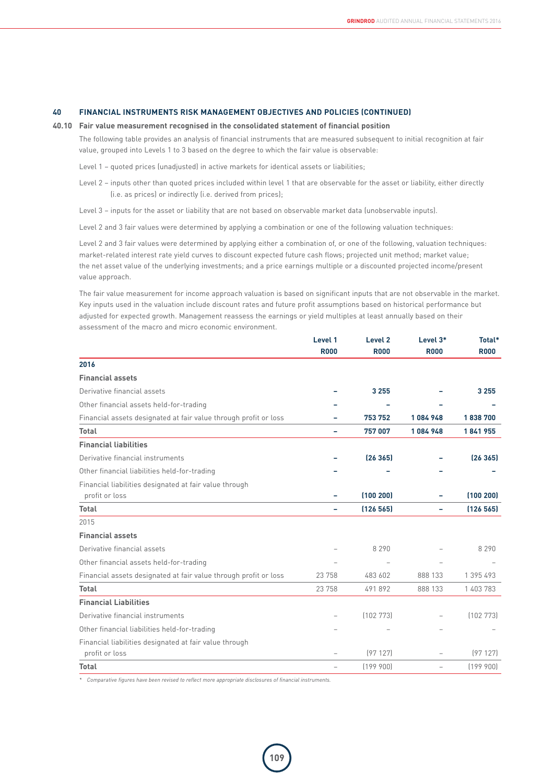#### **40 FINANCIAL INSTRUMENTS RISK MANAGEMENT OBJECTIVES AND POLICIES (CONTINUED)**

#### **40.10 Fair value measurement recognised in the consolidated statement of financial position**

The following table provides an analysis of financial instruments that are measured subsequent to initial recognition at fair value, grouped into Levels 1 to 3 based on the degree to which the fair value is observable:

- Level 1 quoted prices (unadjusted) in active markets for identical assets or liabilities;
- Level 2 inputs other than quoted prices included within level 1 that are observable for the asset or liability, either directly (i.e. as prices) or indirectly (i.e. derived from prices);
- Level 3 inputs for the asset or liability that are not based on observable market data (unobservable inputs).

Level 2 and 3 fair values were determined by applying a combination or one of the following valuation techniques:

Level 2 and 3 fair values were determined by applying either a combination of, or one of the following, valuation techniques: market-related interest rate yield curves to discount expected future cash flows; projected unit method; market value; the net asset value of the underlying investments; and a price earnings multiple or a discounted projected income/present value approach.

The fair value measurement for income approach valuation is based on significant inputs that are not observable in the market. Key inputs used in the valuation include discount rates and future profit assumptions based on historical performance but adjusted for expected growth. Management reassess the earnings or yield multiples at least annually based on their assessment of the macro and micro economic environment.

|                                                                  | Level 1                  | Level <sub>2</sub> | Level 3*                 | Total*      |
|------------------------------------------------------------------|--------------------------|--------------------|--------------------------|-------------|
|                                                                  | <b>R000</b>              | <b>R000</b>        | <b>R000</b>              | <b>R000</b> |
| 2016                                                             |                          |                    |                          |             |
| <b>Financial assets</b>                                          |                          |                    |                          |             |
| Derivative financial assets                                      |                          | 3 2 5 5            |                          | 3 2 5 5     |
| Other financial assets held-for-trading                          |                          |                    |                          |             |
| Financial assets designated at fair value through profit or loss |                          | 753 752            | 1084948                  | 1838700     |
| <b>Total</b>                                                     | -                        | 757 007            | 1084948                  | 1841955     |
| <b>Financial liabilities</b>                                     |                          |                    |                          |             |
| Derivative financial instruments                                 |                          | (26365)            |                          | [26 365]    |
| Other financial liabilities held-for-trading                     |                          |                    |                          |             |
| Financial liabilities designated at fair value through           |                          |                    |                          |             |
| profit or loss                                                   |                          | (100 200)          |                          | (100 200)   |
| <b>Total</b>                                                     | ۰                        | (126 565)          | $\overline{\phantom{0}}$ | (126 565)   |
| 2015                                                             |                          |                    |                          |             |
| <b>Financial assets</b>                                          |                          |                    |                          |             |
| Derivative financial assets                                      |                          | 8 2 9 0            |                          | 8 2 9 0     |
| Other financial assets held-for-trading                          |                          |                    |                          |             |
| Financial assets designated at fair value through profit or loss | 23 758                   | 483 602            | 888 133                  | 1 395 493   |
| Total                                                            | 23 758                   | 491892             | 888 133                  | 1 403 783   |
| <b>Financial Liabilities</b>                                     |                          |                    |                          |             |
| Derivative financial instruments                                 |                          | [102 773]          |                          | [102 773]   |
| Other financial liabilities held-for-trading                     |                          |                    |                          |             |
| Financial liabilities designated at fair value through           |                          |                    |                          |             |
| profit or loss                                                   |                          | [97 127]           |                          | [97 127]    |
| <b>Total</b>                                                     | $\overline{\phantom{0}}$ | [199900]           |                          | [199900]    |

*\* Comparative figures have been revised to reflect more appropriate disclosures of financial instruments.*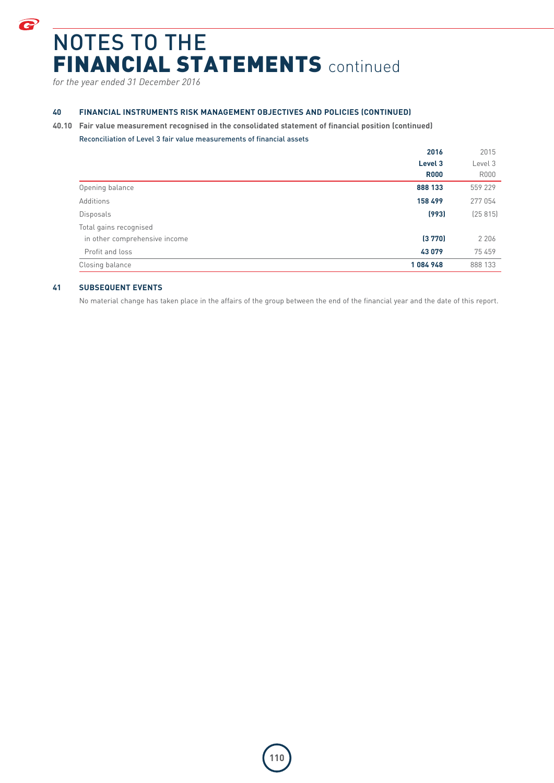# NOTES TO THE **FINANCIAL STATEMENTS** continued

*for the year ended 31 December 2016*

P

### **40 FINANCIAL INSTRUMENTS RISK MANAGEMENT OBJECTIVES AND POLICIES (CONTINUED)**

**40.10 Fair value measurement recognised in the consolidated statement of financial position (continued)**

Reconciliation of Level 3 fair value measurements of financial assets

|                               | 2016        | 2015        |
|-------------------------------|-------------|-------------|
|                               | Level 3     | Level 3     |
|                               | <b>R000</b> | <b>R000</b> |
| Opening balance               | 888 133     | 559 229     |
| Additions                     | 158 499     | 277 054     |
| Disposals                     | (993)       | (25815)     |
| Total gains recognised        |             |             |
| in other comprehensive income | (3770)      | 2 2 0 6     |
| Profit and loss               | 43 079      | 75 459      |
| Closing balance               | 1084948     | 888 133     |
|                               |             |             |

### **41 SUBSEQUENT EVENTS**

No material change has taken place in the affairs of the group between the end of the financial year and the date of this report.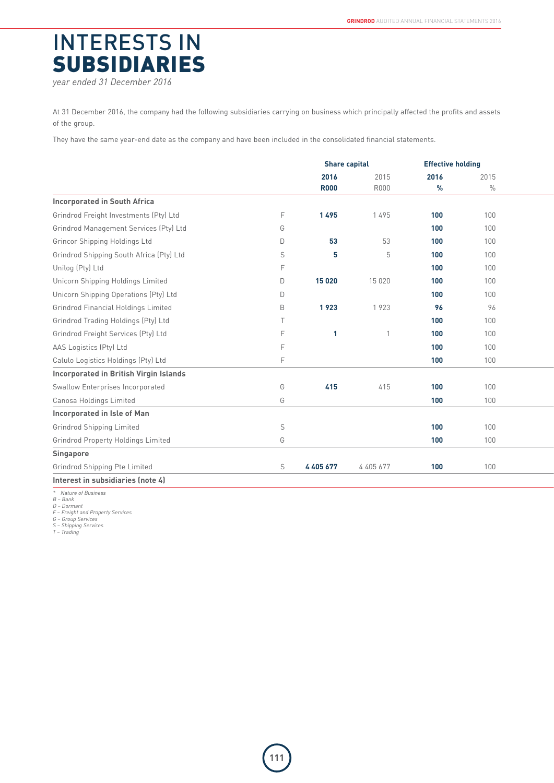## INTERESTS IN SUBSIDIARIES

*year ended 31 December 2016*

At 31 December 2016, the company had the following subsidiaries carrying on business which principally affected the profits and assets of the group.

They have the same year-end date as the company and have been included in the consolidated financial statements.

|                                               |   | <b>Share capital</b> |             |      | <b>Effective holding</b> |  |
|-----------------------------------------------|---|----------------------|-------------|------|--------------------------|--|
|                                               |   | 2016                 | 2015        | 2016 | 2015                     |  |
|                                               |   | <b>R000</b>          | <b>R000</b> | %    | $\%$                     |  |
| <b>Incorporated in South Africa</b>           |   |                      |             |      |                          |  |
| Grindrod Freight Investments (Pty) Ltd        |   | 1495                 | 1495        | 100  | 100                      |  |
| Grindrod Management Services (Pty) Ltd        | G |                      |             | 100  | 100                      |  |
| Grincor Shipping Holdings Ltd                 | D | 53                   | 53          | 100  | 100                      |  |
| Grindrod Shipping South Africa (Pty) Ltd      | S | $5\phantom{.0}$      | 5           | 100  | 100                      |  |
| Unilog (Pty) Ltd                              | Е |                      |             | 100  | 100                      |  |
| Unicorn Shipping Holdings Limited             | D | 15 0 20              | 15 0 20     | 100  | 100                      |  |
| Unicorn Shipping Operations (Pty) Ltd         | D |                      |             | 100  | 100                      |  |
| Grindrod Financial Holdings Limited           | B | 1923                 | 1923        | 96   | 96                       |  |
| Grindrod Trading Holdings (Pty) Ltd           |   |                      |             | 100  | 100                      |  |
| Grindrod Freight Services (Pty) Ltd           |   |                      |             | 100  | 100                      |  |
| AAS Logistics (Pty) Ltd                       |   |                      |             | 100  | 100                      |  |
| Calulo Logistics Holdings (Pty) Ltd           |   |                      |             | 100  | 100                      |  |
| <b>Incorporated in British Virgin Islands</b> |   |                      |             |      |                          |  |
| Swallow Enterprises Incorporated              | G | 415                  | 415         | 100  | 100                      |  |
| Canosa Holdings Limited                       | G |                      |             | 100  | 100                      |  |
| <b>Incorporated in Isle of Man</b>            |   |                      |             |      |                          |  |
| <b>Grindrod Shipping Limited</b>              | S |                      |             | 100  | 100                      |  |
| <b>Grindrod Property Holdings Limited</b>     | G |                      |             | 100  | 100                      |  |
| Singapore                                     |   |                      |             |      |                          |  |
| Grindrod Shipping Pte Limited                 | S | 4 4 0 5 6 7 7        | 4 405 677   | 100  | 100                      |  |
| Interest in subsidiaries (note 4)             |   |                      |             |      |                          |  |
|                                               |   |                      |             |      |                          |  |

*\* Nature of Business B – Bank*

*D – Dormant F – Freight and Property Services G – Group Services S – Shipping Services T – Trading*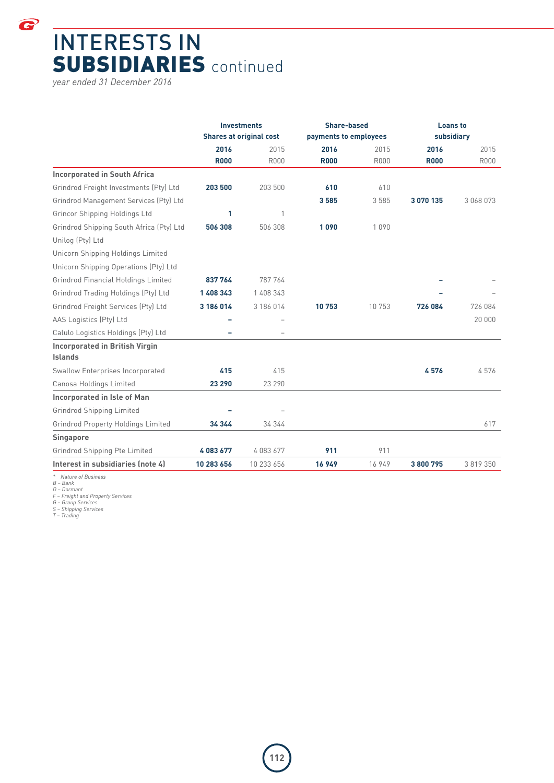# INTERESTS IN **SUBSIDIARIES** continued

*year ended 31 December 2016*

P

|                                           | <b>Investments</b><br><b>Shares at original cost</b> |             | <b>Share-based</b>    |             | <b>Loans to</b> |             |  |
|-------------------------------------------|------------------------------------------------------|-------------|-----------------------|-------------|-----------------|-------------|--|
|                                           |                                                      |             | payments to employees |             | subsidiary      |             |  |
|                                           | 2016                                                 | 2015        | 2016                  | 2015        | 2016            | 2015        |  |
|                                           | <b>R000</b>                                          | <b>R000</b> | <b>R000</b>           | <b>R000</b> | <b>R000</b>     | <b>R000</b> |  |
| <b>Incorporated in South Africa</b>       |                                                      |             |                       |             |                 |             |  |
| Grindrod Freight Investments (Pty) Ltd    | 203 500                                              | 203 500     | 610                   | 610         |                 |             |  |
| Grindrod Management Services (Pty) Ltd    |                                                      |             | 3585                  | 3 5 8 5     | 3 070 135       | 3 068 073   |  |
| Grincor Shipping Holdings Ltd             | 1                                                    | 1           |                       |             |                 |             |  |
| Grindrod Shipping South Africa (Pty) Ltd  | 506 308                                              | 506 308     | 1090                  | 1090        |                 |             |  |
| Unilog (Pty) Ltd                          |                                                      |             |                       |             |                 |             |  |
| Unicorn Shipping Holdings Limited         |                                                      |             |                       |             |                 |             |  |
| Unicorn Shipping Operations (Pty) Ltd     |                                                      |             |                       |             |                 |             |  |
| Grindrod Financial Holdings Limited       | 837764                                               | 787 764     |                       |             |                 |             |  |
| Grindrod Trading Holdings (Pty) Ltd       | 1 408 343                                            | 1 408 343   |                       |             |                 |             |  |
| Grindrod Freight Services (Pty) Ltd       | 3 186 014                                            | 3 186 014   | 10753                 | 10 753      | 726 084         | 726 084     |  |
| AAS Logistics (Pty) Ltd                   |                                                      |             |                       |             |                 | 20 000      |  |
| Calulo Logistics Holdings (Pty) Ltd       |                                                      |             |                       |             |                 |             |  |
| <b>Incorporated in British Virgin</b>     |                                                      |             |                       |             |                 |             |  |
| <b>Islands</b>                            |                                                      |             |                       |             |                 |             |  |
| Swallow Enterprises Incorporated          | 415                                                  | 415         |                       |             | 4576            | 4576        |  |
| Canosa Holdings Limited                   | 23 290                                               | 23 290      |                       |             |                 |             |  |
| <b>Incorporated in Isle of Man</b>        |                                                      |             |                       |             |                 |             |  |
| <b>Grindrod Shipping Limited</b>          |                                                      |             |                       |             |                 |             |  |
| <b>Grindrod Property Holdings Limited</b> | 34 344                                               | 34 344      |                       |             |                 | 617         |  |
| <b>Singapore</b>                          |                                                      |             |                       |             |                 |             |  |
| Grindrod Shipping Pte Limited             | 4083677                                              | 4 083 677   | 911                   | 911         |                 |             |  |
| Interest in subsidiaries (note 4)         | 10 283 656                                           | 10 233 656  | 16 949                | 16 949      | 3800795         | 3 819 350   |  |
|                                           |                                                      |             |                       |             |                 |             |  |

*\* Nature of Business B – Bank D – Dormant F – Freight and Property Services G – Group Services S – Shipping Services T – Trading*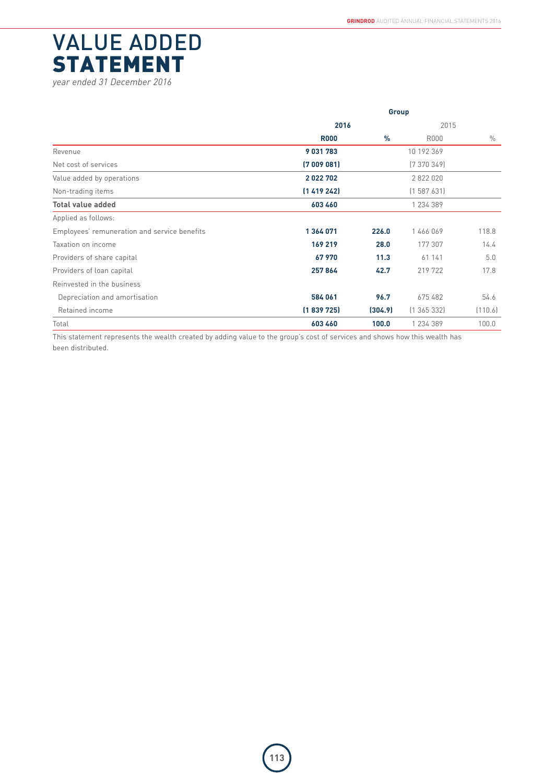# VALUE ADDED STATEMENT

*year ended 31 December 2016*

|                                              |             | Group   |            |         |
|----------------------------------------------|-------------|---------|------------|---------|
|                                              | 2016        | 2015    |            |         |
|                                              | <b>R000</b> | %       | R000       | $\%$    |
| Revenue                                      | 9 031 783   |         | 10 192 369 |         |
| Net cost of services                         | (7009081)   |         | (7370349)  |         |
| Value added by operations                    | 2022702     |         | 2 822 020  |         |
| Non-trading items                            | (1419242)   |         | (1587631)  |         |
| <b>Total value added</b>                     | 603 460     |         | 1 234 389  |         |
| Applied as follows:                          |             |         |            |         |
| Employees' remuneration and service benefits | 1 364 071   | 226.0   | 1466069    | 118.8   |
| Taxation on income                           | 169 219     | 28.0    | 177 307    | 14.4    |
| Providers of share capital                   | 67970       | 11.3    | 61 141     | 5.0     |
| Providers of loan capital                    | 257864      | 42.7    | 219 722    | 17.8    |
| Reinvested in the business                   |             |         |            |         |
| Depreciation and amortisation                | 584 061     | 96.7    | 675 482    | 54.6    |
| Retained income                              | (1839725)   | (304.9) | (1365332)  | (110.6) |
| Total                                        | 603 460     | 100.0   | 1 234 389  | 100.0   |

This statement represents the wealth created by adding value to the group's cost of services and shows how this wealth has been distributed.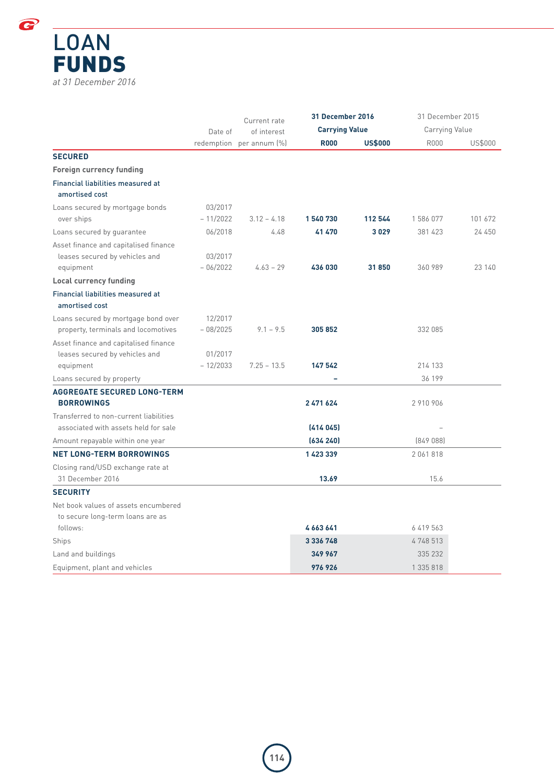

|                                                                                      |                       | Current rate             | <b>31 December 2016</b> |                | 31 December 2015 |         |  |
|--------------------------------------------------------------------------------------|-----------------------|--------------------------|-------------------------|----------------|------------------|---------|--|
|                                                                                      | Date of               | of interest              | <b>Carrying Value</b>   |                | Carrying Value   |         |  |
|                                                                                      |                       | redemption per annum (%) | <b>R000</b>             | <b>US\$000</b> | <b>R000</b>      | US\$000 |  |
| <b>SECURED</b>                                                                       |                       |                          |                         |                |                  |         |  |
| <b>Foreign currency funding</b>                                                      |                       |                          |                         |                |                  |         |  |
| <b>Financial liabilities measured at</b><br>amortised cost                           |                       |                          |                         |                |                  |         |  |
|                                                                                      |                       |                          |                         |                |                  |         |  |
| Loans secured by mortgage bonds<br>over ships                                        | 03/2017<br>$-11/2022$ | $3.12 - 4.18$            | 1540730                 | 112 544        | 1586077          | 101 672 |  |
| Loans secured by guarantee                                                           | 06/2018               | 4.48                     | 41 470                  | 3029           | 381 423          | 24 450  |  |
| Asset finance and capitalised finance                                                |                       |                          |                         |                |                  |         |  |
| leases secured by vehicles and                                                       | 03/2017               |                          |                         |                |                  |         |  |
| equipment                                                                            | $-06/2022$            | $4.63 - 29$              | 436 030                 | 31850          | 360 989          | 23 140  |  |
| <b>Local currency funding</b>                                                        |                       |                          |                         |                |                  |         |  |
| Financial liabilities measured at<br>amortised cost                                  |                       |                          |                         |                |                  |         |  |
| Loans secured by mortgage bond over<br>property, terminals and locomotives           | 12/2017<br>$-08/2025$ | $9.1 - 9.5$              | 305852                  |                | 332 085          |         |  |
| Asset finance and capitalised finance<br>leases secured by vehicles and<br>equipment | 01/2017<br>$-12/2033$ | $7.25 - 13.5$            | 147 542                 |                | 214 133          |         |  |
| Loans secured by property                                                            |                       |                          |                         |                | 36 199           |         |  |
| <b>AGGREGATE SECURED LONG-TERM</b>                                                   |                       |                          |                         |                |                  |         |  |
| <b>BORROWINGS</b>                                                                    |                       |                          | 2 471 624               |                | 2 910 906        |         |  |
| Transferred to non-current liabilities                                               |                       |                          |                         |                |                  |         |  |
| associated with assets held for sale                                                 |                       |                          | (414045)                |                |                  |         |  |
| Amount repayable within one year                                                     |                       |                          | (634 240)               |                | [849088]         |         |  |
| <b>NET LONG-TERM BORROWINGS</b>                                                      |                       |                          | 1 423 339               |                | 2 0 6 1 8 1 8    |         |  |
| Closing rand/USD exchange rate at                                                    |                       |                          |                         |                |                  |         |  |
| 31 December 2016                                                                     |                       |                          | 13.69                   |                | 15.6             |         |  |
| <b>SECURITY</b>                                                                      |                       |                          |                         |                |                  |         |  |
| Net book values of assets encumbered                                                 |                       |                          |                         |                |                  |         |  |
| to secure long-term loans are as                                                     |                       |                          |                         |                |                  |         |  |
| follows:                                                                             |                       |                          | 4663641                 |                | 6 419 563        |         |  |
| Ships                                                                                |                       |                          | 3 3 3 6 7 4 8           |                | 4748513          |         |  |
| Land and buildings                                                                   |                       |                          | 349 967                 |                | 335 232          |         |  |
| Equipment, plant and vehicles                                                        |                       |                          | 976926                  |                | 1 335 818        |         |  |